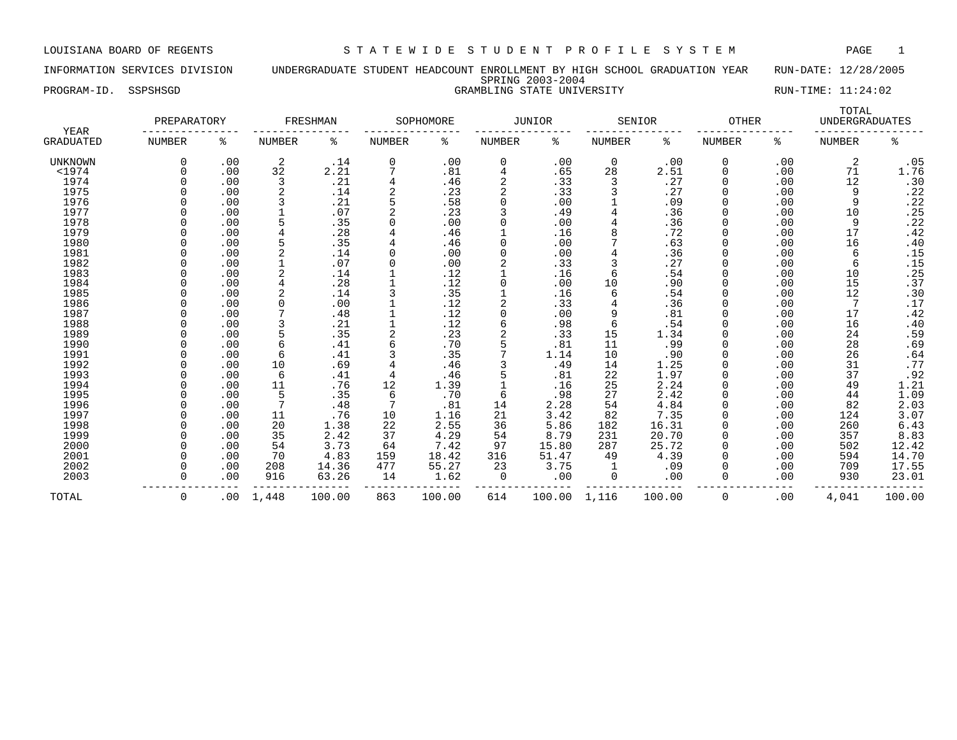INFORMATION SERVICES DIVISION UNDERGRADUATE STUDENT HEADCOUNT ENROLLMENT BY HIGH SCHOOL GRADUATION YEAR RUN-DATE: 12/28/2005 SPRING 2003-2004 PROGRAM-ID. SSPSHSGD SAMELING STATE UNIVERSITY STATE UNIVERSITY RUN-TIME: 11:24:02

| YEAR             | PREPARATORY   |     |               | FRESHMAN |        | SOPHOMORE |                | <b>JUNIOR</b> |               | SENIOR | <b>OTHER</b>  |     | TOTAL<br><b>UNDERGRADUATES</b> |                     |
|------------------|---------------|-----|---------------|----------|--------|-----------|----------------|---------------|---------------|--------|---------------|-----|--------------------------------|---------------------|
| <b>GRADUATED</b> | <b>NUMBER</b> | ႜ   | <b>NUMBER</b> | ిం       | NUMBER | ి         | NUMBER         | ႜ             | <b>NUMBER</b> | နွ     | <b>NUMBER</b> | နွ  | <b>NUMBER</b>                  | နွ                  |
| UNKNOWN          |               | .00 | 2             | .14      | 0      | .00       | 0              | .00           | 0             | .00    | 0             | .00 | 2                              | .05                 |
| $<$ 1974         |               | .00 | 32            | 2.21     |        | .81       | 4              | .65           | 28            | 2.51   | 0             | .00 | 71                             | 1.76                |
| 1974             |               | .00 | 3             | .21      |        | .46       | $\overline{2}$ | .33           | 3             | .27    | 0             | .00 | 12                             | .30                 |
| 1975             |               | .00 |               | .14      | 2      | .23       | $\overline{2}$ | .33           | 3             | .27    | 0             | .00 | 9                              | .22                 |
| 1976             |               | .00 |               | .21      |        | .58       | $\Omega$       | .00           |               | .09    | 0             | .00 | 9                              | .22                 |
| 1977             |               | .00 |               | .07      |        | .23       |                | .49           |               | .36    | 0             | .00 | 10                             | .25                 |
| 1978             |               | .00 |               | .35      |        | .00       | $\Omega$       | .00           |               | .36    | 0             | .00 | 9                              | .22                 |
| 1979             |               | .00 |               | .28      |        | .46       |                | .16           |               | .72    | 0             | .00 | 17                             | .42                 |
| 1980             |               | .00 |               | .35      |        | .46       | $\Omega$       | .00           |               | .63    | 0             | .00 | 16                             | .40                 |
| 1981             |               | .00 |               | .14      |        | .00       | $\Omega$       | .00           |               | .36    | 0             | .00 | 6                              | .15                 |
| 1982             |               | .00 |               | .07      |        | .00       |                | .33           |               | .27    |               | .00 | 6                              | .15                 |
| 1983             |               | .00 |               | .14      |        | .12       |                | .16           | 6             | .54    | 0             | .00 | 10                             | .25                 |
| 1984             |               | .00 |               | .28      |        | .12       | $\Omega$       | .00           | 10            | .90    | 0             | .00 | 15                             | .37                 |
| 1985             |               | .00 |               | .14      |        | .35       |                | .16           | 6             | .54    | 0             | .00 | 12                             |                     |
| 1986             |               | .00 | $\Omega$      | .00      |        | .12       | $\overline{2}$ | .33           |               | .36    | <sup>0</sup>  | .00 | 7                              | $.30$<br>$.17$      |
| 1987             |               | .00 |               | .48      |        | .12       | $\Omega$       | .00           | 9             | .81    | 0             | .00 | 17                             | $.42$<br>$.40$      |
| 1988             |               | .00 | 3             | .21      |        | .12       | 6              | .98           | 6             | .54    | <sup>0</sup>  | .00 | 16                             |                     |
| 1989             |               | .00 | 5             | .35      |        | .23       |                | .33           | 15            | 1.34   | <sup>0</sup>  | .00 | 24                             | $.59$<br>.69        |
| 1990             |               | .00 | 6             | .41      |        | .70       |                | .81           | 11            | .99    | 0             | .00 | 28                             |                     |
| 1991             |               | .00 | 6             | .41      |        | .35       |                | 1.14          | 10            | .90    | 0             | .00 | 26                             | .64                 |
| 1992             |               | .00 | 10            | .69      |        | .46       |                | .49           | 14            | 1.25   | 0             | .00 | 31                             | .77                 |
| 1993             |               | .00 | 6             | .41      |        | .46       |                | .81           | 22            | 1.97   | 0             | .00 | 37                             | .92                 |
| 1994             |               | .00 | 11            | .76      | 12     | 1.39      |                | .16           | 25            | 2.24   | 0             | .00 | 49                             |                     |
| 1995             |               | .00 | 5             | .35      | 6      | .70       | 6              | .98           | 27            | 2.42   | 0             | .00 | 44                             | $\frac{1.21}{1.09}$ |
| 1996             |               | .00 |               | .48      |        | .81       | 14             | 2.28          | 54            | 4.84   | 0             | .00 | 82                             | 2.03                |
| 1997             |               | .00 | 11            | .76      | 10     | 1.16      | 21             | 3.42          | 82            | 7.35   | 0             | .00 | 124                            | 3.07                |
| 1998             |               | .00 | 20            | 1.38     | 22     | 2.55      | 36             | 5.86          | 182           | 16.31  | 0             | .00 | 260                            | 6.43                |
| 1999             |               | .00 | 35            | 2.42     | 37     | 4.29      | 54             | 8.79          | 231           | 20.70  | 0             | .00 | 357                            | 8.83                |
| 2000             |               | .00 | 54            | 3.73     | 64     | 7.42      | 97             | 15.80         | 287           | 25.72  | 0             | .00 | 502                            | 12.42               |
| 2001             |               | .00 | 70            | 4.83     | 159    | 18.42     | 316            | 51.47         | 49            | 4.39   | <sup>0</sup>  | .00 | 594                            | 14.70               |
| 2002             |               | .00 | 208           | 14.36    | 477    | 55.27     | 23             | 3.75          | 1             | .09    | 0             | .00 | 709                            | 17.55               |
| 2003             |               | .00 | 916           | 63.26    | 14     | 1.62      | 0              | .00           | 0             | .00    | 0             | .00 | 930                            | 23.01               |
| TOTAL            | 0             | .00 | 1,448         | 100.00   | 863    | 100.00    | 614            | 100.00        | 1,116         | 100.00 | 0             | .00 | 4,041                          | 100.00              |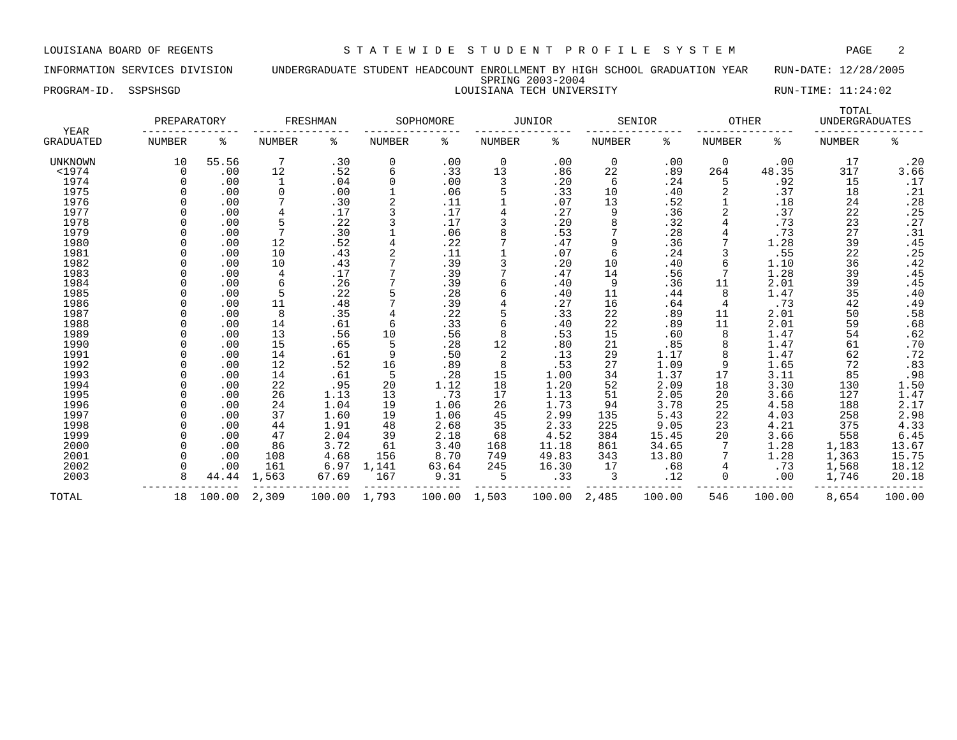INFORMATION SERVICES DIVISION UNDERGRADUATE STUDENT HEADCOUNT ENROLLMENT BY HIGH SCHOOL GRADUATION YEAR RUN-DATE: 12/28/2005 SPRING 2003-2004 PROGRAM-ID. SSPSHSGD SAND RUN-TIME: 11:24:02

|                   | PREPARATORY   |        |                | FRESHMAN |               | SOPHOMORE |               | <b>JUNIOR</b> |               | SENIOR | <b>OTHER</b>  |        | TOTAL<br><b>UNDERGRADUATES</b> |                   |
|-------------------|---------------|--------|----------------|----------|---------------|-----------|---------------|---------------|---------------|--------|---------------|--------|--------------------------------|-------------------|
| YEAR<br>GRADUATED | <b>NUMBER</b> | ి      | <b>NUMBER</b>  | နွ       | <b>NUMBER</b> | ి         | <b>NUMBER</b> | နွ            | <b>NUMBER</b> | နွ     | <b>NUMBER</b> | ႜ      | <b>NUMBER</b>                  | နွ                |
| <b>UNKNOWN</b>    | 10            | 55.56  | 7              | .30      | 0             | .00       | 0             | .00           | 0             | .00    | 0             | .00    | 17                             | .20               |
| $<$ 1974          | 0             | .00    | 12             | .52      | 6             | .33       | 13            | .86           | 22            | .89    | 264           | 48.35  | 317                            | 3.66              |
| 1974              |               | .00    | 1              | .04      | 0             | .00       | 3             | .20           | 6             | .24    |               | .92    | 15                             | .17               |
| 1975              |               | .00    | 0              | .00      |               | .06       | 5             | .33           | 10            | .40    |               | .37    | 18                             | $: \frac{21}{28}$ |
| 1976              |               | .00    |                | .30      | 2             | .11       |               | .07           | 13            | .52    |               | .18    | 24                             |                   |
| 1977              |               | .00    | $\overline{4}$ | .17      | 3             | .17       | 4             | .27           | 9             | .36    |               | .37    | 22                             | .25               |
| 1978              |               | .00    | 5              | .22      |               | .17       |               | .20           | 8             | .32    |               | .73    | 23                             | .27               |
| 1979              |               | .00    |                | .30      |               | .06       | 8             | .53           |               | .28    |               | .73    | 27                             | $: 31$<br>$.45$   |
| 1980              |               | .00    | 12             | .52      | 4             | .22       |               | .47           | 9             | .36    |               | 1.28   | 39                             |                   |
| 1981              |               | .00    | 10             | .43      |               | .11       |               | .07           | 6             | .24    |               | .55    | 22                             | .25               |
| 1982              |               | .00    | 10             | .43      |               | .39       | 3             | .20           | 10            | .40    | 6             | 1.10   | 36                             | .42               |
| 1983              |               | .00    | 4              | .17      |               | .39       |               | .47           | 14            | .56    |               | 1.28   | 39                             | .45               |
| 1984              |               | .00    | 6              | .26      |               | .39       | б             | .40           | 9             | .36    | 11            | 2.01   | 39                             | .45               |
| 1985              |               | .00    | 5              | .22      |               | .28       | б             | .40           | 11            | .44    | 8             | 1.47   | 35                             | .40               |
| 1986              |               | .00    | 11             | .48      |               | .39       | 4             | .27           | 16            | .64    | 4             | .73    | 42                             | .49               |
| 1987              |               | .00    | 8              | .35      |               | .22       |               | .33           | 22            | .89    | 11            | 2.01   | 50                             | .58               |
| 1988              |               | .00    | 14             | .61      | 6             | .33       | б             | .40           | 22            | .89    | 11            | 2.01   | 59                             | .68               |
| 1989              |               | .00    | 13             | .56      | 10            | .56       | 8             | .53           | 15            | .60    | 8             | 1.47   | 54                             | .62               |
| 1990              |               | .00    | 15             | .65      | 5             | .28       | 12            | .80           | 21            | .85    | 8             | 1.47   | 61                             | .70               |
| 1991              |               | .00    | 14             | .61      | 9             | .50       | 2             | .13           | 29            | 1.17   | 8             | 1.47   | 62                             | .72               |
| 1992              |               | .00    | 12             | .52      | 16            | .89       | 8             | .53           | 27            | 1.09   | 9             | 1.65   | 72                             | .83               |
| 1993              |               | .00    | 14             | .61      | 5             | .28       | 15            | 1.00          | 34            | 1.37   | 17            | 3.11   | 85                             | .98               |
| 1994              |               | .00    | 22             | .95      | 20            | 1.12      | 18            | 1.20          | 52            | 2.09   | 18            | 3.30   | 130                            |                   |
| 1995              |               | .00    | 26             | 1.13     | 13            | .73       | 17            | 1.13          | 51            | 2.05   | 20            | 3.66   | 127                            | $1.50$<br>$1.47$  |
| 1996              |               | .00    | 24             | 1.04     | 19            | 1.06      | 26            | 1.73          | 94            | 3.78   | 25            | 4.58   | 188                            | 2.17              |
| 1997              |               | .00    | 37             | 1.60     | 19            | 1.06      | 45            | 2.99          | 135           | 5.43   | 22            | 4.03   | 258                            | 2.98              |
| 1998              |               | .00    | 44             | 1.91     | 48            | 2.68      | 35            | 2.33          | 225           | 9.05   | 23            | 4.21   | 375                            | 4.33              |
| 1999              |               | .00    | 47             | 2.04     | 39            | 2.18      | 68            | 4.52          | 384           | 15.45  | 20            | 3.66   | 558                            | 6.45              |
| 2000              |               | .00    | 86             | 3.72     | 61            | 3.40      | 168           | 11.18         | 861           | 34.65  |               | 1.28   | 1,183                          | 13.67             |
| 2001              |               | .00    | 108            | 4.68     | 156           | 8.70      | 749           | 49.83         | 343           | 13.80  |               | 1.28   | 1,363                          | 15.75             |
| 2002              |               | .00    | 161            | 6.97     | 1,141         | 63.64     | 245           | 16.30         | 17            | .68    |               | .73    | 1,568                          | 18.12             |
| 2003              |               | 44.44  | 1,563          | 67.69    | 167           | 9.31      | 5             | .33           | 3             | .12    | 0             | .00    | 1,746                          | 20.18             |
| TOTAL             | 18            | 100.00 | 2,309          | 100.00   | 1,793         | 100.00    | 1,503         | 100.00        | 2,485         | 100.00 | 546           | 100.00 | 8,654                          | 100.00            |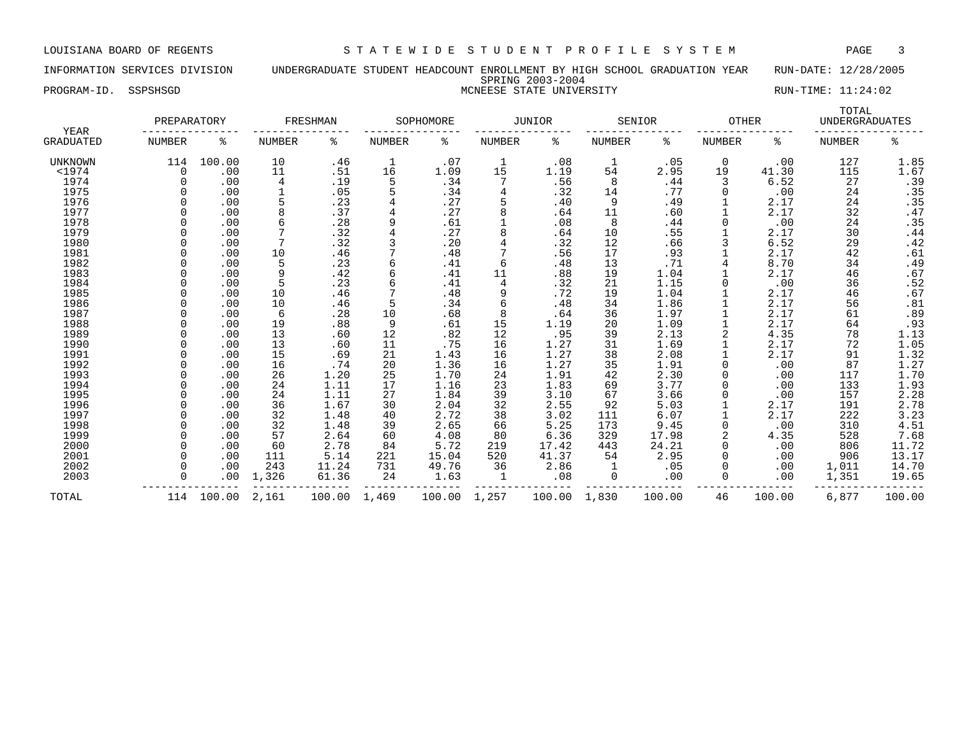INFORMATION SERVICES DIVISION UNDERGRADUATE STUDENT HEADCOUNT ENROLLMENT BY HIGH SCHOOL GRADUATION YEAR RUN-DATE: 12/28/2005 SPRING 2003-2004 PROGRAM-ID. SSPSHSGD **EXECUTE:** 11:24:02 MCNEESE STATE UNIVERSITY RUN-TIME: 11:24:02

| YEAR      | PREPARATORY   |        |               | FRESHMAN |               | SOPHOMORE |        | <b>JUNIOR</b> |        | SENIOR | <b>OTHER</b>  |        | TOTAL<br><b>UNDERGRADUATES</b> |                |
|-----------|---------------|--------|---------------|----------|---------------|-----------|--------|---------------|--------|--------|---------------|--------|--------------------------------|----------------|
| GRADUATED | <b>NUMBER</b> | ి      | <b>NUMBER</b> | ి        | <b>NUMBER</b> | ి         | NUMBER | ႜ             | NUMBER | ి      | <b>NUMBER</b> | နွ     | <b>NUMBER</b>                  | ి              |
| UNKNOWN   | 114           | 100.00 | 10            | .46      | $\mathbf{1}$  | .07       |        | .08           | 1      | .05    | 0             | .00    | 127                            | 1.85           |
| $<$ 1974  | 0             | .00    | 11            | .51      | 16            | 1.09      | 15     | 1.19          | 54     | 2.95   | 19            | 41.30  | 115                            | 1.67           |
| 1974      | $\Omega$      | .00    | 4             | .19      | 5             | .34       |        | .56           | 8      | .44    | 3             | 6.52   | 27                             | $.39$<br>$.35$ |
| 1975      |               | .00    | 1             | .05      | 5             | .34       |        | .32           | 14     | .77    |               | .00    | 24                             |                |
| 1976      |               | .00    | 5             | .23      |               | .27       |        | .40           | 9      | .49    |               | 2.17   | 24                             | .35            |
| 1977      |               | .00    | 8             | .37      |               | .27       |        | .64           | 11     | .60    |               | 2.17   | 32                             |                |
| 1978      |               | .00    | 6             | .28      | 9             | .61       |        | .08           | 8      | .44    |               | .00    | 24                             | $.47$<br>$.35$ |
| 1979      |               | .00    | 7             | .32      |               | .27       |        | .64           | 10     | .55    |               | 2.17   | 30                             | .44            |
| 1980      |               | .00    | 7             | .32      |               | .20       |        | .32           | 12     | .66    |               | 6.52   | 29                             | .42            |
| 1981      |               | .00    | 10            | .46      |               | .48       |        | .56           | 17     | .93    |               | 2.17   | 42                             | .61            |
| 1982      |               | .00    | 5             | .23      | 6             | .41       | 6      | .48           | 13     | .71    |               | 8.70   | 34                             | .49            |
| 1983      |               | .00    | 9             | .42      |               | .41       | 11     | .88           | 19     | 1.04   |               | 2.17   | 46                             | .67            |
| 1984      |               | .00    | 5             | .23      |               | .41       |        | .32           | 21     | 1.15   |               | .00    | 36                             | .52            |
| 1985      |               | .00    | 10            | .46      |               | .48       | 9      | .72           | 19     | 1.04   |               | 2.17   | 46                             | .67            |
| 1986      |               | .00    | 10            | .46      |               | .34       |        | .48           | 34     | 1.86   |               | 2.17   | 56                             | .81            |
| 1987      |               | .00    | 6             | .28      | 10            | .68       |        | .64           | 36     | 1.97   |               | 2.17   | 61                             | .89            |
| 1988      |               | .00    | 19            | .88      | 9             | .61       | 15     | 1.19          | 20     | 1.09   |               | 2.17   | 64                             | .93            |
| 1989      |               | .00    | 13            | .60      | 12            | .82       | 12     | .95           | 39     | 2.13   |               | 4.35   | 78                             | 1.13           |
| 1990      |               | .00    | 13            | .60      | 11            | .75       | 16     | 1.27          | 31     | 1.69   |               | 2.17   | 72                             | 1.05           |
| 1991      |               | .00    | 15            | .69      | 21            | 1.43      | 16     | 1.27          | 38     | 2.08   |               | 2.17   | 91                             | 1.32           |
| 1992      |               | .00    | 16            | .74      | 20            | 1.36      | 16     | 1.27          | 35     | 1.91   |               | .00    | 87                             | 1.27           |
| 1993      |               | .00    | 26            | 1.20     | 25            | 1.70      | 24     | 1.91          | 42     | 2.30   |               | .00    | 117                            | 1.70           |
| 1994      |               | .00    | 24            | 1.11     | 17            | 1.16      | 23     | 1.83          | 69     | 3.77   |               | .00    | 133                            | 1.93           |
| 1995      |               | .00    | 24            | 1.11     | 27            | 1.84      | 39     | 3.10          | 67     | 3.66   |               | .00    | 157                            | 2.28           |
| 1996      |               | .00    | 36            | 1.67     | 30            | 2.04      | 32     | 2.55          | 92     | 5.03   |               | 2.17   | 191                            | 2.78           |
| 1997      |               | .00    | 32            | 1.48     | 40            | 2.72      | 38     | 3.02          | 111    | 6.07   |               | 2.17   | 222                            | 3.23           |
| 1998      |               | .00    | 32            | 1.48     | 39            | 2.65      | 66     | 5.25          | 173    | 9.45   |               | .00    | 310                            | 4.51           |
| 1999      |               | .00    | 57            | 2.64     | 60            | 4.08      | 80     | 6.36          | 329    | 17.98  |               | 4.35   | 528                            | 7.68           |
| 2000      |               | .00    | 60            | 2.78     | 84            | 5.72      | 219    | 17.42         | 443    | 24.21  | 0             | .00    | 806                            | 11.72          |
| 2001      |               | .00    | 111           | 5.14     | 221           | 15.04     | 520    | 41.37         | 54     | 2.95   |               | .00    | 906                            | 13.17          |
| 2002      |               | .00    | 243           | 11.24    | 731           | 49.76     | 36     | 2.86          |        | .05    |               | .00    | 1,011                          | 14.70          |
| 2003      |               | .00    | 1,326         | 61.36    | 24            | 1.63      | 1      | .08           | 0      | .00    |               | .00    | 1,351                          | 19.65          |
| TOTAL     | 114           | 100.00 | 2,161         | 100.00   | 1,469         | 100.00    | 1,257  | 100.00        | 1,830  | 100.00 | 46            | 100.00 | 6,877                          | 100.00         |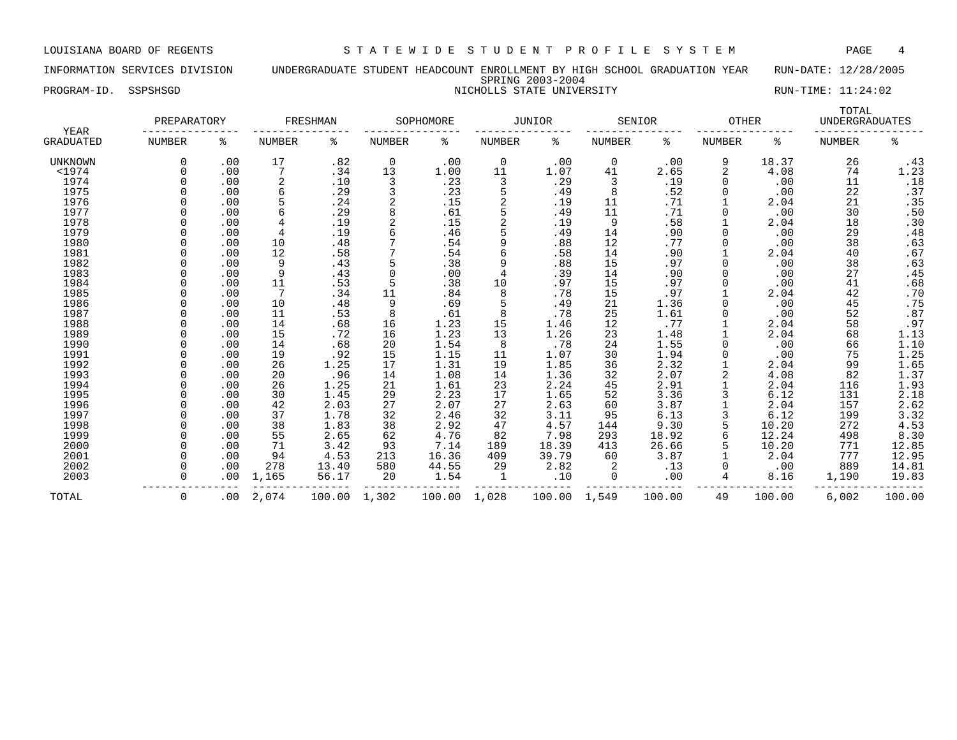INFORMATION SERVICES DIVISION UNDERGRADUATE STUDENT HEADCOUNT ENROLLMENT BY HIGH SCHOOL GRADUATION YEAR RUN-DATE: 12/28/2005 SPRING 2003-2004 PROGRAM-ID. SSPSHSGD NICHOLLS STATE UNIVERSITY NICHOLLS STATE UNIVERSITY

| YEAR      | PREPARATORY   |          |                | FRESHMAN |               | SOPHOMORE |        | <b>JUNIOR</b> |               | SENIOR | <b>OTHER</b>  |        | TOTAL<br><b>UNDERGRADUATES</b> |                            |
|-----------|---------------|----------|----------------|----------|---------------|-----------|--------|---------------|---------------|--------|---------------|--------|--------------------------------|----------------------------|
| GRADUATED | <b>NUMBER</b> | ႜ        | <b>NUMBER</b>  | ್ಠಿ      | <b>NUMBER</b> | နွ        | NUMBER | နွ            | <b>NUMBER</b> | ႜ      | <b>NUMBER</b> | ႜ      | <b>NUMBER</b>                  | နွ                         |
| UNKNOWN   | $\Omega$      | .00      | 17             | .82      | 0             | .00       | 0      | .00           | 0             | .00    | 9             | 18.37  | 26                             | .43                        |
| $<$ 1974  | $\Omega$      | .00      |                | .34      | 13            | 1.00      | 11     | 1.07          | 41            | 2.65   | 2             | 4.08   | 74                             | 1.23                       |
| 1974      |               | .00      | $\overline{2}$ | .10      | 3             | .23       | 3      | .29           | 3             | .19    | <sup>0</sup>  | .00    | 11                             | .18                        |
| 1975      |               | .00      | 6              | .29      | 3             | .23       | 5      | .49           | 8             | .52    |               | .00    | 22                             | .37                        |
| 1976      |               | .00      |                | .24      |               | .15       | 2      | .19           | 11            | .71    |               | 2.04   | 21                             | .35                        |
| 1977      |               | .00      |                | .29      |               | .61       | 5      | .49           | 11            | .71    |               | .00    | 30                             | .50                        |
| 1978      |               | .00      |                | .19      |               | .15       | 2      | .19           | 9             | .58    |               | 2.04   | 18                             | .30                        |
| 1979      |               | .00      | $\overline{4}$ | .19      |               | .46       |        | .49           | 14            | .90    | $\Omega$      | .00    | 29                             | .48                        |
| 1980      |               | .00      | 10             | .48      |               | .54       | 9      | .88           | 12            | .77    | <sup>0</sup>  | .00    | 38                             | .63                        |
| 1981      |               | .00      | 12             | .58      |               | .54       | 6      | .58           | 14            | .90    |               | 2.04   | 40                             | .67                        |
| 1982      |               | .00      | 9              | .43      |               | .38       | 9      | .88           | 15            | .97    |               | .00    | 38                             | .63                        |
| 1983      |               | .00      | 9              | .43      |               | .00       | 4      | .39           | 14            | .90    |               | .00    | 27                             | .45                        |
| 1984      |               | .00      | 11             | .53      |               | .38       | 10     | .97           | 15            | .97    |               | .00    | 41                             | .68                        |
| 1985      |               | .00      | 7              | .34      | 11            | .84       | 8      | .78           | 15            | .97    |               | 2.04   | 42                             | .70                        |
| 1986      |               | .00      | 10             | .48      | 9             | .69       | 5      | .49           | 21            | 1.36   | U             | .00    | 45                             | .75                        |
| 1987      |               | .00      | 11             | .53      | 8             | .61       | 8      | .78           | 25            | 1.61   |               | .00    | 52                             | .87                        |
| 1988      |               | .00      | 14             | .68      | 16            | 1.23      | 15     | 1.46          | 12            | .77    |               | 2.04   | 58                             | .97                        |
| 1989      |               | .00      | 15             | .72      | 16            | 1.23      | 13     | 1.26          | 23            | 1.48   |               | 2.04   | 68                             | $1.13$<br>$1.10$<br>$1.25$ |
| 1990      |               | .00      | 14             | .68      | 20            | 1.54      | 8      | .78           | 24            | 1.55   |               | .00    | 66                             |                            |
| 1991      |               | .00      | 19             | .92      | 15            | 1.15      | 11     | 1.07          | 30            | 1.94   |               | .00    | 75                             |                            |
| 1992      |               | .00      | 26             | 1.25     | 17            | 1.31      | 19     | 1.85          | 36            | 2.32   |               | 2.04   | 99                             | $\frac{1.65}{1.37}$        |
| 1993      |               | .00      | 20             | .96      | 14            | 1.08      | 14     | 1.36          | 32            | 2.07   | 2             | 4.08   | 82                             |                            |
| 1994      |               | .00      | 26             | 1.25     | 21            | 1.61      | 23     | 2.24          | 45            | 2.91   |               | 2.04   | 116                            |                            |
| 1995      |               | .00      | 30             | 1.45     | 29            | 2.23      | 17     | 1.65          | 52            | 3.36   |               | 6.12   | 131                            | $\frac{1.93}{2.18}$        |
| 1996      |               | .00      | 42             | 2.03     | 27            | 2.07      | 27     | 2.63          | 60            | 3.87   |               | 2.04   | 157                            | 2.62                       |
| 1997      |               | .00      | 37             | 1.78     | 32            | 2.46      | 32     | 3.11          | 95            | 6.13   |               | 6.12   | 199                            | 3.32                       |
| 1998      |               | .00      | 38             | 1.83     | 38            | 2.92      | 47     | 4.57          | 144           | 9.30   |               | 10.20  | 272                            | 4.53                       |
| 1999      |               | .00      | 55             | 2.65     | 62            | 4.76      | 82     | 7.98          | 293           | 18.92  | 6             | 12.24  | 498                            | 8.30                       |
| 2000      | <sup>n</sup>  | .00      | 71             | 3.42     | 93            | 7.14      | 189    | 18.39         | 413           | 26.66  |               | 10.20  | 771                            | 12.85                      |
| 2001      | $\Omega$      | .00      | 94             | 4.53     | 213           | 16.36     | 409    | 39.79         | 60            | 3.87   |               | 2.04   | 777                            | 12.95                      |
| 2002      | $\Omega$      | .00      | 278            | 13.40    | 580           | 44.55     | 29     | 2.82          | 2             | .13    |               | .00    | 889                            | 14.81                      |
| 2003      | $\Omega$      | .00      | 1,165          | 56.17    | 20            | 1.54      | 1      | .10           | 0             | .00    | 4             | 8.16   | 1,190                          | 19.83                      |
| TOTAL     | $\Omega$      | $.00 \,$ | 2,074          | 100.00   | 1,302         | 100.00    | 1,028  | 100.00        | 1,549         | 100.00 | 49            | 100.00 | 6,002                          | 100.00                     |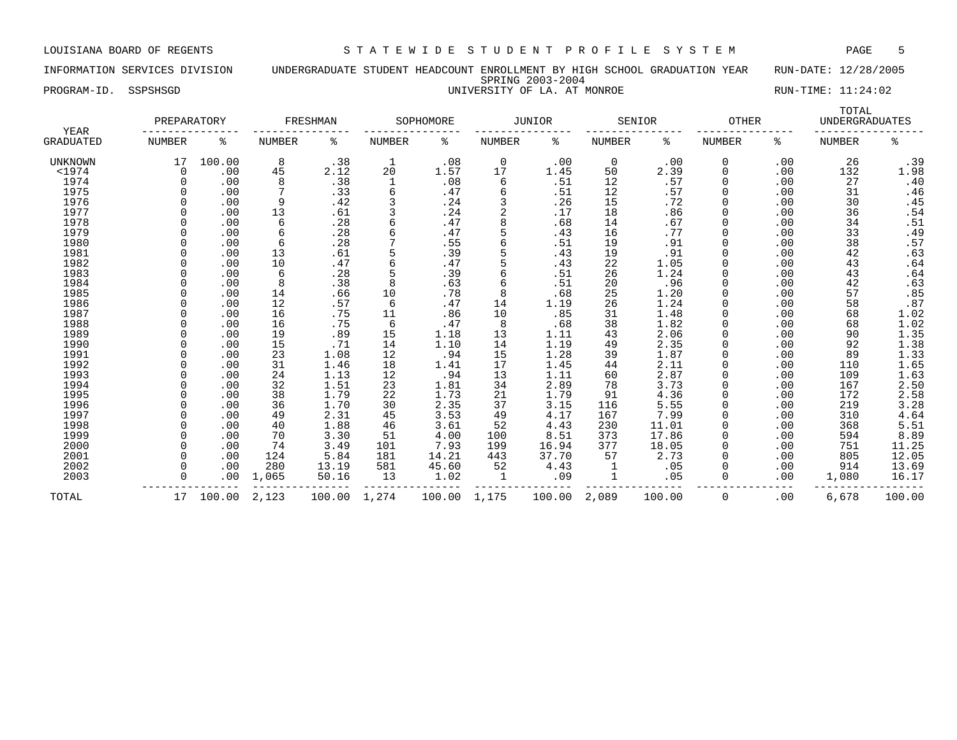INFORMATION SERVICES DIVISION UNDERGRADUATE STUDENT HEADCOUNT ENROLLMENT BY HIGH SCHOOL GRADUATION YEAR RUN-DATE: 12/28/2005 SPRING 2003-2004 PROGRAM-ID. SSPSHSGD UNIVERSITY OF LA. AT MONROE RUN-TIME: 11:24:02

| <b>YEAR</b>      | PREPARATORY   |        |        | FRESHMAN |              | SOPHOMORE |                | <b>JUNIOR</b> |               | SENIOR | <b>OTHER</b> |     | TOTAL<br><b>UNDERGRADUATES</b> |        |
|------------------|---------------|--------|--------|----------|--------------|-----------|----------------|---------------|---------------|--------|--------------|-----|--------------------------------|--------|
| <b>GRADUATED</b> | <b>NUMBER</b> | ႜ      | NUMBER | ႜ        | NUMBER       | နွ        | NUMBER         | ႜ             | <b>NUMBER</b> | ႜ      | NUMBER       | ႜ   | NUMBER                         | နွ     |
| <b>UNKNOWN</b>   | 17            | 100.00 | 8      | .38      | $\mathbf{1}$ | .08       | 0              | .00           | $\mathbf 0$   | .00    | 0            | .00 | 26                             | .39    |
| $<$ 1974         | $\Omega$      | .00    | 45     | 2.12     | 20           | 1.57      | 17             | 1.45          | 50            | 2.39   | 0            | .00 | 132                            | 1.98   |
| 1974             |               | .00    | 8      | .38      |              | .08       | 6              | .51           | 12            | .57    | 0            | .00 | 27                             | .40    |
| 1975             |               | .00    | 7      | .33      | 6            | .47       | 6              | .51           | 12            | .57    | $\Omega$     | .00 | 31                             | .46    |
| 1976             |               | .00    | 9      | .42      |              | .24       |                | .26           | 15            | .72    |              | .00 | 30                             | .45    |
| 1977             |               | .00    | 13     | .61      |              | .24       | $\overline{2}$ | .17           | 18            | .86    |              | .00 | 36                             | .54    |
| 1978             |               | .00    | 6      | .28      | 6            | .47       | 8              | .68           | 14            | .67    | 0            | .00 | 34                             | .51    |
| 1979             |               | .00    | 6      | .28      |              | .47       | 5              | .43           | 16            | .77    | 0            | .00 | 33                             | .49    |
| 1980             |               | .00    | 6      | .28      |              | .55       | 6              | .51           | 19            | .91    | $\Omega$     | .00 | 38                             | .57    |
| 1981             |               | .00    | 13     | .61      |              | .39       | 5              | .43           | 19            | .91    | $\Omega$     | .00 | 42                             | .63    |
| 1982             |               | .00    | 10     | .47      |              | .47       |                | .43           | 22            | 1.05   | $\Omega$     | .00 | 43                             | .64    |
| 1983             |               | .00    | 6      | .28      |              | .39       | 6              | .51           | 26            | 1.24   |              | .00 | 43                             | .64    |
| 1984             |               | .00    | 8      | .38      | 8            | .63       | 6              | .51           | 20            | .96    |              | .00 | 42                             | .63    |
| 1985             |               | .00    | 14     | .66      | 10           | .78       | 8              | .68           | 25            | 1.20   | 0            | .00 | 57                             | .85    |
| 1986             |               | .00    | 12     | .57      | 6            | .47       | 14             | 1.19          | 26            | 1.24   |              | .00 | 58                             | .87    |
| 1987             |               | .00    | 16     | .75      | 11           | .86       | 10             | .85           | 31            | 1.48   |              | .00 | 68                             | 1.02   |
| 1988             |               | .00    | 16     | .75      | 6            | .47       | 8              | .68           | 38            | 1.82   |              | .00 | 68                             | 1.02   |
| 1989             |               | .00    | 19     | .89      | 15           | 1.18      | 13             | 1.11          | 43            | 2.06   |              | .00 | 90                             | 1.35   |
| 1990             |               | .00    | 15     | .71      | 14           | 1.10      | 14             | 1.19          | 49            | 2.35   |              | .00 | 92                             | 1.38   |
| 1991             |               | .00    | 23     | 1.08     | 12           | .94       | 15             | 1.28          | 39            | 1.87   |              | .00 | 89                             | 1.33   |
| 1992             |               | .00    | 31     | 1.46     | 18           | 1.41      | 17             | 1.45          | 44            | 2.11   |              | .00 | 110                            | 1.65   |
| 1993             |               | .00    | 24     | 1.13     | 12           | .94       | 13             | 1.11          | 60            | 2.87   |              | .00 | 109                            | 1.63   |
| 1994             |               | .00    | 32     | 1.51     | 23           | 1.81      | 34             | 2.89          | 78            | 3.73   |              | .00 | 167                            | 2.50   |
| 1995             |               | .00    | 38     | 1.79     | 22           | 1.73      | 21             | 1.79          | 91            | 4.36   | 0            | .00 | 172                            | 2.58   |
| 1996             |               | .00    | 36     | 1.70     | 30           | 2.35      | 37             | 3.15          | 116           | 5.55   | 0            | .00 | 219                            | 3.28   |
| 1997             |               | .00    | 49     | 2.31     | 45           | 3.53      | 49             | 4.17          | 167           | 7.99   |              | .00 | 310                            | 4.64   |
| 1998             |               | .00    | 40     | 1.88     | 46           | 3.61      | 52             | 4.43          | 230           | 11.01  |              | .00 | 368                            | 5.51   |
| 1999             |               | .00    | 70     | 3.30     | 51           | 4.00      | 100            | 8.51          | 373           | 17.86  |              | .00 | 594                            | 8.89   |
| 2000             |               | .00    | 74     | 3.49     | 101          | 7.93      | 199            | 16.94         | 377           | 18.05  |              | .00 | 751                            | 11.25  |
| 2001             |               | .00    | 124    | 5.84     | 181          | 14.21     | 443            | 37.70         | 57            | 2.73   | $\Omega$     | .00 | 805                            | 12.05  |
| 2002             |               | .00    | 280    | 13.19    | 581          | 45.60     | 52             | 4.43          |               | .05    | 0            | .00 | 914                            | 13.69  |
| 2003             |               | .00    | 1,065  | 50.16    | 13           | 1.02      | 1              | .09           | 1             | .05    | 0            | .00 | 1,080                          | 16.17  |
| TOTAL            | 17            | 100.00 | 2,123  | 100.00   | 1,274        | 100.00    | 1,175          | 100.00        | 2,089         | 100.00 | $\Omega$     | .00 | 6,678                          | 100.00 |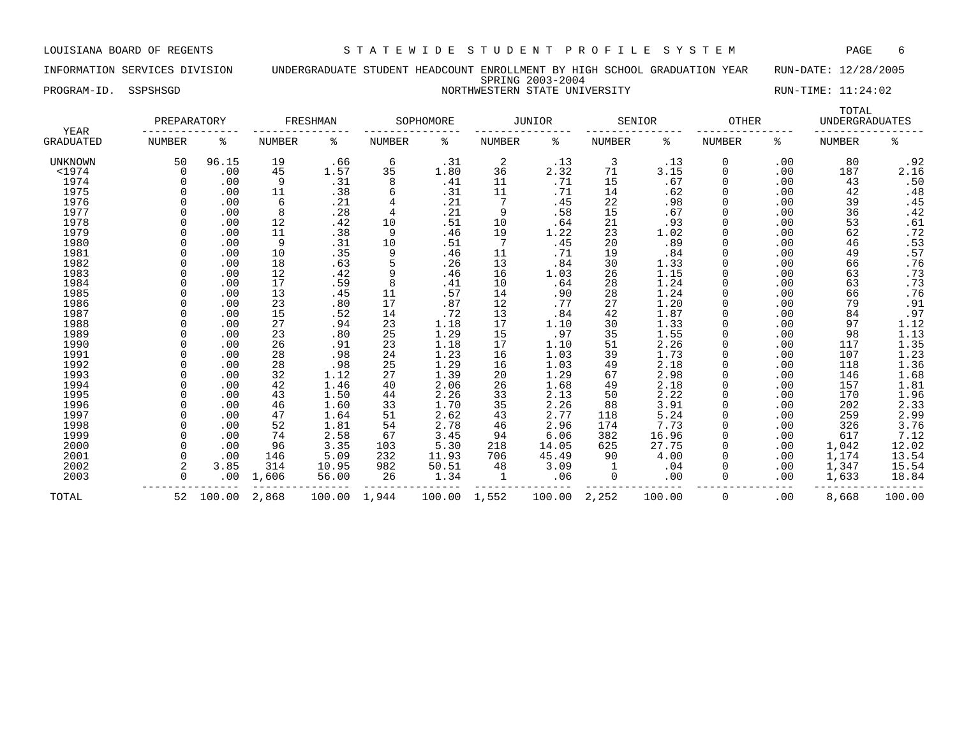INFORMATION SERVICES DIVISION UNDERGRADUATE STUDENT HEADCOUNT ENROLLMENT BY HIGH SCHOOL GRADUATION YEAR RUN-DATE: 12/28/2005 SPRING 2003-2004 PROGRAM-ID. SSPSHSGD NORTHWESTERN STATE UNIVERSITY RUN-TIME: 11:24:02

| <b>YEAR</b>      | PREPARATORY   |        |               | FRESHMAN |                | SOPHOMORE |               | <b>JUNIOR</b> |               | SENIOR | <b>OTHER</b>  |     | TOTAL<br><b>UNDERGRADUATES</b> |                         |
|------------------|---------------|--------|---------------|----------|----------------|-----------|---------------|---------------|---------------|--------|---------------|-----|--------------------------------|-------------------------|
| <b>GRADUATED</b> | <b>NUMBER</b> | နွ     | <b>NUMBER</b> | ႜ        | <b>NUMBER</b>  | ್ಠಿ       | <b>NUMBER</b> | ႜ             | <b>NUMBER</b> | နွ     | <b>NUMBER</b> | နွ  | <b>NUMBER</b>                  | ಕಿ                      |
| UNKNOWN          | 50            | 96.15  | 19            | .66      | 6              | .31       | 2             | .13           | 3             | .13    | 0             | .00 | 80                             | .92                     |
| $<$ 1974         | $\Omega$      | .00    | 45            | 1.57     | 35             | 1.80      | 36            | 2.32          | 71            | 3.15   | 0             | .00 | 187                            | 2.16                    |
| 1974             |               | .00    | 9             | .31      | 8              | .41       | 11            | .71           | 15            | .67    | 0             | .00 | 43                             | $.50$<br>$.48$          |
| 1975             |               | .00    | 11            | .38      | 6              | .31       | 11            | .71           | 14            | .62    | 0             | .00 | 42                             |                         |
| 1976             |               | .00    | 6             | .21      |                | . 21      | 7             | .45           | 22            | .98    | 0             | .00 | 39                             | .45                     |
| 1977             |               | .00    | 8             | .28      | $\overline{4}$ | .21       | 9             | .58           | 15            | .67    | 0             | .00 | 36                             | .42                     |
| 1978             |               | .00    | 12            | .42      | 10             | .51       | 10            | .64           | 21            | .93    | 0             | .00 | 53                             | .61                     |
| 1979             |               | .00    | 11            | .38      | 9              | .46       | 19            | 1.22          | 23            | 1.02   | 0             | .00 | 62                             |                         |
| 1980             |               | .00    | 9             | .31      | 10             | .51       | 7             | .45           | 20            | .89    | 0             | .00 | 46                             | $.72$<br>$.53$<br>$.57$ |
| 1981             |               | .00    | 10            | .35      | 9              | .46       | 11            | .71           | 19            | .84    | <sup>0</sup>  | .00 | 49                             |                         |
| 1982             |               | .00    | 18            | .63      | 5              | .26       | 13            | .84           | 30            | 1.33   | 0             | .00 | 66                             | .76                     |
| 1983             |               | .00    | 12            | .42      | 9              | .46       | 16            | 1.03          | 26            | 1.15   | 0             | .00 | 63                             | .73                     |
| 1984             |               | .00    | 17            | .59      | 8              | .41       | 10            | .64           | 28            | 1.24   | 0             | .00 | 63                             | .73                     |
| 1985             |               | .00    | 13            | .45      | 11             | .57       | 14            | .90           | 28            | 1.24   | 0             | .00 | 66                             | .76                     |
| 1986             |               | .00    | 23            | .80      | 17             | .87       | 12            | .77           | 27            | 1.20   | 0             | .00 | 79                             | .91                     |
| 1987             |               | .00    | 15            | .52      | 14             | .72       | 13            | .84           | 42            | 1.87   | 0             | .00 | 84                             | .97                     |
| 1988             |               | .00    | 27            | .94      | 23             | 1.18      | 17            | 1.10          | 30            | 1.33   |               | .00 | 97                             | 1.12                    |
| 1989             |               | .00    | 23            | .80      | 25             | 1.29      | 15            | .97           | 35            | 1.55   |               | .00 | 98                             | 1.13                    |
| 1990             |               | .00    | 26            | .91      | 23             | 1.18      | 17            | 1.10          | 51            | 2.26   | O             | .00 | 117                            |                         |
| 1991             |               | .00    | 28            | .98      | 24             | 1.23      | 16            | 1.03          | 39            | 1.73   | 0             | .00 | 107                            | $\frac{1.35}{1.23}$     |
| 1992             |               | .00    | 28            | .98      | 25             | 1.29      | 16            | 1.03          | 49            | 2.18   | <sup>0</sup>  | .00 | 118                            |                         |
| 1993             |               | .00    | 32            | 1.12     | 27             | 1.39      | 20            | 1.29          | 67            | 2.98   | 0             | .00 | 146                            | $\frac{1.36}{1.68}$     |
| 1994             |               | .00    | 42            | 1.46     | 40             | 2.06      | 26            | 1.68          | 49            | 2.18   | 0             | .00 | 157                            | 1.81                    |
| 1995             |               | .00    | 43            | 1.50     | 44             | 2.26      | 33            | 2.13          | 50            | 2.22   | 0             | .00 | 170                            | $\frac{1.96}{2.33}$     |
| 1996             |               | .00    | 46            | 1.60     | 33             | 1.70      | 35            | 2.26          | 88            | 3.91   | 0             | .00 | 202                            |                         |
| 1997             |               | .00    | 47            | 1.64     | 51             | 2.62      | 43            | 2.77          | 118           | 5.24   | 0             | .00 | 259                            | 2.99                    |
| 1998             |               | .00    | 52            | 1.81     | 54             | 2.78      | 46            | 2.96          | 174           | 7.73   | 0             | .00 | 326                            | 3.76                    |
| 1999             |               | .00    | 74            | 2.58     | 67             | 3.45      | 94            | 6.06          | 382           | 16.96  | 0             | .00 | 617                            | 7.12                    |
| 2000             |               | .00    | 96            | 3.35     | 103            | 5.30      | 218           | 14.05         | 625           | 27.75  | 0             | .00 | 1,042                          | 12.02                   |
| 2001             |               | .00    | 146           | 5.09     | 232            | 11.93     | 706           | 45.49         | 90            | 4.00   | 0             | .00 | 1,174                          | 13.54                   |
| 2002             |               | 3.85   | 314           | 10.95    | 982            | 50.51     | 48            | 3.09          | $\mathbf{1}$  | .04    | 0             | .00 | 1,347                          | 15.54                   |
| 2003             |               | .00    | 1,606         | 56.00    | 26             | 1.34      | $\mathbf{1}$  | .06           | 0             | .00    | 0             | .00 | 1,633                          | 18.84                   |
| TOTAL            | 52            | 100.00 | 2,868         | 100.00   | 1,944          | 100.00    | 1,552         | 100.00        | 2,252         | 100.00 | 0             | .00 | 8,668                          | 100.00                  |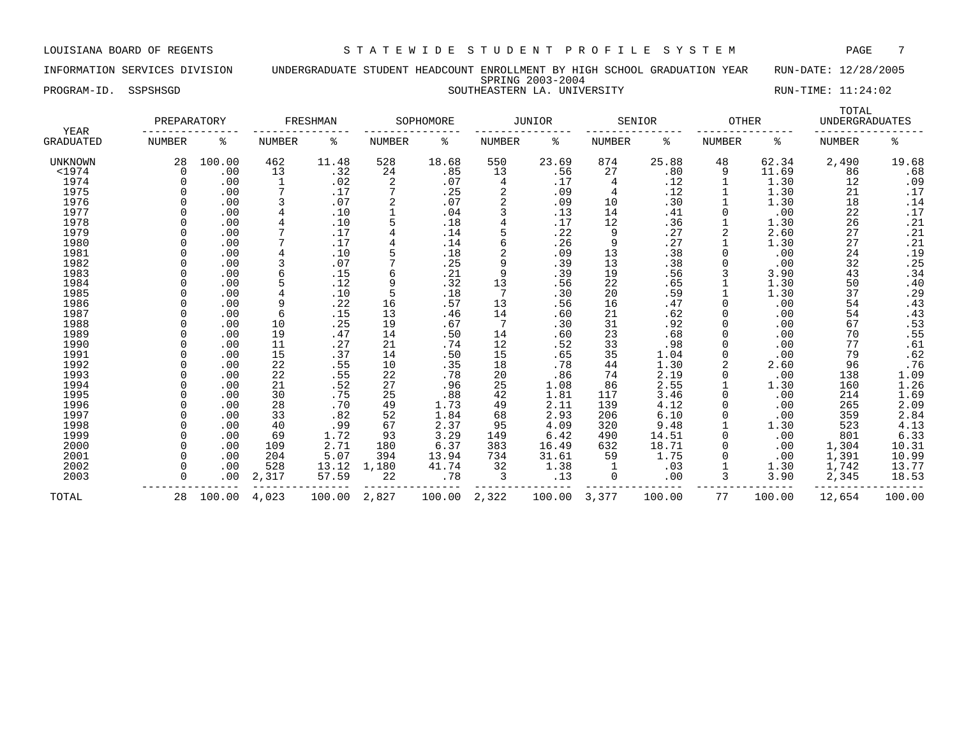INFORMATION SERVICES DIVISION UNDERGRADUATE STUDENT HEADCOUNT ENROLLMENT BY HIGH SCHOOL GRADUATION YEAR RUN-DATE: 12/28/2005 SPRING 2003-2004 PROGRAM-ID. SSPSHSGD SOUTHEASTERN LA. UNIVERSITY RUN-TIME: 11:24:02

|                   | PREPARATORY   |        |                | FRESHMAN |               | SOPHOMORE |               | <b>JUNIOR</b> |               | SENIOR | <b>OTHER</b>  |        | TOTAL<br><b>UNDERGRADUATES</b> |                     |
|-------------------|---------------|--------|----------------|----------|---------------|-----------|---------------|---------------|---------------|--------|---------------|--------|--------------------------------|---------------------|
| YEAR<br>GRADUATED | <b>NUMBER</b> | ႜ      | <b>NUMBER</b>  | ႜ        | <b>NUMBER</b> | နွ        | <b>NUMBER</b> | နွ            | <b>NUMBER</b> | နွ     | <b>NUMBER</b> | ႜ      | <b>NUMBER</b>                  | နွ                  |
| <b>UNKNOWN</b>    | 28            | 100.00 | 462            | 11.48    | 528           | 18.68     | 550           | 23.69         | 874           | 25.88  | 48            | 62.34  | 2,490                          | 19.68               |
| $1974$            | $\Omega$      | .00    | 13             | .32      | 24            | .85       | 13            | .56           | 27            | .80    | 9             | 11.69  | 86                             | .68                 |
| 1974              | 0             | .00    | 1              | .02      | 2             | .07       | 4             | .17           | 4             | .12    |               | 1.30   | 12                             | .09                 |
| 1975              |               | .00    | 7              | .17      | 7             | .25       | 2             | .09           | 4             | .12    |               | 1.30   | 21                             | .17                 |
| 1976              |               | .00    | 3              | .07      | 2             | .07       | 2             | .09           | 10            | .30    |               | 1.30   | 18                             | .14                 |
| 1977              |               | .00    | $\overline{4}$ | .10      |               | .04       | 3             | .13           | 14            | .41    |               | .00    | 22                             | .17                 |
| 1978              |               | .00    | 4              | .10      | 5             | .18       | 4             | .17           | 12            | .36    |               | 1.30   | 26                             | .21                 |
| 1979              |               | .00    |                | .17      |               | .14       |               | .22           | 9             | .27    | 2             | 2.60   | 27                             | .21                 |
| 1980              |               | .00    |                | .17      | 4             | .14       | 6             | .26           | 9             | .27    |               | 1.30   | 27                             | .21                 |
| 1981              |               | .00    | $\overline{4}$ | .10      |               | .18       | 2             | .09           | 13            | .38    | $\Omega$      | .00    | 24                             | .19                 |
| 1982              |               | .00    | 3              | .07      |               | .25       | 9             | .39           | 13            | .38    |               | .00    | 32                             | .25                 |
| 1983              |               | .00    | 6              | .15      | 6             | .21       | 9             | .39           | 19            | .56    |               | 3.90   | 43                             | .34                 |
| 1984              |               | .00    |                | .12      | 9             | .32       | 13            | .56           | 22            | .65    |               | 1.30   | 50                             | .40                 |
| 1985              |               | .00    |                | .10      | 5             | .18       | 7             | .30           | 20            | .59    |               | 1.30   | 37                             | .29                 |
| 1986              |               | .00    | 9              | .22      | 16            | .57       | 13            | .56           | 16            | .47    |               | .00    | 54                             | .43                 |
| 1987              |               | .00    | 6              | .15      | 13            | .46       | 14            | .60           | 21            | .62    |               | .00    | 54                             | .43                 |
| 1988              |               | .00    | 10             | .25      | 19            | .67       | 7             | .30           | 31            | .92    |               | .00    | 67                             | .53                 |
| 1989              |               | .00    | 19             | .47      | 14            | .50       | 14            | .60           | 23            | .68    |               | .00    | 70                             | .55                 |
| 1990              |               | .00    | 11             | .27      | 21            | .74       | 12            | .52           | 33            | .98    |               | .00    | 77                             | .61                 |
| 1991              |               | .00    | 15             | .37      | 14            | .50       | 15            | .65           | 35            | 1.04   | $\Omega$      | .00    | 79                             | .62                 |
| 1992              |               | .00    | 22             | .55      | 10            | .35       | 18            | .78           | 44            | 1.30   |               | 2.60   | 96                             | .76                 |
| 1993              |               | .00    | 22             | .55      | 22            | .78       | 20            | .86           | 74            | 2.19   |               | .00    | 138                            | 1.09                |
| 1994              |               | .00    | 21             | .52      | 27            | .96       | 25            | 1.08          | 86            | 2.55   |               | 1.30   | 160                            |                     |
| 1995              |               | .00    | 30             | .75      | 25            | .88       | 42            | 1.81          | 117           | 3.46   | 0             | .00    | 214                            | $\frac{1.26}{1.69}$ |
| 1996              |               | .00    | 28             | .70      | 49            | 1.73      | 49            | 2.11          | 139           | 4.12   | 0             | .00    | 265                            | 2.09                |
| 1997              |               | .00    | 33             | .82      | 52            | 1.84      | 68            | 2.93          | 206           | 6.10   |               | .00    | 359                            | 2.84                |
| 1998              |               | .00    | 40             | .99      | 67            | 2.37      | 95            | 4.09          | 320           | 9.48   |               | 1.30   | 523                            | 4.13                |
| 1999              |               | .00    | 69             | 1.72     | 93            | 3.29      | 149           | 6.42          | 490           | 14.51  |               | .00    | 801                            | 6.33                |
| 2000              |               | .00    | 109            | 2.71     | 180           | 6.37      | 383           | 16.49         | 632           | 18.71  |               | .00    | 1,304                          | 10.31               |
| 2001              |               | .00    | 204            | 5.07     | 394           | 13.94     | 734           | 31.61         | 59            | 1.75   |               | .00    | 1,391                          | 10.99               |
| 2002              |               | .00    | 528            | 13.12    | 1,180         | 41.74     | 32            | 1.38          |               | .03    |               | 1.30   | 1,742                          | 13.77               |
| 2003              |               | .00    | 2,317          | 57.59    | 22            | .78       | 3             | .13           | 0             | .00    | 3             | 3.90   | 2,345                          | 18.53               |
| TOTAL             | 28            | 100.00 | 4,023          | 100.00   | 2,827         | 100.00    | 2,322         | 100.00        | 3,377         | 100.00 | 77            | 100.00 | 12,654                         | 100.00              |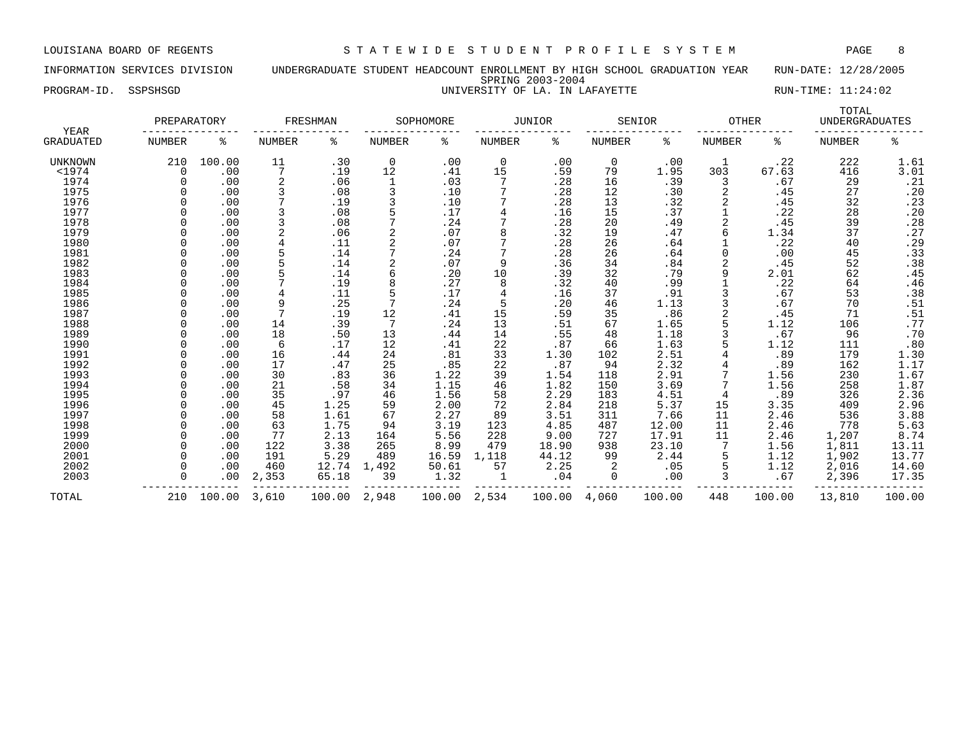### INFORMATION SERVICES DIVISION UNDERGRADUATE STUDENT HEADCOUNT ENROLLMENT BY HIGH SCHOOL GRADUATION YEAR RUN-DATE: 12/28/2005 SPRING 2003-2004 PROGRAM-ID. SSPSHSGD **EXECUTE:** 11:24:02 UNIVERSITY OF LA. IN LAFAYETTE RUN-TIME: 11:24:02

| NIVERSITY OF LA. IN LAFAYETT |  |  |
|------------------------------|--|--|
|                              |  |  |

| YEAR             | PREPARATORY   |        |                | FRESHMAN |                | SOPHOMORE |                | JUNIOR |               | SENIOR | <b>OTHER</b> |        | TOTAL<br><b>UNDERGRADUATES</b> |                  |
|------------------|---------------|--------|----------------|----------|----------------|-----------|----------------|--------|---------------|--------|--------------|--------|--------------------------------|------------------|
| <b>GRADUATED</b> | <b>NUMBER</b> | ႜ      | <b>NUMBER</b>  | နွ       | NUMBER         | ႜ         | NUMBER         | ႜ      | <b>NUMBER</b> | ႜ      | NUMBER       | ႜ      | NUMBER                         | နွ               |
| <b>UNKNOWN</b>   | 210           | 100.00 | 11             | .30      | 0              | .00       | $\mathbf 0$    | .00    | $\mathbf 0$   | .00    |              | .22    | 222                            | 1.61             |
| $<$ 1974         | 0             | .00    | 7              | .19      | 12             | .41       | 15             | .59    | 79            | 1.95   | 303          | 67.63  | 416                            | 3.01             |
| 1974             | $\Omega$      | .00    | $\overline{2}$ | .06      | 1              | .03       | 7              | .28    | 16            | .39    | 3            | .67    | 29                             | .21              |
| 1975             |               | .00    |                | .08      |                | .10       |                | .28    | 12            | .30    |              | .45    | 27                             | .20              |
| 1976             |               | .00    |                | .19      | 3              | .10       |                | .28    | 13            | .32    |              | .45    | 32                             | .23              |
| 1977             |               | .00    |                | .08      |                | .17       | $\overline{4}$ | .16    | 15            | .37    |              | .22    | 28                             | .20              |
| 1978             |               | .00    |                | .08      |                | .24       |                | .28    | 20            | .49    |              | .45    | 39                             | .28              |
| 1979             |               | .00    |                | .06      | $\overline{2}$ | .07       | 8              | .32    | 19            | .47    | 6            | 1.34   | 37                             | .27              |
| 1980             | U             | .00    |                | .11      | 2              | .07       |                | .28    | 26            | .64    |              | .22    | 40                             | .29              |
| 1981             | $\Omega$      | .00    |                | .14      |                | .24       |                | .28    | 26            | .64    | <sup>0</sup> | .00    | 45                             | .33              |
| 1982             |               | .00    |                | .14      |                | .07       | 9              | .36    | 34            | .84    | 2            | .45    | 52                             | .38              |
| 1983             |               | .00    |                | .14      | 6              | .20       | 10             | .39    | 32            | .79    | 9            | 2.01   | 62                             | .45              |
| 1984             |               | .00    |                | .19      | 8              | .27       | 8              | .32    | 40            | .99    |              | .22    | 64                             | .46              |
| 1985             |               | .00    |                | .11      |                | .17       |                | .16    | 37            | .91    |              | .67    | 53                             | .38              |
| 1986             |               | .00    | 9              | .25      |                | .24       | 5              | .20    | 46            | 1.13   |              | .67    | 70                             | .51              |
| 1987             |               | .00    |                | .19      | 12             | .41       | 15             | .59    | 35            | .86    |              | .45    | 71                             | .51              |
| 1988             |               | .00    | 14             | .39      |                | .24       | 13             | .51    | 67            | 1.65   |              | 1.12   | 106                            | .77              |
| 1989             |               | .00    | 18             | .50      | 13             | .44       | 14             | .55    | 48            | 1.18   |              | .67    | 96                             | .70              |
| 1990             |               | .00    | 6              | .17      | 12             | .41       | 22             | .87    | 66            | 1.63   |              | 1.12   | 111                            | .80              |
| 1991             |               | .00    | 16             | .44      | 24             | .81       | 33             | 1.30   | 102           | 2.51   |              | .89    | 179                            | $1.30$<br>$1.17$ |
| 1992             |               | .00    | 17             | .47      | 25             | .85       | 22             | .87    | 94            | 2.32   |              | .89    | 162                            |                  |
| 1993             |               | .00    | 30             | .83      | 36             | 1.22      | 39             | 1.54   | 118           | 2.91   |              | 1.56   | 230                            | 1.67             |
| 1994             |               | .00    | 21             | .58      | 34             | 1.15      | 46             | 1.82   | 150           | 3.69   |              | 1.56   | 258                            | 1.87             |
| 1995             |               | .00    | 35             | .97      | 46             | 1.56      | 58             | 2.29   | 183           | 4.51   | 4            | .89    | 326                            | 2.36             |
| 1996             | ∩             | .00    | 45             | 1.25     | 59             | 2.00      | 72             | 2.84   | 218           | 5.37   | 15           | 3.35   | 409                            | 2.96             |
| 1997             |               | .00    | 58             | 1.61     | 67             | 2.27      | 89             | 3.51   | 311           | 7.66   | 11           | 2.46   | 536                            | 3.88             |
| 1998             |               | .00    | 63             | 1.75     | 94             | 3.19      | 123            | 4.85   | 487           | 12.00  | 11           | 2.46   | 778                            | 5.63             |
| 1999             |               | .00    | 77             | 2.13     | 164            | 5.56      | 228            | 9.00   | 727           | 17.91  | 11           | 2.46   | 1,207                          | 8.74             |
| 2000             | n             | .00    | 122            | 3.38     | 265            | 8.99      | 479            | 18.90  | 938           | 23.10  |              | 1.56   | 1,811                          | 13.11            |
| 2001             | <sup>n</sup>  | .00    | 191            | 5.29     | 489            | 16.59     | 1,118          | 44.12  | 99            | 2.44   | 5            | 1.12   | 1,902                          | 13.77            |
| 2002             | U             | .00    | 460            | 12.74    | 1,492          | 50.61     | 57             | 2.25   |               | .05    | 5            | 1.12   | 2,016                          | 14.60            |
| 2003             | $\Omega$      | .00    | 2,353          | 65.18    | 39             | 1.32      |                | .04    | $\Omega$      | .00    | 3            | .67    | 2,396                          | 17.35            |
| TOTAL            | 210           | 100.00 | 3,610          | 100.00   | 2,948          | 100.00    | 2,534          | 100.00 | 4,060         | 100.00 | 448          | 100.00 | 13,810                         | 100.00           |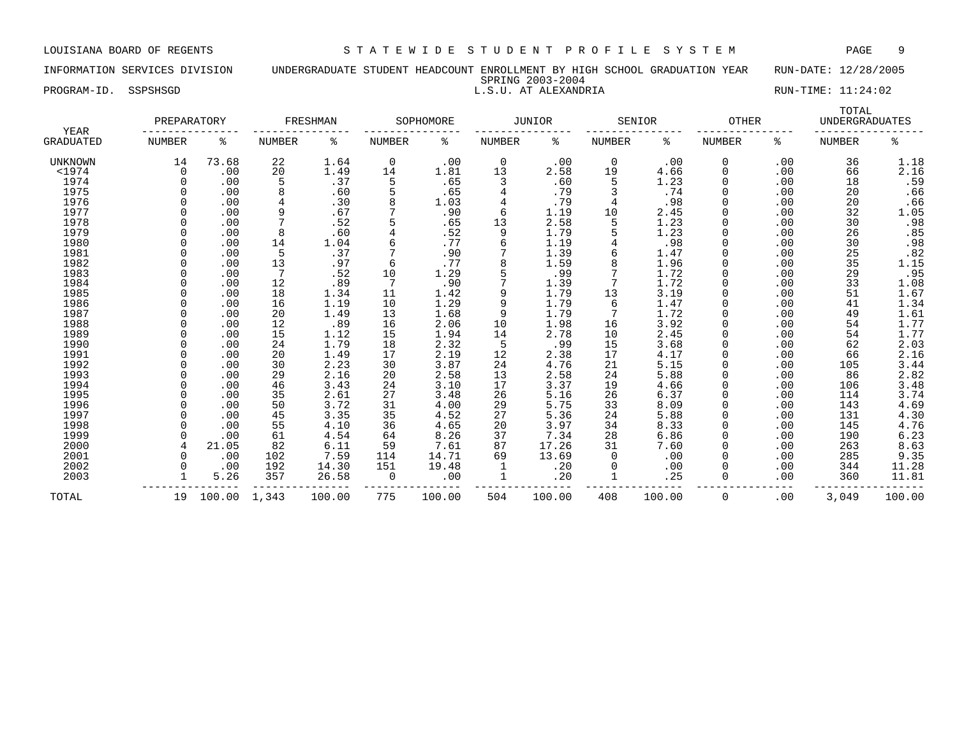INFORMATION SERVICES DIVISION UNDERGRADUATE STUDENT HEADCOUNT ENROLLMENT BY HIGH SCHOOL GRADUATION YEAR RUN-DATE: 12/28/2005 SPRING 2003-2004 PROGRAM-ID. SSPSHSGD L.S.U. AT ALEXANDRIA RUN-TIME: 11:24:02

| <b>YEAR</b>      | PREPARATORY |        |        | FRESHMAN |             | SOPHOMORE |               | <b>JUNIOR</b> |        | SENIOR | <b>OTHER</b>  |     | TOTAL<br><b>UNDERGRADUATES</b> |        |
|------------------|-------------|--------|--------|----------|-------------|-----------|---------------|---------------|--------|--------|---------------|-----|--------------------------------|--------|
| <b>GRADUATED</b> | NUMBER      | ႜ      | NUMBER | ႜ        | NUMBER      | ႜ         | <b>NUMBER</b> | ႜ             | NUMBER | ႜ      | <b>NUMBER</b> | ႜ   | NUMBER                         | နွ     |
| UNKNOWN          | 14          | 73.68  | 22     | 1.64     | $\mathbf 0$ | .00       | 0             | .00           | 0      | .00    | 0             | .00 | 36                             | 1.18   |
| $<$ 1974         | 0           | .00    | 20     | 1.49     | 14          | 1.81      | 13            | 2.58          | 19     | 4.66   | 0             | .00 | 66                             | 2.16   |
| 1974             |             | .00    | 5      | .37      | 5           | .65       | 3             | .60           | 5      | 1.23   | $\Omega$      | .00 | 18                             | .59    |
| 1975             |             | .00    | 8      | .60      |             | .65       | 4             | .79           |        | .74    | $\Omega$      | .00 | 20                             | .66    |
| 1976             |             | .00    | 4      | .30      |             | 1.03      | 4             | .79           | 4      | .98    | 0             | .00 | 20                             | .66    |
| 1977             |             | .00    | 9      | .67      |             | .90       | 6             | 1.19          | 10     | 2.45   | 0             | .00 | 32                             | 1.05   |
| 1978             |             | .00    | 7      | .52      |             | .65       | 13            | 2.58          | 5      | 1.23   | 0             | .00 | 30                             | .98    |
| 1979             |             | .00    | 8      | .60      |             | .52       | 9             | 1.79          | 5      | 1.23   | 0             | .00 | 26                             | .85    |
| 1980             |             | .00    | 14     | 1.04     |             | .77       | 6             | 1.19          | 4      | .98    | O             | .00 | 30                             | .98    |
| 1981             |             | .00    | 5      | .37      |             | .90       |               | 1.39          | 6      | 1.47   | 0             | .00 | 25                             | .82    |
| 1982             |             | .00    | 13     | .97      | 6           | .77       | 8             | 1.59          | 8      | 1.96   | 0             | .00 | 35                             | 1.15   |
| 1983             |             | .00    | 7      | .52      | 10          | 1.29      | 5             | .99           |        | 1.72   | 0             | .00 | 29                             | .95    |
| 1984             |             | .00    | 12     | .89      |             | .90       | 7             | 1.39          | 7      | 1.72   | 0             | .00 | 33                             | 1.08   |
| 1985             |             | .00    | 18     | 1.34     | 11          | 1.42      | 9             | 1.79          | 13     | 3.19   | 0             | .00 | 51                             | 1.67   |
| 1986             |             | .00    | 16     | 1.19     | 10          | 1.29      | 9             | 1.79          | 6      | 1.47   | U             | .00 | 41                             | 1.34   |
| 1987             |             | .00    | 20     | 1.49     | 13          | 1.68      | 9             | 1.79          |        | 1.72   | 0             | .00 | 49                             | 1.61   |
| 1988             |             | .00    | 12     | .89      | 16          | 2.06      | 10            | 1.98          | 16     | 3.92   |               | .00 | 54                             | 1.77   |
| 1989             |             | .00    | 15     | 1.12     | 15          | 1.94      | 14            | 2.78          | 10     | 2.45   | 0             | .00 | 54                             | 1.77   |
| 1990             |             | .00    | 24     | 1.79     | 18          | 2.32      | 5             | .99           | 15     | 3.68   | 0             | .00 | 62                             | 2.03   |
| 1991             |             | .00    | 20     | 1.49     | 17          | 2.19      | 12            | 2.38          | 17     | 4.17   | O             | .00 | 66                             | 2.16   |
| 1992             |             | .00    | 30     | 2.23     | 30          | 3.87      | 24            | 4.76          | 21     | 5.15   | U             | .00 | 105                            | 3.44   |
| 1993             |             | .00    | 29     | 2.16     | 20          | 2.58      | 13            | 2.58          | 24     | 5.88   |               | .00 | 86                             | 2.82   |
| 1994             |             | .00    | 46     | 3.43     | 24          | 3.10      | 17            | 3.37          | 19     | 4.66   |               | .00 | 106                            | 3.48   |
| 1995             |             | .00    | 35     | 2.61     | 27          | 3.48      | 26            | 5.16          | 26     | 6.37   | 0             | .00 | 114                            | 3.74   |
| 1996             |             | .00    | 50     | 3.72     | 31          | 4.00      | 29            | 5.75          | 33     | 8.09   | 0             | .00 | 143                            | 4.69   |
| 1997             |             | .00    | 45     | 3.35     | 35          | 4.52      | 27            | 5.36          | 24     | 5.88   | 0             | .00 | 131                            | 4.30   |
| 1998             |             | .00    | 55     | 4.10     | 36          | 4.65      | 20            | 3.97          | 34     | 8.33   | 0             | .00 | 145                            | 4.76   |
| 1999             |             | .00    | 61     | 4.54     | 64          | 8.26      | 37            | 7.34          | 28     | 6.86   | 0             | .00 | 190                            | 6.23   |
| 2000             |             | 21.05  | 82     | 6.11     | 59          | 7.61      | 87            | 17.26         | 31     | 7.60   | 0             | .00 | 263                            | 8.63   |
| 2001             |             | .00    | 102    | 7.59     | 114         | 14.71     | 69            | 13.69         | 0      | .00    | O             | .00 | 285                            | 9.35   |
| 2002             |             | .00    | 192    | 14.30    | 151         | 19.48     | 1             | .20           | 0      | .00    | 0             | .00 | 344                            | 11.28  |
| 2003             |             | 5.26   | 357    | 26.58    | $\Omega$    | .00       | 1             | .20           | 1      | .25    | $\Omega$      | .00 | 360                            | 11.81  |
| TOTAL            | 19          | 100.00 | 1,343  | 100.00   | 775         | 100.00    | 504           | 100.00        | 408    | 100.00 | 0             | .00 | 3,049                          | 100.00 |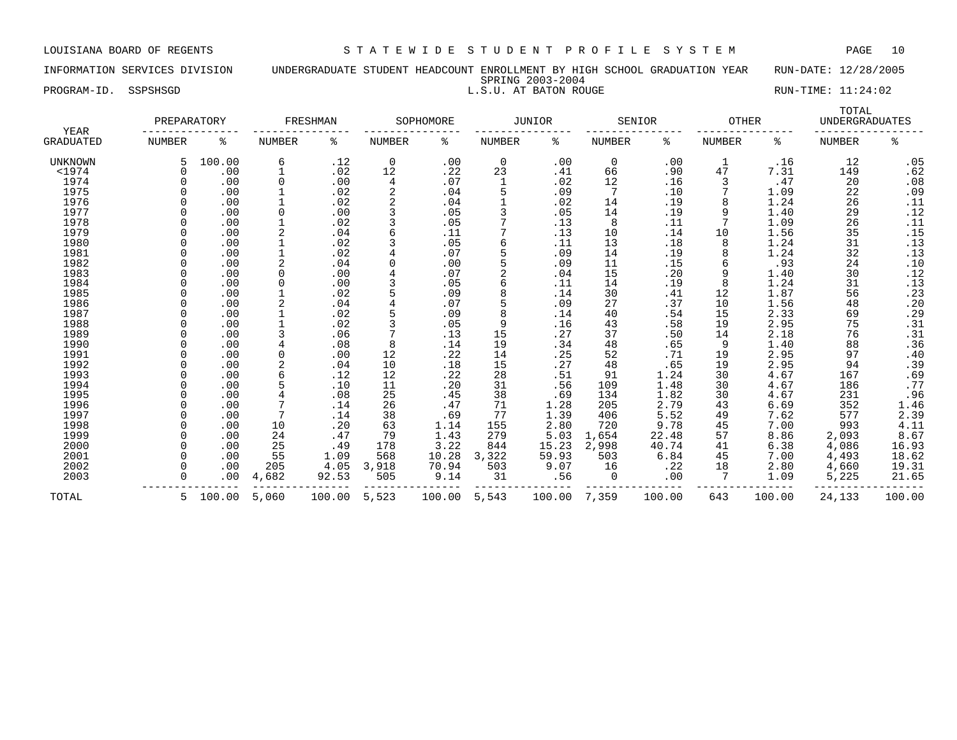INFORMATION SERVICES DIVISION UNDERGRADUATE STUDENT HEADCOUNT ENROLLMENT BY HIGH SCHOOL GRADUATION YEAR RUN-DATE: 12/28/2005 SPRING 2003-2004 PROGRAM-ID. SSPSHSGD **RUN-TIME:** 11:24:02

| YEAR             | PREPARATORY   |        |               | FRESHMAN |               | SOPHOMORE |                | JUNIOR |               | SENIOR | <b>OTHER</b>  |        | TOTAL<br><b>UNDERGRADUATES</b> |        |
|------------------|---------------|--------|---------------|----------|---------------|-----------|----------------|--------|---------------|--------|---------------|--------|--------------------------------|--------|
| <b>GRADUATED</b> | <b>NUMBER</b> | ి      | <b>NUMBER</b> | နွ       | <b>NUMBER</b> | နွ        | NUMBER         | ిక     | <b>NUMBER</b> | နွ     | <b>NUMBER</b> | နွ     | <b>NUMBER</b>                  | ಕಿ     |
| UNKNOWN          |               | 100.00 | 6             | .12      | 0             | .00       | 0              | .00    | 0             | .00    | 1             | .16    | 12                             | .05    |
| $<$ 1974         |               | .00    |               | .02      | 12            | .22       | 23             | .41    | 66            | .90    | 47            | 7.31   | 149                            | .62    |
| 1974             |               | .00    | 0             | .00      | 4             | .07       |                | .02    | 12            | .16    | 3             | .47    | 20                             | .08    |
| 1975             |               | .00    |               | .02      | 2             | .04       | 5              | .09    | 7             | .10    |               | 1.09   | 22                             | .09    |
| 1976             |               | .00    |               | .02      |               | .04       |                | .02    | 14            | .19    |               | 1.24   | 26                             | .11    |
| 1977             |               | .00    | $\Omega$      | .00      |               | .05       |                | .05    | 14            | .19    | 9             | 1.40   | 29                             | .12    |
| 1978             |               | .00    |               | .02      |               | .05       |                | .13    | 8             | .11    |               | 1.09   | 26                             | .11    |
| 1979             |               | .00    |               | .04      |               | .11       |                | .13    | 10            | .14    | 10            | 1.56   | 35                             | .15    |
| 1980             |               | .00    |               | .02      |               | .05       | 6              | .11    | 13            | .18    | 8             | 1.24   | 31                             | .13    |
| 1981             |               | .00    |               | .02      |               | .07       | 5              | .09    | 14            | .19    | 8             | 1.24   | 32                             | .13    |
| 1982             |               | .00    | 2             | .04      |               | .00       | 5              | .09    | 11            | .15    | 6             | .93    | 24                             | .10    |
| 1983             |               | .00    | $\Omega$      | .00      |               | .07       | $\overline{c}$ | .04    | 15            | .20    | 9             | 1.40   | 30                             | .12    |
| 1984             |               | .00    | 0             | .00      |               | .05       | 6              | .11    | 14            | .19    | 8             | 1.24   | 31                             | .13    |
| 1985             |               | .00    |               | .02      |               | .09       | 8              | .14    | 30            | .41    | 12            | 1.87   | 56                             | .23    |
| 1986             |               | .00    |               | .04      |               | .07       |                | .09    | 27            | .37    | 10            | 1.56   | 48                             | .20    |
| 1987             |               | .00    |               | .02      |               | .09       | 8              | .14    | 40            | .54    | 15            | 2.33   | 69                             | .29    |
| 1988             |               | .00    |               | .02      |               | .05       | 9              | .16    | 43            | .58    | 19            | 2.95   | 75                             | .31    |
| 1989             |               | .00    |               | .06      |               | .13       | 15             | .27    | 37            | .50    | 14            | 2.18   | 76                             | .31    |
| 1990             |               | .00    |               | .08      | 8             | .14       | 19             | .34    | 48            | .65    | 9             | 1.40   | 88                             | .36    |
| 1991             |               | .00    | $\mathbf 0$   | .00      | 12            | .22       | 14             | .25    | 52            | .71    | 19            | 2.95   | 97                             | .40    |
| 1992             |               | .00    | 2             | .04      | 10            | .18       | 15             | .27    | 48            | .65    | 19            | 2.95   | 94                             | .39    |
| 1993             |               | .00    | 6             | .12      | 12            | .22       | 28             | .51    | 91            | 1.24   | 30            | 4.67   | 167                            | .69    |
| 1994             |               | .00    | 5             | .10      | 11            | .20       | 31             | .56    | 109           | 1.48   | 30            | 4.67   | 186                            | .77    |
| 1995             |               | .00    |               | .08      | 25            | .45       | 38             | .69    | 134           | 1.82   | 30            | 4.67   | 231                            | .96    |
| 1996             |               | .00    |               | .14      | 26            | .47       | 71             | 1.28   | 205           | 2.79   | 43            | 6.69   | 352                            | 1.46   |
| 1997             |               | .00    | 7             | .14      | 38            | .69       | 77             | 1.39   | 406           | 5.52   | 49            | 7.62   | 577                            | 2.39   |
| 1998             |               | .00    | 10            | .20      | 63            | 1.14      | 155            | 2.80   | 720           | 9.78   | 45            | 7.00   | 993                            | 4.11   |
| 1999             |               | .00    | 24            | .47      | 79            | 1.43      | 279            | 5.03   | 1,654         | 22.48  | 57            | 8.86   | 2,093                          | 8.67   |
| 2000             |               | .00    | 25            | .49      | 178           | 3.22      | 844            | 15.23  | 2,998         | 40.74  | 41            | 6.38   | 4,086                          | 16.93  |
| 2001             |               | .00    | 55            | 1.09     | 568           | 10.28     | 3,322          | 59.93  | 503           | 6.84   | 45            | 7.00   | 4,493                          | 18.62  |
| 2002             |               | .00    | 205           | 4.05     | 3,918         | 70.94     | 503            | 9.07   | 16            | .22    | 18            | 2.80   | 4,660                          | 19.31  |
| 2003             |               | .00    | 4,682         | 92.53    | 505           | 9.14      | 31             | .56    | 0             | .00    | 7             | 1.09   | 5,225                          | 21.65  |
| TOTAL            | 5             | 100.00 | 5,060         | 100.00   | 5,523         | 100.00    | 5,543          | 100.00 | 7,359         | 100.00 | 643           | 100.00 | 24,133                         | 100.00 |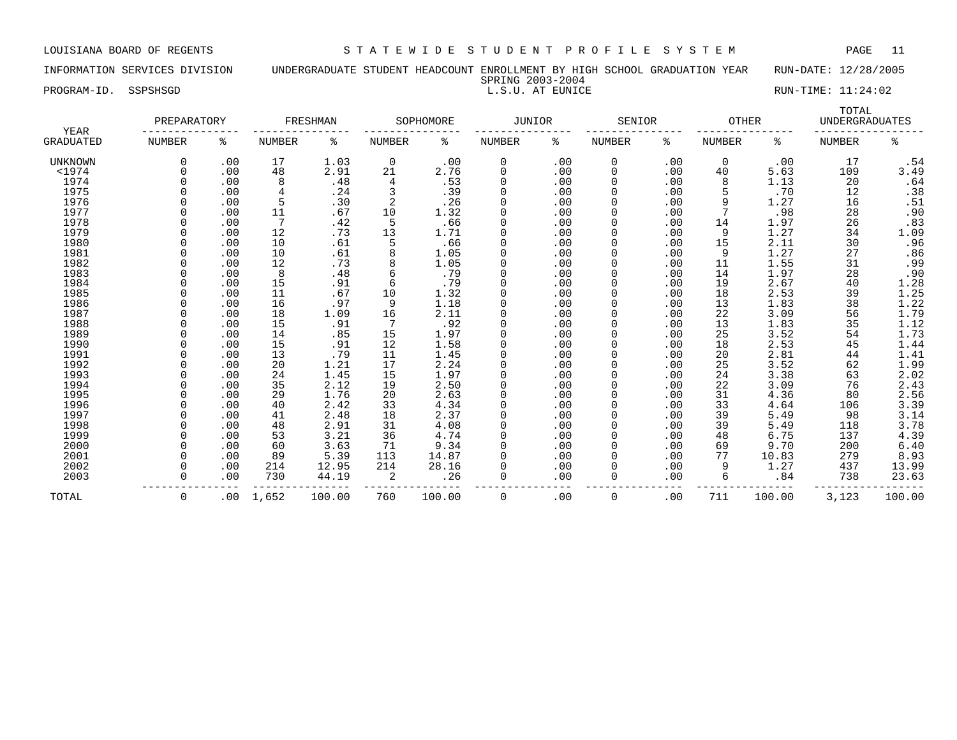INFORMATION SERVICES DIVISION UNDERGRADUATE STUDENT HEADCOUNT ENROLLMENT BY HIGH SCHOOL GRADUATION YEAR RUN-DATE: 12/28/2005 SPRING 2003-2004

PROGRAM-ID. SSPSHSGD **RUN-TIME:** 11:24:02

|                          | PREPARATORY   |          |        | FRESHMAN |               | SOPHOMORE | JUNIOR        |     | SENIOR        |     | <b>OTHER</b>  |        | TOTAL<br><b>UNDERGRADUATES</b> |                  |
|--------------------------|---------------|----------|--------|----------|---------------|-----------|---------------|-----|---------------|-----|---------------|--------|--------------------------------|------------------|
| YEAR<br><b>GRADUATED</b> | <b>NUMBER</b> | ႜ        | NUMBER | နွ       | <b>NUMBER</b> | နွ        | <b>NUMBER</b> | နွ  | <b>NUMBER</b> | နွ  | <b>NUMBER</b> | နွ     | <b>NUMBER</b>                  | ႜ                |
| <b>UNKNOWN</b>           | $\Omega$      | .00      | 17     | 1.03     | $\mathbf 0$   | .00       | 0             | .00 | 0             | .00 | 0             | .00    | 17                             | .54              |
| $<$ 1974                 | $\Omega$      | .00      | 48     | 2.91     | 21            | 2.76      | $\mathbf 0$   | .00 | 0             | .00 | 40            | 5.63   | 109                            | 3.49             |
| 1974                     | O             | .00      | 8      | .48      | 4             | .53       | $\Omega$      | .00 | 0             | .00 | 8             | 1.13   | 20                             | .64              |
| 1975                     | O             | .00      | 4      | .24      |               | .39       | $\Omega$      | .00 | 0             | .00 | 5             | .70    | 12                             | .38              |
| 1976                     |               | .00      | 5      | .30      | 2             | .26       |               | .00 | 0             | .00 | 9             | 1.27   | 16                             | .51              |
| 1977                     |               | .00      | 11     | .67      | 10            | 1.32      |               | .00 | 0             | .00 |               | .98    | 28                             | .90              |
| 1978                     | n             | .00      | 7      | .42      | 5             | .66       | $\Omega$      | .00 | 0             | .00 | 14            | 1.97   | 26                             | .83              |
| 1979                     | U             | .00      | 12     | .73      | 13            | 1.71      | $\Omega$      | .00 | 0             | .00 | 9             | 1.27   | 34                             | 1.09             |
| 1980                     | U             | .00      | 10     | .61      | 5             | .66       | $\Omega$      | .00 | <sup>0</sup>  | .00 | 15            | 2.11   | 30                             | .96              |
| 1981                     | O             | .00      | 10     | .61      | 8             | 1.05      | $\Omega$      | .00 | 0             | .00 | 9             | 1.27   | 27                             | .86              |
| 1982                     |               | .00      | 12     | .73      | 8             | 1.05      | $\mathbf 0$   | .00 | 0             | .00 | 11            | 1.55   | 31                             | .99              |
| 1983                     |               | .00      | 8      | .48      | 6             | .79       | $\Omega$      | .00 | 0             | .00 | 14            | 1.97   | 28                             | .90              |
| 1984                     |               | .00      | 15     | .91      | 6             | .79       | $\Omega$      | .00 | 0             | .00 | 19            | 2.67   | 40                             |                  |
| 1985                     |               | .00      | 11     | .67      | 10            | 1.32      | $\Omega$      | .00 | 0             | .00 | 18            | 2.53   | 39                             | $1.28$<br>$1.25$ |
| 1986                     |               | .00      | 16     | .97      | 9             | 1.18      | $\Omega$      | .00 | 0             | .00 | 13            | 1.83   | 38                             | 1.22             |
| 1987                     |               | .00      | 18     | 1.09     | 16            | 2.11      | $\Omega$      | .00 | 0             | .00 | 22            | 3.09   | 56                             | 1.79             |
| 1988                     |               | .00      | 15     | .91      |               | .92       |               | .00 | 0             | .00 | 13            | 1.83   | 35                             | 1.12             |
| 1989                     |               | .00      | 14     | .85      | 15            | 1.97      |               | .00 | 0             | .00 | 25            | 3.52   | 54                             | 1.73             |
| 1990                     |               | .00      | 15     | .91      | 12            | 1.58      | $\Omega$      | .00 | 0             | .00 | 18            | 2.53   | 45                             | 1.44             |
| 1991                     |               | .00      | 13     | .79      | 11            | 1.45      | $\Omega$      | .00 | 0             | .00 | 20            | 2.81   | 44                             | 1.41             |
| 1992                     | U             | .00      | 20     | 1.21     | 17            | 2.24      | $\Omega$      | .00 | <sup>0</sup>  | .00 | 25            | 3.52   | 62                             | 1.99             |
| 1993                     |               | .00      | 24     | 1.45     | 15            | 1.97      | $\mathbf 0$   | .00 | 0             | .00 | 24            | 3.38   | 63                             | 2.02             |
| 1994                     |               | .00      | 35     | 2.12     | 19            | 2.50      | $\Omega$      | .00 | 0             | .00 | 22            | 3.09   | 76                             | 2.43             |
| 1995                     |               | .00      | 29     | 1.76     | 20            | 2.63      | $\Omega$      | .00 | 0             | .00 | 31            | 4.36   | 80                             | 2.56             |
| 1996                     |               | .00      | 40     | 2.42     | 33            | 4.34      | $\Omega$      | .00 | 0             | .00 | 33            | 4.64   | 106                            | 3.39             |
| 1997                     | n             | .00      | 41     | 2.48     | 18            | 2.37      | $\Omega$      | .00 | 0             | .00 | 39            | 5.49   | 98                             | 3.14             |
| 1998                     |               | .00      | 48     | 2.91     | 31            | 4.08      | $\Omega$      | .00 | 0             | .00 | 39            | 5.49   | 118                            | 3.78             |
| 1999                     |               | .00      | 53     | 3.21     | 36            | 4.74      |               | .00 | 0             | .00 | 48            | 6.75   | 137                            | 4.39             |
| 2000                     |               | .00      | 60     | 3.63     | 71            | 9.34      |               | .00 | 0             | .00 | 69            | 9.70   | 200                            | 6.40             |
| 2001                     | <sup>n</sup>  | .00      | 89     | 5.39     | 113           | 14.87     | $\Omega$      | .00 | 0             | .00 | 77            | 10.83  | 279                            | 8.93             |
| 2002                     | O             | .00      | 214    | 12.95    | 214           | 28.16     | $\Omega$      | .00 | 0             | .00 | 9             | 1.27   | 437                            | 13.99            |
| 2003                     | O             | .00      | 730    | 44.19    | 2             | .26       | $\Omega$      | .00 | 0             | .00 | 6             | .84    | 738                            | 23.63            |
| TOTAL                    | 0             | $.00 \,$ | 1,652  | 100.00   | 760           | 100.00    | 0             | .00 | 0             | .00 | 711           | 100.00 | 3,123                          | 100.00           |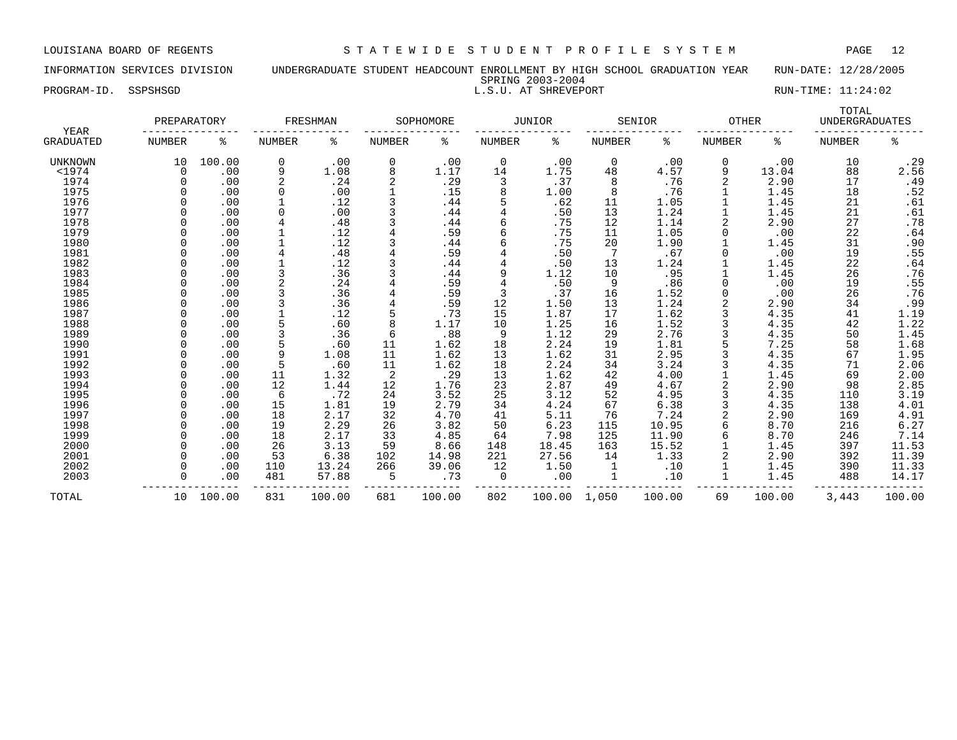SPRING 2003-2004

PROGRAM-ID. SSPSHSGD **RUN-TIME:** 11:24:02

| YEAR             | PREPARATORY   |        |               | FRESHMAN |               | SOPHOMORE |        | <b>JUNIOR</b> |               | SENIOR | <b>OTHER</b>  |        | TOTAL<br><b>UNDERGRADUATES</b> |                     |
|------------------|---------------|--------|---------------|----------|---------------|-----------|--------|---------------|---------------|--------|---------------|--------|--------------------------------|---------------------|
| <b>GRADUATED</b> | <b>NUMBER</b> | ి      | <b>NUMBER</b> | နွ       | <b>NUMBER</b> | ႜ         | NUMBER | နွ            | <b>NUMBER</b> | နွ     | <b>NUMBER</b> | နွ     | <b>NUMBER</b>                  | ి                   |
| <b>UNKNOWN</b>   | 10            | 100.00 | 0             | .00      | 0             | .00       | 0      | .00           | 0             | .00    | 0             | .00    | 10                             | .29                 |
| $<$ 1974         | $\Omega$      | .00    | 9             | 1.08     | 8             | 1.17      | 14     | 1.75          | 48            | 4.57   | 9             | 13.04  | 88                             | 2.56                |
| 1974             |               | .00    | 2             | .24      |               | .29       | 3      | .37           | 8             | .76    | 2             | 2.90   | 17                             | .49                 |
| 1975             |               | .00    | 0             | .00      |               | .15       | 8      | 1.00          | 8             | .76    |               | 1.45   | 18                             | .52                 |
| 1976             |               | .00    |               | .12      |               | .44       |        | .62           | 11            | 1.05   |               | 1.45   | 21                             | .61                 |
| 1977             |               | .00    |               | .00      |               | .44       |        | .50           | 13            | 1.24   |               | 1.45   | 21                             | .61                 |
| 1978             |               | .00    |               | .48      |               | .44       | 6      | .75           | 12            | 1.14   |               | 2.90   | 27                             | .78                 |
| 1979             |               | .00    |               | .12      |               | .59       |        | .75           | 11            | 1.05   |               | .00    | 22                             | .64                 |
| 1980             |               | .00    |               | .12      |               | .44       | 6      | .75           | 20            | 1.90   |               | 1.45   | 31                             | .90                 |
| 1981             |               | .00    |               | .48      |               | .59       |        | .50           | 7             | .67    |               | .00    | 19                             | .55                 |
| 1982             |               | .00    |               | .12      |               | .44       |        | .50           | 13            | 1.24   |               | 1.45   | 22                             | .64                 |
| 1983             |               | .00    |               | .36      |               | .44       | 9      | 1.12          | 10            | .95    |               | 1.45   | 26                             | .76                 |
| 1984             |               | .00    |               | .24      |               | .59       | 4      | .50           | 9             | .86    | U             | .00    | 19                             | .55                 |
| 1985             |               | .00    |               | .36      |               | .59       | 3      | .37           | 16            | 1.52   | <sup>0</sup>  | .00    | 26                             | .76                 |
| 1986             |               | .00    |               | .36      |               | .59       | 12     | 1.50          | 13            | 1.24   | 2             | 2.90   | 34                             | .99                 |
| 1987             |               | .00    |               | .12      |               | .73       | 15     | 1.87          | 17            | 1.62   | 3             | 4.35   | 41                             | $\frac{1.19}{1.22}$ |
| 1988             |               | .00    | 5             | .60      | 8             | 1.17      | 10     | 1.25          | 16            | 1.52   | 3             | 4.35   | 42                             |                     |
| 1989             |               | .00    |               | .36      | 6             | .88       | 9      | 1.12          | 29            | 2.76   | 3             | 4.35   | 50                             | 1.45                |
| 1990             |               | .00    | 5             | .60      | 11            | 1.62      | 18     | 2.24          | 19            | 1.81   |               | 7.25   | 58                             | $1.68$<br>$1.95$    |
| 1991             |               | .00    | 9             | 1.08     | 11            | 1.62      | 13     | 1.62          | 31            | 2.95   | 3             | 4.35   | 67                             |                     |
| 1992             |               | .00    | 5             | .60      | 11            | 1.62      | 18     | 2.24          | 34            | 3.24   | 3             | 4.35   | 71                             | 2.06                |
| 1993             |               | .00    | 11            | 1.32     | 2             | .29       | 13     | 1.62          | 42            | 4.00   |               | 1.45   | 69                             | 2.00                |
| 1994             |               | .00    | 12            | 1.44     | 12            | 1.76      | 23     | 2.87          | 49            | 4.67   |               | 2.90   | 98                             | 2.85                |
| 1995             |               | .00    | 6             | .72      | 24            | 3.52      | 25     | 3.12          | 52            | 4.95   | 3             | 4.35   | 110                            | 3.19                |
| 1996             |               | .00    | 15            | 1.81     | 19            | 2.79      | 34     | 4.24          | 67            | 6.38   |               | 4.35   | 138                            | 4.01                |
| 1997             |               | .00    | 18            | 2.17     | 32            | 4.70      | 41     | 5.11          | 76            | 7.24   |               | 2.90   | 169                            | 4.91                |
| 1998             |               | .00    | 19            | 2.29     | 26            | 3.82      | 50     | 6.23          | 115           | 10.95  | 6             | 8.70   | 216                            | 6.27                |
| 1999             |               | .00    | 18            | 2.17     | 33            | 4.85      | 64     | 7.98          | 125           | 11.90  | 6             | 8.70   | 246                            | 7.14                |
| 2000             |               | .00    | 26            | 3.13     | 59            | 8.66      | 148    | 18.45         | 163           | 15.52  |               | 1.45   | 397                            | 11.53               |
| 2001             |               | .00    | 53            | 6.38     | 102           | 14.98     | 221    | 27.56         | 14            | 1.33   |               | 2.90   | 392                            | 11.39               |
| 2002             |               | .00    | 110           | 13.24    | 266           | 39.06     | 12     | 1.50          | 1             | .10    |               | 1.45   | 390                            | 11.33               |
| 2003             |               | .00    | 481           | 57.88    | 5             | .73       | 0      | .00           | 1             | .10    |               | 1.45   | 488                            | 14.17               |
| TOTAL            | 10            | 100.00 | 831           | 100.00   | 681           | 100.00    | 802    | 100.00        | 1,050         | 100.00 | 69            | 100.00 | 3,443                          | 100.00              |

# INFORMATION SERVICES DIVISION UNDERGRADUATE STUDENT HEADCOUNT ENROLLMENT BY HIGH SCHOOL GRADUATION YEAR RUN-DATE: 12/28/2005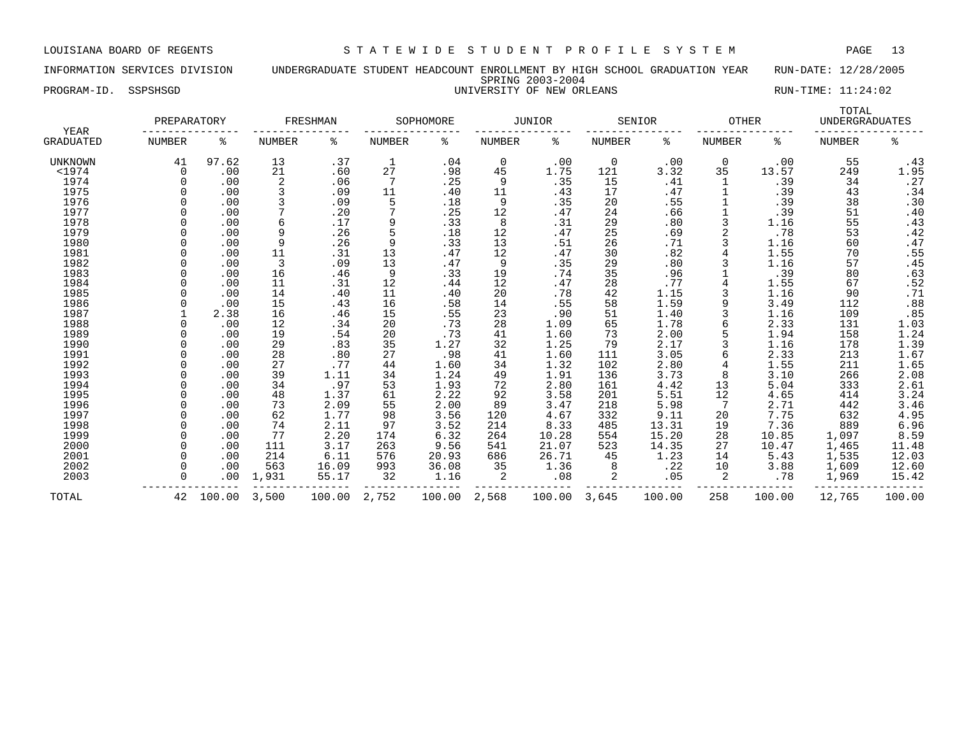INFORMATION SERVICES DIVISION UNDERGRADUATE STUDENT HEADCOUNT ENROLLMENT BY HIGH SCHOOL GRADUATION YEAR RUN-DATE: 12/28/2005 SPRING 2003-2004 PROGRAM-ID. SSPSHSGD UNIVERSITY OF NEW ORLEANS RUN-TIME: 11:24:02

| YEAR             | PREPARATORY   |          |                | FRESHMAN |               | SOPHOMORE |               | <b>JUNIOR</b> |               | SENIOR | <b>OTHER</b>  |        | TOTAL<br>UNDERGRADUATES |        |
|------------------|---------------|----------|----------------|----------|---------------|-----------|---------------|---------------|---------------|--------|---------------|--------|-------------------------|--------|
| <b>GRADUATED</b> | <b>NUMBER</b> | ႜ        | <b>NUMBER</b>  | နွ       | <b>NUMBER</b> | နွ        | <b>NUMBER</b> | နွ            | <b>NUMBER</b> | ႜ      | <b>NUMBER</b> | နွ     | <b>NUMBER</b>           | ە<br>ج |
| UNKNOWN          | 41            | 97.62    | 13             | .37      | 1             | .04       | 0             | .00           | 0             | .00    | $\mathbf 0$   | .00    | 55                      | .43    |
| $<$ 1974         | $\Omega$      | .00      | 21             | .60      | 27            | .98       | 45            | 1.75          | 121           | 3.32   | 35            | 13.57  | 249                     | 1.95   |
| 1974             |               | .00      | $\overline{2}$ | .06      |               | .25       | 9             | .35           | 15            | .41    |               | .39    | 34                      | .27    |
| 1975             | $\Omega$      | .00      | 3              | .09      | 11            | .40       | 11            | .43           | 17            | .47    |               | .39    | 43                      | .34    |
| 1976             |               | .00      |                | .09      | 5             | .18       | 9             | .35           | 20            | .55    |               | .39    | 38                      | .30    |
| 1977             |               | .00      |                | .20      |               | .25       | 12            | .47           | 24            | .66    |               | .39    | 51                      | .40    |
| 1978             |               | .00      |                | .17      | 9             | .33       | 8             | .31           | 29            | .80    |               | 1.16   | 55                      | .43    |
| 1979             |               | .00      | 9              | .26      | 5             | .18       | 12            | .47           | 25            | .69    |               | .78    | 53                      | .42    |
| 1980             |               | .00      | 9              | .26      | 9             | .33       | 13            | .51           | 26            | .71    |               | 1.16   | 60                      | .47    |
| 1981             | $\Omega$      | .00      | 11             | .31      | 13            | .47       | 12            | .47           | 30            | .82    |               | 1.55   | 70                      | .55    |
| 1982             | $\Omega$      | .00      | 3              | .09      | 13            | .47       | 9             | .35           | 29            | .80    |               | 1.16   | 57                      | .45    |
| 1983             |               | .00      | 16             | .46      | 9             | .33       | 19            | .74           | 35            | .96    |               | .39    | 80                      | .63    |
| 1984             |               | .00      | 11             | .31      | 12            | .44       | 12            | .47           | 28            | .77    |               | 1.55   | 67                      | .52    |
| 1985             | $\Omega$      | .00      | 14             | .40      | 11            | .40       | 20            | .78           | 42            | 1.15   |               | 1.16   | 90                      | .71    |
| 1986             | $\Omega$      | .00      | 15             | .43      | 16            | .58       | 14            | .55           | 58            | 1.59   |               | 3.49   | 112                     | .88    |
| 1987             |               | 2.38     | 16             | .46      | 15            | .55       | 23            | .90           | 51            | 1.40   |               | 1.16   | 109                     | .85    |
| 1988             |               | .00      | 12             | .34      | 20            | .73       | 28            | 1.09          | 65            | 1.78   |               | 2.33   | 131                     | 1.03   |
| 1989             |               | .00      | 19             | .54      | 20            | .73       | 41            | 1.60          | 73            | 2.00   |               | 1.94   | 158                     | 1.24   |
| 1990             |               | .00      | 29             | .83      | 35            | 1.27      | 32            | 1.25          | 79            | 2.17   |               | 1.16   | 178                     | 1.39   |
| 1991             |               | .00      | 28             | .80      | 27            | .98       | 41            | 1.60          | 111           | 3.05   |               | 2.33   | 213                     | 1.67   |
| 1992             |               | .00      | 27             | .77      | 44            | 1.60      | 34            | 1.32          | 102           | 2.80   |               | 1.55   | 211                     | 1.65   |
| 1993             |               | .00      | 39             | 1.11     | 34            | 1.24      | 49            | 1.91          | 136           | 3.73   | 8             | 3.10   | 266                     | 2.08   |
| 1994             |               | .00      | 34             | .97      | 53            | 1.93      | 72            | 2.80          | 161           | 4.42   | 13            | 5.04   | 333                     | 2.61   |
| 1995             |               | .00      | 48             | 1.37     | 61            | 2.22      | 92            | 3.58          | 201           | 5.51   | 12            | 4.65   | 414                     | 3.24   |
| 1996             | $\Omega$      | .00      | 73             | 2.09     | 55            | 2.00      | 89            | 3.47          | 218           | 5.98   | 7             | 2.71   | 442                     | 3.46   |
| 1997             | $\Omega$      | .00      | 62             | 1.77     | 98            | 3.56      | 120           | 4.67          | 332           | 9.11   | 20            | 7.75   | 632                     | 4.95   |
| 1998             | $\Omega$      | .00      | 74             | 2.11     | 97            | 3.52      | 214           | 8.33          | 485           | 13.31  | 19            | 7.36   | 889                     | 6.96   |
| 1999             |               | .00      | 77             | 2.20     | 174           | 6.32      | 264           | 10.28         | 554           | 15.20  | 28            | 10.85  | 1,097                   | 8.59   |
| 2000             | $\Omega$      | .00      | 111            | 3.17     | 263           | 9.56      | 541           | 21.07         | 523           | 14.35  | 27            | 10.47  | 1,465                   | 11.48  |
| 2001             | $\Omega$      | .00      | 214            | 6.11     | 576           | 20.93     | 686           | 26.71         | 45            | 1.23   | 14            | 5.43   | 1,535                   | 12.03  |
| 2002             | $\Omega$      | .00      | 563            | 16.09    | 993           | 36.08     | 35            | 1.36          | 8             | .22    | 10            | 3.88   | 1,609                   | 12.60  |
| 2003             | O             | $.00 \,$ | 1,931          | 55.17    | 32            | 1.16      | 2             | .08           | 2             | .05    | 2             | .78    | 1,969                   | 15.42  |
| TOTAL            | 42            | 100.00   | 3,500          | 100.00   | 2,752         | 100.00    | 2,568         | 100.00        | 3,645         | 100.00 | 258           | 100.00 | 12,765                  | 100.00 |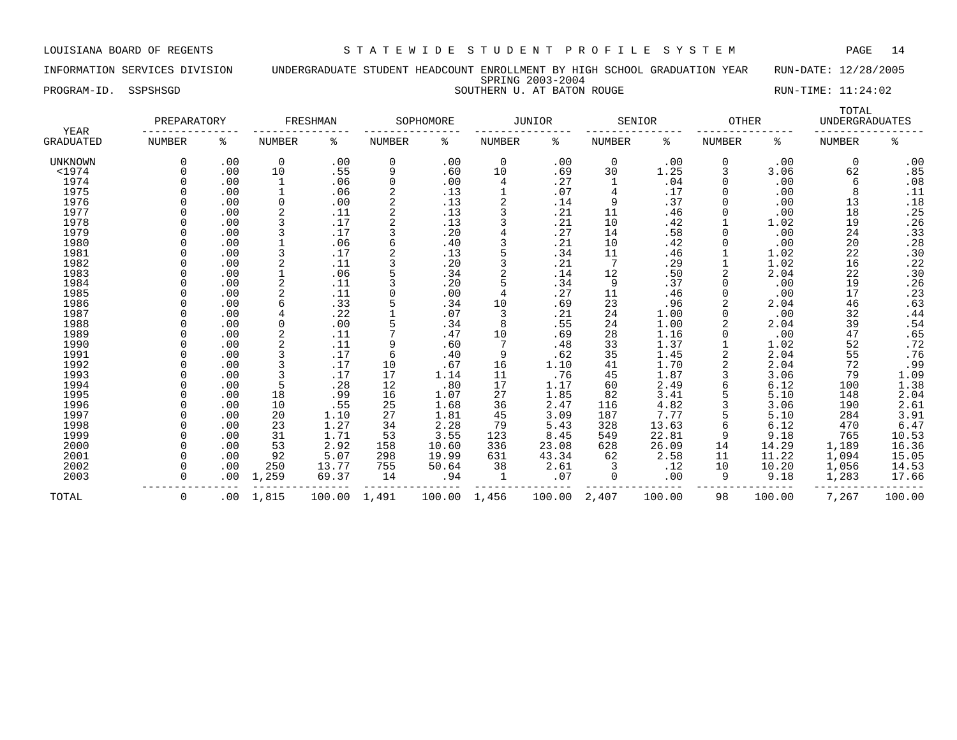INFORMATION SERVICES DIVISION UNDERGRADUATE STUDENT HEADCOUNT ENROLLMENT BY HIGH SCHOOL GRADUATION YEAR RUN-DATE: 12/28/2005 SPRING 2003-2004 PROGRAM-ID. SSPSHSGD SOUTHERN U. AT BATON ROUGE SOUTHERN U. AT BATON ROUGE RUN-TIME: 11:24:02

| YEAR             | PREPARATORY   |     |             | FRESHMAN |          | SOPHOMORE |        | <b>JUNIOR</b> |                 | SENIOR | <b>OTHER</b>  |        | TOTAL<br><b>UNDERGRADUATES</b> |        |
|------------------|---------------|-----|-------------|----------|----------|-----------|--------|---------------|-----------------|--------|---------------|--------|--------------------------------|--------|
| <b>GRADUATED</b> | <b>NUMBER</b> | ႜ   | NUMBER      | ್ಠಿ      | NUMBER   | နွ        | NUMBER | ႜ             | NUMBER          | နွ     | <b>NUMBER</b> | ႜ      | <b>NUMBER</b>                  | နွ     |
| UNKNOWN          | 0             | .00 | $\mathbf 0$ | .00      | 0        | .00       | 0      | .00           | 0               | .00    | 0             | .00    | 0                              | .00    |
| $<$ 1974         |               | .00 | 10          | .55      | 9        | .60       | 10     | .69           | 30              | 1.25   | 3             | 3.06   | 62                             | .85    |
| 1974             |               | .00 | 1           | .06      | $\Omega$ | .00       | 4      | .27           |                 | .04    | $\Omega$      | .00    | 6                              | .08    |
| 1975             |               | .00 |             | .06      |          | .13       |        | .07           | 4               | .17    | 0             | .00    | 8                              | .11    |
| 1976             |               | .00 | $\Omega$    | .00      |          | .13       |        | .14           | 9               | .37    |               | .00    | 13                             | .18    |
| 1977             |               | .00 |             | .11      |          | .13       |        | .21           | 11              | .46    |               | .00    | 18                             | .25    |
| 1978             |               | .00 |             | .17      |          | .13       | ζ      | .21           | 10              | .42    |               | 1.02   | 19                             | .26    |
| 1979             |               | .00 |             | .17      |          | .20       | 4      | .27           | 14              | .58    | U             | .00    | 24                             | .33    |
| 1980             |               | .00 |             | .06      |          | .40       | ζ      | .21           | 10              | .42    |               | .00    | 20                             | .28    |
| 1981             |               | .00 | 3           | .17      |          | .13       | 5      | .34           | 11              | .46    |               | 1.02   | 22                             | .30    |
| 1982             |               | .00 | 2           | .11      |          | .20       | 3      | .21           | $7\phantom{.0}$ | .29    |               | 1.02   | 16                             | .22    |
| 1983             |               | .00 |             | .06      |          | .34       | 2      | .14           | 12              | .50    | 2             | 2.04   | 22                             | .30    |
| 1984             |               | .00 |             | .11      |          | .20       | 5      | .34           | 9               | .37    |               | .00    | 19                             | .26    |
| 1985             |               | .00 |             | .11      |          | .00       | 4      | .27           | 11              | .46    |               | .00    | 17                             | .23    |
| 1986             |               | .00 |             | .33      |          | .34       | 10     | .69           | 23              | .96    |               | 2.04   | 46                             | .63    |
| 1987             |               | .00 |             | .22      |          | .07       | 3      | .21           | 24              | 1.00   |               | .00    | 32                             | .44    |
| 1988             |               | .00 | $\Omega$    | .00      |          | .34       | 8      | .55           | 24              | 1.00   |               | 2.04   | 39                             | .54    |
| 1989             |               | .00 | 2           | .11      |          | .47       | 10     | .69           | 28              | 1.16   |               | .00    | 47                             | .65    |
| 1990             |               | .00 |             | .11      | 9        | .60       | 7      | .48           | 33              | 1.37   |               | 1.02   | 52                             | .72    |
| 1991             |               | .00 | 3           | .17      | 6        | .40       | 9      | .62           | 35              | 1.45   | 2             | 2.04   | 55                             | .76    |
| 1992             |               | .00 |             | .17      | 10       | .67       | 16     | 1.10          | 41              | 1.70   |               | 2.04   | 72                             | .99    |
| 1993             |               | .00 | 3           | .17      | 17       | 1.14      | 11     | .76           | 45              | 1.87   |               | 3.06   | 79                             | 1.09   |
| 1994             |               | .00 | 5           | .28      | 12       | .80       | 17     | 1.17          | 60              | 2.49   |               | 6.12   | 100                            | 1.38   |
| 1995             |               | .00 | 18          | .99      | 16       | 1.07      | 27     | 1.85          | 82              | 3.41   |               | 5.10   | 148                            | 2.04   |
| 1996             |               | .00 | 10          | .55      | 25       | 1.68      | 36     | 2.47          | 116             | 4.82   |               | 3.06   | 190                            | 2.61   |
| 1997             |               | .00 | 20          | 1.10     | 27       | 1.81      | 45     | 3.09          | 187             | 7.77   |               | 5.10   | 284                            | 3.91   |
| 1998             |               | .00 | 23          | 1.27     | 34       | 2.28      | 79     | 5.43          | 328             | 13.63  |               | 6.12   | 470                            | 6.47   |
| 1999             |               | .00 | 31          | 1.71     | 53       | 3.55      | 123    | 8.45          | 549             | 22.81  | 9             | 9.18   | 765                            | 10.53  |
| 2000             | $\Omega$      | .00 | 53          | 2.92     | 158      | 10.60     | 336    | 23.08         | 628             | 26.09  | 14            | 14.29  | 1,189                          | 16.36  |
| 2001             |               | .00 | 92          | 5.07     | 298      | 19.99     | 631    | 43.34         | 62              | 2.58   | 11            | 11.22  | 1,094                          | 15.05  |
| 2002             |               | .00 | 250         | 13.77    | 755      | 50.64     | 38     | 2.61          | 3               | .12    | 10            | 10.20  | 1,056                          | 14.53  |
| 2003             | $\Omega$      | .00 | 1,259       | 69.37    | 14       | .94       | 1      | .07           | 0               | .00    | 9             | 9.18   | 1,283                          | 17.66  |
| TOTAL            | 0             | .00 | 1,815       | 100.00   | 1,491    | 100.00    | 1,456  | 100.00        | 2,407           | 100.00 | 98            | 100.00 | 7,267                          | 100.00 |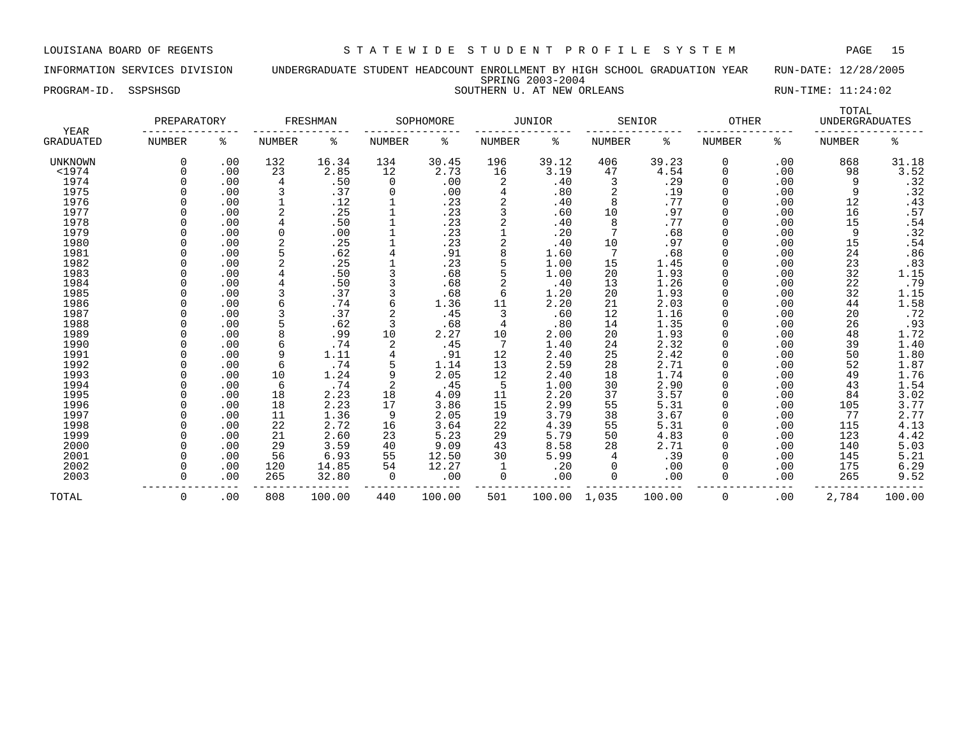INFORMATION SERVICES DIVISION UNDERGRADUATE STUDENT HEADCOUNT ENROLLMENT BY HIGH SCHOOL GRADUATION YEAR RUN-DATE: 12/28/2005 SPRING 2003-2004 PROGRAM-ID. SSPSHSGD SOUTHERN U. AT NEW ORLEANS SOUTHERN SOUTHERN SOUTHERN SOUTHERN SOUTHERN SOUTHERN SOUTHERN SOUTHERN SOUTHERN SOUTHERN SOUTHERN SOUTHERN SOUTHERN SOUTHERN SOUTHERN SOUTHERN SOUTHERN SOUTHERN SOUTHERN SOU

| YEAR           | PREPARATORY   |     |                | FRESHMAN |               | SOPHOMORE |               | <b>JUNIOR</b> |               | <b>SENIOR</b> | <b>OTHER</b>  |     | TOTAL<br><b>UNDERGRADUATES</b> |                  |
|----------------|---------------|-----|----------------|----------|---------------|-----------|---------------|---------------|---------------|---------------|---------------|-----|--------------------------------|------------------|
| GRADUATED      | <b>NUMBER</b> | ႜ   | <b>NUMBER</b>  | နွ       | <b>NUMBER</b> | ి         | <b>NUMBER</b> | နွ            | <b>NUMBER</b> | နွ            | <b>NUMBER</b> | ႜ   | <b>NUMBER</b>                  | နွ               |
| <b>UNKNOWN</b> | 0             | .00 | 132            | 16.34    | 134           | 30.45     | 196           | 39.12         | 406           | 39.23         | 0             | .00 | 868                            | 31.18            |
| $<$ 1974       |               | .00 | 23             | 2.85     | 12            | 2.73      | 16            | 3.19          | 47            | 4.54          | 0             | .00 | 98                             | 3.52             |
| 1974           |               | .00 | 4              | .50      | 0             | .00       | 2             | .40           | 3             | .29           | $\Omega$      | .00 | 9                              | .32              |
| 1975           |               | .00 | 3              | .37      | 0             | .00       | 4             | .80           | 2             | .19           | 0             | .00 | 9                              | .32              |
| 1976           |               | .00 |                | .12      |               | .23       | 2             | .40           | 8             | .77           | 0             | .00 | 12                             | .43              |
| 1977           |               | .00 | $\overline{2}$ | .25      |               | .23       | 3             | .60           | 10            | .97           | 0             | .00 | 16                             | .57              |
| 1978           |               | .00 |                | .50      |               | .23       | 2             | .40           | 8             | .77           | O             | .00 | 15                             | .54              |
| 1979           |               | .00 | $\Omega$       | .00      |               | .23       |               | .20           | 7             | .68           | O             | .00 | 9                              | .32              |
| 1980           |               | .00 | $\overline{2}$ | .25      |               | .23       | 2             | .40           | 10            | .97           | 0             | .00 | 15                             | .54              |
| 1981           |               | .00 |                | .62      | 4             | .91       | 8             | 1.60          | 7             | .68           |               | .00 | 24                             | .86              |
| 1982           |               | .00 |                | .25      |               | .23       | 5             | 1.00          | 15            | 1.45          |               | .00 | 23                             | .83              |
| 1983           |               | .00 |                | .50      |               | .68       |               | 1.00          | 20            | 1.93          | 0             | .00 | 32                             | 1.15             |
| 1984           |               | .00 |                | .50      |               | .68       | 2             | .40           | 13            | 1.26          |               | .00 | 22                             | .79              |
| 1985           |               | .00 | 3              | .37      |               | .68       | 6             | 1.20          | 20            | 1.93          |               | .00 | 32                             | 1.15             |
| 1986           |               | .00 |                | .74      | 6             | 1.36      | 11            | 2.20          | 21            | 2.03          |               | .00 | 44                             | 1.58             |
| 1987           |               | .00 |                | .37      |               | .45       | 3             | .60           | 12            | 1.16          |               | .00 | 20                             | .72              |
| 1988           |               | .00 |                | .62      | 3             | .68       | 4             | .80           | 14            | 1.35          |               | .00 | 26                             | .93              |
| 1989           |               | .00 | 8              | .99      | 10            | 2.27      | 10            | 2.00          | 20            | 1.93          |               | .00 | 48                             |                  |
| 1990           |               | .00 | 6              | .74      | 2             | .45       | 7             | 1.40          | 24            | 2.32          |               | .00 | 39                             | $1.72$<br>$1.40$ |
| 1991           |               | .00 | 9              | 1.11     | 4             | .91       | 12            | 2.40          | 25            | 2.42          |               | .00 | 50                             | 1.80             |
| 1992           |               | .00 | 6              | .74      | 5             | 1.14      | 13            | 2.59          | 28            | 2.71          |               | .00 | 52                             | 1.87             |
| 1993           |               | .00 | 10             | 1.24     | 9             | 2.05      | 12            | 2.40          | 18            | 1.74          |               | .00 | 49                             | 1.76             |
| 1994           |               | .00 | 6              | .74      | 2             | .45       | 5             | 1.00          | 30            | 2.90          | 0             | .00 | 43                             | 1.54             |
| 1995           |               | .00 | 18             | 2.23     | 18            | 4.09      | 11            | 2.20          | 37            | 3.57          | 0             | .00 | 84                             | 3.02             |
| 1996           |               | .00 | 18             | 2.23     | 17            | 3.86      | 15            | 2.99          | 55            | 5.31          |               | .00 | 105                            | 3.77             |
| 1997           |               | .00 | 11             | 1.36     | 9             | 2.05      | 19            | 3.79          | 38            | 3.67          |               | .00 | 77                             | 2.77             |
| 1998           |               | .00 | 22             | 2.72     | 16            | 3.64      | 22            | 4.39          | 55            | 5.31          | O             | .00 | 115                            | 4.13             |
| 1999           |               | .00 | 21             | 2.60     | 23            | 5.23      | 29            | 5.79          | 50            | 4.83          | O             | .00 | 123                            | 4.42             |
| 2000           |               | .00 | 29             | 3.59     | 40            | 9.09      | 43            | 8.58          | 28            | 2.71          | 0             | .00 | 140                            | 5.03             |
| 2001           |               | .00 | 56             | 6.93     | 55            | 12.50     | 30            | 5.99          | 4             | .39           | 0             | .00 | 145                            | 5.21             |
| 2002           |               | .00 | 120            | 14.85    | 54            | 12.27     |               | .20           | 0             | .00           | 0             | .00 | 175                            | 6.29             |
| 2003           | $\Omega$      | .00 | 265            | 32.80    | 0             | .00       | 0             | .00           | 0             | .00           | 0             | .00 | 265                            | 9.52             |
|                |               |     |                |          |               |           |               |               |               |               |               |     |                                |                  |
| TOTAL          | 0             | .00 | 808            | 100.00   | 440           | 100.00    | 501           | 100.00        | 1,035         | 100.00        | 0             | .00 | 2,784                          | 100.00           |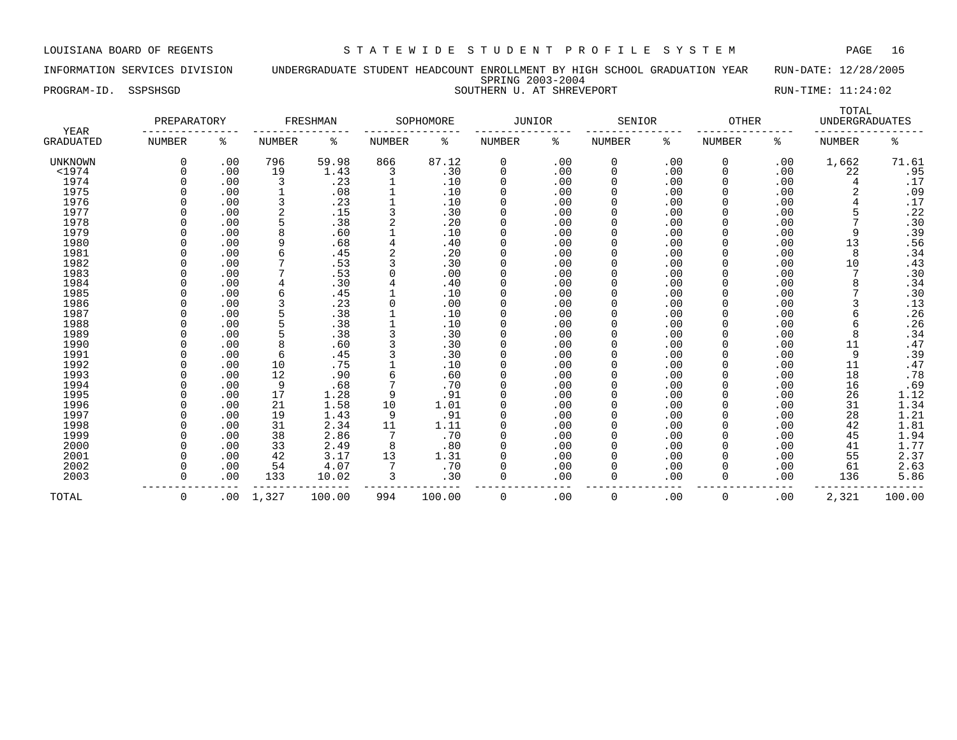# INFORMATION SERVICES DIVISION UNDERGRADUATE STUDENT HEADCOUNT ENROLLMENT BY HIGH SCHOOL GRADUATION YEAR RUN-DATE: 12/28/2005 SPRING 2003-2004 PROGRAM-ID. SSPSHSGD SOUTHERN U. AT SHREVEPORT SOUTHERN SOUTHERN SOUTHERN SOUTHERN SOUTHERN SOUTHERN SOUTHERN SOUTHERN SOUTHERN SOUTHERN SOUTHERN SOUTHERN SOUTHERN SOUTHERN SOUTHERN SOUTHERN SOUTHERN SOUTHERN SOUTHERN SOUT

|  | DIKING AUUJ AUUI         |
|--|--------------------------|
|  | OUTHERN U. AT SHREVEPORT |

|                                 | PREPARATORY   |     |               | FRESHMAN |                | SOPHOMORE | JUNIOR      |     | SENIOR       |     | <b>OTHER</b> |     | TOTAL<br><b>UNDERGRADUATES</b> |                |
|---------------------------------|---------------|-----|---------------|----------|----------------|-----------|-------------|-----|--------------|-----|--------------|-----|--------------------------------|----------------|
| <b>YEAR</b><br><b>GRADUATED</b> | <b>NUMBER</b> | ႜ   | <b>NUMBER</b> | ႜ        | <b>NUMBER</b>  | ႜ         | NUMBER      | ႜ   | NUMBER       | ႜ   | NUMBER       | ႜ   | <b>NUMBER</b>                  | နွ             |
| UNKNOWN                         | 0             | .00 | 796           | 59.98    | 866            | 87.12     | 0           | .00 | 0            | .00 | 0            | .00 | 1,662                          | 71.61          |
| $<$ 1974                        | 0             | .00 | 19            | 1.43     | 3              | .30       | $\mathbf 0$ | .00 | 0            | .00 | $\Omega$     | .00 | 22                             | .95            |
| 1974                            |               | .00 | 3             | .23      |                | .10       | $\Omega$    | .00 | 0            | .00 | $\Omega$     | .00 | 4                              | .17            |
| 1975                            |               | .00 |               | .08      |                | .10       | $\Omega$    | .00 | 0            | .00 | $\Omega$     | .00 |                                | .09            |
| 1976                            |               | .00 |               | .23      |                | .10       | $\Omega$    | .00 | 0            | .00 |              | .00 |                                | .17            |
| 1977                            |               | .00 |               | .15      | 3              | .30       | $\Omega$    | .00 | 0            | .00 |              | .00 |                                | .22            |
| 1978                            |               | .00 |               | .38      | $\overline{2}$ | .20       | $\Omega$    | .00 | 0            | .00 |              | .00 |                                | .30            |
| 1979                            | U             | .00 | 8             | .60      |                | .10       | $\Omega$    | .00 | 0            | .00 |              | .00 | 9                              | .39            |
| 1980                            | U             | .00 | 9             | .68      |                | .40       | $\Omega$    | .00 | <sup>0</sup> | .00 |              | .00 | 13                             | .56            |
| 1981                            | O             | .00 | 6             | .45      |                | .20       | $\Omega$    | .00 | 0            | .00 |              | .00 | 8                              | .34            |
| 1982                            |               | .00 |               | .53      | 3              | .30       | $\Omega$    | .00 | 0            | .00 |              | .00 | 10                             | .43            |
| 1983                            |               | .00 |               | .53      |                | .00       | $\Omega$    | .00 | 0            | .00 |              | .00 |                                | .30            |
| 1984                            |               | .00 |               | .30      | 4              | .40       | 0           | .00 | 0            | .00 |              | .00 | 8                              | .34            |
| 1985                            |               | .00 |               | .45      |                | .10       | $\Omega$    | .00 | <sup>0</sup> | .00 |              | .00 |                                | .30            |
| 1986                            |               | .00 |               | .23      | $\Omega$       | .00       | $\Omega$    | .00 | 0            | .00 |              | .00 |                                | .13            |
| 1987                            |               | .00 |               | .38      |                | .10       | $\Omega$    | .00 | 0            | .00 |              | .00 | 6                              | .26            |
| 1988                            |               | .00 |               | .38      |                | .10       | $\Omega$    | .00 | 0            | .00 |              | .00 | 6                              | .26            |
| 1989                            |               | .00 |               | .38      |                | .30       | $\Omega$    | .00 | 0            | .00 |              | .00 | 8                              | .34            |
| 1990                            | U             | .00 | 8             | .60      |                | .30       | $\Omega$    | .00 | 0            | .00 |              | .00 | 11                             | .47            |
| 1991                            |               | .00 | 6             | .45      |                | .30       | $\Omega$    | .00 | 0            | .00 |              | .00 | 9                              | .39            |
| 1992                            |               | .00 | 10            | .75      |                | .10       | $\Omega$    | .00 | 0            | .00 |              | .00 | 11                             |                |
| 1993                            |               | .00 | 12            | .90      | 6              | .60       | 0           | .00 | 0            | .00 |              | .00 | 18                             | $.47$<br>$.78$ |
| 1994                            |               | .00 | 9             | .68      | 7              | .70       | $\Omega$    | .00 | 0            | .00 |              | .00 | 16                             | .69            |
| 1995                            |               | .00 | 17            | 1.28     | 9              | .91       | $\Omega$    | .00 | 0            | .00 |              | .00 | 26                             | 1.12           |
| 1996                            |               | .00 | 21            | 1.58     | 10             | 1.01      | $\Omega$    | .00 | 0            | .00 |              | .00 | 31                             | 1.34           |
| 1997                            |               | .00 | 19            | 1.43     | 9              | .91       | $\Omega$    | .00 | 0            | .00 |              | .00 | 28                             | 1.21           |
| 1998                            |               | .00 | 31            | 2.34     | 11             | 1.11      | $\Omega$    | .00 | <sup>0</sup> | .00 |              | .00 | 42                             | 1.81           |
| 1999                            | U             | .00 | 38            | 2.86     | 7              | .70       | $\Omega$    | .00 | 0            | .00 |              | .00 | 45                             | 1.94           |
| 2000                            | O             | .00 | 33            | 2.49     | 8              | .80       | $\Omega$    | .00 | 0            | .00 |              | .00 | 41                             | 1.77           |
| 2001                            |               | .00 | 42            | 3.17     | 13             | 1.31      | $\Omega$    | .00 | 0            | .00 |              | .00 | 55                             | 2.37           |
| 2002                            | O             | .00 | 54            | 4.07     |                | .70       | $\Omega$    | .00 | 0            | .00 |              | .00 | 61                             | 2.63           |
| 2003                            | 0             | .00 | 133           | 10.02    | 3              | .30       | $\Omega$    | .00 | 0            | .00 | $\Omega$     | .00 | 136                            | 5.86           |
| TOTAL                           | 0             | .00 | 1,327         | 100.00   | 994            | 100.00    | 0           | .00 | 0            | .00 | $\Omega$     | .00 | 2,321                          | 100.00         |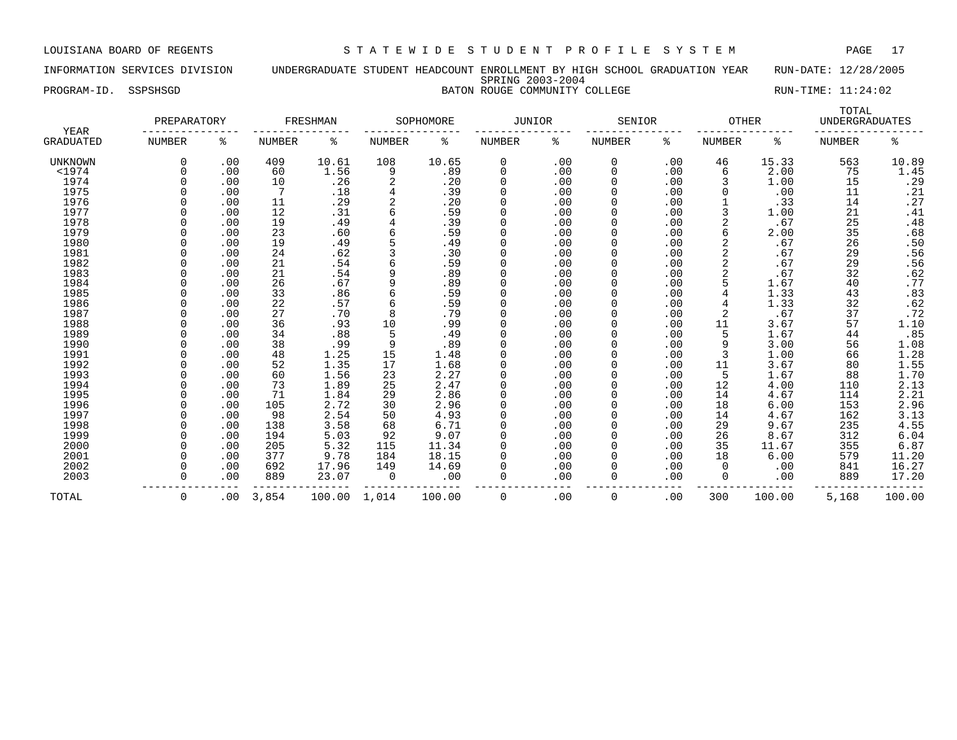INFORMATION SERVICES DIVISION UNDERGRADUATE STUDENT HEADCOUNT ENROLLMENT BY HIGH SCHOOL GRADUATION YEAR RUN-DATE: 12/28/2005 SPRING 2003-2004 PROGRAM-ID. SSPSHSGD BATON ROUGE COMMUNITY COLLEGE RUN-TIME: 11:24:02

| YEAR           | PREPARATORY   |     |        | FRESHMAN |        | SOPHOMORE | <b>JUNIOR</b> |     | SENIOR   |     | <b>OTHER</b>  |        | TOTAL<br><b>UNDERGRADUATES</b> |                             |
|----------------|---------------|-----|--------|----------|--------|-----------|---------------|-----|----------|-----|---------------|--------|--------------------------------|-----------------------------|
| GRADUATED      | <b>NUMBER</b> | ႜ   | NUMBER | ి        | NUMBER | ႜ         | NUMBER        | နွ  | NUMBER   | ి   | <b>NUMBER</b> | ႜ      | <b>NUMBER</b>                  | ి                           |
| <b>UNKNOWN</b> | 0             | .00 | 409    | 10.61    | 108    | 10.65     | 0             | .00 | 0        | .00 | 46            | 15.33  | 563                            | 10.89                       |
| $<$ 1974       | $\Omega$      | .00 | 60     | 1.56     | 9      | .89       | $\mathbf 0$   | .00 | 0        | .00 | 6             | 2.00   | 75                             | 1.45                        |
| 1974           |               | .00 | 10     | .26      | 2      | .20       | $\Omega$      | .00 | $\Omega$ | .00 |               | 1.00   | 15                             | .29                         |
| 1975           |               | .00 | 7      | .18      | 4      | .39       |               | .00 | O        | .00 |               | .00    | 11                             | .21                         |
| 1976           |               | .00 | 11     | .29      | 2      | .20       |               | .00 | 0        | .00 |               | .33    | 14                             | .27                         |
| 1977           |               | .00 | 12     | .31      | 6      | .59       |               | .00 |          | .00 |               | 1.00   | 21                             | .41                         |
| 1978           |               | .00 | 19     | .49      |        | .39       | $\Omega$      | .00 | O        | .00 |               | .67    | 25                             | .48                         |
| 1979           |               | .00 | 23     | .60      |        | .59       | $\Omega$      | .00 | $\Omega$ | .00 | 6             | 2.00   | 35                             | .68                         |
| 1980           |               | .00 | 19     | .49      | 5      | .49       | $\Omega$      | .00 | 0        | .00 | 2             | .67    | 26                             | $\boldsymbol{\mathsf{.50}}$ |
| 1981           |               | .00 | 24     | .62      |        | .30       |               | .00 |          | .00 |               | .67    | 29                             | .56                         |
| 1982           |               | .00 | 21     | .54      | 6      | .59       |               | .00 |          | .00 |               | .67    | 29                             | .56                         |
| 1983           |               | .00 | 21     | .54      | 9      | .89       | 0             | .00 | $\Omega$ | .00 |               | .67    | 32                             | .62                         |
| 1984           |               | .00 | 26     | .67      | 9      | .89       |               | .00 | $\Omega$ | .00 |               | 1.67   | 40                             | .77                         |
| 1985           |               | .00 | 33     | .86      |        | .59       |               | .00 | O        | .00 |               | 1.33   | 43                             | .83                         |
| 1986           |               | .00 | 22     | .57      |        | .59       |               | .00 |          | .00 |               | 1.33   | 32                             | .62                         |
| 1987           |               | .00 | 27     | .70      | 8      | .79       |               | .00 |          | .00 |               | .67    | 37                             | .72                         |
| 1988           |               | .00 | 36     | .93      | 10     | .99       | $\Omega$      | .00 |          | .00 | 11            | 3.67   | 57                             | 1.10                        |
| 1989           |               | .00 | 34     | .88      | 5      | .49       | $\Omega$      | .00 |          | .00 | 5             | 1.67   | 44                             | .85                         |
| 1990           |               | .00 | 38     | .99      | 9      | .89       | $\Omega$      | .00 | $\Omega$ | .00 |               | 3.00   | 56                             | 1.08                        |
| 1991           |               | .00 | 48     | 1.25     | 15     | 1.48      |               | .00 |          | .00 | 3             | 1.00   | 66                             | 1.28                        |
| 1992           |               | .00 | 52     | 1.35     | 17     | 1.68      |               | .00 |          | .00 | 11            | 3.67   | 80                             | 1.55                        |
| 1993           |               | .00 | 60     | 1.56     | 23     | 2.27      | 0             | .00 | 0        | .00 | 5             | 1.67   | 88                             | 1.70                        |
| 1994           |               | .00 | 73     | 1.89     | 25     | 2.47      | $\Omega$      | .00 | $\Omega$ | .00 | 12            | 4.00   | 110                            | 2.13                        |
| 1995           |               | .00 | 71     | 1.84     | 29     | 2.86      |               | .00 | $\Omega$ | .00 | 14            | 4.67   | 114                            | 2.21                        |
| 1996           |               | .00 | 105    | 2.72     | 30     | 2.96      |               | .00 |          | .00 | 18            | 6.00   | 153                            | 2.96                        |
| 1997           |               | .00 | 98     | 2.54     | 50     | 4.93      |               | .00 | $\Omega$ | .00 | 14            | 4.67   | 162                            | 3.13                        |
| 1998           |               | .00 | 138    | 3.58     | 68     | 6.71      | $\Omega$      | .00 | $\Omega$ | .00 | 29            | 9.67   | 235                            | 4.55                        |
| 1999           |               | .00 | 194    | 5.03     | 92     | 9.07      | $\Omega$      | .00 | $\Omega$ | .00 | 26            | 8.67   | 312                            | 6.04                        |
| 2000           |               | .00 | 205    | 5.32     | 115    | 11.34     |               | .00 | $\Omega$ | .00 | 35            | 11.67  | 355                            | 6.87                        |
| 2001           |               | .00 | 377    | 9.78     | 184    | 18.15     |               | .00 |          | .00 | 18            | 6.00   | 579                            | 11.20                       |
| 2002           | $\Omega$      | .00 | 692    | 17.96    | 149    | 14.69     |               | .00 |          | .00 | 0             | .00    | 841                            | 16.27                       |
| 2003           | $\Omega$      | .00 | 889    | 23.07    | 0      | .00       |               | .00 | 0        | .00 | 0             | .00    | 889                            | 17.20                       |
| TOTAL          | 0             | .00 | 3,854  | 100.00   | 1,014  | 100.00    | $\Omega$      | .00 | 0        | .00 | 300           | 100.00 | 5,168                          | 100.00                      |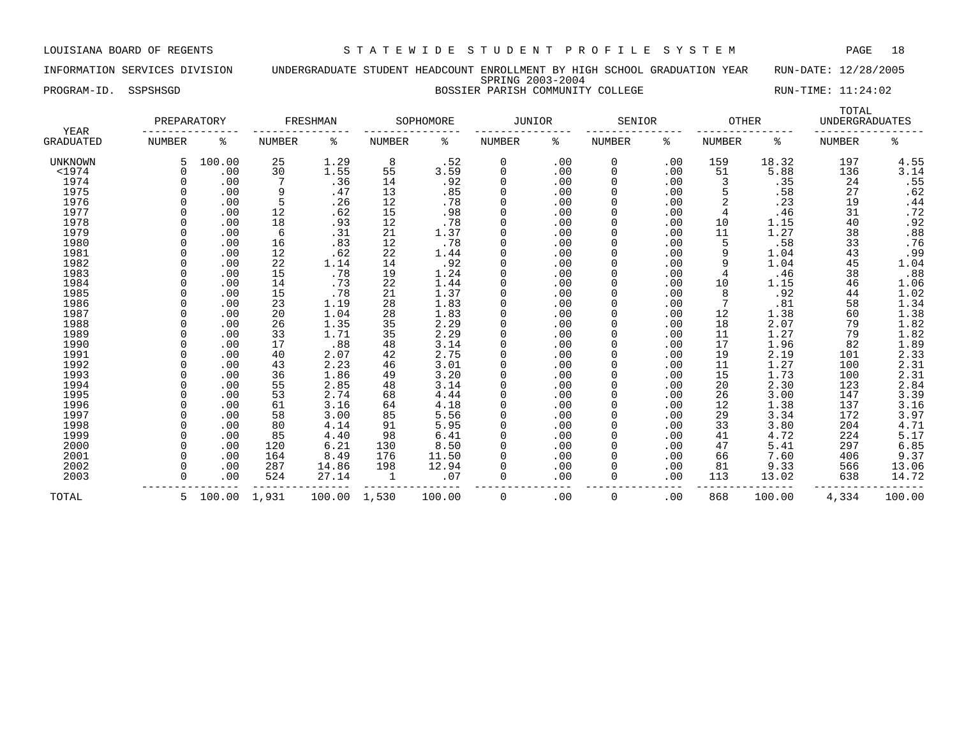INFORMATION SERVICES DIVISION UNDERGRADUATE STUDENT HEADCOUNT ENROLLMENT BY HIGH SCHOOL GRADUATION YEAR RUN-DATE: 12/28/2005 SPRING 2003-2004

# PROGRAM-ID. SSPSHSGD BOSSIER PARISH COMMUNITY COLLEGE RUN-TIME: 11:24:02

|                          | PREPARATORY |              |        | FRESHMAN |               | SOPHOMORE | <b>JUNIOR</b> |     | SENIOR |     | <b>OTHER</b> |        | TOTAL<br><b>UNDERGRADUATES</b> |                  |
|--------------------------|-------------|--------------|--------|----------|---------------|-----------|---------------|-----|--------|-----|--------------|--------|--------------------------------|------------------|
| YEAR<br><b>GRADUATED</b> | NUMBER      | ႜ            | NUMBER | ႜ        | <b>NUMBER</b> | ႜ         | NUMBER        | ႜ   | NUMBER | ႜ   | NUMBER       | ႜ      | <b>NUMBER</b>                  | ៖                |
| <b>UNKNOWN</b>           |             | 100.00       | 25     | 1.29     | 8             | .52       | 0             | .00 | 0      | .00 | 159          | 18.32  | 197                            | 4.55             |
| $1974$                   |             | .00          | 30     | 1.55     | 55            | 3.59      | $\Omega$      | .00 | 0      | .00 | 51           | 5.88   | 136                            | 3.14             |
| 1974                     |             | .00          |        | .36      | 14            | .92       | <sup>0</sup>  | .00 | 0      | .00 |              | .35    | 24                             | .55              |
| 1975                     |             | .00          | 9      | .47      | 13            | .85       | <sup>0</sup>  | .00 | 0      | .00 |              | .58    | 27                             | .62              |
| 1976                     |             | .00          | 5      | .26      | 12            | .78       | 0             | .00 |        | .00 |              | .23    | 19                             | .44              |
| 1977                     |             | .00          | 12     | .62      | 15            | .98       | 0             | .00 |        | .00 | 4            | .46    | 31                             | .72              |
| 1978                     |             | .00          | 18     | .93      | 12            | .78       | 0             | .00 | 0      | .00 | 10           | 1.15   | 40                             | .92              |
| 1979                     |             | .00          | 6      | .31      | 21            | 1.37      | 0             | .00 | 0      | .00 | 11           | 1.27   | 38                             | .88              |
| 1980                     |             | .00          | 16     | .83      | 12            | .78       | <sup>0</sup>  | .00 | 0      | .00 |              | .58    | 33                             | .76              |
| 1981                     |             | .00          | 12     | .62      | 22            | 1.44      | <sup>0</sup>  | .00 | 0      | .00 |              | 1.04   | 43                             | .99              |
| 1982                     |             | .00          | 22     | 1.14     | 14            | .92       | O             | .00 | 0      | .00 |              | 1.04   | 45                             | 1.04             |
| 1983                     |             | .00          | 15     | .78      | 19            | 1.24      | O             | .00 |        | .00 |              | .46    | 38                             | .88              |
| 1984                     |             | .00          | 14     | .73      | 22            | 1.44      | O             | .00 |        | .00 | 10           | 1.15   | 46                             | 1.06             |
| 1985                     |             | .00          | 15     | .78      | 21            | 1.37      | <sup>0</sup>  | .00 | 0      | .00 |              | .92    | 44                             | 1.02             |
| 1986                     |             | .00          | 23     | 1.19     | 28            | 1.83      | <sup>0</sup>  | .00 | 0      | .00 |              | .81    | 58                             | 1.34             |
| 1987                     |             | .00          | 20     | 1.04     | 28            | 1.83      | U             | .00 | O      | .00 | 12           | 1.38   | 60                             | 1.38             |
| 1988                     |             | .00          | 26     | 1.35     | 35            | 2.29      | <sup>0</sup>  | .00 | 0      | .00 | 18           | 2.07   | 79                             | 1.82             |
| 1989                     |             | .00          | 33     | 1.71     | 35            | 2.29      | <sup>0</sup>  | .00 | 0      | .00 | 11           | 1.27   | 79                             | 1.82             |
| 1990                     |             | .00          | 17     | .88      | 48            | 3.14      | 0             | .00 |        | .00 | 17           | 1.96   | 82                             | 1.89             |
| 1991                     |             | .00          | 40     | 2.07     | 42            | 2.75      | 0             | .00 |        | .00 | 19           | 2.19   | 101                            | 2.33             |
| 1992                     |             | .00          | 43     | 2.23     | 46            | 3.01      | 0             | .00 | 0      | .00 | 11           | 1.27   | 100                            | $2.31$<br>$2.31$ |
| 1993                     |             | .00          | 36     | 1.86     | 49            | 3.20      | 0             | .00 | 0      | .00 | 15           | 1.73   | 100                            |                  |
| 1994                     |             | .00          | 55     | 2.85     | 48            | 3.14      | 0             | .00 | 0      | .00 | 20           | 2.30   | 123                            | 2.84             |
| 1995                     |             | .00          | 53     | 2.74     | 68            | 4.44      | <sup>0</sup>  | .00 | 0      | .00 | 26           | 3.00   | 147                            | 3.39             |
| 1996                     |             | .00          | 61     | 3.16     | 64            | 4.18      | 0             | .00 | 0      | .00 | 12           | 1.38   | 137                            | 3.16             |
| 1997                     |             | .00          | 58     | 3.00     | 85            | 5.56      | 0             | .00 |        | .00 | 29           | 3.34   | 172                            | 3.97             |
| 1998                     |             | .00          | 80     | 4.14     | 91            | 5.95      | <sup>0</sup>  | .00 |        | .00 | 33           | 3.80   | 204                            | 4.71             |
| 1999                     |             | .00          | 85     | 4.40     | 98            | 6.41      | <sup>0</sup>  | .00 |        | .00 | 41           | 4.72   | 224                            | 5.17             |
| 2000                     |             | .00          | 120    | 6.21     | 130           | 8.50      | <sup>0</sup>  | .00 | 0      | .00 | 47           | 5.41   | 297                            | 6.85             |
| 2001                     |             | .00          | 164    | 8.49     | 176           | 11.50     | <sup>0</sup>  | .00 | O      | .00 | 66           | 7.60   | 406                            | 9.37             |
| 2002                     |             | .00          | 287    | 14.86    | 198           | 12.94     | <sup>0</sup>  | .00 | O      | .00 | 81           | 9.33   | 566                            | 13.06            |
| 2003                     |             | .00          | 524    | 27.14    | 1             | .07       | $\Omega$      | .00 | 0      | .00 | 113          | 13.02  | 638                            | 14.72            |
| TOTAL                    | 5           | 100.00 1,931 |        | 100.00   | 1,530         | 100.00    | 0             | .00 | 0      | .00 | 868          | 100.00 | 4,334                          | 100.00           |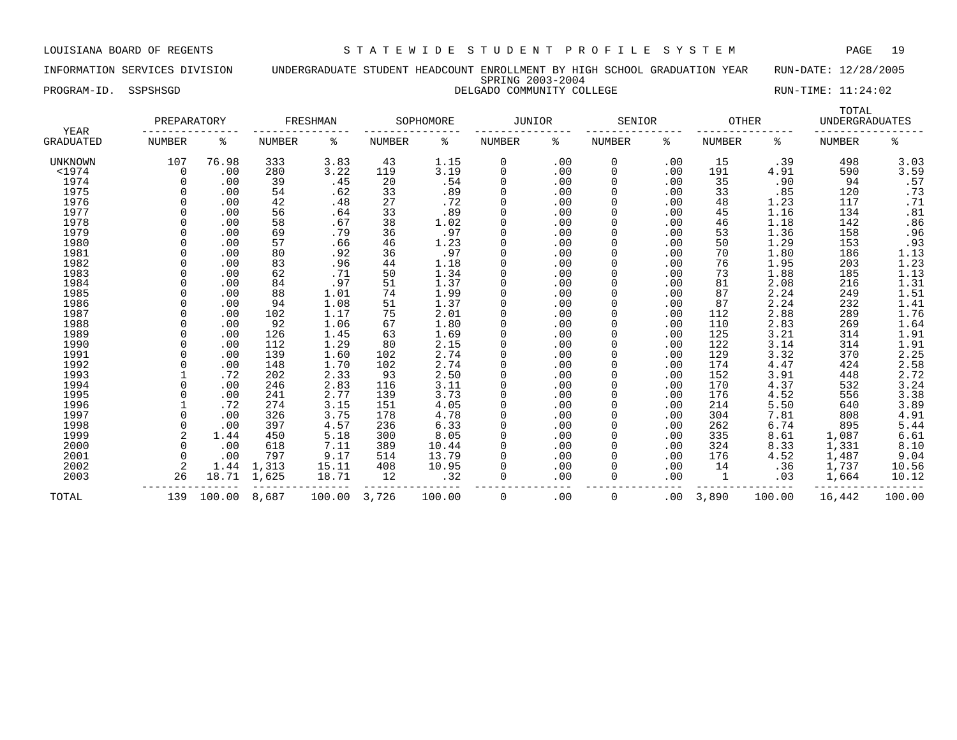INFORMATION SERVICES DIVISION UNDERGRADUATE STUDENT HEADCOUNT ENROLLMENT BY HIGH SCHOOL GRADUATION YEAR RUN-DATE: 12/28/2005 SPRING 2003-2004 PROGRAM-ID. SSPSHSGD **DELGADO COMMUNITY COLLEGE** RUN-TIME: 11:24:02

|                   | PREPARATORY |        |        | FRESHMAN |               | SOPHOMORE | <b>JUNIOR</b> |     | SENIOR        |          | <b>OTHER</b>  |        | TOTAL<br><b>UNDERGRADUATES</b> |                |
|-------------------|-------------|--------|--------|----------|---------------|-----------|---------------|-----|---------------|----------|---------------|--------|--------------------------------|----------------|
| YEAR<br>GRADUATED | NUMBER      | ႜ      | NUMBER | ႜ        | <b>NUMBER</b> | ႜ         | NUMBER        | ႜ   | <b>NUMBER</b> | ႜ        | <b>NUMBER</b> | ႜ      | <b>NUMBER</b>                  | ႜ              |
| UNKNOWN           | 107         | 76.98  | 333    | 3.83     | 43            | 1.15      | 0             | .00 | 0             | .00      | 15            | .39    | 498                            | 3.03           |
| $<$ 1974          | 0           | .00    | 280    | 3.22     | 119           | 3.19      | 0             | .00 | 0             | .00      | 191           | 4.91   | 590                            | 3.59           |
| 1974              | 0           | .00    | 39     | .45      | 20            | .54       | 0             | .00 |               | .00      | 35            | .90    | 94                             | .57            |
| 1975              |             | .00    | 54     | .62      | 33            | .89       | 0             | .00 |               | .00      | 33            | .85    | 120                            | .73            |
| 1976              |             | .00    | 42     | .48      | 27            | .72       | 0             | .00 |               | .00      | 48            | 1.23   | 117                            | .71            |
| 1977              |             | .00    | 56     | .64      | 33            | .89       | 0             | .00 |               | .00      | 45            | 1.16   | 134                            | .81            |
| 1978              |             | .00    | 58     | .67      | 38            | 1.02      | 0             | .00 |               | .00      | 46            | 1.18   | 142                            | .86            |
| 1979              |             | .00    | 69     | .79      | 36            | .97       | 0             | .00 |               | .00      | 53            | 1.36   | 158                            | .96            |
| 1980              |             | .00    | 57     | .66      | 46            | 1.23      | $\Omega$      | .00 |               | .00      | 50            | 1.29   | 153                            | .93            |
| 1981              | $\Omega$    | .00    | 80     | .92      | 36            | .97       | 0             | .00 |               | .00      | 70            | 1.80   | 186                            | 1.13           |
| 1982              |             | .00    | 83     | .96      | 44            | 1.18      | 0             | .00 |               | .00      | 76            | 1.95   | 203                            | 1.23           |
| 1983              |             | .00    | 62     | .71      | 50            | 1.34      | 0             | .00 |               | .00      | 73            | 1.88   | 185                            | 1.13           |
| 1984              |             | .00    | 84     | .97      | 51            | 1.37      | 0             | .00 |               | .00      | 81            | 2.08   | 216                            | 1.31           |
| 1985              |             | .00    | 88     | 1.01     | 74            | 1.99      | 0             | .00 |               | .00      | 87            | 2.24   | 249                            | 1.51           |
| 1986              |             | .00    | 94     | 1.08     | 51            | 1.37      | 0             | .00 |               | .00      | 87            | 2.24   | 232                            | 1.41           |
| 1987              |             | .00    | 102    | 1.17     | 75            | 2.01      |               | .00 |               | .00      | 112           | 2.88   | 289                            | 1.76           |
| 1988              |             | .00    | 92     | 1.06     | 67            | 1.80      | $\Omega$      | .00 |               | .00      | 110           | 2.83   | 269                            | 1.64           |
| 1989              |             | .00    | 126    | 1.45     | 63            | 1.69      | 0             | .00 |               | .00      | 125           | 3.21   | 314                            | 1.91           |
| 1990              |             | .00    | 112    | 1.29     | 80            | 2.15      | $\Omega$      | .00 |               | .00      | 122           | 3.14   | 314                            | 1.91           |
| 1991              |             | .00    | 139    | 1.60     | 102           | 2.74      | 0             | .00 |               | .00      | 129           | 3.32   | 370                            | 2.25           |
| 1992              |             | .00    | 148    | 1.70     | 102           | 2.74      | 0             | .00 |               | .00      | 174           | 4.47   | 424                            | $2.58$<br>2.72 |
| 1993              |             | .72    | 202    | 2.33     | 93            | 2.50      | 0             | .00 |               | .00      | 152           | 3.91   | 448                            |                |
| 1994              |             | .00    | 246    | 2.83     | 116           | 3.11      | 0             | .00 |               | .00      | 170           | 4.37   | 532                            | 3.24           |
| 1995              |             | .00    | 241    | 2.77     | 139           | 3.73      | 0             | .00 |               | .00      | 176           | 4.52   | 556                            | 3.38           |
| 1996              |             | .72    | 274    | 3.15     | 151           | 4.05      | 0             | .00 |               | .00      | 214           | 5.50   | 640                            | 3.89           |
| 1997              |             | .00    | 326    | 3.75     | 178           | 4.78      | 0             | .00 |               | .00      | 304           | 7.81   | 808                            | 4.91           |
| 1998              |             | .00    | 397    | 4.57     | 236           | 6.33      | 0             | .00 |               | .00      | 262           | 6.74   | 895                            | 5.44           |
| 1999              |             | 1.44   | 450    | 5.18     | 300           | 8.05      | 0             | .00 |               | .00      | 335           | 8.61   | 1,087                          | 6.61           |
| 2000              | $\Omega$    | .00    | 618    | 7.11     | 389           | 10.44     | 0             | .00 |               | .00      | 324           | 8.33   | 1,331                          | 8.10           |
| 2001              | 0           | .00    | 797    | 9.17     | 514           | 13.79     | 0             | .00 |               | .00      | 176           | 4.52   | 1,487                          | 9.04           |
| 2002              | 2           | 1.44   | 1,313  | 15.11    | 408           | 10.95     |               | .00 |               | .00      | 14            | .36    | 1,737                          | 10.56          |
| 2003              | 26          | 18.71  | 1,625  | 18.71    | 12            | .32       |               | .00 | 0             | .00      | 1             | .03    | 1,664                          | 10.12          |
| TOTAL             | 139         | 100.00 | 8,687  | 100.00   | 3,726         | 100.00    | 0             | .00 | 0             | $.00 \,$ | 3,890         | 100.00 | 16,442                         | 100.00         |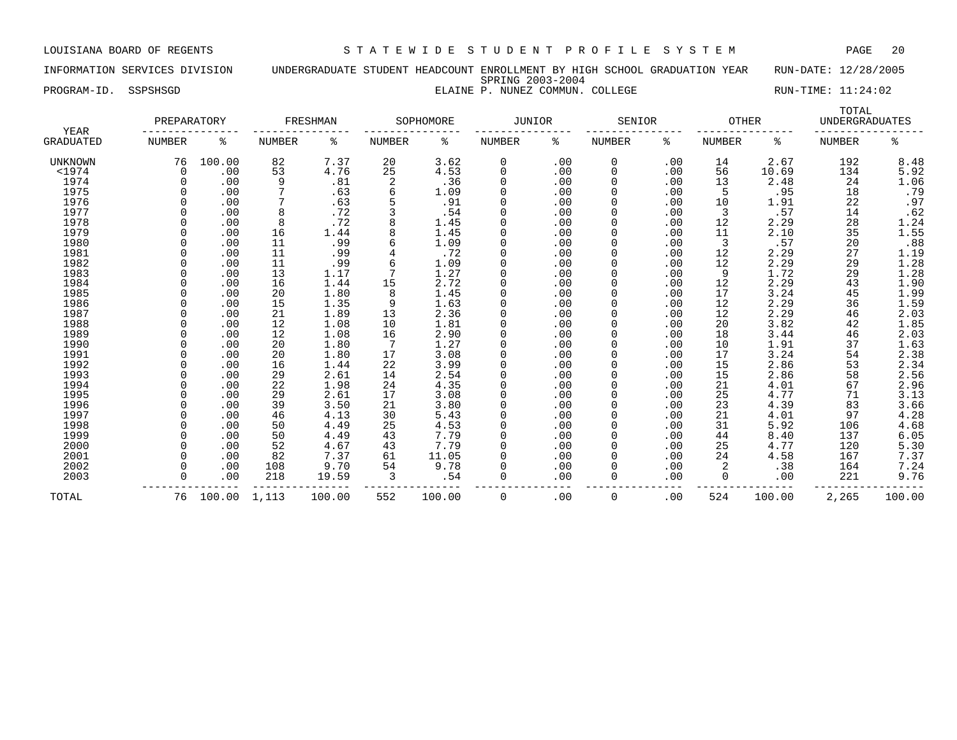INFORMATION SERVICES DIVISION UNDERGRADUATE STUDENT HEADCOUNT ENROLLMENT BY HIGH SCHOOL GRADUATION YEAR RUN-DATE: 12/28/2005 SPRING 2003-2004 PROGRAM-ID. SSPSHSGD **ELAINE P. NUNEZ COMMUN. COLLEGE** RUN-TIME: 11:24:02

| YEAR           | PREPARATORY |              |        | FRESHMAN |        | SOPHOMORE | <b>JUNIOR</b> |     | SENIOR        |     | OTHER    |        | TOTAL<br><b>UNDERGRADUATES</b> |                     |
|----------------|-------------|--------------|--------|----------|--------|-----------|---------------|-----|---------------|-----|----------|--------|--------------------------------|---------------------|
| GRADUATED      | NUMBER      | ႜ            | NUMBER | ႜ        | NUMBER | ႜ         | NUMBER        | ႜ   | <b>NUMBER</b> | ៖   | NUMBER   | ႜ      | <b>NUMBER</b>                  | နွ                  |
| <b>UNKNOWN</b> | 76          | 100.00       | 82     | 7.37     | 20     | 3.62      | 0             | .00 | 0             | .00 | 14       | 2.67   | 192                            | 8.48                |
| $1974$         | $\Omega$    | .00          | 53     | 4.76     | 25     | 4.53      | 0             | .00 | 0             | .00 | 56       | 10.69  | 134                            | 5.92                |
| 1974           |             | .00          | 9      | .81      |        | .36       | 0             | .00 | <sup>0</sup>  | .00 | 13       | 2.48   | 24                             | 1.06                |
| 1975           |             | .00          |        | .63      | 6      | 1.09      | 0             | .00 | <sup>0</sup>  | .00 |          | .95    | 18                             | .79                 |
| 1976           |             | .00          |        | .63      |        | .91       | 0             | .00 | <sup>0</sup>  | .00 | 10       | 1.91   | 22                             | .97                 |
| 1977           |             | .00          | 8      | .72      |        | .54       | U             | .00 | O             | .00 | 3        | .57    | 14                             | .62                 |
| 1978           |             | .00          | 8      | .72      | 8      | 1.45      | 0             | .00 | 0             | .00 | 12       | 2.29   | 28                             | 1.24                |
| 1979           |             | .00          | 16     | 1.44     | 8      | 1.45      | 0             | .00 | 0             | .00 | 11       | 2.10   | 35                             | 1.55                |
| 1980           |             | .00          | 11     | .99      | 6      | 1.09      | 0             | .00 | 0             | .00 | 3        | .57    | 20                             | .88                 |
| 1981           |             | .00          | 11     | .99      |        | .72       | 0             | .00 | 0             | .00 | 12       | 2.29   | 27                             | 1.19                |
| 1982           |             | .00          | 11     | .99      | 6      | 1.09      | 0             | .00 | 0             | .00 | 12       | 2.29   | 29                             | 1.28                |
| 1983           |             | .00          | 13     | 1.17     |        | 1.27      | O             | .00 | U             | .00 | 9        | 1.72   | 29                             | 1.28                |
| 1984           |             | .00          | 16     | 1.44     | 15     | 2.72      |               | .00 | U             | .00 | 12       | 2.29   | 43                             | 1.90                |
| 1985           |             | .00          | 20     | 1.80     | 8      | 1.45      |               | .00 |               | .00 | 17       | 3.24   | 45                             | 1.99                |
| 1986           |             | .00          | 15     | 1.35     | 9      | 1.63      | 0             | .00 |               | .00 | 12       | 2.29   | 36                             | 1.59                |
| 1987           |             | .00          | 21     | 1.89     | 13     | 2.36      | 0             | .00 | O             | .00 | 12       | 2.29   | 46                             | 2.03                |
| 1988           |             | .00          | 12     | 1.08     | 10     | 1.81      | 0             | .00 | <sup>0</sup>  | .00 | 20       | 3.82   | 42                             | 1.85                |
| 1989           |             | .00          | 12     | 1.08     | 16     | 2.90      | U             | .00 | <sup>0</sup>  | .00 | 18       | 3.44   | 46                             | 2.03                |
| 1990           |             | .00          | 20     | 1.80     | -7     | 1.27      | 0             | .00 | <sup>0</sup>  | .00 | 10       | 1.91   | 37                             |                     |
| 1991           |             | .00          | 20     | 1.80     | 17     | 3.08      | 0             | .00 | 0             | .00 | 17       | 3.24   | 54                             | $\frac{1.63}{2.38}$ |
| 1992           |             | .00          | 16     | 1.44     | 22     | 3.99      | 0             | .00 | 0             | .00 | 15       | 2.86   | 53                             | 2.34                |
| 1993           |             | .00          | 29     | 2.61     | 14     | 2.54      | 0             | .00 | 0             | .00 | 15       | 2.86   | 58                             | 2.56                |
| 1994           |             | .00          | 22     | 1.98     | 24     | 4.35      | 0             | .00 | 0             | .00 | 21       | 4.01   | 67                             | 2.96                |
| 1995           |             | .00          | 29     | 2.61     | 17     | 3.08      | 0             | .00 | 0             | .00 | 25       | 4.77   | 71                             | 3.13                |
| 1996           |             | .00          | 39     | 3.50     | 21     | 3.80      | O             | .00 | <sup>0</sup>  | .00 | 23       | 4.39   | 83                             | 3.66                |
| 1997           |             | .00          | 46     | 4.13     | 30     | 5.43      |               | .00 | ი             | .00 | 21       | 4.01   | 97                             | 4.28                |
| 1998           |             | .00          | 50     | 4.49     | 25     | 4.53      |               | .00 |               | .00 | 31       | 5.92   | 106                            | 4.68                |
| 1999           |             | .00          | 50     | 4.49     | 43     | 7.79      |               | .00 |               | .00 | 44       | 8.40   | 137                            | 6.05                |
| 2000           |             | .00          | 52     | 4.67     | 43     | 7.79      | 0             | .00 | O             | .00 | 25       | 4.77   | 120                            | 5.30                |
| 2001           |             | .00          | 82     | 7.37     | 61     | 11.05     | 0             | .00 | <sup>0</sup>  | .00 | 24       | 4.58   | 167                            | 7.37                |
| 2002           |             | .00          | 108    | 9.70     | 54     | 9.78      | 0             | .00 | <sup>0</sup>  | .00 |          | .38    | 164                            | 7.24                |
| 2003           |             | .00          | 218    | 19.59    | 3      | .54       | 0             | .00 | $\Omega$      | .00 | $\Omega$ | .00    | 221                            | 9.76                |
| TOTAL          | 76          | 100.00 1,113 |        | 100.00   | 552    | 100.00    | 0             | .00 | 0             | .00 | 524      | 100.00 | 2,265                          | 100.00              |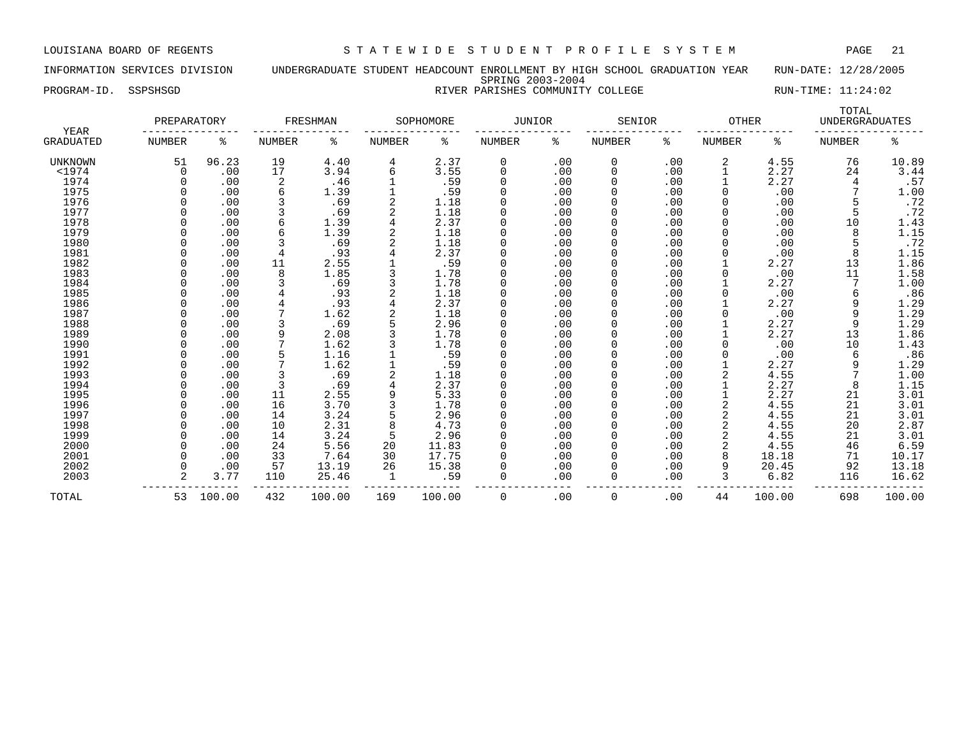### INFORMATION SERVICES DIVISION UNDERGRADUATE STUDENT HEADCOUNT ENROLLMENT BY HIGH SCHOOL GRADUATION YEAR RUN-DATE: 12/28/2005 SPRING 2003-2004 PROGRAM-ID. SSPSHSGD **RIVER PARISHES COMMUNITY COLLEGE** RUN-TIME: 11:24:02

|                                 | PREPARATORY |           |               | FRESHMAN |               | SOPHOMORE | <b>JUNIOR</b> |      | SENIOR        |     | <b>OTHER</b>  |        | TOTAL<br><b>UNDERGRADUATES</b> |                  |
|---------------------------------|-------------|-----------|---------------|----------|---------------|-----------|---------------|------|---------------|-----|---------------|--------|--------------------------------|------------------|
| <b>YEAR</b><br><b>GRADUATED</b> | NUMBER      | ႜ         | <b>NUMBER</b> | ႜ        | <b>NUMBER</b> | ႜ         | NUMBER        | ႜ    | <b>NUMBER</b> | ႜ   | <b>NUMBER</b> | ႜ      | <b>NUMBER</b>                  | ႜ                |
| UNKNOWN                         | 51          | 96.23     | 19            | 4.40     | 4             | 2.37      | 0             | .00  | 0             | .00 | 2             | 4.55   | 76                             | 10.89            |
| $<$ 1974                        | 0           | .00       | 17            | 3.94     | 6             | 3.55      | $\Omega$      | .00  | $\Omega$      | .00 |               | 2.27   | 24                             | 3.44             |
| 1974                            |             | .00       | 2             | .46      |               | .59       | $\Omega$      | .00  | $\Omega$      | .00 |               | 2.27   |                                | .57              |
| 1975                            |             | .00       |               | 1.39     |               | .59       | $\Omega$      | .00  | $\Omega$      | .00 | 0             | .00    |                                | 1.00             |
| 1976                            |             | .00       |               | .69      |               | 1.18      | 0             | .00  | $\Omega$      | .00 |               | .00    |                                | .72              |
| 1977                            |             | .00       |               | .69      | 2             | 1.18      | $\Omega$      | .00  | $\Omega$      | .00 |               | .00    |                                | .72              |
| 1978                            |             | .00       |               | 1.39     |               | 2.37      | 0             | .00  | 0             | .00 |               | .00    | 10                             | 1.43             |
| 1979                            |             | .00       |               | 1.39     |               | 1.18      |               | .00  | $\Omega$      | .00 |               | .00    | 8                              | 1.15             |
| 1980                            |             | .00       |               | .69      |               | 1.18      | $\Omega$      | .00  | $\Omega$      | .00 |               | .00    |                                | .72              |
| 1981                            |             | .00       |               | .93      |               | 2.37      | $\Omega$      | .00  | O             | .00 | U             | .00    | 8                              | 1.15             |
| 1982                            |             | .00       | 11            | 2.55     |               | .59       | $\Omega$      | .00  | O             | .00 |               | 2.27   | 13                             | 1.86             |
| 1983                            |             | .00       | 8             | 1.85     |               | 1.78      | $\Omega$      | .00  | $\Omega$      | .00 | U             | .00    | 11                             | 1.58             |
| 1984                            |             | .00       |               | .69      |               | 1.78      | $\Omega$      | .00  | $\Omega$      | .00 |               | 2.27   |                                | 1.00             |
| 1985                            |             | .00       |               | .93      |               | 1.18      | $\Omega$      | .00  | $\Omega$      | .00 |               | .00    |                                | .86              |
| 1986                            |             | .00       |               | .93      |               | 2.37      | $\Omega$      | .00  | 0             | .00 |               | 2.27   |                                | 1.29             |
| 1987                            |             | .00       |               | 1.62     |               | 1.18      | $\Omega$      | .00  | $\Omega$      | .00 |               | .00    | 9                              | 1.29             |
| 1988                            |             | .00       |               | .69      |               | 2.96      | $\Omega$      | .00  | $\Omega$      | .00 |               | 2.27   | 9                              | 1.29             |
| 1989                            |             | .00       |               | 2.08     |               | 1.78      | $\Omega$      | .00  | $\Omega$      | .00 |               | 2.27   | 13                             | 1.86             |
| 1990                            |             | .00       |               | 1.62     |               | 1.78      |               | .00  | $\Omega$      | .00 |               | .00    | 10                             | 1.43             |
| 1991                            |             | .00       |               | 1.16     |               | .59       |               | .00  | $\Omega$      | .00 |               | .00    | 6                              | .86              |
| 1992                            |             | .00       |               | 1.62     |               | .59       | $\Omega$      | .00  | $\Omega$      | .00 |               | 2.27   | 9                              | 1.29             |
| 1993                            |             | .00       |               | .69      |               | 1.18      | $\Omega$      | .00  | $\Omega$      | .00 |               | 4.55   |                                | 1.00             |
| 1994                            |             | .00       |               | .69      |               | 2.37      | $\Omega$      | .00  | O             | .00 |               | 2.27   | 8                              | 1.15             |
| 1995                            |             | .00       | 11            | 2.55     |               | 5.33      | $\Omega$      | .00  | O             | .00 |               | 2.27   | 21                             | 3.01             |
| 1996                            |             | .00       | 16            | 3.70     |               | 1.78      | 0             | .00  | $\Omega$      | .00 |               | 4.55   | 21                             | 3.01             |
| 1997                            |             | .00       | 14            | 3.24     | 5             | 2.96      | $\Omega$      | .00  |               | .00 | 2             | 4.55   | 21                             |                  |
| 1998                            |             | .00       | 10            | 2.31     |               | 4.73      | $\Omega$      | .00  | $\Omega$      | .00 | 2             | 4.55   | 20                             | $3.01$<br>$2.87$ |
| 1999                            |             | .00       | 14            | 3.24     | 5             | 2.96      | 0             | .00  | 0             | .00 | 2             | 4.55   | 21                             | 3.01             |
| 2000                            |             | .00       | 24            | 5.56     | 20            | 11.83     | $\Omega$      | .00  | $\Omega$      | .00 | 2             | 4.55   | 46                             | 6.59             |
| 2001                            |             | .00       | 33            | 7.64     | 30            | 17.75     |               | .00  | O             | .00 | 8             | 18.18  | 71                             | 10.17            |
| 2002                            |             | .00       | 57            | 13.19    | 26            | 15.38     |               | .00  | 0             | .00 | 9             | 20.45  | 92                             | 13.18            |
| 2003                            | 2           | 3.77      | 110           | 25.46    |               | .59       | 0             | .00  | $\Omega$      | .00 | 3             | 6.82   | 116                            | 16.62            |
| TOTAL                           |             | 53 100.00 | 432           | 100.00   | 169           | 100.00    | $\Omega$      | . 00 | 0             | .00 | 44            | 100.00 | 698                            | 100.00           |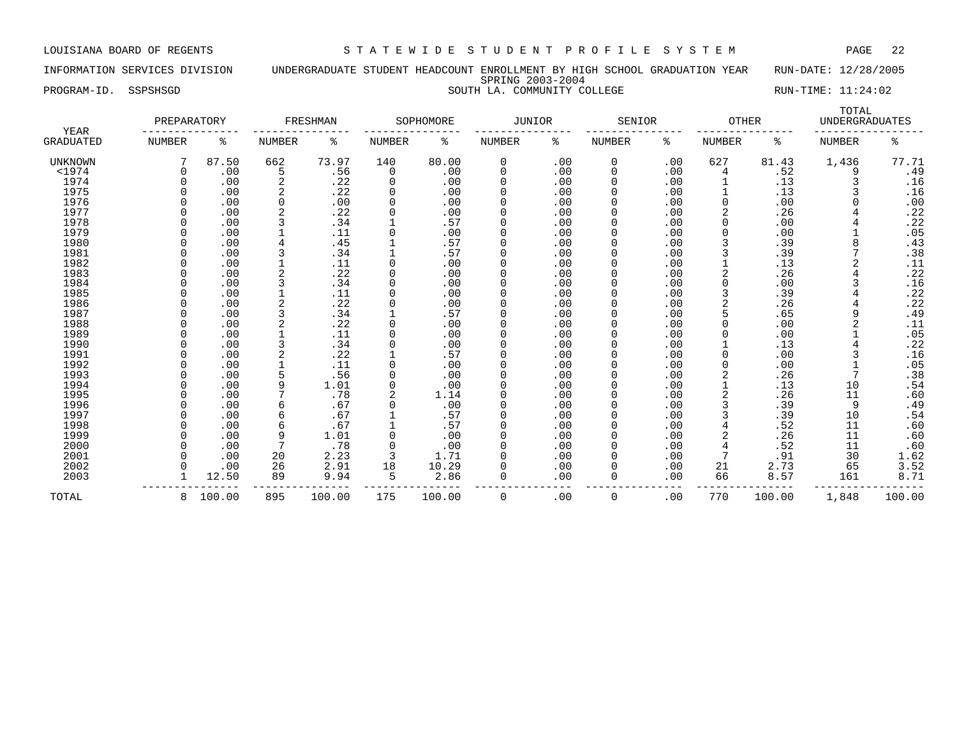INFORMATION SERVICES DIVISION UNDERGRADUATE STUDENT HEADCOUNT ENROLLMENT BY HIGH SCHOOL GRADUATION YEAR RUN-DATE: 12/28/2005 SPRING 2003-2004 PROGRAM-ID. SSPSHSGD SOUTH LA. COMMUNITY COLLEGE RUN-TIME: 11:24:02

| <b>YEAR</b>      | PREPARATORY   |        |        | FRESHMAN |          | SOPHOMORE | JUNIOR   |     | SENIOR        |     | <b>OTHER</b> |        | TOTAL<br><b>UNDERGRADUATES</b> |        |
|------------------|---------------|--------|--------|----------|----------|-----------|----------|-----|---------------|-----|--------------|--------|--------------------------------|--------|
| <b>GRADUATED</b> | <b>NUMBER</b> | ႜ      | NUMBER | ႜ        | NUMBER   | ႜ         | NUMBER   | ႜ   | <b>NUMBER</b> | ႜ   | NUMBER       | ႜ      | <b>NUMBER</b>                  | ႜ      |
| <b>UNKNOWN</b>   |               | 87.50  | 662    | 73.97    | 140      | 80.00     | 0        | .00 | 0             | .00 | 627          | 81.43  | 1,436                          | 77.71  |
| $<$ 1974         |               | .00    | 5      | .56      | 0        | .00       | 0        | .00 | 0             | .00 | 4            | .52    | 9                              | .49    |
| 1974             |               | .00    | 2      | .22      | $\Omega$ | .00       | $\Omega$ | .00 | <sup>0</sup>  | .00 |              | .13    |                                | .16    |
| 1975             |               | .00    |        | .22      | 0        | .00       | $\Omega$ | .00 | 0             | .00 |              | .13    |                                | .16    |
| 1976             |               | .00    | 0      | .00      |          | .00       | $\Omega$ | .00 | 0             | .00 | 0            | .00    |                                | .00    |
| 1977             |               | .00    |        | .22      |          | .00       | $\Omega$ | .00 | 0             | .00 | 2            | .26    |                                | .22    |
| 1978             |               | .00    |        | .34      |          | .57       | $\Omega$ | .00 | 0             | .00 | 0            | .00    |                                | .22    |
| 1979             |               | .00    |        | .11      |          | .00       | $\Omega$ | .00 | 0             | .00 | 0            | .00    |                                | .05    |
| 1980             |               | .00    |        | .45      |          | .57       | $\Omega$ | .00 | 0             | .00 | 3            | .39    | 8                              | .43    |
| 1981             |               | .00    |        | .34      |          | .57       | $\Omega$ | .00 | 0             | .00 |              | .39    |                                | .38    |
| 1982             |               | .00    |        | .11      |          | .00       | $\Omega$ | .00 | 0             | .00 |              | .13    |                                | .11    |
| 1983             |               | .00    |        | .22      |          | .00       | ∩        | .00 |               | .00 |              | .26    |                                | .22    |
| 1984             |               | .00    |        | .34      |          | .00       | $\Omega$ | .00 |               | .00 |              | .00    |                                | .16    |
| 1985             |               | .00    |        | .11      |          | .00       | ∩        | .00 |               | .00 |              | .39    |                                | .22    |
| 1986             |               | .00    |        | .22      |          | .00       | $\Omega$ | .00 |               | .00 | 2            | .26    |                                | .22    |
| 1987             |               | .00    |        | .34      |          | .57       | ∩        | .00 |               | .00 | 5            | .65    | 9                              | .49    |
| 1988             |               | .00    |        | .22      | $\Omega$ | .00       | $\Omega$ | .00 |               | .00 | 0            | .00    |                                | .11    |
| 1989             |               | .00    |        | .11      |          | .00       | $\Omega$ | .00 |               | .00 | 0            | .00    |                                | .05    |
| 1990             |               | .00    |        | .34      |          | .00       | $\Omega$ | .00 | O             | .00 |              | .13    |                                | .22    |
| 1991             |               | .00    | 2      | .22      |          | .57       | $\Omega$ | .00 | 0             | .00 | 0            | .00    | 3                              | .16    |
| 1992             |               | .00    |        | .11      |          | .00       | $\Omega$ | .00 | 0             | .00 | 0            | .00    |                                | .05    |
| 1993             |               | .00    |        | .56      |          | .00       | 0        | .00 | 0             | .00 | 2            | .26    | 7                              | .38    |
| 1994             |               | .00    | 9      | 1.01     | 0        | .00       | 0        | .00 | 0             | .00 |              | .13    | 10                             | .54    |
| 1995             |               | .00    |        | .78      | 2        | 1.14      | $\Omega$ | .00 | 0             | .00 | 2            | .26    | 11                             | .60    |
| 1996             |               | .00    | 6      | .67      |          | .00       | $\Omega$ | .00 | 0             | .00 | 3            | .39    | 9                              | .49    |
| 1997             |               | .00    | 6      | .67      |          | .57       |          | .00 |               | .00 | 3            | .39    | 10                             | .54    |
| 1998             |               | .00    | 6      | .67      |          | .57       | $\Omega$ | .00 |               | .00 |              | .52    | 11                             | .60    |
| 1999             |               | .00    | 9      | 1.01     |          | .00       | $\Omega$ | .00 |               | .00 |              | .26    | 11                             | .60    |
| 2000             |               | .00    |        | .78      |          | .00       | $\Omega$ | .00 |               | .00 |              | .52    | 11                             | .60    |
| 2001             |               | .00    | 20     | 2.23     | 3        | 1.71      | $\Omega$ | .00 |               | .00 |              | .91    | 30                             | 1.62   |
| 2002             |               | .00    | 26     | 2.91     | 18       | 10.29     | $\Omega$ | .00 |               | .00 | 21           | 2.73   | 65                             | 3.52   |
| 2003             |               | 12.50  | 89     | 9.94     | 5        | 2.86      | 0        | .00 | 0             | .00 | 66           | 8.57   | 161                            | 8.71   |
|                  |               |        |        |          |          |           |          |     |               |     |              |        |                                |        |
| TOTAL            | 8             | 100.00 | 895    | 100.00   | 175      | 100.00    | 0        | .00 | 0             | .00 | 770          | 100.00 | 1,848                          | 100.00 |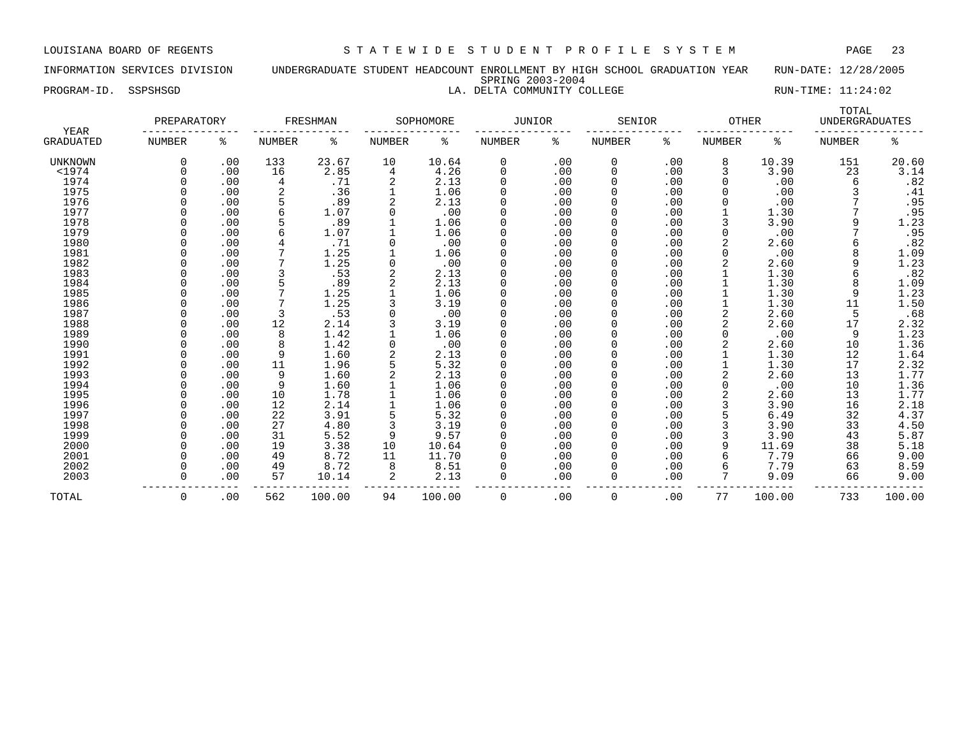### INFORMATION SERVICES DIVISION UNDERGRADUATE STUDENT HEADCOUNT ENROLLMENT BY HIGH SCHOOL GRADUATION YEAR RUN-DATE: 12/28/2005 SPRING 2003-2004 PROGRAM-ID. SSPSHSGD LA. DELTA COMMUNITY COLLEGE RUN-TIME: 11:24:02

|                          | PREPARATORY   |     |               | FRESHMAN |               | SOPHOMORE | JUNIOR   |     | SENIOR        |     | <b>OTHER</b>  |        | TOTAL<br><b>UNDERGRADUATES</b> |                |
|--------------------------|---------------|-----|---------------|----------|---------------|-----------|----------|-----|---------------|-----|---------------|--------|--------------------------------|----------------|
| YEAR<br><b>GRADUATED</b> | <b>NUMBER</b> | ႜ   | <b>NUMBER</b> | ႜ        | <b>NUMBER</b> | ႜ         | NUMBER   | နွ  | <b>NUMBER</b> | ႜ   | <b>NUMBER</b> | ႜ      | <b>NUMBER</b>                  | ႜ              |
| <b>UNKNOWN</b>           | 0             | .00 | 133           | 23.67    | 10            | 10.64     | 0        | .00 | 0             | .00 | 8             | 10.39  | 151                            | 20.60          |
| $<$ 1974                 |               | .00 | 16            | 2.85     | 4             | 4.26      | 0        | .00 | 0             | .00 | 3             | 3.90   | 23                             | 3.14           |
| 1974                     |               | .00 |               | .71      | 2             | 2.13      | $\Omega$ | .00 | 0             | .00 | 0             | .00    | 6                              | .82            |
| 1975                     |               | .00 |               | .36      |               | 1.06      | $\Omega$ | .00 | 0             | .00 |               | .00    |                                | .41            |
| 1976                     |               | .00 |               | .89      | 2             | 2.13      | $\Omega$ | .00 | 0             | .00 |               | .00    |                                | .95            |
| 1977                     |               | .00 |               | 1.07     |               | .00       | $\Omega$ | .00 | 0             | .00 |               | 1.30   |                                | .95            |
| 1978                     |               | .00 |               | .89      |               | 1.06      |          | .00 | 0             | .00 | 3             | 3.90   | 9                              | 1.23           |
| 1979                     |               | .00 |               | 1.07     |               | 1.06      |          | .00 | 0             | .00 | O             | .00    |                                | .95            |
| 1980                     |               | .00 |               | .71      |               | .00       |          | .00 | 0             | .00 |               | 2.60   |                                | .82            |
| 1981                     |               | .00 |               | 1.25     |               | 1.06      | $\Omega$ | .00 | 0             | .00 | <sup>0</sup>  | .00    |                                | 1.09           |
| 1982                     |               | .00 |               | 1.25     |               | .00       | $\Omega$ | .00 | 0             | .00 |               | 2.60   | q                              | 1.23           |
| 1983                     | U             | .00 |               | .53      |               | 2.13      | $\Omega$ | .00 | 0             | .00 |               | 1.30   |                                | .82            |
| 1984                     |               | .00 |               | .89      |               | 2.13      | $\Omega$ | .00 | 0             | .00 |               | 1.30   | 8                              | 1.09           |
| 1985                     |               | .00 |               | 1.25     |               | 1.06      | $\Omega$ | .00 | 0             | .00 |               | 1.30   | 9                              | 1.23           |
| 1986                     |               | .00 |               | 1.25     |               | 3.19      | $\Omega$ | .00 | 0             | .00 |               | 1.30   | 11                             | 1.50           |
| 1987                     |               | .00 |               | .53      |               | .00       | $\Omega$ | .00 | 0             | .00 |               | 2.60   | 5                              | .68            |
| 1988                     |               | .00 | 12            | 2.14     |               | 3.19      | $\Omega$ | .00 | 0             | .00 | 2             | 2.60   | 17                             | 2.32           |
| 1989                     |               | .00 | 8             | 1.42     |               | 1.06      | $\Omega$ | .00 | 0             | .00 |               | .00    | 9                              | 1.23           |
| 1990                     |               | .00 |               | 1.42     |               | .00       |          | .00 | 0             | .00 |               | 2.60   | 10                             | 1.36           |
| 1991                     |               | .00 | 9             | 1.60     |               | 2.13      |          | .00 | 0             | .00 |               | 1.30   | 12                             | 1.64           |
| 1992                     |               | .00 | 11            | 1.96     |               | 5.32      | $\Omega$ | .00 | 0             | .00 |               | 1.30   | 17                             | 2.32           |
| 1993                     |               | .00 | 9             | 1.60     |               | 2.13      | $\Omega$ | .00 | 0             | .00 |               | 2.60   | 13                             | 1.77           |
| 1994                     |               | .00 | 9             | 1.60     |               | 1.06      | $\Omega$ | .00 | <sup>0</sup>  | .00 | <sup>0</sup>  | .00    | 10                             | 1.36           |
| 1995                     |               | .00 | 10            | 1.78     |               | 1.06      | $\Omega$ | .00 | 0             | .00 | 2             | 2.60   | 13                             | 1.77           |
| 1996                     |               | .00 | 12            | 2.14     |               | 1.06      | $\Omega$ | .00 | 0             | .00 | 3             | 3.90   | 16                             | 2.18           |
| 1997                     |               | .00 | 22            | 3.91     |               | 5.32      | $\Omega$ | .00 | 0             | .00 | 5             | 6.49   | 32                             | 4.37           |
| 1998                     |               | .00 | 27            | 4.80     |               | 3.19      | $\Omega$ | .00 | 0             | .00 |               | 3.90   | 33                             |                |
| 1999                     |               | .00 | 31            | 5.52     | 9             | 9.57      | $\Omega$ | .00 | 0             | .00 | 3             | 3.90   | 43                             | $4.50$<br>5.87 |
| 2000                     |               | .00 | 19            | 3.38     | 10            | 10.64     | $\Omega$ | .00 | 0             | .00 | 9             | 11.69  | 38                             | 5.18           |
| 2001                     |               | .00 | 49            | 8.72     | 11            | 11.70     |          | .00 | 0             | .00 | 6             | 7.79   | 66                             | 9.00           |
| 2002                     |               | .00 | 49            | 8.72     | 8             | 8.51      |          | .00 | 0             | .00 | 6             | 7.79   | 63                             | 8.59           |
| 2003                     |               | .00 | 57            | 10.14    | 2             | 2.13      | $\Omega$ | .00 | 0             | .00 |               | 9.09   | 66                             | 9.00           |
| TOTAL                    | $\Omega$      | .00 | 562           | 100.00   | 94            | 100.00    | $\Omega$ | .00 | $\Omega$      | .00 | 77            | 100.00 | 733                            | 100.00         |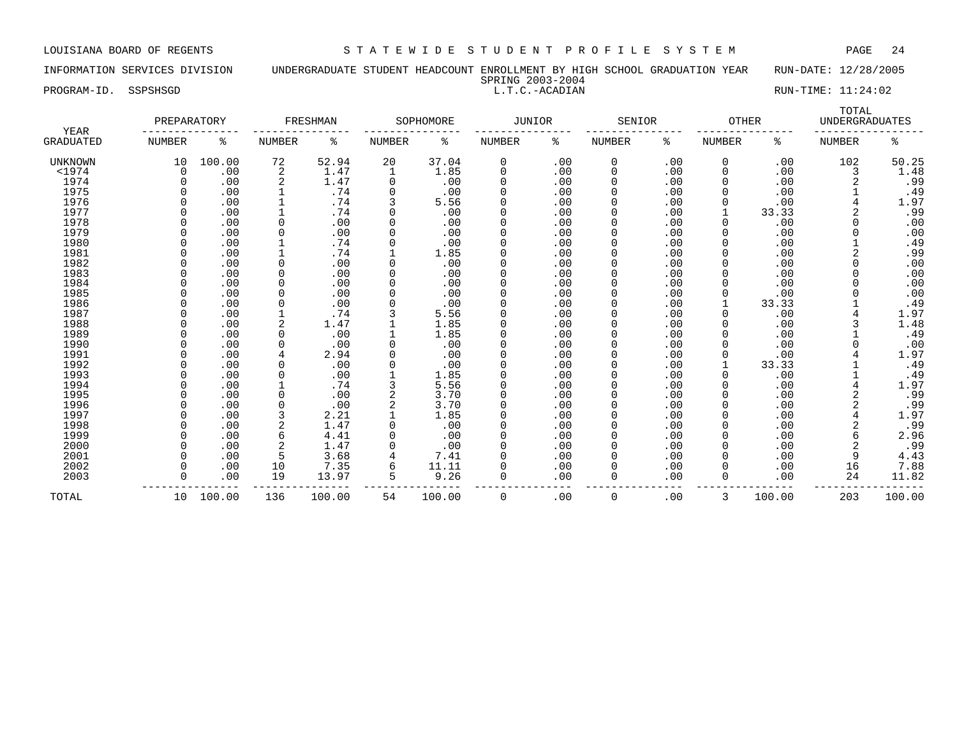PROGRAM-ID. SSPSHSGD SALLT.C.-ACADIAN L.T.C.-ACADIAN RUN-TIME: 11:24:02

### INFORMATION SERVICES DIVISION UNDERGRADUATE STUDENT HEADCOUNT ENROLLMENT BY HIGH SCHOOL GRADUATION YEAR RUN-DATE: 12/28/2005 SPRING 2003-2004

| YEAR             | PREPARATORY |           |        | FRESHMAN |               | SOPHOMORE | JUNIOR      |     | SENIOR        |     | <b>OTHER</b>  |        | TOTAL<br><b>UNDERGRADUATES</b> |        |
|------------------|-------------|-----------|--------|----------|---------------|-----------|-------------|-----|---------------|-----|---------------|--------|--------------------------------|--------|
| <b>GRADUATED</b> | NUMBER      | ႜ         | NUMBER | ిక       | <b>NUMBER</b> | ႜ         | NUMBER      | နွ  | <b>NUMBER</b> | နွ  | <b>NUMBER</b> | ႜ      | <b>NUMBER</b>                  | နွ     |
| <b>UNKNOWN</b>   | 10          | 100.00    | 72     | 52.94    | 20            | 37.04     | 0           | .00 | $\mathbf 0$   | .00 | 0             | .00    | 102                            | 50.25  |
| $<$ 1974         | 0           | .00       | 2      | 1.47     | 1             | 1.85      | $\mathbf 0$ | .00 | 0             | .00 | 0             | .00    | 3                              | 1.48   |
| 1974             |             | .00       |        | 1.47     |               | .00       | $\Omega$    | .00 | 0             | .00 | 0             | .00    |                                | .99    |
| 1975             |             | .00       |        | .74      | $\Omega$      | .00       | $\Omega$    | .00 | 0             | .00 | <sup>0</sup>  | .00    |                                | .49    |
| 1976             |             | .00       |        | .74      |               | 5.56      |             | .00 | 0             | .00 | O             | .00    |                                | 1.97   |
| 1977             |             | .00       |        | .74      |               | .00       |             | .00 | 0             | .00 |               | 33.33  |                                | .99    |
| 1978             |             | .00       |        | .00      |               | .00       |             | .00 | 0             | .00 |               | .00    |                                | .00    |
| 1979             |             | .00       |        | .00      |               | .00       |             | .00 | 0             | .00 |               | .00    |                                | .00    |
| 1980             |             | .00       |        | .74      |               | .00       | $\Omega$    | .00 | 0             | .00 | <sup>0</sup>  | .00    |                                | .49    |
| 1981             |             | .00       |        | .74      |               | 1.85      | $\Omega$    | .00 | <sup>0</sup>  | .00 | <sup>0</sup>  | .00    |                                | .99    |
| 1982             |             | .00       |        | .00      |               | .00       | $\Omega$    | .00 | <sup>0</sup>  | .00 | <sup>0</sup>  | .00    | <sup>n</sup>                   | .00    |
| 1983             |             | .00       |        | .00      |               | .00       | $\Omega$    | .00 | 0             | .00 | <sup>0</sup>  | .00    | $\Omega$                       | .00    |
| 1984             |             | .00       |        | .00      |               | .00       | $\Omega$    | .00 | 0             | .00 | 0             | .00    |                                | .00    |
| 1985             |             | .00       |        | .00      |               | .00       | $\Omega$    | .00 | 0             | .00 |               | .00    |                                | .00    |
| 1986             |             | .00       |        | .00      |               | .00       | $\Omega$    | .00 | 0             | .00 |               | 33.33  |                                | .49    |
| 1987             |             | .00       |        | .74      |               | 5.56      | $\Omega$    | .00 | 0             | .00 |               | .00    |                                | 1.97   |
| 1988             |             | .00       |        | 1.47     |               | 1.85      | $\Omega$    | .00 | 0             | .00 |               | .00    |                                | 1.48   |
| 1989             |             | .00       |        | .00      |               | 1.85      |             | .00 | 0             | .00 |               | .00    |                                | .49    |
| 1990             |             | .00       |        | .00      |               | .00       |             | .00 | 0             | .00 |               | .00    |                                | .00    |
| 1991             |             | .00       |        | 2.94     |               | .00       |             | .00 | 0             | .00 |               | .00    |                                | 1.97   |
| 1992             |             | .00       |        | .00      |               | .00       | $\Omega$    | .00 | 0             | .00 |               | 33.33  |                                | .49    |
| 1993             |             | .00       |        | .00      |               | 1.85      | $\Omega$    | .00 | <sup>0</sup>  | .00 |               | .00    |                                | .49    |
| 1994             |             | .00       |        | .74      |               | 5.56      | $\Omega$    | .00 | <sup>0</sup>  | .00 | <sup>0</sup>  | .00    |                                | 1.97   |
| 1995             |             | .00       |        | .00      |               | 3.70      | $\Omega$    | .00 | 0             | .00 | 0             | .00    |                                | .99    |
| 1996             |             | .00       |        | .00      |               | 3.70      |             | .00 | 0             | .00 | 0             | .00    |                                | .99    |
| 1997             |             | .00       |        | 2.21     |               | 1.85      | $\Omega$    | .00 | 0             | .00 |               | .00    |                                | 1.97   |
| 1998             |             | .00       |        | 1.47     |               | .00       | $\Omega$    | .00 | 0             | .00 | 0             | .00    |                                | .99    |
| 1999             |             | .00       | 6      | 4.41     |               | .00       | $\Omega$    | .00 | 0             | .00 | 0             | .00    |                                | 2.96   |
| 2000             |             | .00       |        | 1.47     |               | .00       | $\Omega$    | .00 | 0             | .00 | <sup>0</sup>  | .00    |                                | .99    |
| 2001             |             | .00       | 5      | 3.68     |               | 7.41      |             | .00 | 0             | .00 | O             | .00    | 9                              | 4.43   |
| 2002             |             | .00       | 10     | 7.35     | 6             | 11.11     |             | .00 | 0             | .00 | 0             | .00    | 16                             | 7.88   |
| 2003             | U           | .00       | 19     | 13.97    | 5             | 9.26      | $\Omega$    | .00 | 0             | .00 | 0             | .00    | 24                             | 11.82  |
| TOTAL            |             | 10 100.00 | 136    | 100.00   | 54            | 100.00    | $\Omega$    | .00 | $\Omega$      | .00 | 3             | 100.00 | 203                            | 100.00 |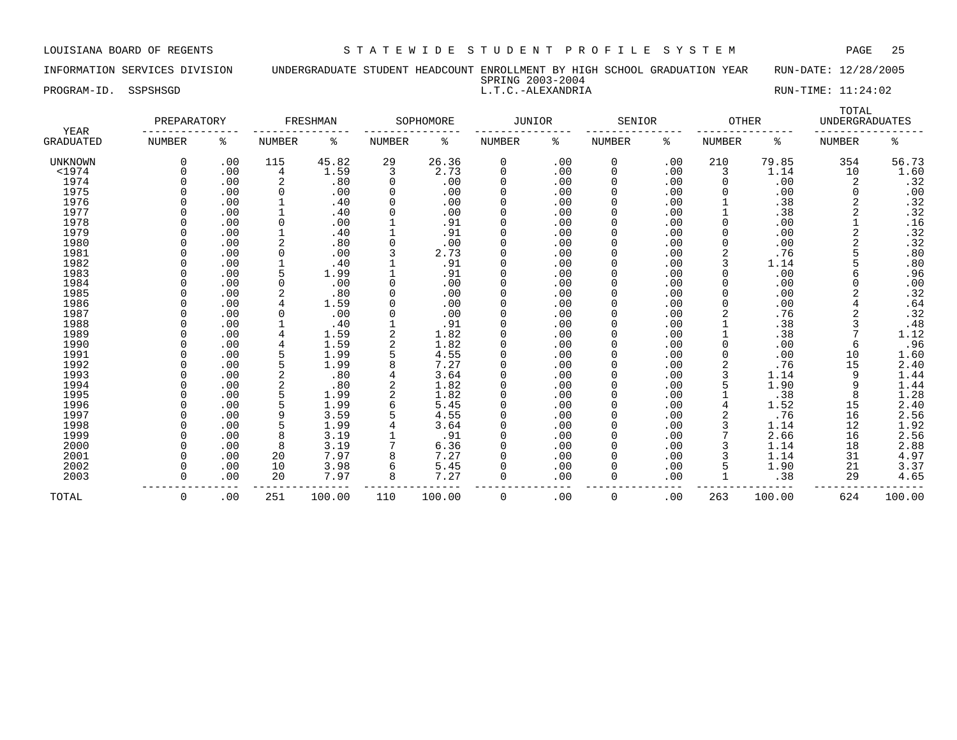INFORMATION SERVICES DIVISION UNDERGRADUATE STUDENT HEADCOUNT ENROLLMENT BY HIGH SCHOOL GRADUATION YEAR RUN-DATE: 12/28/2005 SPRING 2003-2004

PROGRAM-ID. SSPSHSGD SALLARY SOME L.T.C.-ALEXANDRIA RUN-TIME: 11:24:02

|                          | PREPARATORY   |     |               | FRESHMAN |               | SOPHOMORE | JUNIOR      |     | SENIOR        |     | <b>OTHER</b>  |        | TOTAL<br><b>UNDERGRADUATES</b> |                |
|--------------------------|---------------|-----|---------------|----------|---------------|-----------|-------------|-----|---------------|-----|---------------|--------|--------------------------------|----------------|
| YEAR<br><b>GRADUATED</b> | <b>NUMBER</b> | ႜ   | <b>NUMBER</b> | ႜ        | <b>NUMBER</b> | ႜ         | NUMBER      | ႜ   | <b>NUMBER</b> | ႜ   | <b>NUMBER</b> | ႜ      | <b>NUMBER</b>                  | ႜ              |
| <b>UNKNOWN</b>           | 0             | .00 | 115           | 45.82    | 29            | 26.36     | 0           | .00 | 0             | .00 | 210           | 79.85  | 354                            | 56.73          |
| $<$ 1974                 |               | .00 | 4             | 1.59     | 3             | 2.73      | 0           | .00 | 0             | .00 | 3             | 1.14   | 10                             | 1.60           |
| 1974                     |               | .00 | 2             | .80      | $\Omega$      | .00       | 0           | .00 | 0             | .00 | 0             | .00    | 2                              | .32            |
| 1975                     |               | .00 | 0             | .00      |               | .00       | $\Omega$    | .00 |               | .00 |               | .00    | 0                              | .00            |
| 1976                     |               | .00 |               | .40      |               | .00       | $\Omega$    | .00 | 0             | .00 |               | .38    |                                | .32            |
| 1977                     |               | .00 | 1             | .40      |               | .00       | $\Omega$    | .00 |               | .00 |               | .38    |                                | .32            |
| 1978                     |               | .00 | 0             | .00      |               | .91       | 0           | .00 |               | .00 | 0             | .00    |                                | .16            |
| 1979                     |               | .00 |               | .40      |               | .91       | $\Omega$    | .00 |               | .00 |               | .00    |                                | .32            |
| 1980                     |               | .00 | 2             | .80      |               | .00       | $\Omega$    | .00 |               | .00 | 0             | .00    |                                | $.32$<br>$.80$ |
| 1981                     |               | .00 | $\Omega$      | .00      |               | 2.73      | $\Omega$    | .00 |               | .00 | 2             | .76    |                                |                |
| 1982                     |               | .00 | $\mathbf 1$   | .40      |               | .91       | O           | .00 |               | .00 | 3             | 1.14   |                                | .80            |
| 1983                     |               | .00 | 5             | 1.99     |               | .91       | $\Omega$    | .00 |               | .00 | 0             | .00    |                                | .96            |
| 1984                     |               | .00 | $\Omega$      | .00      |               | .00       | $\Omega$    | .00 |               | .00 | U             | .00    | $\Omega$                       | .00            |
| 1985                     |               | .00 | 2             | .80      |               | .00       | $\mathbf 0$ | .00 |               | .00 |               | .00    |                                | .32            |
| 1986                     |               | .00 | 4             | 1.59     |               | .00       | 0           | .00 |               | .00 |               | .00    |                                | .64            |
| 1987                     |               | .00 | 0             | .00      |               | .00       | 0           | .00 |               | .00 |               | .76    |                                | .32            |
| 1988                     |               | .00 |               | .40      |               | .91       | $\Omega$    | .00 | 0             | .00 |               | .38    |                                | .48            |
| 1989                     |               | .00 |               | 1.59     |               | 1.82      | $\Omega$    | .00 |               | .00 |               | .38    | 7                              | 1.12           |
| 1990                     |               | .00 |               | 1.59     |               | 1.82      | $\Omega$    | .00 |               | .00 |               | .00    | 6                              | .96            |
| 1991                     |               | .00 |               | 1.99     |               | 4.55      | $\Omega$    | .00 |               | .00 |               | .00    | 10                             | 1.60           |
| 1992                     |               | .00 |               | 1.99     |               | 7.27      | 0           | .00 |               | .00 |               | .76    | 15                             | 2.40           |
| 1993                     |               | .00 |               | .80      |               | 3.64      | $\Omega$    | .00 |               | .00 | 3             | 1.14   | 9                              | 1.44           |
| 1994                     |               | .00 |               | .80      |               | 1.82      | O           | .00 |               | .00 |               | 1.90   | 9                              | 1.44           |
| 1995                     |               | .00 |               | 1.99     |               | 1.82      | $\Omega$    | .00 |               | .00 |               | .38    | 8                              | 1.28           |
| 1996                     |               | .00 |               | 1.99     |               | 5.45      | 0           | .00 |               | .00 |               | 1.52   | 15                             | 2.40           |
| 1997                     |               | .00 | 9             | 3.59     |               | 4.55      | 0           | .00 |               | .00 |               | .76    | 16                             |                |
| 1998                     |               | .00 |               | 1.99     |               | 3.64      | 0           | .00 |               | .00 |               | 1.14   | 12                             | 2.56<br>1.92   |
| 1999                     |               | .00 | 8             | 3.19     |               | .91       | 0           | .00 |               | .00 |               | 2.66   | 16                             | 2.56           |
| 2000                     |               | .00 | 8             | 3.19     |               | 6.36      | 0           | .00 | O             | .00 |               | 1.14   | 18                             | 2.88           |
| 2001                     |               | .00 | 20            | 7.97     |               | 7.27      | $\Omega$    | .00 |               | .00 |               | 1.14   | 31                             | 4.97           |
| 2002                     |               | .00 | 10            | 3.98     |               | 5.45      | $\Omega$    | .00 |               | .00 | 5             | 1.90   | 21                             | 3.37           |
| 2003                     |               | .00 | 20            | 7.97     | 8             | 7.27      | 0           | .00 | 0             | .00 |               | .38    | 29                             | 4.65           |
| TOTAL                    | $\Omega$      | .00 | 251           | 100.00   | 110           | 100.00    | $\Omega$    | .00 | $\Omega$      | .00 | 263           | 100.00 | 624                            | 100.00         |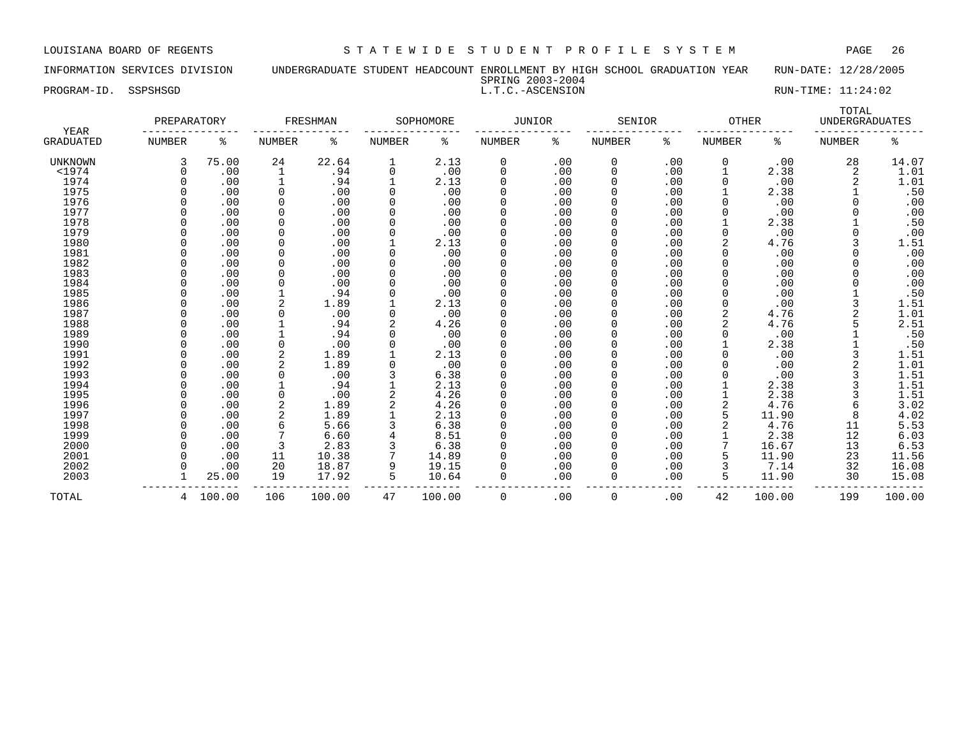INFORMATION SERVICES DIVISION UNDERGRADUATE STUDENT HEADCOUNT ENROLLMENT BY HIGH SCHOOL GRADUATION YEAR RUN-DATE: 12/28/2005

SPRING 2003-2004

PROGRAM-ID. SSPSHSGD L.T.C.-ASCENSION RUN-TIME: 11:24:02

| YEAR           | PREPARATORY   |        |               | FRESHMAN |               | SOPHOMORE | <b>JUNIOR</b> |     | SENIOR        |     |               | <b>OTHER</b> | TOTAL<br><b>UNDERGRADUATES</b> |        |
|----------------|---------------|--------|---------------|----------|---------------|-----------|---------------|-----|---------------|-----|---------------|--------------|--------------------------------|--------|
| GRADUATED      | <b>NUMBER</b> | နွ     | <b>NUMBER</b> | နွ       | <b>NUMBER</b> | ႜ         | NUMBER        | ႜ   | <b>NUMBER</b> | နွ  | <b>NUMBER</b> | ႜ            | <b>NUMBER</b>                  | ి      |
| <b>UNKNOWN</b> | 3             | 75.00  | 24            | 22.64    | 1             | 2.13      | 0             | .00 | 0             | .00 | 0             | .00          | 28                             | 14.07  |
| $<$ 1974       | $\cap$        | .00    | 1             | .94      | 0             | .00       | $\Omega$      | .00 | $\Omega$      | .00 |               | 2.38         | 2                              | 1.01   |
| 1974           |               | .00    | $\mathbf{1}$  | .94      |               | 2.13      | $\Omega$      | .00 | $\Omega$      | .00 |               | .00          |                                | 1.01   |
| 1975           |               | .00    | <sup>0</sup>  | .00      | $\Omega$      | .00       |               | .00 | $\Omega$      | .00 |               | 2.38         |                                | .50    |
| 1976           |               | .00    | <sup>0</sup>  | .00      | 0             | .00       |               | .00 | O             | .00 |               | .00          |                                | .00    |
| 1977           |               | .00    | <sup>0</sup>  | .00      | 0             | .00       |               | .00 |               | .00 |               | .00          |                                | .00    |
| 1978           |               | .00    | 0             | .00      |               | .00       |               | .00 |               | .00 |               | 2.38         |                                | .50    |
| 1979           |               | .00    | 0             | .00      |               | .00       |               | .00 |               | .00 |               | .00          |                                | .00    |
| 1980           |               | .00    | 0             | .00      |               | 2.13      |               | .00 |               | .00 |               | 4.76         |                                | 1.51   |
| 1981           |               | .00    | 0             | .00      | 0             | .00       | $\Omega$      | .00 | $\Omega$      | .00 |               | .00          |                                | .00    |
| 1982           |               | .00    | 0             | .00      | 0             | .00       |               | .00 | $\Omega$      | .00 |               | .00          |                                | .00    |
| 1983           |               | .00    | 0             | .00      | 0             | .00       |               | .00 | O             | .00 |               | .00          |                                | .00    |
| 1984           |               | .00    | O             | .00      |               | .00       |               | .00 |               | .00 |               | .00          |                                | .00    |
| 1985           |               | .00    |               | .94      |               | .00       |               | .00 |               | .00 |               | .00          |                                | .50    |
| 1986           |               | .00    | 2             | 1.89     |               | 2.13      |               | .00 |               | .00 |               | .00          |                                | 1.51   |
| 1987           |               | .00    | 0             | .00      | 0             | .00       |               | .00 |               | .00 |               | 4.76         |                                | 1.01   |
| 1988           |               | .00    |               | .94      |               | 4.26      |               | .00 |               | .00 |               | 4.76         |                                | 2.51   |
| 1989           |               | .00    |               | .94      | U             | .00       |               | .00 |               | .00 |               | .00          |                                | .50    |
| 1990           |               | .00    | 0             | .00      | 0             | .00       |               | .00 | $\Omega$      | .00 |               | 2.38         |                                | .50    |
| 1991           |               | .00    | 2             | 1.89     |               | 2.13      |               | .00 |               | .00 |               | .00          |                                | 1.51   |
| 1992           |               | .00    | 2             | 1.89     |               | .00       |               | .00 |               | .00 |               | .00          |                                | 1.01   |
| 1993           |               | .00    | 0             | .00      | 3             | 6.38      |               | .00 |               | .00 |               | .00          |                                | 1.51   |
| 1994           |               | .00    |               | .94      |               | 2.13      |               | .00 |               | .00 |               | 2.38         |                                | 1.51   |
| 1995           |               | .00    | 0             | .00      |               | 4.26      |               | .00 | $\Omega$      | .00 |               | 2.38         |                                | 1.51   |
| 1996           |               | .00    | 2             | 1.89     |               | 4.26      |               | .00 | $\Omega$      | .00 |               | 4.76         |                                | 3.02   |
| 1997           |               | .00    | 2             | 1.89     |               | 2.13      |               | .00 | $\Omega$      | .00 | 5             | 11.90        |                                | 4.02   |
| 1998           |               | .00    | 6             | 5.66     |               | 6.38      |               | .00 | 0             | .00 |               | 4.76         | 11                             | 5.53   |
| 1999           |               | .00    |               | 6.60     |               | 8.51      |               | .00 |               | .00 |               | 2.38         | 12                             | 6.03   |
| 2000           |               | .00    |               | 2.83     |               | 6.38      |               | .00 |               | .00 |               | 16.67        | 13                             | 6.53   |
| 2001           |               | .00    | 11            | 10.38    |               | 14.89     |               | .00 |               | .00 |               | 11.90        | 23                             | 11.56  |
| 2002           |               | .00    | 20            | 18.87    | 9             | 19.15     |               | .00 | $\Omega$      | .00 |               | 7.14         | 32                             | 16.08  |
| 2003           |               | 25.00  | 19            | 17.92    | 5             | 10.64     | 0             | .00 | $\Omega$      | .00 | 5             | 11.90        | 30                             | 15.08  |
| TOTAL          | 4             | 100.00 | 106           | 100.00   | 47            | 100.00    | 0             | .00 | 0             | .00 | 42            | 100.00       | 199                            | 100.00 |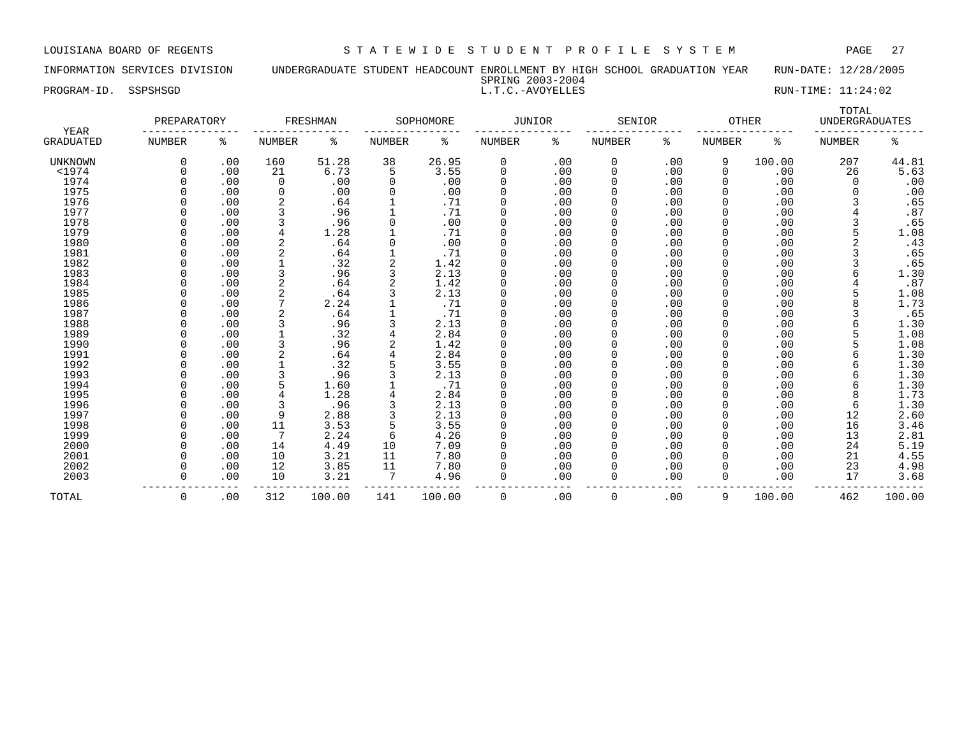INFORMATION SERVICES DIVISION UNDERGRADUATE STUDENT HEADCOUNT ENROLLMENT BY HIGH SCHOOL GRADUATION YEAR RUN-DATE: 12/28/2005

|           |          | . |                     | ----------<br>--- <i>-</i> -- - - - |  |
|-----------|----------|---|---------------------|-------------------------------------|--|
|           |          |   | 2003-2004<br>SPRING |                                     |  |
| PROGRAM-I | SSPSHSGD |   | - AVOVET LEC        | 11:24:02<br>$RUN-1$<br>-TTMF:       |  |
|           |          |   |                     |                                     |  |

|                          | PREPARATORY   |     |                | FRESHMAN |                | SOPHOMORE | <b>JUNIOR</b> |     | SENIOR        |     | <b>OTHER</b>  |        | TOTAL<br><b>UNDERGRADUATES</b> |        |
|--------------------------|---------------|-----|----------------|----------|----------------|-----------|---------------|-----|---------------|-----|---------------|--------|--------------------------------|--------|
| YEAR<br><b>GRADUATED</b> | <b>NUMBER</b> | ႜ   | NUMBER         | နွ       | <b>NUMBER</b>  | နွ        | NUMBER        | ႜ   | <b>NUMBER</b> | ႜ   | <b>NUMBER</b> | ႜ      | <b>NUMBER</b>                  | ႜ      |
| UNKNOWN                  | $\Omega$      | .00 | 160            | 51.28    | 38             | 26.95     | 0             | .00 | 0             | .00 | 9             | 100.00 | 207                            | 44.81  |
| $1974$                   |               | .00 | 21             | 6.73     | 5              | 3.55      | 0             | .00 | $\Omega$      | .00 | $\mathbf 0$   | .00    | 26                             | 5.63   |
| 1974                     |               | .00 | $\mathbf 0$    | .00      | 0              | .00       | $\Omega$      | .00 | $\Omega$      | .00 | 0             | .00    |                                | .00    |
| 1975                     |               | .00 | $\mathbf 0$    | .00      | 0              | .00       | $\Omega$      | .00 | $\Omega$      | .00 | 0             | .00    |                                | .00    |
| 1976                     |               | .00 | $\overline{2}$ | .64      |                | .71       | 0             | .00 | $\Omega$      | .00 | 0             | .00    |                                | .65    |
| 1977                     |               | .00 | 3              | .96      |                | .71       | 0             | .00 | 0             | .00 | 0             | .00    |                                | .87    |
| 1978                     |               | .00 | 3              | .96      | 0              | .00       | $\Omega$      | .00 | $\Omega$      | .00 | 0             | .00    |                                | .65    |
| 1979                     |               | .00 | $\overline{4}$ | 1.28     |                | .71       | 0             | .00 | $\Omega$      | .00 | $\Omega$      | .00    |                                | 1.08   |
| 1980                     | ∩             | .00 | $\overline{2}$ | .64      | 0              | .00       | $\Omega$      | .00 | $\Omega$      | .00 | $\Omega$      | .00    |                                | .43    |
| 1981                     |               | .00 | $\overline{2}$ | .64      |                | .71       | 0             | .00 | $\Omega$      | .00 | $\Omega$      | .00    |                                | .65    |
| 1982                     |               | .00 |                | .32      | 2              | 1.42      | 0             | .00 |               | .00 | 0             | .00    |                                | .65    |
| 1983                     |               | .00 | 3              | .96      | 3              | 2.13      | 0             | .00 |               | .00 | $\Omega$      | .00    | 6                              | 1.30   |
| 1984                     |               | .00 | $\overline{2}$ | .64      | 2              | 1.42      | 0             | .00 | $\Omega$      | .00 | 0             | .00    |                                | .87    |
| 1985                     |               | .00 | 2              | . 64     |                | 2.13      | $\Omega$      | .00 | $\Omega$      | .00 | 0             | .00    | 5                              | 1.08   |
| 1986                     |               | .00 |                | 2.24     |                | .71       | $\Omega$      | .00 | $\Omega$      | .00 |               | .00    |                                | 1.73   |
| 1987                     |               | .00 | $\overline{2}$ | .64      |                | .71       | $\Omega$      | .00 |               | .00 | C             | .00    |                                | .65    |
| 1988                     |               | .00 | 3              | .96      |                | 2.13      | $\Omega$      | .00 |               | .00 | $\Omega$      | .00    |                                | 1.30   |
| 1989                     |               | .00 |                | .32      | 4              | 2.84      | $\Omega$      | .00 | $\Omega$      | .00 | $\Omega$      | .00    |                                | 1.08   |
| 1990                     |               | .00 | 3              | .96      | $\overline{a}$ | 1.42      | $\Omega$      | .00 | $\Omega$      | .00 | $\Omega$      | .00    |                                | 1.08   |
| 1991                     |               | .00 | $\overline{2}$ | .64      |                | 2.84      | 0             | .00 |               | .00 | 0             | .00    | 6                              | 1.30   |
| 1992                     |               | .00 |                | .32      | 5              | 3.55      | 0             | .00 |               | .00 | $\Omega$      | .00    | 6                              | 1.30   |
| 1993                     |               | .00 | 3              | .96      | 3              | 2.13      | 0             | .00 | $\Omega$      | .00 | 0             | .00    | 6                              | 1.30   |
| 1994                     | ∩             | .00 |                | 1.60     |                | .71       | 0             | .00 | $\Omega$      | .00 | 0             | .00    | 6                              | 1.30   |
| 1995                     |               | .00 | $\overline{4}$ | 1.28     | 4              | 2.84      | $\Omega$      | .00 | $\Omega$      | .00 | 0             | .00    | 8                              | 1.73   |
| 1996                     |               | .00 | 3              | .96      | 3              | 2.13      | $\Omega$      | .00 | $\Omega$      | .00 | 0             | .00    | 6                              | 1.30   |
| 1997                     |               | .00 | 9              | 2.88     |                | 2.13      | $\Omega$      | .00 | $\Omega$      | .00 | 0             | .00    | 12                             | 2.60   |
| 1998                     |               | .00 | 11             | 3.53     | 5              | 3.55      | 0             | .00 | $\Omega$      | .00 | $\Omega$      | .00    | 16                             | 3.46   |
| 1999                     | ∩             | .00 | 7              | 2.24     | 6              | 4.26      | $\Omega$      | .00 | $\Omega$      | .00 | $\Omega$      | .00    | 13                             | 2.81   |
| 2000                     |               | .00 | 14             | 4.49     | 10             | 7.09      | 0             | .00 | $\Omega$      | .00 | $\Omega$      | .00    | 24                             | 5.19   |
| 2001                     |               | .00 | 10             | 3.21     | 11             | 7.80      | $\Omega$      | .00 |               | .00 | $\Omega$      | .00    | 21                             | 4.55   |
| 2002                     |               | .00 | 12             | 3.85     | 11             | 7.80      | $\Omega$      | .00 |               | .00 | $\Omega$      | .00    | 23                             | 4.98   |
| 2003                     | $\Omega$      | .00 | 10             | 3.21     | 7              | 4.96      | $\Omega$      | .00 | 0             | .00 | $\Omega$      | .00    | 17                             | 3.68   |
| TOTAL                    | 0             | .00 | 312            | 100.00   | 141            | 100.00    | $\Omega$      | .00 | 0             | .00 | 9             | 100.00 | 462                            | 100.00 |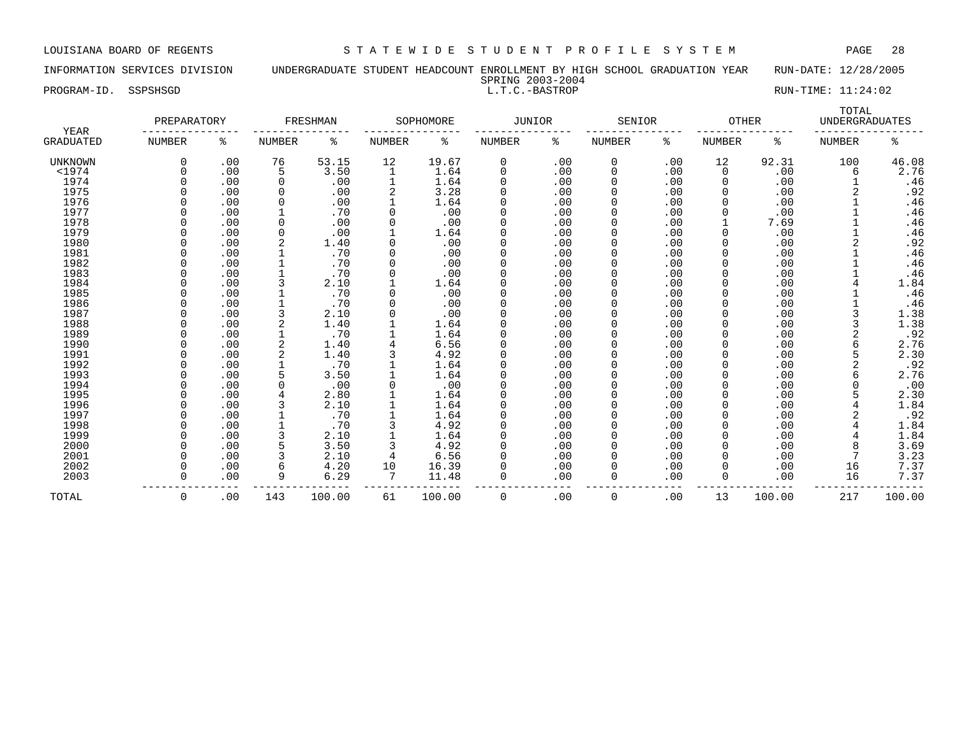INFORMATION SERVICES DIVISION UNDERGRADUATE STUDENT HEADCOUNT ENROLLMENT BY HIGH SCHOOL GRADUATION YEAR RUN-DATE: 12/28/2005 SPRING 2003-2004

PROGRAM-ID. SSPSHSGD L.T.C.-BASTROP RUN-TIME: 11:24:02

TOTAL. PREPARATORY FRESHMAN SOPHOMORE JUNIOR SENIOR OTHER UNDERGRADUATES YEAR --------------- --------------- --------------- --------------- --------------- --------------- ----------------- GRADUATED NUMBER % NUMBER % NUMBER % NUMBER % NUMBER % NUMBER % NUMBER % UNKNOWN 0 .00 76 53.15 12 19.67 0 .00 0 .00 12 92.31 100 46.08 <1974 0 .00 5 3.50 1 1.64 0 .00 0 .00 0 .00 6 2.76 1974 0 .00 0 .00 1 1.64 0 .00 0 .00 0 .00 1 .46 1975 0 .00 0 .00 2 3.28 0 .00 0 .00 0 .00 2 .92 1976 0 .00 0 .00 1 1.64 0 .00 0 .00 0 .00 1 .46 1977 0 .00 1 .70 0 .00 0 .00 0 .00 0 .00 1 .46 1978 0 .00 0 .00 0 .00 0 .00 0 .00 1 7.69 1 .46 1979 0 .00 0 .00 1 1.64 0 .00 0 .00 0 .00 1 .46 1980 0 .00 2 1.40 0 .00 0 .00 0 .00 0 .00 2 .92 1981 0 .00 1 .70 0 .00 0 .00 0 .00 0 .00 1 .46 1982 0 .00 1 .70 0 .00 0 .00 0 .00 0 .00 1 .46 1983 0 .00 1 .70 0 .00 0 .00 0 .00 0 .00 1 .46 1984 0 .00 3 2.10 1 1.64 0 .00 0 .00 0 .00 4 1.84 1985 0 .00 1 .70 0 .00 0 .00 0 .00 0 .00 1 .46 1986 0 .00 1 .70 0 .00 0 .00 0 .00 0 .00 1 .46 1987 0 .00 3 2.10 0 .00 0 .00 0 .00 0 .00 3 1.38 1988 0 .00 2 1.40 1 1.64 0 .00 0 .00 0 .00 3 1.38 1989 0 .00 1 .70 1 1.64 0 .00 0 .00 0 .00 2 .92 1990 0 .00 2 1.40 4 6.56 0 .00 0 .00 0 .00 6 2.76 1991 0 .00 2 1.40 3 4.92 0 .00 0 .00 0 .00 5 2.30 1992 0 .00 1 .70 1 1.64 0 .00 0 .00 0 .00 2 .92 1993 0 .00 5 3.50 1 1.64 0 .00 0 .00 0 .00 6 2.76 1994 0 .00 0 .00 0 .00 0 .00 0 .00 0 .00 0 .00 1995 0 .00 4 2.80 1 1.64 0 .00 0 .00 0 .00 5 2.30 1996 0 .00 3 2.10 1 1.64 0 .00 0 .00 0 .00 4 1.84 1997 0 .00 1 .70 1 1.64 0 .00 0 .00 0 .00 2 .92 1998 0 .00 1 .70 3 4.92 0 .00 0 .00 0 .00 4 1.84 1999 0 .00 3 2.10 1 1.64 0 .00 0 .00 0 .00 4 1.84

 2000 0 .00 5 3.50 3 4.92 0 .00 0 .00 0 .00 8 3.69 2001 0 .00 3 2.10 4 6.56 0 .00 0 .00 0 .00 7 3.23 2002 0 .00 6 4.20 10 16.39 0 .00 0 .00 0 .00 16 7.37 2003 0 .00 9 6.29 7 11.48 0 .00 0 .00 0 .00 16 7.37

TOTAL 0 .00 143 100.00 61 100.00 0 .00 0 .00 13 100.00 217 100.00

--------------- --------------- --------------- --------------- --------------- --------------- -----------------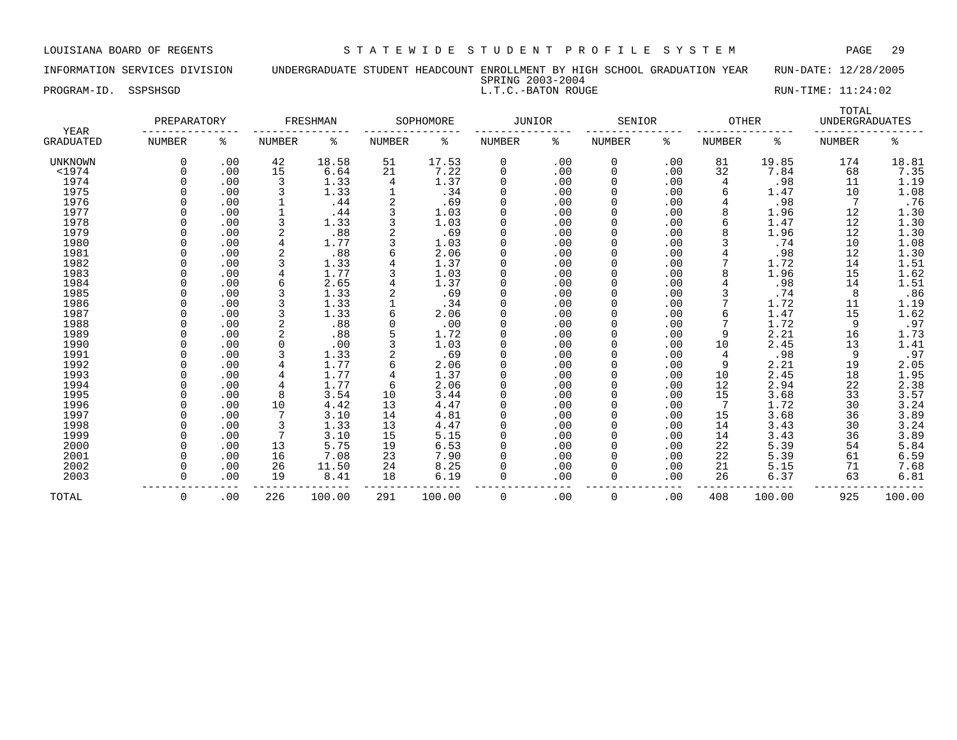INFORMATION SERVICES DIVISION UNDERGRADUATE STUDENT HEADCOUNT ENROLLMENT BY HIGH SCHOOL GRADUATION YEAR RUN-DATE: 12/28/2005 SPRING 2003-2004

# PROGRAM-ID. SSPSHSGD **EXECUTE:** 11:24:02

| YEAR             | PREPARATORY   |     |               | FRESHMAN |        | SOPHOMORE | <b>JUNIOR</b> |     | SENIOR        |     | <b>OTHER</b>  |        | TOTAL<br><b>UNDERGRADUATES</b> |        |
|------------------|---------------|-----|---------------|----------|--------|-----------|---------------|-----|---------------|-----|---------------|--------|--------------------------------|--------|
| <b>GRADUATED</b> | <b>NUMBER</b> | ႜ   | <b>NUMBER</b> | နွ       | NUMBER | ್ಠಿ       | NUMBER        | ి   | <b>NUMBER</b> | နွ  | <b>NUMBER</b> | နွ     | <b>NUMBER</b>                  | နွ     |
| <b>UNKNOWN</b>   |               | .00 | 42            | 18.58    | 51     | 17.53     | 0             | .00 | 0             | .00 | 81            | 19.85  | 174                            | 18.81  |
| $<$ 1974         |               | .00 | 15            | 6.64     | 21     | 7.22      | 0             | .00 | 0             | .00 | 32            | 7.84   | 68                             | 7.35   |
| 1974             |               | .00 | 3             | 1.33     | 4      | 1.37      | $\Omega$      | .00 | 0             | .00 | 4             | .98    | 11                             | 1.19   |
| 1975             |               | .00 | 3             | 1.33     |        | .34       | $\Omega$      | .00 |               | .00 | 6             | 1.47   | 10                             | 1.08   |
| 1976             |               | .00 |               | .44      |        | .69       | $\Omega$      | .00 |               | .00 |               | .98    | 7                              | .76    |
| 1977             |               | .00 |               | .44      |        | 1.03      | $\Omega$      | .00 |               | .00 | 8             | 1.96   | 12                             | 1.30   |
| 1978             |               | .00 |               | 1.33     |        | 1.03      | $\Omega$      | .00 | 0             | .00 | б             | 1.47   | 12                             | 1.30   |
| 1979             |               | .00 | 2             | .88      |        | .69       | $\Omega$      | .00 |               | .00 | 8             | 1.96   | 12                             | 1.30   |
| 1980             |               | .00 | 4             | 1.77     |        | 1.03      | $\Omega$      | .00 |               | .00 |               | .74    | 10                             | 1.08   |
| 1981             |               | .00 |               | .88      |        | 2.06      | $\Omega$      | .00 |               | .00 |               | .98    | 12                             | 1.30   |
| 1982             |               | .00 |               | 1.33     |        | 1.37      | $\Omega$      | .00 |               | .00 |               | 1.72   | 14                             | 1.51   |
| 1983             |               | .00 |               | 1.77     |        | 1.03      | $\Omega$      | .00 |               | .00 |               | 1.96   | 15                             | 1.62   |
| 1984             |               | .00 | 6             | 2.65     |        | 1.37      | $\Omega$      | .00 |               | .00 |               | .98    | 14                             | 1.51   |
| 1985             |               | .00 |               | 1.33     |        | .69       | $\Omega$      | .00 |               | .00 |               | .74    | 8                              | .86    |
| 1986             |               | .00 |               | 1.33     |        | .34       | $\Omega$      | .00 |               | .00 |               | 1.72   | 11                             | 1.19   |
| 1987             |               | .00 |               | 1.33     |        | 2.06      | $\Omega$      | .00 |               | .00 | 6             | 1.47   | 15                             | 1.62   |
| 1988             |               | .00 | 2             | .88      |        | .00       | 0             | .00 |               | .00 |               | 1.72   | 9                              | .97    |
| 1989             |               | .00 |               | .88      |        | 1.72      | $\Omega$      | .00 |               | .00 | 9             | 2.21   | 16                             | 1.73   |
| 1990             |               | .00 | $\Omega$      | .00      |        | 1.03      | $\Omega$      | .00 |               | .00 | 10            | 2.45   | 13                             | 1.41   |
| 1991             |               | .00 | 3             | 1.33     |        | .69       | $\Omega$      | .00 |               | .00 | 4             | .98    | 9                              | .97    |
| 1992             |               | .00 |               | 1.77     |        | 2.06      | $\Omega$      | .00 |               | .00 | 9             | 2.21   | 19                             | 2.05   |
| 1993             |               | .00 | 4             | 1.77     |        | 1.37      | $\Omega$      | .00 | 0             | .00 | 10            | 2.45   | 18                             | 1.95   |
| 1994             |               | .00 | 4             | 1.77     | 6      | 2.06      | $\Omega$      | .00 |               | .00 | 12            | 2.94   | 22                             | 2.38   |
| 1995             |               | .00 | 8             | 3.54     | 10     | 3.44      | $\Omega$      | .00 |               | .00 | 15            | 3.68   | 33                             | 3.57   |
| 1996             |               | .00 | 10            | 4.42     | 13     | 4.47      | $\Omega$      | .00 |               | .00 |               | 1.72   | 30                             | 3.24   |
| 1997             |               | .00 |               | 3.10     | 14     | 4.81      | $\Omega$      | .00 |               | .00 | 15            | 3.68   | 36                             | 3.89   |
| 1998             |               | .00 | 3             | 1.33     | 13     | 4.47      | $\Omega$      | .00 |               | .00 | 14            | 3.43   | 30                             | 3.24   |
| 1999             |               | .00 |               | 3.10     | 15     | 5.15      | $\Omega$      | .00 |               | .00 | 14            | 3.43   | 36                             | 3.89   |
| 2000             |               | .00 | 13            | 5.75     | 19     | 6.53      | $\Omega$      | .00 |               | .00 | 22            | 5.39   | 54                             | 5.84   |
| 2001             |               | .00 | 16            | 7.08     | 23     | 7.90      | $\Omega$      | .00 |               | .00 | 22            | 5.39   | 61                             | 6.59   |
| 2002             |               | .00 | 26            | 11.50    | 24     | 8.25      | $\Omega$      | .00 |               | .00 | 21            | 5.15   | 71                             | 7.68   |
| 2003             |               | .00 | 19            | 8.41     | 18     | 6.19      | $\Omega$      | .00 | 0             | .00 | 26            | 6.37   | 63                             | 6.81   |
| TOTAL            | $\Omega$      | .00 | 226           | 100.00   | 291    | 100.00    | 0             | .00 | 0             | .00 | 408           | 100.00 | 925                            | 100.00 |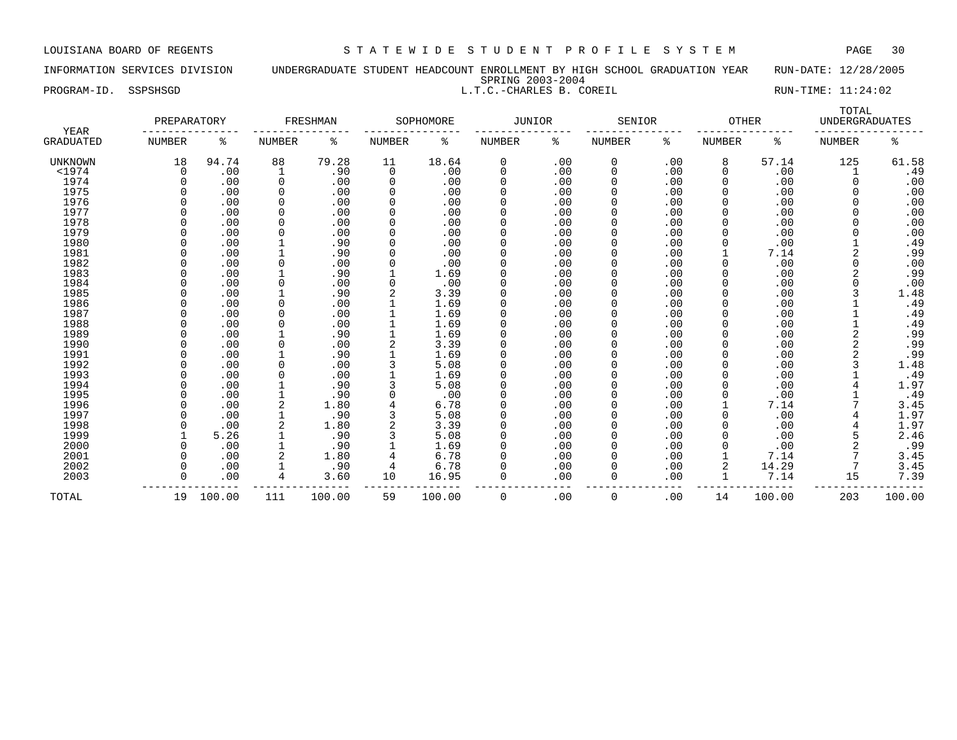INFORMATION SERVICES DIVISION UNDERGRADUATE STUDENT HEADCOUNT ENROLLMENT BY HIGH SCHOOL GRADUATION YEAR RUN-DATE: 12/28/2005 SPRING 2003-2004 PROGRAM-ID. SSPSHSGD L.T.C.-CHARLES B. COREIL RUN-TIME: 11:24:02

| YEAR             | PREPARATORY   |           |               | FRESHMAN |          | SOPHOMORE | <b>JUNIOR</b> |      | SENIOR        |     | <b>OTHER</b> |        | TOTAL<br><b>UNDERGRADUATES</b> |        |
|------------------|---------------|-----------|---------------|----------|----------|-----------|---------------|------|---------------|-----|--------------|--------|--------------------------------|--------|
| <b>GRADUATED</b> | <b>NUMBER</b> | ႜ         | <b>NUMBER</b> | ిక       | NUMBER   | ి         | NUMBER        | နွ   | <b>NUMBER</b> | ႜ   | NUMBER       | ႜ      | <b>NUMBER</b>                  | ە<br>ج |
| <b>UNKNOWN</b>   | 18            | 94.74     | 88            | 79.28    | 11       | 18.64     | 0             | .00  | 0             | .00 | 8            | 57.14  | 125                            | 61.58  |
| $1974$           | 0             | .00       |               | .90      | 0        | .00       | 0             | .00  | 0             | .00 |              | .00    |                                | .49    |
| 1974             |               | .00       | 0             | .00      | 0        | .00       | 0             | .00  | 0             | .00 |              | .00    | 0                              | .00    |
| 1975             |               | .00       | $\Omega$      | .00      | $\Omega$ | .00       | 0             | .00  | 0             | .00 |              | .00    | O                              | .00    |
| 1976             |               | .00       |               | .00      | $\Omega$ | .00       |               | .00  | 0             | .00 |              | .00    |                                | .00    |
| 1977             |               | .00       |               | .00      | $\Omega$ | .00       |               | .00  |               | .00 |              | .00    |                                | .00    |
| 1978             |               | .00       |               | .00      | $\Omega$ | .00       |               | .00  |               | .00 |              | .00    |                                | .00    |
| 1979             |               | .00       |               | .00      |          | .00       |               | .00  |               | .00 |              | .00    |                                | .00    |
| 1980             |               | .00       |               | .90      |          | .00       | 0             | .00  |               | .00 |              | .00    |                                | .49    |
| 1981             |               | .00       |               | .90      |          | .00       | U             | .00  |               | .00 |              | 7.14   | 2                              | .99    |
| 1982             |               | .00       |               | .00      |          | .00       | 0             | .00  |               | .00 |              | .00    | 0                              | .00    |
| 1983             |               | .00       |               | .90      |          | 1.69      | 0             | .00  |               | .00 |              | .00    |                                | .99    |
| 1984             |               | .00       |               | .00      |          | .00       | 0             | .00  |               | .00 |              | .00    |                                | .00    |
| 1985             |               | .00       |               | .90      |          | 3.39      | 0             | .00  |               | .00 |              | .00    |                                | 1.48   |
| 1986             |               | .00       |               | .00      |          | 1.69      | 0             | .00  | 0             | .00 |              | .00    |                                | .49    |
| 1987             |               | .00       |               | .00      |          | 1.69      | 0             | .00  | 0             | .00 |              | .00    |                                | .49    |
| 1988             |               | .00       |               | .00      |          | 1.69      | O             | .00  | O             | .00 |              | .00    |                                | .49    |
| 1989             |               | .00       |               | .90      |          | 1.69      |               | .00  |               | .00 |              | .00    |                                | .99    |
| 1990             |               | .00       |               | .00      |          | 3.39      |               | .00  |               | .00 |              | .00    |                                | .99    |
| 1991             |               | .00       |               | .90      |          | 1.69      | 0             | .00  |               | .00 |              | .00    |                                | .99    |
| 1992             |               | .00       |               | .00      |          | 5.08      | 0             | .00  |               | .00 |              | .00    |                                | 1.48   |
| 1993             |               | .00       |               | .00      |          | 1.69      | 0             | .00  | O             | .00 |              | .00    |                                | .49    |
| 1994             |               | .00       |               | .90      |          | 5.08      | U             | .00  |               | .00 |              | .00    |                                | 1.97   |
| 1995             |               | .00       |               | .90      |          | .00       | 0             | .00  |               | .00 |              | .00    |                                | .49    |
| 1996             |               | .00       | 2             | 1.80     |          | 6.78      |               | .00  |               | .00 |              | 7.14   |                                | 3.45   |
| 1997             |               | .00       |               | .90      |          | 5.08      | 0             | .00  |               | .00 |              | .00    |                                | 1.97   |
| 1998             |               | .00       |               | 1.80     |          | 3.39      | 0             | .00  | 0             | .00 |              | .00    |                                | 1.97   |
| 1999             |               | 5.26      |               | .90      |          | 5.08      |               | .00  | 0             | .00 |              | .00    |                                | 2.46   |
| 2000             |               | .00       |               | .90      |          | 1.69      | 0             | .00  | 0             | .00 |              | .00    |                                | .99    |
| 2001             |               | .00       |               | 1.80     |          | 6.78      |               | .00  | 0             | .00 |              | 7.14   |                                | 3.45   |
| 2002             |               | .00       |               | .90      | 4        | 6.78      |               | .00  | 0             | .00 | 2            | 14.29  |                                | 3.45   |
| 2003             |               | .00       | 4             | 3.60     | 10       | 16.95     | 0             | .00  | $\Omega$      | .00 |              | 7.14   | 15                             | 7.39   |
| TOTAL            |               | 19 100.00 | 111           | 100.00   | 59       | 100.00    | 0             | .00. | $\Omega$      | .00 | 14           | 100.00 | 203                            | 100.00 |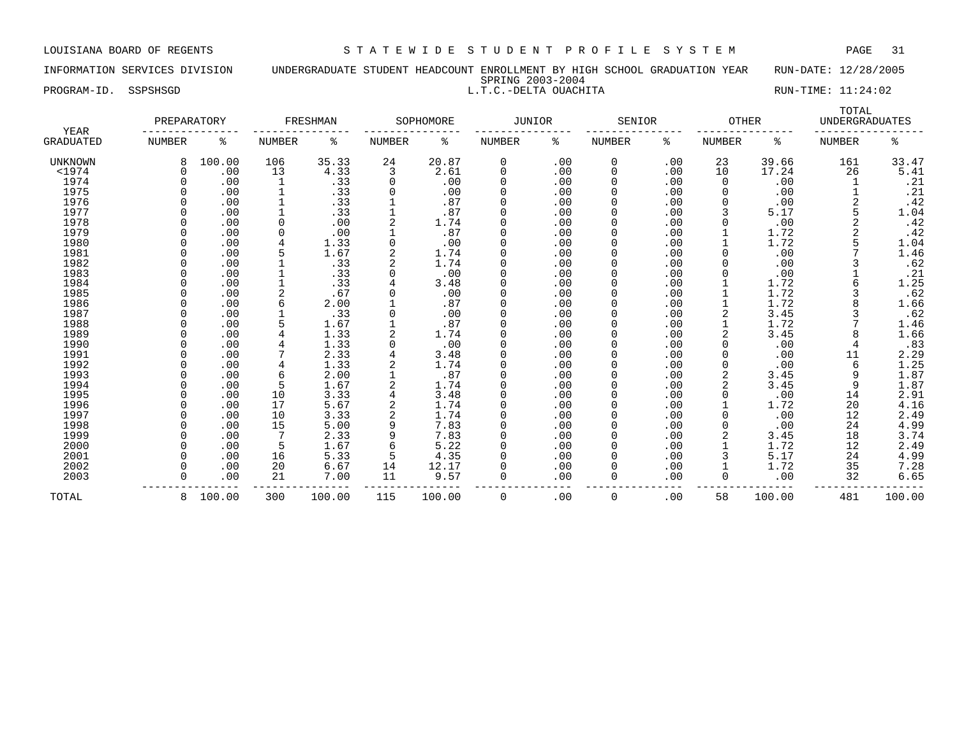### INFORMATION SERVICES DIVISION UNDERGRADUATE STUDENT HEADCOUNT ENROLLMENT BY HIGH SCHOOL GRADUATION YEAR RUN-DATE: 12/28/2005 SPRING 2003-2004 PROGRAM-ID. SSPSHSGD **RUN-TIME:** 11:24:02

|                          | PREPARATORY |          |               | FRESHMAN |               | SOPHOMORE | <b>JUNIOR</b> |      | SENIOR        |     | <b>OTHER</b>  |        | TOTAL<br><b>UNDERGRADUATES</b> |                |
|--------------------------|-------------|----------|---------------|----------|---------------|-----------|---------------|------|---------------|-----|---------------|--------|--------------------------------|----------------|
| YEAR<br><b>GRADUATED</b> | NUMBER      | ႜ        | <b>NUMBER</b> | ႜ        | <b>NUMBER</b> | ႜ         | NUMBER        | ႜ    | <b>NUMBER</b> | ႜ   | <b>NUMBER</b> | ႜ      | <b>NUMBER</b>                  | ႜ              |
| <b>UNKNOWN</b>           |             | 100.00   | 106           | 35.33    | 24            | 20.87     | 0             | .00  | 0             | .00 | 23            | 39.66  | 161                            | 33.47          |
| $<$ 1974                 | O           | .00      | 13            | 4.33     | 3             | 2.61      | $\Omega$      | .00  | 0             | .00 | 10            | 17.24  | 26                             | 5.41           |
| 1974                     |             | .00      |               | .33      | 0             | .00       |               | .00  | 0             | .00 | 0             | .00    |                                | .21            |
| 1975                     |             | .00      |               | .33      |               | .00       |               | .00  | $\Omega$      | .00 | 0             | .00    |                                | .21            |
| 1976                     |             | .00      |               | .33      |               | .87       |               | .00  | 0             | .00 | 0             | .00    |                                | .42            |
| 1977                     |             | .00      |               | .33      |               | .87       |               | .00  | 0             | .00 | 3             | 5.17   |                                | 1.04           |
| 1978                     |             | .00      | $\Omega$      | .00      |               | 1.74      |               | .00  | 0             | .00 |               | .00    |                                | .42            |
| 1979                     |             | .00      | 0             | .00      |               | .87       |               | .00  | 0             | .00 |               | 1.72   |                                | .42            |
| 1980                     |             | .00      |               | 1.33     |               | .00       |               | .00  | 0             | .00 |               | 1.72   |                                | 1.04           |
| 1981                     |             | .00      |               | 1.67     |               | 1.74      |               | .00  | 0             | .00 | O             | .00    |                                | 1.46           |
| 1982                     |             | .00      |               | .33      |               | 1.74      | ∩             | .00  | 0             | .00 |               | .00    |                                | .62            |
| 1983                     |             | .00      |               | .33      |               | .00       | ∩             | .00  | 0             | .00 | O             | .00    |                                | . 21           |
| 1984                     |             | .00      |               | .33      |               | 3.48      |               | .00  | $\Omega$      | .00 |               | 1.72   |                                | 1.25           |
| 1985                     |             | .00      |               | .67      |               | .00       |               | .00  | 0             | .00 |               | 1.72   |                                | .62            |
| 1986                     |             | .00      |               | 2.00     |               | .87       |               | .00  | 0             | .00 |               | 1.72   |                                | 1.66           |
| 1987                     |             | .00      |               | .33      |               | .00       | 0             | .00  | 0             | .00 |               | 3.45   |                                | .62            |
| 1988                     |             | .00      |               | 1.67     |               | .87       | ∩             | .00  | 0             | .00 |               | 1.72   |                                | 1.46           |
| 1989                     |             | .00      |               | 1.33     |               | 1.74      |               | .00  | 0             | .00 |               | 3.45   |                                | 1.66           |
| 1990                     |             | .00      |               | 1.33     |               | .00       |               | .00  | 0             | .00 |               | .00    |                                | .83            |
| 1991                     |             | .00      |               | 2.33     |               | 3.48      |               | .00  | 0             | .00 |               | .00    | 11                             | 2.29           |
| 1992                     |             | .00      |               | 1.33     |               | 1.74      |               | .00  | 0             | .00 |               | .00    | 6                              | 1.25           |
| 1993                     |             | .00      | 6             | 2.00     |               | .87       |               | .00  | 0             | .00 |               | 3.45   | 9                              | 1.87           |
| 1994                     |             | .00      |               | 1.67     |               | 1.74      |               | .00  | O             | .00 |               | 3.45   | 9                              | 1.87           |
| 1995                     |             | .00      | 10            | 3.33     |               | 3.48      | ∩             | .00  | O             | .00 | O             | .00    | 14                             | 2.91           |
| 1996                     |             | .00      | 17            | 5.67     |               | 1.74      |               | .00  | 0             | .00 |               | 1.72   | 20                             | 4.16           |
| 1997                     |             | .00      | 10            | 3.33     |               | 1.74      |               | .00  | 0             | .00 |               | .00    | 12                             | 2.49           |
| 1998                     |             | .00      | 15            | 5.00     |               | 7.83      | 0             | .00  | 0             | .00 |               | .00    | 24                             | 4.99           |
| 1999                     |             | .00      |               | 2.33     |               | 7.83      | 0             | .00  | 0             | .00 |               | 3.45   | 18                             |                |
| 2000                     |             | .00      | 5             | 1.67     |               | 5.22      | ∩             | .00  | 0             | .00 |               | 1.72   | 12                             | $3.74$<br>2.49 |
| 2001                     |             | .00      | 16            | 5.33     | 5             | 4.35      |               | .00  | 0             | .00 |               | 5.17   | 24                             | 4.99           |
| 2002                     |             | .00      | 20            | 6.67     | 14            | 12.17     |               | .00  | 0             | .00 |               | 1.72   | 35                             | 7.28           |
| 2003                     |             | .00      | 21            | 7.00     | 11            | 9.57      | $\Omega$      | .00  | 0             | .00 | 0             | .00    | 32                             | 6.65           |
| TOTAL                    |             | 8 100.00 | 300           | 100.00   | 115           | 100.00    | $\Omega$      | . 00 | $\Omega$      | .00 | 58            | 100.00 | 481                            | 100.00         |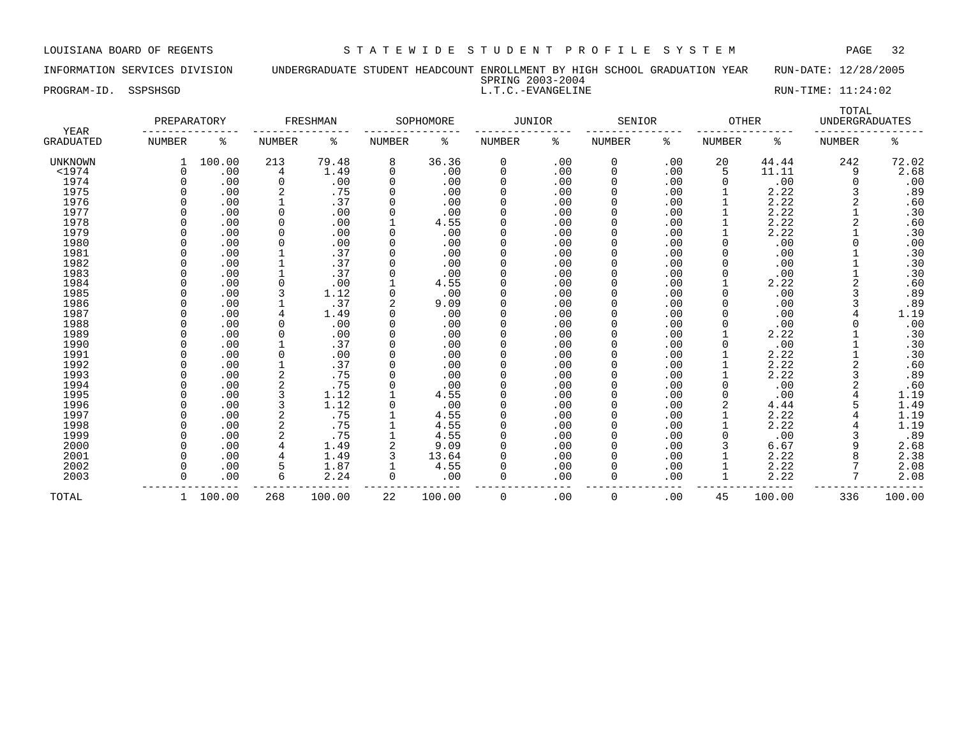INFORMATION SERVICES DIVISION UNDERGRADUATE STUDENT HEADCOUNT ENROLLMENT BY HIGH SCHOOL GRADUATION YEAR RUN-DATE: 12/28/2005 SPRING 2003-2004

|             |          | SPRING ZUUS-ZUU4  |                    |
|-------------|----------|-------------------|--------------------|
| PROGRAM-ID. | SSPSHSGD | L.T.C.-EVANGELINE | RUN-TIME: 11:24:02 |

| RUN-TIME: | 11:24:02 |
|-----------|----------|
|-----------|----------|

| YEAR             | PREPARATORY   |        |               | FRESHMAN |               | SOPHOMORE | JUNIOR   |     | SENIOR        |     | <b>OTHER</b>  |        | TOTAL<br><b>UNDERGRADUATES</b> |        |
|------------------|---------------|--------|---------------|----------|---------------|-----------|----------|-----|---------------|-----|---------------|--------|--------------------------------|--------|
| <b>GRADUATED</b> | <b>NUMBER</b> | နွ     | <b>NUMBER</b> | နွ       | <b>NUMBER</b> | နွ        | NUMBER   | ి   | <b>NUMBER</b> | ႜ   | <b>NUMBER</b> | ႜ      | NUMBER                         | ి      |
| <b>UNKNOWN</b>   |               | 100.00 | 213           | 79.48    | 8             | 36.36     | 0        | .00 | 0             | .00 | 20            | 44.44  | 242                            | 72.02  |
| $<$ 1974         | $\Omega$      | .00    | 4             | 1.49     | $\Omega$      | .00       | 0        | .00 | 0             | .00 | 5             | 11.11  | 9                              | 2.68   |
| 1974             | <sup>0</sup>  | .00    | $\Omega$      | .00      |               | .00       | $\Omega$ | .00 | 0             | .00 | $\Omega$      | .00    | <sup>0</sup>                   | .00    |
| 1975             |               | .00    |               | .75      |               | .00       | $\Omega$ | .00 |               | .00 |               | 2.22   | 3                              | .89    |
| 1976             |               | .00    |               | .37      |               | .00       | $\Omega$ | .00 |               | .00 |               | 2.22   | 2                              | .60    |
| 1977             |               | .00    |               | .00      |               | .00       | $\Omega$ | .00 |               | .00 |               | 2.22   |                                | .30    |
| 1978             |               | .00    | $\Omega$      | .00      |               | 4.55      | $\Omega$ | .00 | 0             | .00 |               | 2.22   | 2                              | .60    |
| 1979             |               | .00    | $\Omega$      | .00      |               | .00       | $\Omega$ | .00 |               | .00 |               | 2.22   |                                | .30    |
| 1980             |               | .00    | 0             | .00      |               | .00       | $\Omega$ | .00 |               | .00 |               | .00    |                                | .00    |
| 1981             |               | .00    |               | .37      |               | .00       | $\Omega$ | .00 |               | .00 |               | .00    |                                | .30    |
| 1982             |               | .00    |               | .37      |               | .00       | $\Omega$ | .00 |               | .00 |               | .00    |                                | .30    |
| 1983             |               | .00    |               | .37      |               | .00       | $\Omega$ | .00 |               | .00 |               | .00    |                                | .30    |
| 1984             |               | .00    |               | .00      |               | 4.55      | $\Omega$ | .00 |               | .00 |               | 2.22   | $\overline{2}$                 | .60    |
| 1985             |               | .00    |               | 1.12     | $\Omega$      | .00       | $\Omega$ | .00 |               | .00 |               | .00    | 3                              | .89    |
| 1986             |               | .00    |               | .37      | 2             | 9.09      | $\Omega$ | .00 |               | .00 | $\Omega$      | .00    |                                | .89    |
| 1987             |               | .00    |               | 1.49     |               | .00       | $\Omega$ | .00 |               | .00 |               | .00    |                                | 1.19   |
| 1988             |               | .00    | $\Omega$      | .00      |               | .00       | $\Omega$ | .00 |               | .00 |               | .00    |                                | .00    |
| 1989             |               | .00    | 0             | .00      |               | .00       | $\Omega$ | .00 |               | .00 |               | 2.22   |                                | .30    |
| 1990             |               | .00    |               | .37      |               | .00       | $\Omega$ | .00 |               | .00 |               | .00    |                                | .30    |
| 1991             |               | .00    |               | .00      |               | .00       | $\Omega$ | .00 | 0             | .00 |               | 2.22   |                                | .30    |
| 1992             |               | .00    |               | .37      | 0             | .00       | $\Omega$ | .00 |               | .00 |               | 2.22   | 2                              | .60    |
| 1993             |               | .00    | 2             | .75      | $\Omega$      | .00       | $\Omega$ | .00 | 0             | .00 |               | 2.22   |                                | .89    |
| 1994             |               | .00    | 2             | .75      |               | .00       | $\Omega$ | .00 |               | .00 | <sup>0</sup>  | .00    |                                | .60    |
| 1995             |               | .00    | 3             | 1.12     |               | 4.55      | $\Omega$ | .00 |               | .00 |               | .00    |                                | 1.19   |
| 1996             |               | .00    |               | 1.12     |               | .00       | $\Omega$ | .00 |               | .00 | 2             | 4.44   |                                | 1.49   |
| 1997             |               | .00    |               | .75      |               | 4.55      | $\Omega$ | .00 |               | .00 |               | 2.22   |                                | 1.19   |
| 1998             |               | .00    |               | .75      |               | 4.55      | $\Omega$ | .00 |               | .00 |               | 2.22   |                                | 1.19   |
| 1999             |               | .00    | 2             | .75      |               | 4.55      | $\Omega$ | .00 |               | .00 | O             | .00    |                                | .89    |
| 2000             |               | .00    | 4             | 1.49     |               | 9.09      | $\Omega$ | .00 |               | .00 |               | 6.67   |                                | 2.68   |
| 2001             | <sup>n</sup>  | .00    | 4             | 1.49     |               | 13.64     | $\Omega$ | .00 |               | .00 |               | 2.22   |                                | 2.38   |
| 2002             | <sup>n</sup>  | .00    |               | 1.87     |               | 4.55      | $\Omega$ | .00 |               | .00 |               | 2.22   |                                | 2.08   |
| 2003             | $\Omega$      | .00    | 6             | 2.24     | $\Omega$      | .00       | $\Omega$ | .00 | 0             | .00 |               | 2.22   |                                | 2.08   |
| TOTAL            |               | 100.00 | 268           | 100.00   | 22            | 100.00    | 0        | .00 | 0             | .00 | 45            | 100.00 | 336                            | 100.00 |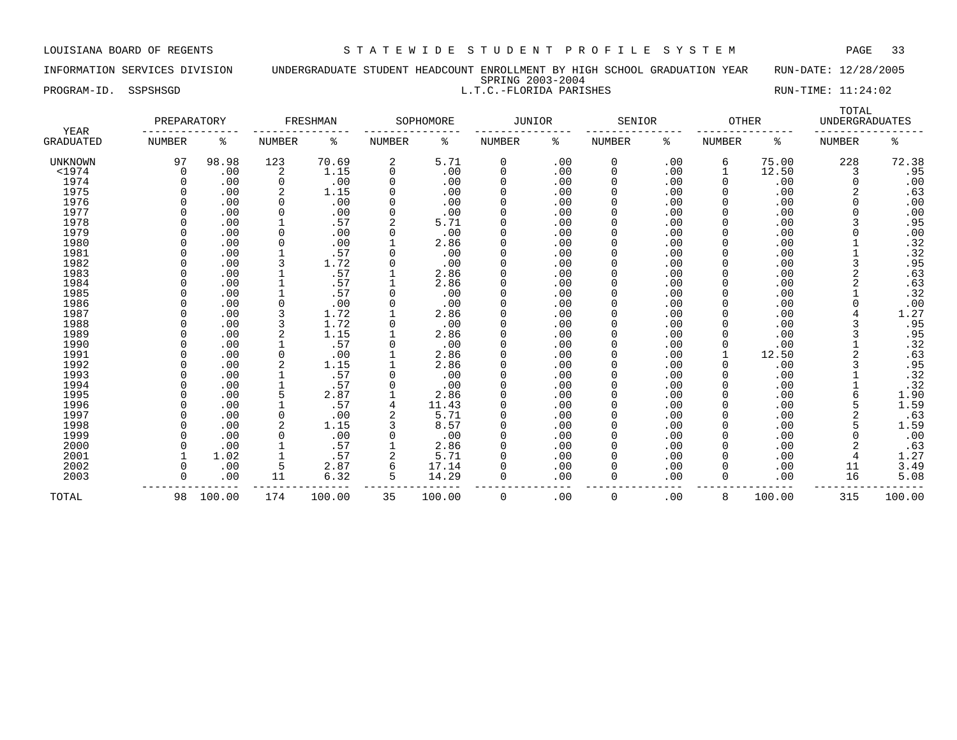INFORMATION SERVICES DIVISION UNDERGRADUATE STUDENT HEADCOUNT ENROLLMENT BY HIGH SCHOOL GRADUATION YEAR RUN-DATE: 12/28/2005 SPRING 2003-2004 PROGRAM-ID. SSPSHSGD SALLTIC.-FLORIDA PARISHES SALLTIC.-FLORIDA PARISHES RUN-TIME: 11:24:02

| YEAR<br><b>GRADUATED</b> | PREPARATORY   |            | FRESHMAN |        | SOPHOMORE     |                | <b>JUNIOR</b> |            | SENIOR        |            | <b>OTHER</b>  |            | TOTAL<br><b>UNDERGRADUATES</b> |        |
|--------------------------|---------------|------------|----------|--------|---------------|----------------|---------------|------------|---------------|------------|---------------|------------|--------------------------------|--------|
|                          | <b>NUMBER</b> | ႜ          | NUMBER   | ႜ      | <b>NUMBER</b> | ႜ              | <b>NUMBER</b> | ႜ          | <b>NUMBER</b> | ႜ          | <b>NUMBER</b> | ႜ          | <b>NUMBER</b>                  | ៖      |
| <b>UNKNOWN</b>           | 97            | 98.98      | 123      | 70.69  | 2             | 5.71           | 0             | .00        | 0             | .00        | 6             | 75.00      | 228                            | 72.38  |
| $<$ 1974                 | 0             | .00        | 2        | 1.15   | 0             | .00            | 0             | .00        | 0             | .00        |               | 12.50      | 3                              | .95    |
| 1974                     |               | .00        | $\Omega$ | .00    | 0             | .00            | 0             | .00        | 0             | .00        | $\Omega$      | .00        | $\Omega$                       | .00    |
| 1975                     |               | .00        |          | 1.15   | 0             | .00            | 0             | .00        | 0             | .00        |               | .00        | 2                              | .63    |
| 1976                     |               | .00        | $\Omega$ | .00    | 0             | .00            | 0             | .00        | 0             | .00        |               | .00        | O                              | .00    |
| 1977                     |               | .00        | 0        | .00    | 0             | .00            | O             | .00        | 0             | .00        |               | .00        |                                | .00    |
| 1978                     |               | .00        |          | .57    |               | 5.71           |               | .00        | 0             | .00        |               | .00        |                                | .95    |
| 1979                     |               | .00        |          | .00    |               | .00            |               | .00        | 0             | .00        |               | .00        |                                | .00    |
| 1980                     |               | .00        |          | .00    |               | 2.86           |               | .00        | 0             | .00        |               | .00        |                                | .32    |
| 1981                     |               | .00        |          | .57    |               | .00            | 0             | .00        | 0             | .00        |               | .00        |                                | .32    |
| 1982                     |               | .00        |          | 1.72   |               | .00            | 0             | .00        | O             | .00        |               | .00        |                                | .95    |
| 1983                     |               | .00        |          | .57    |               | 2.86           | 0             | .00        |               | .00        |               | .00        |                                | .63    |
| 1984                     |               | .00        |          | .57    |               | 2.86           | 0             | .00        |               | .00        |               | .00        |                                | .63    |
| 1985                     |               | .00        |          | .57    |               | .00            | 0             | .00        |               | .00        |               | .00        |                                | .32    |
| 1986                     |               | .00        |          | .00    | 0             | .00            | 0             | .00        | 0             | .00        |               | .00        |                                | .00    |
| 1987                     |               | .00        |          | 1.72   |               | 2.86           | 0             | .00        | 0             | .00        |               | .00        |                                | 1.27   |
| 1988                     |               | .00        |          | 1.72   | 0             | .00            | $\Omega$      | .00        | 0             | .00        |               | .00        |                                | .95    |
| 1989                     |               | .00        |          | 1.15   |               | 2.86           | O             | .00        | 0             | .00        |               | .00        |                                | .95    |
| 1990                     |               | .00        |          | .57    |               | .00            |               | .00        |               | .00        |               | .00        |                                | .32    |
| 1991                     |               | .00        |          | .00    |               | 2.86           | 0             | .00        | 0             | .00        |               | 12.50      |                                | .63    |
| 1992                     |               | .00        |          | 1.15   |               | 2.86           | 0             | .00        | 0             | .00        |               | .00        |                                | .95    |
| 1993                     |               | .00        |          | .57    |               | .00            | 0             | .00        | $\Omega$      | .00        |               | .00        |                                | .32    |
| 1994                     |               | .00        |          | .57    |               | .00            | 0             | .00        | O             | .00        |               | .00        |                                | .32    |
| 1995                     |               | .00        | 5        | 2.87   |               | 2.86           | 0             | .00        | 0             | .00        |               | .00        | 6                              | 1.90   |
| 1996                     |               | .00        |          | .57    | 4             | 11.43          | 0             | .00        |               | .00        |               | .00        | 5                              | 1.59   |
| 1997                     |               | .00        | $\Omega$ | .00    |               | 5.71           | 0             | .00        |               | .00        |               | .00        | 2                              | .63    |
| 1998                     |               | .00        | 2        | 1.15   |               | 8.57           | 0             | .00        | 0             | .00        |               | .00        | 5                              | 1.59   |
| 1999                     |               | .00        |          | .00    | 0             | .00            | 0             | .00        | 0             | .00        |               | .00        |                                | .00    |
| 2000                     |               | .00        |          | .57    |               | 2.86           | O             | .00        | 0             | .00        |               | .00        |                                | .63    |
| 2001                     |               | 1.02       |          | .57    |               | 5.71           |               | .00        | 0             | .00        |               | .00        |                                | 1.27   |
| 2002                     |               |            | 5        | 2.87   | 6             |                |               |            |               |            |               |            |                                | 3.49   |
| 2003                     |               | .00<br>.00 | 11       | 6.32   | 5             | 17.14<br>14.29 | 0             | .00<br>.00 | 0             | .00<br>.00 |               | .00<br>.00 | 11<br>16                       | 5.08   |
| TOTAL                    | 98            | 100.00     | 174      | 100.00 | 35            | 100.00         | 0             | .00        | $\mathbf 0$   | .00        | 8             | 100.00     | 315                            | 100.00 |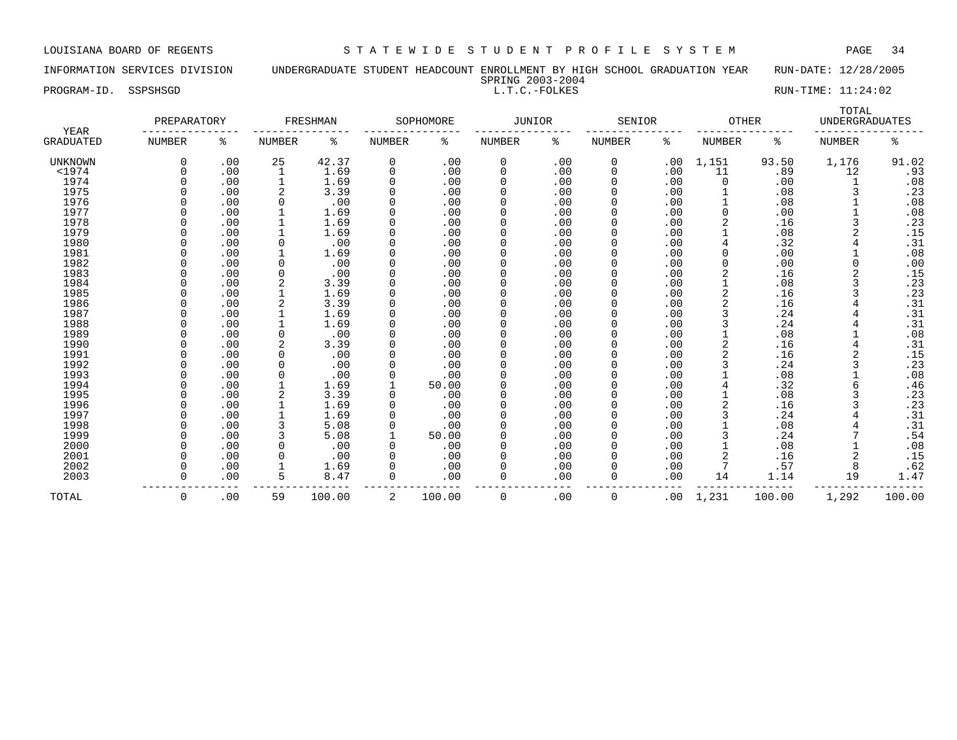INFORMATION SERVICES DIVISION UNDERGRADUATE STUDENT HEADCOUNT ENROLLMENT BY HIGH SCHOOL GRADUATION YEAR RUN-DATE: 12/28/2005 SPRING 2003-2004

PROGRAM-ID. SSPSHSGD SALLT.C.-FOLKES EXAM-ID. SSPSHSGD EXAM-ID. SSPSHSGD

| <b>YEAR</b><br><b>GRADUATED</b> | PREPARATORY |     | FRESHMAN      |        | SOPHOMORE |        | JUNIOR   |     | SENIOR        |     | <b>OTHER</b> |        | TOTAL<br><b>UNDERGRADUATES</b> |        |
|---------------------------------|-------------|-----|---------------|--------|-----------|--------|----------|-----|---------------|-----|--------------|--------|--------------------------------|--------|
|                                 | NUMBER      | ႜ   | <b>NUMBER</b> | ႜ      | NUMBER    | ႜ      | NUMBER   | ႜ   | <b>NUMBER</b> | ႜ   | NUMBER       | ႜ      | <b>NUMBER</b>                  | ႜ      |
| UNKNOWN                         |             | .00 | 25            | 42.37  | 0         | .00    | 0        | .00 | 0             | .00 | 1,151        | 93.50  | 1,176                          | 91.02  |
| $1974$                          |             | .00 |               | 1.69   | $\Omega$  | .00    | $\Omega$ | .00 | 0             | .00 | 11           | .89    | 12                             | .93    |
| 1974                            |             | .00 |               | 1.69   |           | .00    | $\Omega$ | .00 | O             | .00 | $\Omega$     | .00    |                                | .08    |
| 1975                            |             | .00 |               | 3.39   |           | .00    | $\Omega$ | .00 |               | .00 |              | .08    | 3                              | .23    |
| 1976                            |             | .00 | 0             | .00    |           | .00    | $\Omega$ | .00 |               | .00 |              | .08    |                                | .08    |
| 1977                            |             | .00 |               | 1.69   |           | .00    | $\Omega$ | .00 |               | .00 | 0            | .00    |                                | .08    |
| 1978                            |             | .00 |               | 1.69   |           | .00    | $\Omega$ | .00 | 0             | .00 | 2            | .16    |                                | .23    |
| 1979                            |             | .00 |               | 1.69   |           | .00    | $\Omega$ | .00 | 0             | .00 |              | .08    |                                | .15    |
| 1980                            |             | .00 | 0             | .00    |           | .00    | $\Omega$ | .00 | 0             | .00 |              | .32    |                                | .31    |
| 1981                            |             | .00 |               | 1.69   |           | .00    | $\Omega$ | .00 |               | .00 | 0            | .00    |                                | .08    |
| 1982                            |             | .00 | $\Omega$      | .00    |           | .00    | $\Omega$ | .00 |               | .00 | 0            | .00    | $\Omega$                       | .00    |
| 1983                            |             | .00 | $\Omega$      | .00    |           | .00    | $\Omega$ | .00 |               | .00 | 2            | .16    |                                | .15    |
| 1984                            |             | .00 |               | 3.39   |           | .00    | $\Omega$ | .00 |               | .00 |              | .08    |                                | .23    |
| 1985                            |             | .00 |               | 1.69   |           | .00    | $\Omega$ | .00 |               | .00 | 2            | .16    |                                | .23    |
| 1986                            |             | .00 |               | 3.39   |           | .00    | $\Omega$ | .00 |               | .00 | 2            | .16    |                                | .31    |
| 1987                            |             | .00 |               | 1.69   |           | .00    | $\Omega$ | .00 |               | .00 | 3            | .24    |                                | .31    |
| 1988                            |             | .00 |               | 1.69   |           | .00    | $\Omega$ | .00 |               | .00 |              | .24    | 4                              | .31    |
| 1989                            |             | .00 | $\Omega$      | .00    |           | .00    | $\Omega$ | .00 |               | .00 |              | .08    |                                | .08    |
| 1990                            |             | .00 | 2             | 3.39   |           | .00    | $\Omega$ | .00 |               | .00 | 2            | .16    | 4                              | .31    |
| 1991                            |             | .00 | 0             | .00    |           | .00    | $\Omega$ | .00 |               | .00 | 2            | .16    |                                | .15    |
| 1992                            |             | .00 | $\Omega$      | .00    |           | .00    | $\Omega$ | .00 |               | .00 | 3            | .24    | 3                              | .23    |
| 1993                            |             | .00 | 0             | .00    |           | .00    | 0        | .00 | 0             | .00 |              | .08    |                                | .08    |
| 1994                            |             | .00 |               | 1.69   |           | 50.00  | $\Omega$ | .00 |               | .00 |              | .32    | 6                              | .46    |
| 1995                            |             | .00 | 2             | 3.39   |           | .00    | $\Omega$ | .00 | O             | .00 |              | .08    |                                | .23    |
| 1996                            |             | .00 |               | 1.69   |           | .00    | $\Omega$ | .00 |               | .00 |              | .16    |                                | .23    |
| 1997                            |             | .00 |               | 1.69   |           | .00    | $\Omega$ | .00 |               | .00 |              | .24    |                                | .31    |
| 1998                            |             | .00 |               | 5.08   |           | .00    | $\Omega$ | .00 |               | .00 |              | .08    |                                | .31    |
| 1999                            |             | .00 |               | 5.08   |           | 50.00  | $\Omega$ | .00 |               | .00 |              | .24    |                                | .54    |
| 2000                            |             | .00 | $\Omega$      | .00    |           | .00    | $\Omega$ | .00 |               | .00 |              | .08    |                                | .08    |
| 2001                            |             | .00 | $\Omega$      | .00    |           | .00    | $\Omega$ | .00 |               | .00 |              | .16    | 2                              | .15    |
| 2002                            |             | .00 |               | 1.69   |           | .00    | $\Omega$ | .00 | O             | .00 |              | .57    | 8                              | .62    |
| 2003                            |             | .00 | 5             | 8.47   | $\Omega$  | .00    | $\Omega$ | .00 | 0             | .00 | 14           | 1.14   | 19                             | 1.47   |
| TOTAL                           | 0           | .00 | 59            | 100.00 | 2         | 100.00 | 0        | .00 | 0             | .00 | 1,231        | 100.00 | 1,292                          | 100.00 |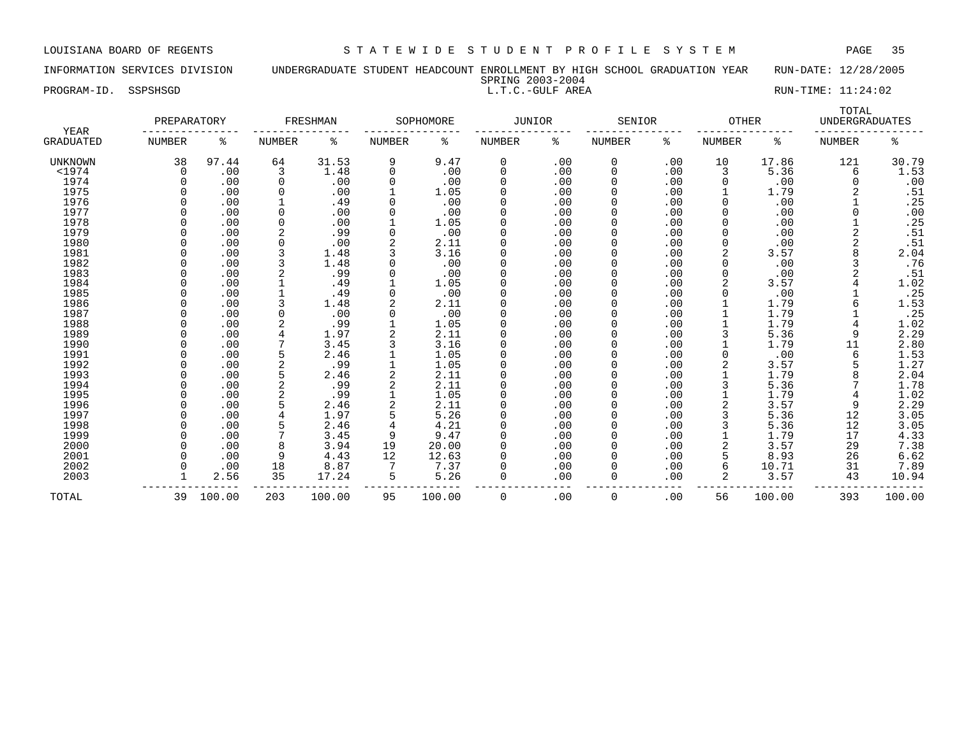PROGRAM-ID. SSPSHSGD L.T.C.-GULF AREA RUN-TIME: 11:24:02

INFORMATION SERVICES DIVISION UNDERGRADUATE STUDENT HEADCOUNT ENROLLMENT BY HIGH SCHOOL GRADUATION YEAR RUN-DATE: 12/28/2005 SPRING 2003-2004

| YEAR      | PREPARATORY   |        | FRESHMAN       |        | SOPHOMORE     |        | <b>JUNIOR</b> |     | SENIOR   |     | <b>OTHER</b>  |        | TOTAL<br><b>UNDERGRADUATES</b> |        |
|-----------|---------------|--------|----------------|--------|---------------|--------|---------------|-----|----------|-----|---------------|--------|--------------------------------|--------|
| GRADUATED | <b>NUMBER</b> | ి      | <b>NUMBER</b>  | နွ     | <b>NUMBER</b> | ႜ      | NUMBER        | ႜ   | NUMBER   | ి   | <b>NUMBER</b> | ႜ      | <b>NUMBER</b>                  | ి      |
| UNKNOWN   | 38            | 97.44  | 64             | 31.53  | 9             | 9.47   | 0             | .00 | 0        | .00 | 10            | 17.86  | 121                            | 30.79  |
| $<$ 1974  | $\Omega$      | .00    | 3              | 1.48   | 0             | .00    | $\Omega$      | .00 | $\Omega$ | .00 | 3             | 5.36   | 6                              | 1.53   |
| 1974      |               | .00    | $\mathbf 0$    | .00    | 0             | .00    | $\Omega$      | .00 | $\Omega$ | .00 |               | .00    |                                | .00    |
| 1975      |               | .00    | 0              | .00    |               | 1.05   |               | .00 | $\Omega$ | .00 |               | 1.79   |                                | .51    |
| 1976      |               | .00    |                | .49    |               | .00    |               | .00 | 0        | .00 |               | .00    |                                | .25    |
| 1977      |               | .00    | 0              | .00    |               | .00    |               | .00 | $\Omega$ | .00 |               | .00    |                                | .00    |
| 1978      |               | .00    | <sup>0</sup>   | .00    |               | 1.05   |               | .00 | $\Omega$ | .00 |               | .00    |                                | .25    |
| 1979      |               | .00    | 2              | .99    | 0             | .00    |               | .00 | $\Omega$ | .00 |               | .00    |                                | .51    |
| 1980      |               | .00    | <sup>0</sup>   | .00    |               | 2.11   |               | .00 | $\Omega$ | .00 |               | .00    |                                | .51    |
| 1981      |               | .00    |                | 1.48   |               | 3.16   |               | .00 | 0        | .00 |               | 3.57   |                                | 2.04   |
| 1982      |               | .00    | 3              | 1.48   | 0             | .00    |               | .00 | $\Omega$ | .00 |               | .00    |                                | .76    |
| 1983      |               | .00    | 2              | .99    |               | .00    |               | .00 |          | .00 |               | .00    | 2                              | .51    |
| 1984      |               | .00    |                | .49    |               | 1.05   |               | .00 |          | .00 |               | 3.57   |                                | 1.02   |
| 1985      |               | .00    |                | .49    | 0             | .00    |               | .00 | $\Omega$ | .00 |               | .00    |                                | .25    |
| 1986      |               | .00    |                | 1.48   |               | 2.11   |               | .00 | $\Omega$ | .00 |               | 1.79   |                                | 1.53   |
| 1987      |               | .00    |                | .00    | 0             | .00    |               | .00 | $\Omega$ | .00 |               | 1.79   |                                | .25    |
| 1988      |               | .00    |                | .99    |               | 1.05   |               | .00 |          | .00 |               | 1.79   |                                | 1.02   |
| 1989      |               | .00    |                | 1.97   |               | 2.11   |               | .00 |          | .00 |               | 5.36   | 9                              | 2.29   |
| 1990      |               | .00    |                | 3.45   |               | 3.16   |               | .00 |          | .00 |               | 1.79   | 11                             | 2.80   |
| 1991      |               | .00    |                | 2.46   |               | 1.05   |               | .00 |          | .00 |               | .00    | 6                              | 1.53   |
| 1992      |               | .00    | 2              | .99    |               | 1.05   |               | .00 |          | .00 |               | 3.57   |                                | 1.27   |
| 1993      |               | .00    | 5              | 2.46   |               | 2.11   | $\Omega$      | .00 | O        | .00 |               | 1.79   |                                | 2.04   |
| 1994      |               | .00    | $\overline{2}$ | .99    |               | 2.11   |               | .00 |          | .00 |               | 5.36   |                                | 1.78   |
| 1995      |               | .00    | 2              | .99    |               | 1.05   |               | .00 |          | .00 |               | 1.79   |                                | 1.02   |
| 1996      |               | .00    | 5              | 2.46   |               | 2.11   |               | .00 | $\Omega$ | .00 |               | 3.57   | 9                              | 2.29   |
| 1997      |               | .00    |                | 1.97   |               | 5.26   |               | .00 | $\Omega$ | .00 |               | 5.36   | 12                             | 3.05   |
| 1998      |               | .00    | 5              | 2.46   | 4             | 4.21   | $\Omega$      | .00 | $\Omega$ | .00 |               | 5.36   | 12                             | 3.05   |
| 1999      |               | .00    | 7              | 3.45   | 9             | 9.47   |               | .00 | $\Omega$ | .00 |               | 1.79   | 17                             | 4.33   |
| 2000      |               | .00    | 8              | 3.94   | 19            | 20.00  |               | .00 | $\Omega$ | .00 |               | 3.57   | 29                             | 7.38   |
| 2001      |               | .00    | 9              | 4.43   | 12            | 12.63  |               | .00 | $\Omega$ | .00 |               | 8.93   | 26                             | 6.62   |
| 2002      |               | .00    | 18             | 8.87   |               | 7.37   |               | .00 | $\Omega$ | .00 | 6             | 10.71  | 31                             | 7.89   |
| 2003      |               | 2.56   | 35             | 17.24  | 5             | 5.26   | $\Omega$      | .00 | 0        | .00 | 2             | 3.57   | 43                             | 10.94  |
| TOTAL     | 39            | 100.00 | 203            | 100.00 | 95            | 100.00 | 0             | .00 | 0        | .00 | 56            | 100.00 | 393                            | 100.00 |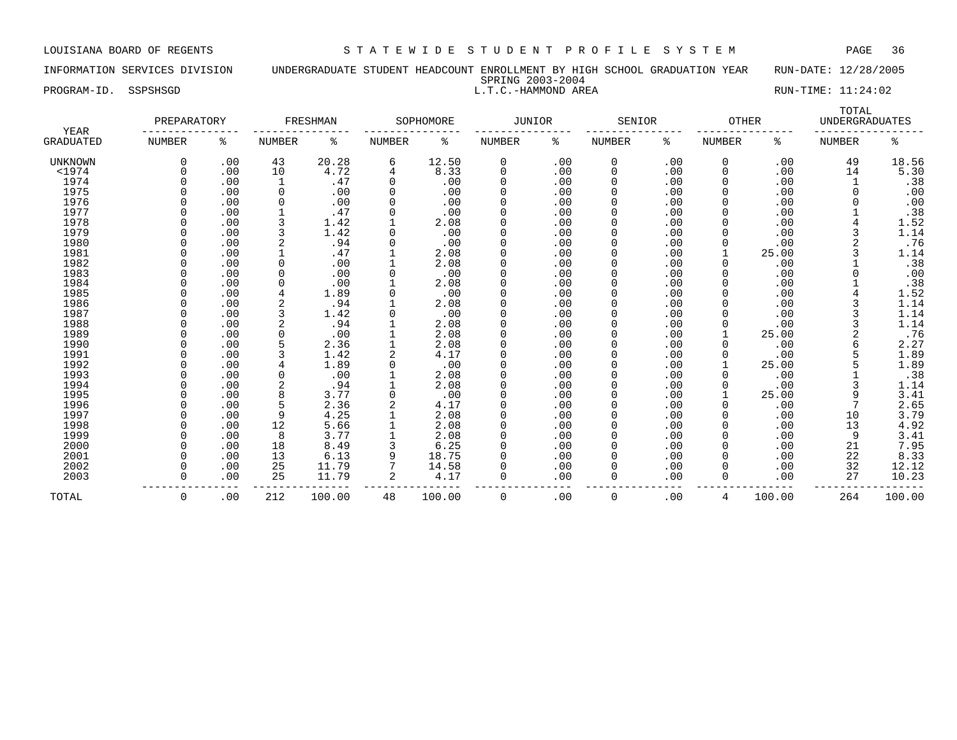INFORMATION SERVICES DIVISION UNDERGRADUATE STUDENT HEADCOUNT ENROLLMENT BY HIGH SCHOOL GRADUATION YEAR RUN-DATE: 12/28/2005 SPRING 2003-2004 PROGRAM-ID. SSPSHSGD SALL ROOM CONSULTER LOCAL MANAREA RUN-TIME: 11:24:02

| <b>YEAR</b><br><b>GRADUATED</b> | PREPARATORY   |     | FRESHMAN       |        | SOPHOMORE     |        | <b>JUNIOR</b> |     | <b>SENIOR</b> |     | <b>OTHER</b>  |        | TOTAL<br><b>UNDERGRADUATES</b> |        |
|---------------------------------|---------------|-----|----------------|--------|---------------|--------|---------------|-----|---------------|-----|---------------|--------|--------------------------------|--------|
|                                 | <b>NUMBER</b> | ి   | <b>NUMBER</b>  | ి      | <b>NUMBER</b> | ႜ      | NUMBER        | နွ  | <b>NUMBER</b> | ႜ   | <b>NUMBER</b> | ిక     | <b>NUMBER</b>                  | ి      |
| <b>UNKNOWN</b>                  | 0             | .00 | 43             | 20.28  | 6             | 12.50  | 0             | .00 | 0             | .00 | $\mathbf 0$   | .00    | 49                             | 18.56  |
| $<$ 1974                        |               | .00 | 10             | 4.72   | 4             | 8.33   | 0             | .00 | 0             | .00 | $\mathbf 0$   | .00    | 14                             | 5.30   |
| 1974                            |               | .00 | 1              | .47    | 0             | .00    | $\Omega$      | .00 | 0             | .00 | $\Omega$      | .00    |                                | .38    |
| 1975                            |               | .00 | 0              | .00    | 0             | .00    |               | .00 |               | .00 |               | .00    | $\Omega$                       | .00    |
| 1976                            |               | .00 | $\mathbf 0$    | .00    |               | .00    |               | .00 | 0             | .00 |               | .00    |                                | .00    |
| 1977                            |               | .00 |                | .47    |               | .00    |               | .00 | 0             | .00 |               | .00    |                                | .38    |
| 1978                            |               | .00 | 3              | 1.42   |               | 2.08   | $\Omega$      | .00 | 0             | .00 |               | .00    |                                | 1.52   |
| 1979                            |               | .00 | 3              | 1.42   | ∩             | .00    | $\Omega$      | .00 | 0             | .00 |               | .00    | 3                              | 1.14   |
| 1980                            |               | .00 | $\overline{2}$ | .94    | 0             | .00    |               | .00 | 0             | .00 |               | .00    |                                | .76    |
| 1981                            |               | .00 |                | .47    |               | 2.08   |               | .00 |               | .00 |               | 25.00  |                                | 1.14   |
| 1982                            |               | .00 | 0              | .00    |               | 2.08   |               | .00 |               | .00 |               | .00    |                                | .38    |
| 1983                            |               | .00 | 0              | .00    | 0             | .00    | $\Omega$      | .00 | 0             | .00 |               | .00    |                                | .00    |
| 1984                            |               | .00 | O              | .00    |               | 2.08   | $\Omega$      | .00 | 0             | .00 |               | .00    |                                | .38    |
| 1985                            |               | .00 |                | 1.89   |               | .00    |               | .00 |               | .00 |               | .00    |                                | 1.52   |
| 1986                            |               | .00 | 2              | .94    |               | 2.08   |               | .00 |               | .00 |               | .00    |                                | 1.14   |
| 1987                            |               | .00 |                | 1.42   |               | .00    |               | .00 |               | .00 |               | .00    |                                | 1.14   |
| 1988                            |               | .00 | $\overline{2}$ | .94    |               | 2.08   | $\Omega$      | .00 |               | .00 |               | .00    |                                | 1.14   |
| 1989                            |               | .00 | O              | .00    |               | 2.08   | $\Omega$      | .00 | $\Omega$      | .00 |               | 25.00  |                                | .76    |
| 1990                            |               | .00 | 5              | 2.36   |               | 2.08   | $\Omega$      | .00 | 0             | .00 |               | .00    | 6                              | 2.27   |
| 1991                            |               | .00 | 3              | 1.42   | 2             | 4.17   |               | .00 | 0             | .00 |               | .00    | 5                              | 1.89   |
| 1992                            |               | .00 | 4              | 1.89   |               | .00    |               | .00 |               | .00 |               | 25.00  |                                | 1.89   |
| 1993                            |               | .00 | 0              | .00    |               | 2.08   | $\Omega$      | .00 | 0             | .00 |               | .00    |                                | .38    |
| 1994                            |               | .00 | $\overline{2}$ | .94    |               | 2.08   | $\Omega$      | .00 | 0             | .00 |               | .00    |                                | 1.14   |
| 1995                            |               | .00 | 8              | 3.77   |               | .00    |               | .00 | 0             | .00 |               | 25.00  | 9                              | 3.41   |
| 1996                            |               | .00 | 5              | 2.36   |               | 4.17   |               | .00 | 0             | .00 |               | .00    |                                | 2.65   |
| 1997                            |               | .00 | 9              | 4.25   |               | 2.08   |               | .00 | 0             | .00 |               | .00    | 10                             | 3.79   |
| 1998                            |               | .00 | 12             | 5.66   |               | 2.08   | $\Omega$      | .00 | 0             | .00 |               | .00    | 13                             | 4.92   |
| 1999                            |               | .00 | 8              | 3.77   |               | 2.08   | $\Omega$      | .00 | 0             | .00 |               | .00    | 9                              | 3.41   |
| 2000                            |               | .00 | 18             | 8.49   |               | 6.25   |               | .00 | 0             | .00 |               | .00    | 21                             | 7.95   |
| 2001                            |               | .00 | 13             | 6.13   | 9             | 18.75  |               | .00 | 0             | .00 |               | .00    | 22                             | 8.33   |
| 2002                            |               | .00 | 25             | 11.79  |               | 14.58  |               | .00 |               | .00 |               | .00    | 32                             | 12.12  |
| 2003                            | $\Omega$      | .00 | 25             | 11.79  | 2             | 4.17   | $\Omega$      | .00 | 0             | .00 | $\Omega$      | .00    | 27                             | 10.23  |
| TOTAL                           | $\Omega$      | .00 | 212            | 100.00 | 48            | 100.00 | $\Omega$      | .00 | 0             | .00 | 4             | 100.00 | 264                            | 100.00 |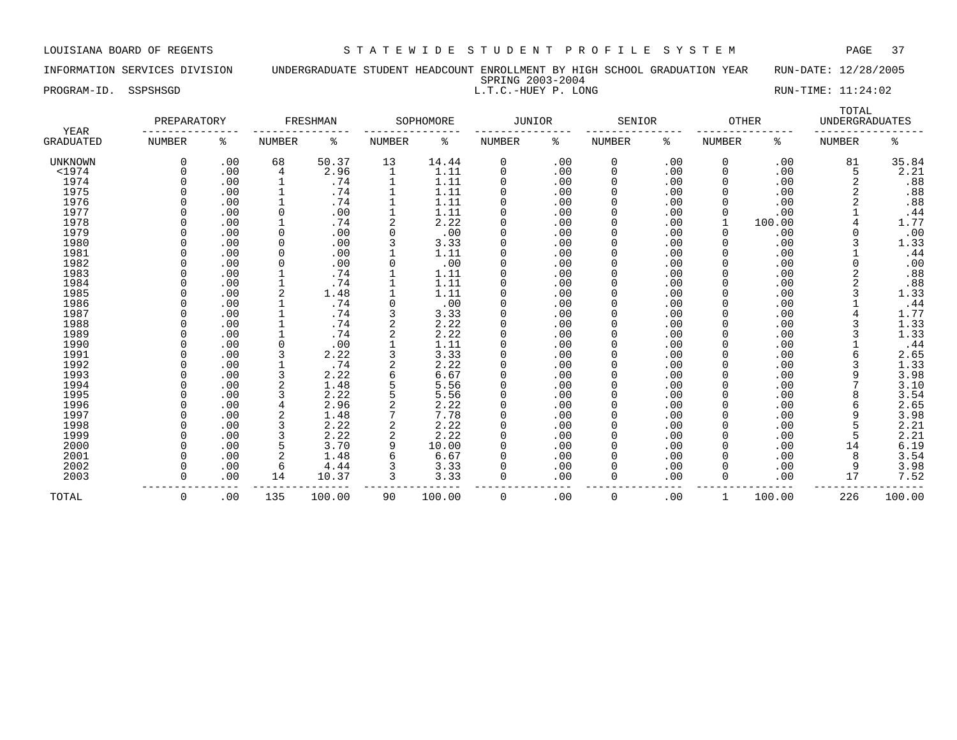INFORMATION SERVICES DIVISION UNDERGRADUATE STUDENT HEADCOUNT ENROLLMENT BY HIGH SCHOOL GRADUATION YEAR RUN-DATE: 12/28/2005 SPRING 2003-2004

| နွ<br>ႜ<br>နွ<br>နွ<br>နွ<br><b>NUMBER</b><br><b>NUMBER</b><br><b>NUMBER</b><br>NUMBER<br><b>NUMBER</b><br>ႜ<br><b>NUMBER</b><br>ႜ<br><b>NUMBER</b><br>GRADUATED<br>.00<br>68<br>50.37<br>13<br>14.44<br>.00<br>.00<br>81<br>$\Omega$<br>0<br>0<br>0<br>.00<br><b>UNKNOWN</b><br>$<$ 1974<br>.00<br>1.11<br>.00<br>2.96<br>1<br>0<br>0<br>.00<br>0<br>.00<br>4<br>5<br>1974<br>.00<br>.74<br>1.11<br>.00<br>0<br>.00<br>.00<br>0<br>0<br>1975<br>1.11<br>.00<br>.74<br>.00<br>.00<br>0<br><sup>0</sup><br>.00<br><sup>0</sup><br>1976<br>.00<br>.74<br>1.11<br>.00<br>.00<br>.00<br><sup>0</sup><br>1977<br>.00<br>1.11<br>.00<br>.00<br>.00<br>.00<br>$\Omega$<br><sup>0</sup><br>1978<br>.00<br>.74<br>2.22<br>.00<br>.00<br>100.00<br>1979<br>.00<br>.00<br>.00<br>.00<br>.00<br>.00<br>$\Omega$<br>$\Omega$<br>.00<br>.00<br>1980<br>$\Omega$<br>.00<br>3.33<br>.00<br>.00<br>.00<br>.00<br>1981<br>$\Omega$<br>.00<br>1.11<br>.00<br>.00<br>1982<br>.00<br>.00<br>.00<br>.00<br>.00<br>.00<br>$\Omega$<br>1983<br>.00<br>.74<br>1.11<br>.00<br>.00<br>U<br>.00<br>U<br>.00<br>.74<br>.00<br>1984<br>1.11<br>0<br>.00<br>.00<br>O<br>1985<br>.00<br>2<br>1.48<br>.00<br>.00<br>1.11<br>0<br>.00<br>∩<br>1986<br>.00<br>.00<br>.00<br>.74<br>.00<br>.00<br>U<br>U<br>U<br>.00<br>3.33<br>1987<br>.74<br>.00<br>.00<br>.00<br>U<br>O<br>U<br>2.22<br>1988<br>.00<br>.74<br>.00<br>.00<br>.00<br>U<br>U<br>U<br>1989<br>.00<br>.74<br>2.22<br>.00<br>.00<br>.00<br>U<br><sup>0</sup><br>O<br>.00<br>.00<br>.00<br>1990<br>1.11<br>0<br>.00<br>.00<br>0<br><sup>0</sup><br>1991<br>.00<br>2.22<br>3.33<br>.00<br>.00<br>3<br>0<br>.00<br>O<br>0<br>2.22<br>.00<br>1992<br>.00<br>.74<br>.00<br>0<br>.00<br>0<br>1993<br>.00<br>2.22<br>6.67<br>.00<br>.00<br>.00<br>q<br>0<br>1994<br>.00<br>1.48<br>5.56<br>.00<br>.00<br>.00<br>0<br>2.22<br>5.56<br>1995<br>.00<br>.00<br>.00<br>.00<br>2.22<br>.00<br>1996<br>.00<br>2.96<br>.00<br>0<br>0<br>.00<br>1.48<br>7.78<br>.00<br>1997<br>.00<br>.00<br>$\Omega$<br>0<br>.00<br>1998<br>.00<br>2.22<br>2.22<br>.00<br>.00<br>0<br>0<br>.00<br>0<br>2.22<br>1999<br>.00<br>2.22<br>.00<br>.00<br>5<br>$\Omega$<br>0<br>.00<br>2000<br>9<br>10.00<br>.00<br>3.70<br>.00<br>.00<br>14<br>0<br>0<br>.00<br>$\Omega$<br>2001<br>.00<br>1.48<br>6.67<br>.00<br>.00<br>8<br>6<br>0<br><sup>0</sup><br>.00<br>0<br>2002<br>9<br>.00<br>3.33<br>.00<br>4.44<br>.00<br>.00<br>O<br>0<br>0<br>2003<br>17<br>10.37<br>3<br>3.33<br>.00<br>.00<br>14<br>0<br>0<br>.00<br>.00<br>0 | YEAR | PREPARATORY |  | FRESHMAN | SOPHOMORE | <b>JUNIOR</b> | SENIOR | <b>OTHER</b> | TOTAL<br><b>UNDERGRADUATES</b> |       |
|--------------------------------------------------------------------------------------------------------------------------------------------------------------------------------------------------------------------------------------------------------------------------------------------------------------------------------------------------------------------------------------------------------------------------------------------------------------------------------------------------------------------------------------------------------------------------------------------------------------------------------------------------------------------------------------------------------------------------------------------------------------------------------------------------------------------------------------------------------------------------------------------------------------------------------------------------------------------------------------------------------------------------------------------------------------------------------------------------------------------------------------------------------------------------------------------------------------------------------------------------------------------------------------------------------------------------------------------------------------------------------------------------------------------------------------------------------------------------------------------------------------------------------------------------------------------------------------------------------------------------------------------------------------------------------------------------------------------------------------------------------------------------------------------------------------------------------------------------------------------------------------------------------------------------------------------------------------------------------------------------------------------------------------------------------------------------------------------------------------------------------------------------------------------------------------------------------------------------------------------------------------------------------------------------------------------------------------------------------------------------------------------------------------------------------------------------------------------------------------------------------------------|------|-------------|--|----------|-----------|---------------|--------|--------------|--------------------------------|-------|
|                                                                                                                                                                                                                                                                                                                                                                                                                                                                                                                                                                                                                                                                                                                                                                                                                                                                                                                                                                                                                                                                                                                                                                                                                                                                                                                                                                                                                                                                                                                                                                                                                                                                                                                                                                                                                                                                                                                                                                                                                                                                                                                                                                                                                                                                                                                                                                                                                                                                                                                    |      |             |  |          |           |               |        |              |                                |       |
|                                                                                                                                                                                                                                                                                                                                                                                                                                                                                                                                                                                                                                                                                                                                                                                                                                                                                                                                                                                                                                                                                                                                                                                                                                                                                                                                                                                                                                                                                                                                                                                                                                                                                                                                                                                                                                                                                                                                                                                                                                                                                                                                                                                                                                                                                                                                                                                                                                                                                                                    |      |             |  |          |           |               |        |              |                                | 35.84 |
|                                                                                                                                                                                                                                                                                                                                                                                                                                                                                                                                                                                                                                                                                                                                                                                                                                                                                                                                                                                                                                                                                                                                                                                                                                                                                                                                                                                                                                                                                                                                                                                                                                                                                                                                                                                                                                                                                                                                                                                                                                                                                                                                                                                                                                                                                                                                                                                                                                                                                                                    |      |             |  |          |           |               |        |              |                                | 2.21  |
|                                                                                                                                                                                                                                                                                                                                                                                                                                                                                                                                                                                                                                                                                                                                                                                                                                                                                                                                                                                                                                                                                                                                                                                                                                                                                                                                                                                                                                                                                                                                                                                                                                                                                                                                                                                                                                                                                                                                                                                                                                                                                                                                                                                                                                                                                                                                                                                                                                                                                                                    |      |             |  |          |           |               |        |              |                                | .88   |
|                                                                                                                                                                                                                                                                                                                                                                                                                                                                                                                                                                                                                                                                                                                                                                                                                                                                                                                                                                                                                                                                                                                                                                                                                                                                                                                                                                                                                                                                                                                                                                                                                                                                                                                                                                                                                                                                                                                                                                                                                                                                                                                                                                                                                                                                                                                                                                                                                                                                                                                    |      |             |  |          |           |               |        |              |                                | .88   |
|                                                                                                                                                                                                                                                                                                                                                                                                                                                                                                                                                                                                                                                                                                                                                                                                                                                                                                                                                                                                                                                                                                                                                                                                                                                                                                                                                                                                                                                                                                                                                                                                                                                                                                                                                                                                                                                                                                                                                                                                                                                                                                                                                                                                                                                                                                                                                                                                                                                                                                                    |      |             |  |          |           |               |        |              |                                | .88   |
|                                                                                                                                                                                                                                                                                                                                                                                                                                                                                                                                                                                                                                                                                                                                                                                                                                                                                                                                                                                                                                                                                                                                                                                                                                                                                                                                                                                                                                                                                                                                                                                                                                                                                                                                                                                                                                                                                                                                                                                                                                                                                                                                                                                                                                                                                                                                                                                                                                                                                                                    |      |             |  |          |           |               |        |              |                                | .44   |
|                                                                                                                                                                                                                                                                                                                                                                                                                                                                                                                                                                                                                                                                                                                                                                                                                                                                                                                                                                                                                                                                                                                                                                                                                                                                                                                                                                                                                                                                                                                                                                                                                                                                                                                                                                                                                                                                                                                                                                                                                                                                                                                                                                                                                                                                                                                                                                                                                                                                                                                    |      |             |  |          |           |               |        |              |                                | 1.77  |
|                                                                                                                                                                                                                                                                                                                                                                                                                                                                                                                                                                                                                                                                                                                                                                                                                                                                                                                                                                                                                                                                                                                                                                                                                                                                                                                                                                                                                                                                                                                                                                                                                                                                                                                                                                                                                                                                                                                                                                                                                                                                                                                                                                                                                                                                                                                                                                                                                                                                                                                    |      |             |  |          |           |               |        |              |                                | .00   |
|                                                                                                                                                                                                                                                                                                                                                                                                                                                                                                                                                                                                                                                                                                                                                                                                                                                                                                                                                                                                                                                                                                                                                                                                                                                                                                                                                                                                                                                                                                                                                                                                                                                                                                                                                                                                                                                                                                                                                                                                                                                                                                                                                                                                                                                                                                                                                                                                                                                                                                                    |      |             |  |          |           |               |        |              |                                | 1.33  |
|                                                                                                                                                                                                                                                                                                                                                                                                                                                                                                                                                                                                                                                                                                                                                                                                                                                                                                                                                                                                                                                                                                                                                                                                                                                                                                                                                                                                                                                                                                                                                                                                                                                                                                                                                                                                                                                                                                                                                                                                                                                                                                                                                                                                                                                                                                                                                                                                                                                                                                                    |      |             |  |          |           |               |        |              |                                | .44   |
|                                                                                                                                                                                                                                                                                                                                                                                                                                                                                                                                                                                                                                                                                                                                                                                                                                                                                                                                                                                                                                                                                                                                                                                                                                                                                                                                                                                                                                                                                                                                                                                                                                                                                                                                                                                                                                                                                                                                                                                                                                                                                                                                                                                                                                                                                                                                                                                                                                                                                                                    |      |             |  |          |           |               |        |              |                                | .00   |
|                                                                                                                                                                                                                                                                                                                                                                                                                                                                                                                                                                                                                                                                                                                                                                                                                                                                                                                                                                                                                                                                                                                                                                                                                                                                                                                                                                                                                                                                                                                                                                                                                                                                                                                                                                                                                                                                                                                                                                                                                                                                                                                                                                                                                                                                                                                                                                                                                                                                                                                    |      |             |  |          |           |               |        |              |                                | .88   |
|                                                                                                                                                                                                                                                                                                                                                                                                                                                                                                                                                                                                                                                                                                                                                                                                                                                                                                                                                                                                                                                                                                                                                                                                                                                                                                                                                                                                                                                                                                                                                                                                                                                                                                                                                                                                                                                                                                                                                                                                                                                                                                                                                                                                                                                                                                                                                                                                                                                                                                                    |      |             |  |          |           |               |        |              |                                | .88   |
|                                                                                                                                                                                                                                                                                                                                                                                                                                                                                                                                                                                                                                                                                                                                                                                                                                                                                                                                                                                                                                                                                                                                                                                                                                                                                                                                                                                                                                                                                                                                                                                                                                                                                                                                                                                                                                                                                                                                                                                                                                                                                                                                                                                                                                                                                                                                                                                                                                                                                                                    |      |             |  |          |           |               |        |              |                                | 1.33  |
|                                                                                                                                                                                                                                                                                                                                                                                                                                                                                                                                                                                                                                                                                                                                                                                                                                                                                                                                                                                                                                                                                                                                                                                                                                                                                                                                                                                                                                                                                                                                                                                                                                                                                                                                                                                                                                                                                                                                                                                                                                                                                                                                                                                                                                                                                                                                                                                                                                                                                                                    |      |             |  |          |           |               |        |              |                                | .44   |
|                                                                                                                                                                                                                                                                                                                                                                                                                                                                                                                                                                                                                                                                                                                                                                                                                                                                                                                                                                                                                                                                                                                                                                                                                                                                                                                                                                                                                                                                                                                                                                                                                                                                                                                                                                                                                                                                                                                                                                                                                                                                                                                                                                                                                                                                                                                                                                                                                                                                                                                    |      |             |  |          |           |               |        |              |                                | 1.77  |
|                                                                                                                                                                                                                                                                                                                                                                                                                                                                                                                                                                                                                                                                                                                                                                                                                                                                                                                                                                                                                                                                                                                                                                                                                                                                                                                                                                                                                                                                                                                                                                                                                                                                                                                                                                                                                                                                                                                                                                                                                                                                                                                                                                                                                                                                                                                                                                                                                                                                                                                    |      |             |  |          |           |               |        |              |                                | 1.33  |
|                                                                                                                                                                                                                                                                                                                                                                                                                                                                                                                                                                                                                                                                                                                                                                                                                                                                                                                                                                                                                                                                                                                                                                                                                                                                                                                                                                                                                                                                                                                                                                                                                                                                                                                                                                                                                                                                                                                                                                                                                                                                                                                                                                                                                                                                                                                                                                                                                                                                                                                    |      |             |  |          |           |               |        |              |                                | 1.33  |
|                                                                                                                                                                                                                                                                                                                                                                                                                                                                                                                                                                                                                                                                                                                                                                                                                                                                                                                                                                                                                                                                                                                                                                                                                                                                                                                                                                                                                                                                                                                                                                                                                                                                                                                                                                                                                                                                                                                                                                                                                                                                                                                                                                                                                                                                                                                                                                                                                                                                                                                    |      |             |  |          |           |               |        |              |                                | .44   |
|                                                                                                                                                                                                                                                                                                                                                                                                                                                                                                                                                                                                                                                                                                                                                                                                                                                                                                                                                                                                                                                                                                                                                                                                                                                                                                                                                                                                                                                                                                                                                                                                                                                                                                                                                                                                                                                                                                                                                                                                                                                                                                                                                                                                                                                                                                                                                                                                                                                                                                                    |      |             |  |          |           |               |        |              |                                | 2.65  |
|                                                                                                                                                                                                                                                                                                                                                                                                                                                                                                                                                                                                                                                                                                                                                                                                                                                                                                                                                                                                                                                                                                                                                                                                                                                                                                                                                                                                                                                                                                                                                                                                                                                                                                                                                                                                                                                                                                                                                                                                                                                                                                                                                                                                                                                                                                                                                                                                                                                                                                                    |      |             |  |          |           |               |        |              |                                | 1.33  |
|                                                                                                                                                                                                                                                                                                                                                                                                                                                                                                                                                                                                                                                                                                                                                                                                                                                                                                                                                                                                                                                                                                                                                                                                                                                                                                                                                                                                                                                                                                                                                                                                                                                                                                                                                                                                                                                                                                                                                                                                                                                                                                                                                                                                                                                                                                                                                                                                                                                                                                                    |      |             |  |          |           |               |        |              |                                | 3.98  |
|                                                                                                                                                                                                                                                                                                                                                                                                                                                                                                                                                                                                                                                                                                                                                                                                                                                                                                                                                                                                                                                                                                                                                                                                                                                                                                                                                                                                                                                                                                                                                                                                                                                                                                                                                                                                                                                                                                                                                                                                                                                                                                                                                                                                                                                                                                                                                                                                                                                                                                                    |      |             |  |          |           |               |        |              |                                | 3.10  |
|                                                                                                                                                                                                                                                                                                                                                                                                                                                                                                                                                                                                                                                                                                                                                                                                                                                                                                                                                                                                                                                                                                                                                                                                                                                                                                                                                                                                                                                                                                                                                                                                                                                                                                                                                                                                                                                                                                                                                                                                                                                                                                                                                                                                                                                                                                                                                                                                                                                                                                                    |      |             |  |          |           |               |        |              |                                | 3.54  |
|                                                                                                                                                                                                                                                                                                                                                                                                                                                                                                                                                                                                                                                                                                                                                                                                                                                                                                                                                                                                                                                                                                                                                                                                                                                                                                                                                                                                                                                                                                                                                                                                                                                                                                                                                                                                                                                                                                                                                                                                                                                                                                                                                                                                                                                                                                                                                                                                                                                                                                                    |      |             |  |          |           |               |        |              |                                | 2.65  |
|                                                                                                                                                                                                                                                                                                                                                                                                                                                                                                                                                                                                                                                                                                                                                                                                                                                                                                                                                                                                                                                                                                                                                                                                                                                                                                                                                                                                                                                                                                                                                                                                                                                                                                                                                                                                                                                                                                                                                                                                                                                                                                                                                                                                                                                                                                                                                                                                                                                                                                                    |      |             |  |          |           |               |        |              |                                | 3.98  |
|                                                                                                                                                                                                                                                                                                                                                                                                                                                                                                                                                                                                                                                                                                                                                                                                                                                                                                                                                                                                                                                                                                                                                                                                                                                                                                                                                                                                                                                                                                                                                                                                                                                                                                                                                                                                                                                                                                                                                                                                                                                                                                                                                                                                                                                                                                                                                                                                                                                                                                                    |      |             |  |          |           |               |        |              |                                | 2.21  |
|                                                                                                                                                                                                                                                                                                                                                                                                                                                                                                                                                                                                                                                                                                                                                                                                                                                                                                                                                                                                                                                                                                                                                                                                                                                                                                                                                                                                                                                                                                                                                                                                                                                                                                                                                                                                                                                                                                                                                                                                                                                                                                                                                                                                                                                                                                                                                                                                                                                                                                                    |      |             |  |          |           |               |        |              |                                | 2.21  |
|                                                                                                                                                                                                                                                                                                                                                                                                                                                                                                                                                                                                                                                                                                                                                                                                                                                                                                                                                                                                                                                                                                                                                                                                                                                                                                                                                                                                                                                                                                                                                                                                                                                                                                                                                                                                                                                                                                                                                                                                                                                                                                                                                                                                                                                                                                                                                                                                                                                                                                                    |      |             |  |          |           |               |        |              |                                | 6.19  |
|                                                                                                                                                                                                                                                                                                                                                                                                                                                                                                                                                                                                                                                                                                                                                                                                                                                                                                                                                                                                                                                                                                                                                                                                                                                                                                                                                                                                                                                                                                                                                                                                                                                                                                                                                                                                                                                                                                                                                                                                                                                                                                                                                                                                                                                                                                                                                                                                                                                                                                                    |      |             |  |          |           |               |        |              |                                | 3.54  |
|                                                                                                                                                                                                                                                                                                                                                                                                                                                                                                                                                                                                                                                                                                                                                                                                                                                                                                                                                                                                                                                                                                                                                                                                                                                                                                                                                                                                                                                                                                                                                                                                                                                                                                                                                                                                                                                                                                                                                                                                                                                                                                                                                                                                                                                                                                                                                                                                                                                                                                                    |      |             |  |          |           |               |        |              |                                | 3.98  |
|                                                                                                                                                                                                                                                                                                                                                                                                                                                                                                                                                                                                                                                                                                                                                                                                                                                                                                                                                                                                                                                                                                                                                                                                                                                                                                                                                                                                                                                                                                                                                                                                                                                                                                                                                                                                                                                                                                                                                                                                                                                                                                                                                                                                                                                                                                                                                                                                                                                                                                                    |      |             |  |          |           |               |        |              |                                | 7.52  |

TOTAL 0 .00 135 100.00 90 100.00 0 .00 0 .00 1 100.00 226 100.00

PROGRAM-ID. SSPSHSGD L.T.C.-HUEY P. LONG RUN-TIME: 11:24:02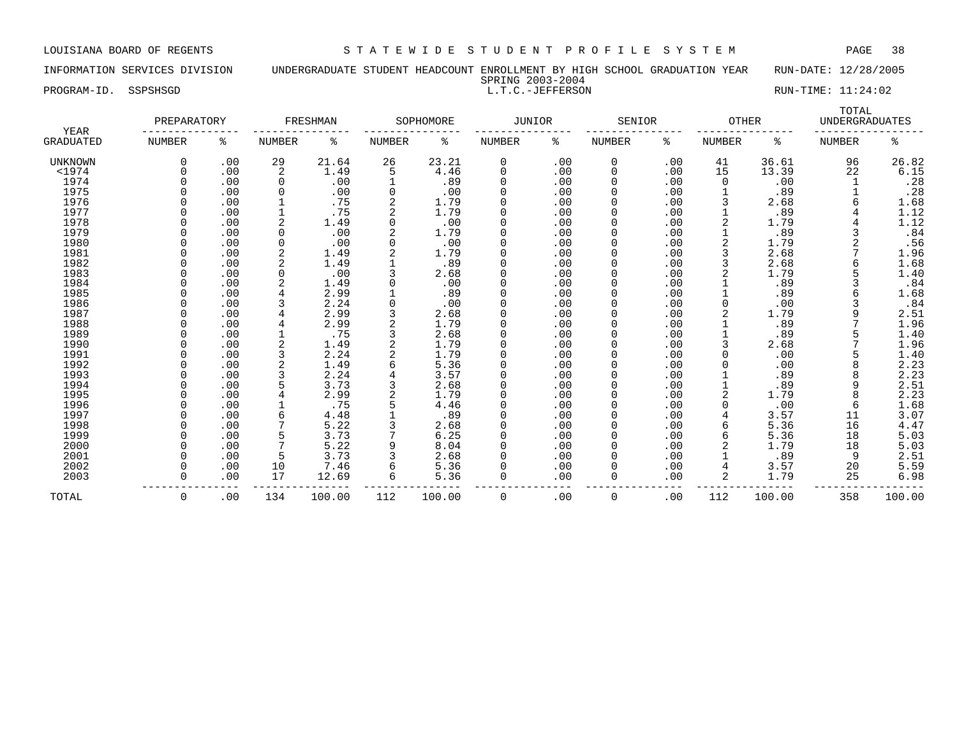INFORMATION SERVICES DIVISION UNDERGRADUATE STUDENT HEADCOUNT ENROLLMENT BY HIGH SCHOOL GRADUATION YEAR RUN-DATE: 12/28/2005 SPRING 2003-2004

PROGRAM-ID. SSPSHSGD L.T.C.-JEFFERSON RUN-TIME: 11:24:02

|                   | PREPARATORY   |     |          | FRESHMAN |               | SOPHOMORE | JUNIOR |      | SENIOR        |     | <b>OTHER</b>  |        | TOTAL<br><b>UNDERGRADUATES</b> |                  |
|-------------------|---------------|-----|----------|----------|---------------|-----------|--------|------|---------------|-----|---------------|--------|--------------------------------|------------------|
| YEAR<br>GRADUATED | <b>NUMBER</b> | ႜ   | NUMBER   | ႜ        | <b>NUMBER</b> | ႜ         | NUMBER | ႜ    | <b>NUMBER</b> | ႜ   | <b>NUMBER</b> | ႜ      | <b>NUMBER</b>                  | ႜ                |
| UNKNOWN           | 0             | .00 | 29       | 21.64    | 26            | 23.21     | 0      | .00  | 0             | .00 | 41            | 36.61  | 96                             | 26.82            |
| $<$ 1974          |               | .00 | 2        | 1.49     | 5             | 4.46      | 0      | .00  | 0             | .00 | 15            | 13.39  | 22                             | 6.15             |
| 1974              |               | .00 | $\Omega$ | .00      |               | .89       | 0      | .00  | 0             | .00 | $\Omega$      | .00    |                                | .28              |
| 1975              |               | .00 |          | .00      | 0             | .00       |        | .00  |               | .00 |               | .89    |                                | .28              |
| 1976              |               | .00 |          | .75      |               | 1.79      | 0      | .00  | 0             | .00 |               | 2.68   |                                | 1.68             |
| 1977              |               | .00 |          | .75      |               | 1.79      | O      | .00  | 0             | .00 |               | .89    |                                | 1.12             |
| 1978              |               | .00 |          | 1.49     | 0             | .00       | O      | .00  | <sup>0</sup>  | .00 |               | 1.79   |                                | 1.12             |
| 1979              |               | .00 |          | .00      |               | 1.79      |        | .00  |               | .00 |               | .89    |                                | .84              |
| 1980              |               | .00 |          | .00      | 0             | .00       | 0      | .00  |               | .00 |               | 1.79   |                                | .56              |
| 1981              |               | .00 |          | 1.49     |               | 1.79      | O      | .00  |               | .00 |               | 2.68   |                                | 1.96             |
| 1982              |               | .00 |          | 1.49     |               | .89       |        | .00  |               | .00 |               | 2.68   |                                | 1.68             |
| 1983              |               | .00 | ∩        | .00      |               | 2.68      | U      | .00  | <sup>0</sup>  | .00 |               | 1.79   |                                | 1.40             |
| 1984              |               | .00 |          | 1.49     | O             | .00       |        | .00  | 0             | .00 |               | .89    |                                | .84              |
| 1985              |               | .00 |          | 2.99     |               | .89       | O      | .00  | 0             | .00 |               | .89    |                                | 1.68             |
| 1986              |               | .00 |          | 2.24     |               | .00       |        | .00  |               | .00 |               | .00    |                                | .84              |
| 1987              |               | .00 |          | 2.99     |               | 2.68      | 0      | .00  |               | .00 |               | 1.79   | 9                              | 2.51             |
| 1988              |               | .00 |          | 2.99     |               | 1.79      | 0      | .00  | 0             | .00 |               | .89    |                                | 1.96             |
| 1989              |               | .00 |          | .75      |               | 2.68      | O      | .00  | U             | .00 |               | .89    |                                | 1.40             |
| 1990              |               | .00 |          | 1.49     |               | 1.79      |        | .00  |               | .00 |               | 2.68   |                                | 1.96             |
| 1991              |               | .00 |          | 2.24     |               | 1.79      | 0      | .00  |               | .00 |               | .00    |                                | 1.40             |
| 1992              |               | .00 |          | 1.49     |               | 5.36      | 0      | .00  |               | .00 |               | .00    |                                | 2.23             |
| 1993              |               | .00 |          | 2.24     |               | 3.57      | O      | .00  |               | .00 |               | .89    |                                | 2.23             |
| 1994              |               | .00 |          | 3.73     |               | 2.68      | U      | .00  | <sup>0</sup>  | .00 |               | .89    | 9                              | 2.51             |
| 1995              |               | .00 |          | 2.99     |               | 1.79      | O      | .00  | <sup>0</sup>  | .00 |               | 1.79   | 8                              | 2.23             |
| 1996              |               | .00 |          | .75      |               | 4.46      | 0      | .00  | 0             | .00 |               | .00    | 6                              | 1.68             |
| 1997              |               | .00 |          | 4.48     |               | .89       |        | .00  | 0             | .00 |               | 3.57   | 11                             | 3.07             |
| 1998              |               | .00 |          | 5.22     |               | 2.68      | 0      | .00  | <sup>0</sup>  | .00 | 6             | 5.36   | 16                             | 4.47             |
| 1999              |               | .00 |          | 3.73     |               | 6.25      | 0      | .00  |               | .00 | 6             | 5.36   | 18                             |                  |
| 2000              |               | .00 |          | 5.22     | 9             | 8.04      | O      | .00  | 0             | .00 |               | 1.79   | 18                             | $5.03$<br>$5.03$ |
| 2001              |               | .00 | 5        | 3.73     |               | 2.68      |        | .00  | 0             | .00 |               | .89    | 9                              | 2.51             |
| 2002              |               | .00 | 10       | 7.46     | 6             | 5.36      |        | .00  | 0             | .00 |               | 3.57   | 20                             | 5.59             |
| 2003              |               | .00 | 17       | 12.69    | 6             | 5.36      | 0      | .00  | 0             | .00 | 2             | 1.79   | 25                             | 6.98             |
|                   |               |     |          |          |               |           |        |      |               |     |               |        |                                |                  |
| TOTAL             | $\Omega$      | .00 | 134      | 100.00   | 112           | 100.00    | 0      | .00. | $\Omega$      | .00 | 112           | 100.00 | 358                            | 100.00           |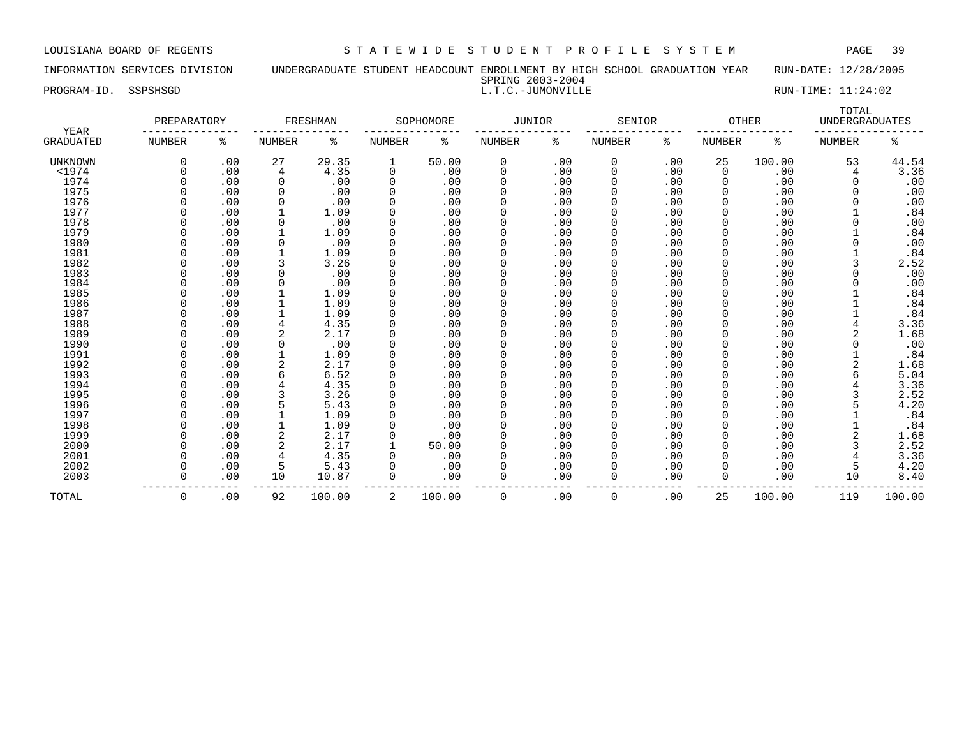INFORMATION SERVICES DIVISION UNDERGRADUATE STUDENT HEADCOUNT ENROLLMENT BY HIGH SCHOOL GRADUATION YEAR RUN-DATE: 12/28/2005 SPRING 2003-2004

| PROGRAM-ID. | SSPSHSGD | PLATIMA RADALARD<br>L.T.C.-JUMONVILLE<br>. J . 1 . J | $RUN-TIME: 11:24:02$ |
|-------------|----------|------------------------------------------------------|----------------------|
|             |          |                                                      | TOTAL                |

| <b>YEAR</b>      | PREPARATORY   |     |          | FRESHMAN |               | SOPHOMORE | JUNIOR       |      | SENIOR        |     | OTHER         |        | UNDERGRADUATES |        |
|------------------|---------------|-----|----------|----------|---------------|-----------|--------------|------|---------------|-----|---------------|--------|----------------|--------|
| <b>GRADUATED</b> | <b>NUMBER</b> | ႜ   | NUMBER   | ႜ        | <b>NUMBER</b> | နွ        | NUMBER       | ి    | <b>NUMBER</b> | နွ  | <b>NUMBER</b> | ႜ      | <b>NUMBER</b>  | ႜ      |
| UNKNOWN          | $\Omega$      | .00 | 27       | 29.35    | 1             | 50.00     | 0            | .00  | 0             | .00 | 25            | 100.00 | 53             | 44.54  |
| $<$ 1974         |               | .00 | 4        | 4.35     | $\Omega$      | .00       | 0            | .00  | 0             | .00 | 0             | .00    | 4              | 3.36   |
| 1974             |               | .00 | $\Omega$ | .00      | O             | .00       | <sup>0</sup> | .00  |               | .00 | 0             | .00    |                | .00    |
| 1975             |               | .00 | O        | .00      | O             | .00       | <sup>0</sup> | .00  |               | .00 | <sup>0</sup>  | .00    |                | .00    |
| 1976             |               | .00 |          | .00      |               | .00       |              | .00  |               | .00 |               | .00    |                | .00    |
| 1977             |               | .00 |          | 1.09     |               | .00       |              | .00  |               | .00 |               | .00    |                | .84    |
| 1978             |               | .00 |          | .00      |               | .00       |              | .00  |               | .00 |               | .00    |                | .00    |
| 1979             |               | .00 |          | 1.09     |               | .00       |              | .00  |               | .00 |               | .00    |                | .84    |
| 1980             |               | .00 |          | .00      |               | .00       |              | .00  |               | .00 |               | .00    |                | .00    |
| 1981             |               | .00 |          | 1.09     |               | .00       |              | .00  |               | .00 |               | .00    |                | .84    |
| 1982             |               | .00 |          | 3.26     |               | .00       |              | .00  |               | .00 |               | .00    |                | 2.52   |
| 1983             |               | .00 |          | .00      |               | .00       |              | .00  |               | .00 |               | .00    |                | .00    |
| 1984             |               | .00 |          | .00      |               | .00       |              | .00  |               | .00 |               | .00    |                | .00    |
| 1985             |               | .00 |          | 1.09     |               | .00       | O            | .00  |               | .00 |               | .00    |                | .84    |
| 1986             |               | .00 |          | 1.09     |               | .00       | <sup>0</sup> | .00  |               | .00 |               | .00    |                | .84    |
| 1987             |               | .00 |          | 1.09     |               | .00       | O            | .00  |               | .00 |               | .00    |                | .84    |
| 1988             |               | .00 |          | 4.35     |               | .00       | <sup>0</sup> | .00  |               | .00 |               | .00    |                | 3.36   |
| 1989             |               | .00 |          | 2.17     |               | .00       | O            | .00  |               | .00 |               | .00    |                | 1.68   |
| 1990             |               | .00 | $\Omega$ | .00      |               | .00       | <sup>0</sup> | .00  |               | .00 |               | .00    |                | .00    |
| 1991             |               | .00 |          | 1.09     |               | .00       | <sup>0</sup> | .00  |               | .00 | O             | .00    |                | .84    |
| 1992             |               | .00 |          | 2.17     |               | .00       | <sup>0</sup> | .00  |               | .00 |               | .00    |                | 1.68   |
| 1993             |               | .00 |          | 6.52     |               | .00       | <sup>0</sup> | .00  |               | .00 | O             | .00    |                | 5.04   |
| 1994             |               | .00 |          | 4.35     |               | .00       | <sup>0</sup> | .00  |               | .00 | O             | .00    |                | 3.36   |
| 1995             |               | .00 |          | 3.26     |               | .00       | <sup>0</sup> | .00  |               | .00 | U             | .00    |                | 2.52   |
| 1996             |               | .00 |          | 5.43     |               | .00       | <sup>0</sup> | .00  |               | .00 | U             | .00    |                | 4.20   |
| 1997             |               | .00 |          | 1.09     |               | .00       | <sup>0</sup> | .00  |               | .00 | U             | .00    |                | .84    |
| 1998             |               | .00 |          | 1.09     |               | .00       | <sup>0</sup> | .00  |               | .00 | U             | .00    |                | .84    |
| 1999             |               | .00 |          | 2.17     |               | .00       | <sup>0</sup> | .00  |               | .00 | U             | .00    |                | 1.68   |
| 2000             |               | .00 |          | 2.17     |               | 50.00     | <sup>0</sup> | .00  |               | .00 | U             | .00    |                | 2.52   |
| 2001             |               | .00 |          | 4.35     |               | .00       | U            | .00  |               | .00 | U             | .00    |                | 3.36   |
| 2002             |               | .00 | 5        | 5.43     |               | .00       | <sup>0</sup> | .00  |               | .00 | 0             | .00    |                | 4.20   |
| 2003             | $\Omega$      | .00 | 10       | 10.87    | $\Omega$      | .00       | <sup>0</sup> | .00  | 0             | .00 | $\Omega$      | .00    | 10             | 8.40   |
| TOTAL            | $\Omega$      | .00 | 92       | 100.00   | 2             | 100.00    | $\Omega$     | .00. | $\Omega$      | .00 | 25            | 100.00 | 119            | 100.00 |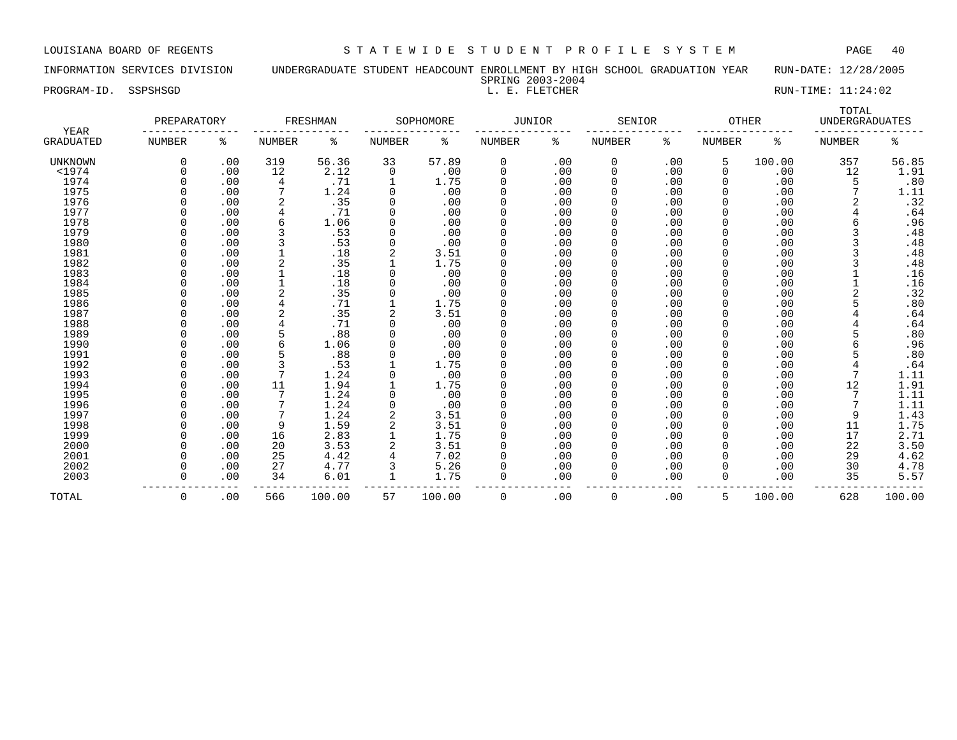INFORMATION SERVICES DIVISION UNDERGRADUATE STUDENT HEADCOUNT ENROLLMENT BY HIGH SCHOOL GRADUATION YEAR RUN-DATE: 12/28/2005 SPRING 2003-2004

PROGRAM-ID. SSPSHSGD L. E. FLETCHER RUN-TIME: 11:24:02

|                   | PREPARATORY   |     |        | FRESHMAN |               | SOPHOMORE | JUNIOR   |      | SENIOR        |     | <b>OTHER</b>  |        | TOTAL<br><b>UNDERGRADUATES</b> |        |
|-------------------|---------------|-----|--------|----------|---------------|-----------|----------|------|---------------|-----|---------------|--------|--------------------------------|--------|
| YEAR<br>GRADUATED | <b>NUMBER</b> | ႜ   | NUMBER | ႜ        | <b>NUMBER</b> | ႜ         | NUMBER   | ႜ    | <b>NUMBER</b> | ႜ   | <b>NUMBER</b> | ႜ      | <b>NUMBER</b>                  | ႜ      |
| <b>UNKNOWN</b>    | 0             | .00 | 319    | 56.36    | 33            | 57.89     | 0        | .00  | 0             | .00 | 5             | 100.00 | 357                            | 56.85  |
| $<$ 1974          |               | .00 | 12     | 2.12     | 0             | .00       | 0        | .00  | 0             | .00 | 0             | .00    | 12                             | 1.91   |
| 1974              |               | .00 | 4      | .71      |               | 1.75      | 0        | .00  | 0             | .00 | 0             | .00    | 5                              | .80    |
| 1975              |               | .00 |        | 1.24     | 0             | .00       | 0        | .00  | 0             | .00 |               | .00    | 7                              | 1.11   |
| 1976              |               | .00 | 2      | .35      | 0             | .00       | 0        | .00  | 0             | .00 | 0             | .00    |                                | .32    |
| 1977              |               | .00 |        | .71      | 0             | .00       | 0        | .00  | 0             | .00 | 0             | .00    |                                | .64    |
| 1978              |               | .00 | 6      | 1.06     | 0             | .00       | 0        | .00  | 0             | .00 | $\Omega$      | .00    |                                | .96    |
| 1979              |               | .00 |        | .53      | $\Omega$      | .00       |          | .00  |               | .00 | 0             | .00    |                                | .48    |
| 1980              |               | .00 |        | .53      | $\Omega$      | .00       | 0        | .00  |               | .00 |               | .00    |                                | .48    |
| 1981              |               | .00 |        | .18      |               | 3.51      | O        | .00  |               | .00 | 0             | .00    |                                | .48    |
| 1982              |               | .00 | 2      | .35      |               | 1.75      | O        | .00  | U             | .00 | 0             | .00    |                                | .48    |
| 1983              |               | .00 |        | .18      | $\Omega$      | .00       | U        | .00  | <sup>0</sup>  | .00 | $\Omega$      | .00    |                                | .16    |
| 1984              |               | .00 |        | .18      |               | .00       | O        | .00  | <sup>0</sup>  | .00 | <sup>0</sup>  | .00    |                                | .16    |
| 1985              |               | .00 | 2      | .35      |               | .00       | 0        | .00  | 0             | .00 | 0             | .00    |                                | .32    |
| 1986              |               | .00 |        | .71      |               | 1.75      | 0        | .00  | 0             | .00 |               | .00    |                                | .80    |
| 1987              |               | .00 |        | .35      |               | 3.51      | 0        | .00  | 0             | .00 | $\Omega$      | .00    |                                | .64    |
| 1988              |               | .00 |        | .71      | 0             | .00       | 0        | .00  | 0             | .00 | $\Omega$      | .00    |                                | .64    |
| 1989              |               | .00 |        | .88      | 0             | .00       | 0        | .00  | <sup>0</sup>  | .00 | 0             | .00    |                                | .80    |
| 1990              |               | .00 |        | 1.06     |               | .00       |          | .00  |               | .00 | 0             | .00    |                                | .96    |
| 1991              |               | .00 |        | .88      | 0             | .00       | 0        | .00  |               | .00 |               | .00    |                                | .80    |
| 1992              |               | .00 |        | .53      |               | 1.75      | 0        | .00  |               | .00 |               | .00    |                                | .64    |
| 1993              |               | .00 |        | 1.24     | 0             | .00       | 0        | .00  | <sup>0</sup>  | .00 |               | .00    |                                | 1.11   |
| 1994              |               | .00 | 11     | 1.94     |               | 1.75      | U        | .00  | <sup>0</sup>  | .00 | <sup>0</sup>  | .00    | 12                             | 1.91   |
| 1995              |               | .00 |        | 1.24     | $\Omega$      | .00       | O        | .00  | <sup>0</sup>  | .00 | <sup>0</sup>  | .00    |                                | 1.11   |
| 1996              |               | .00 |        | 1.24     | 0             | .00       | 0        | .00  | 0             | .00 | 0             | .00    |                                | 1.11   |
| 1997              |               | .00 |        | 1.24     |               | 3.51      | 0        | .00  | 0             | .00 |               | .00    | 9                              | 1.43   |
| 1998              |               | .00 | 9      | 1.59     |               | 3.51      | 0        | .00  | 0             | .00 |               | .00    | 11                             | 1.75   |
| 1999              |               | .00 | 16     | 2.83     |               | 1.75      | 0        | .00  | 0             | .00 | 0             | .00    | 17                             | 2.71   |
| 2000              |               | .00 | 20     | 3.53     |               | 3.51      | 0        | .00  | 0             | .00 | 0             | .00    | 22                             | 3.50   |
| 2001              |               | .00 | 25     | 4.42     |               | 7.02      | O        | .00  | 0             | .00 | 0             | .00    | 29                             | 4.62   |
| 2002              |               | .00 | 27     | 4.77     |               | 5.26      |          | .00  | 0             | .00 | 0             | .00    | 30                             | 4.78   |
| 2003              |               | .00 | 34     | 6.01     | 1             | 1.75      | $\Omega$ | .00  | 0             | .00 | 0             | .00    | 35                             | 5.57   |
| TOTAL             | $\Omega$      | .00 | 566    | 100.00   | 57            | 100.00    | 0        | .00. | $\Omega$      | .00 | 5.            | 100.00 | 628                            | 100.00 |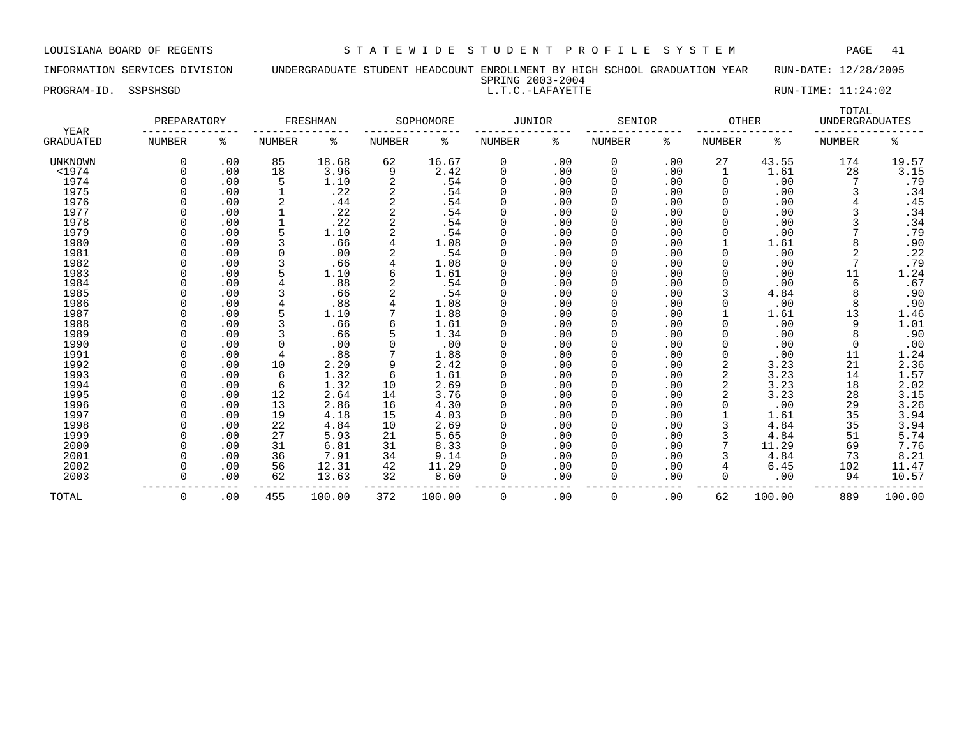INFORMATION SERVICES DIVISION UNDERGRADUATE STUDENT HEADCOUNT ENROLLMENT BY HIGH SCHOOL GRADUATION YEAR RUN-DATE: 12/28/2005 SPRING 2003-2004

PROGRAM-ID. SSPSHSGD SALL RUN-TIME: 11:24:02

| <b>YEAR</b>      | PREPARATORY |     |               | FRESHMAN |        | SOPHOMORE | <b>JUNIOR</b> |     | SENIOR        |     | <b>OTHER</b>  |        | TOTAL<br><b>UNDERGRADUATES</b> |                  |
|------------------|-------------|-----|---------------|----------|--------|-----------|---------------|-----|---------------|-----|---------------|--------|--------------------------------|------------------|
| <b>GRADUATED</b> | NUMBER      | ႜ   | <b>NUMBER</b> | ႜ        | NUMBER | နွ        | NUMBER        | ႜ   | <b>NUMBER</b> | ႜ   | <b>NUMBER</b> | ႜ      | <b>NUMBER</b>                  | ႜ                |
| UNKNOWN          |             | .00 | 85            | 18.68    | 62     | 16.67     | $\Omega$      | .00 | 0             | .00 | 27            | 43.55  | 174                            | 19.57            |
| $1974$           |             | .00 | 18            | 3.96     | 9      | 2.42      | $\Omega$      | .00 | 0             | .00 |               | 1.61   | 28                             | 3.15             |
| 1974             |             | .00 | 5             | 1.10     |        | .54       | $\Omega$      | .00 | 0             | .00 | 0             | .00    |                                | .79              |
| 1975             |             | .00 |               | .22      |        | .54       | $\Omega$      | .00 |               | .00 | 0             | .00    |                                | .34              |
| 1976             |             | .00 | 2             | .44      | 2      | .54       | $\Omega$      | .00 |               | .00 | 0             | .00    |                                | .45              |
| 1977             |             | .00 |               | .22      |        | .54       | $\Omega$      | .00 |               | .00 | 0             | .00    |                                | .34              |
| 1978             |             | .00 |               | .22      |        | .54       | $\Omega$      | .00 | 0             | .00 | 0             | .00    |                                | .34              |
| 1979             |             | .00 |               | 1.10     |        | .54       | $\Omega$      | .00 | 0             | .00 | 0             | .00    |                                | .79              |
| 1980             |             | .00 |               | .66      |        | 1.08      | $\Omega$      | .00 | 0             | .00 |               | 1.61   |                                | .90              |
| 1981             |             | .00 |               | .00      |        | .54       | $\Omega$      | .00 | 0             | .00 | O             | .00    |                                | .22              |
| 1982             |             | .00 |               | .66      |        | 1.08      | $\Omega$      | .00 |               | .00 |               | .00    |                                | .79              |
| 1983             |             | .00 |               | 1.10     |        | 1.61      | $\Omega$      | .00 |               | .00 |               | .00    | 11                             | 1.24             |
| 1984             |             | .00 |               | .88      |        | .54       | $\Omega$      | .00 |               | .00 |               | .00    | 6                              | .67              |
| 1985             |             | .00 |               | .66      |        | .54       | $\Omega$      | .00 |               | .00 |               | 4.84   | 8                              | .90              |
| 1986             |             | .00 |               | .88      |        | 1.08      | $\Omega$      | .00 |               | .00 | O             | .00    | 8                              | .90              |
| 1987             |             | .00 |               | 1.10     |        | 1.88      | $\Omega$      | .00 |               | .00 |               | 1.61   | 13                             | 1.46             |
| 1988             |             | .00 |               | .66      |        | 1.61      | $\Omega$      | .00 |               | .00 | O             | .00    | 9                              | 1.01             |
| 1989             |             | .00 |               | .66      |        | 1.34      | $\Omega$      | .00 |               | .00 | 0             | .00    | 8                              | .90              |
| 1990             |             | .00 | $\Omega$      | .00      |        | .00       | $\Omega$      | .00 |               | .00 |               | .00    | 0                              | .00              |
| 1991             |             | .00 | 4             | .88      |        | 1.88      | $\Omega$      | .00 |               | .00 | 0             | .00    | 11                             | 1.24             |
| 1992             |             | .00 | 10            | 2.20     |        | 2.42      | $\Omega$      | .00 |               | .00 | 2             | 3.23   | 21                             |                  |
| 1993             |             | .00 | 6             | 1.32     | 6      | 1.61      | $\Omega$      | .00 | 0             | .00 | 2             | 3.23   | 14                             | $2.36$<br>$1.57$ |
| 1994             |             | .00 | 6             | 1.32     | 10     | 2.69      | $\Omega$      | .00 |               | .00 | 2             | 3.23   | 18                             | 2.02             |
| 1995             |             | .00 | 12            | 2.64     | 14     | 3.76      | $\Omega$      | .00 |               | .00 |               | 3.23   | 28                             | 3.15             |
| 1996             |             | .00 | 13            | 2.86     | 16     | 4.30      | $\Omega$      | .00 |               | .00 |               | .00    | 29                             | 3.26             |
| 1997             |             | .00 | 19            | 4.18     | 15     | 4.03      | $\Omega$      | .00 |               | .00 |               | 1.61   | 35                             | 3.94             |
| 1998             |             | .00 | 22            | 4.84     | 10     | 2.69      | $\Omega$      | .00 |               | .00 |               | 4.84   | 35                             | 3.94             |
| 1999             |             | .00 | 27            | 5.93     | 21     | 5.65      | $\Omega$      | .00 |               | .00 |               | 4.84   | 51                             | 5.74             |
| 2000             |             | .00 | 31            | 6.81     | 31     | 8.33      | $\Omega$      | .00 |               | .00 |               | 11.29  | 69                             | 7.76             |
| 2001             |             | .00 | 36            | 7.91     | 34     | 9.14      | $\Omega$      | .00 |               | .00 |               | 4.84   | 73                             | 8.21             |
| 2002             |             | .00 | 56            | 12.31    | 42     | 11.29     | O             | .00 |               | .00 |               | 6.45   | 102                            | 11.47            |
| 2003             |             | .00 | 62            | 13.63    | 32     | 8.60      | 0             | .00 | 0             | .00 | 0             | .00    | 94                             | 10.57            |
| TOTAL            | $\Omega$    | .00 | 455           | 100.00   | 372    | 100.00    | 0             | .00 | 0             | .00 | 62            | 100.00 | 889                            | 100.00           |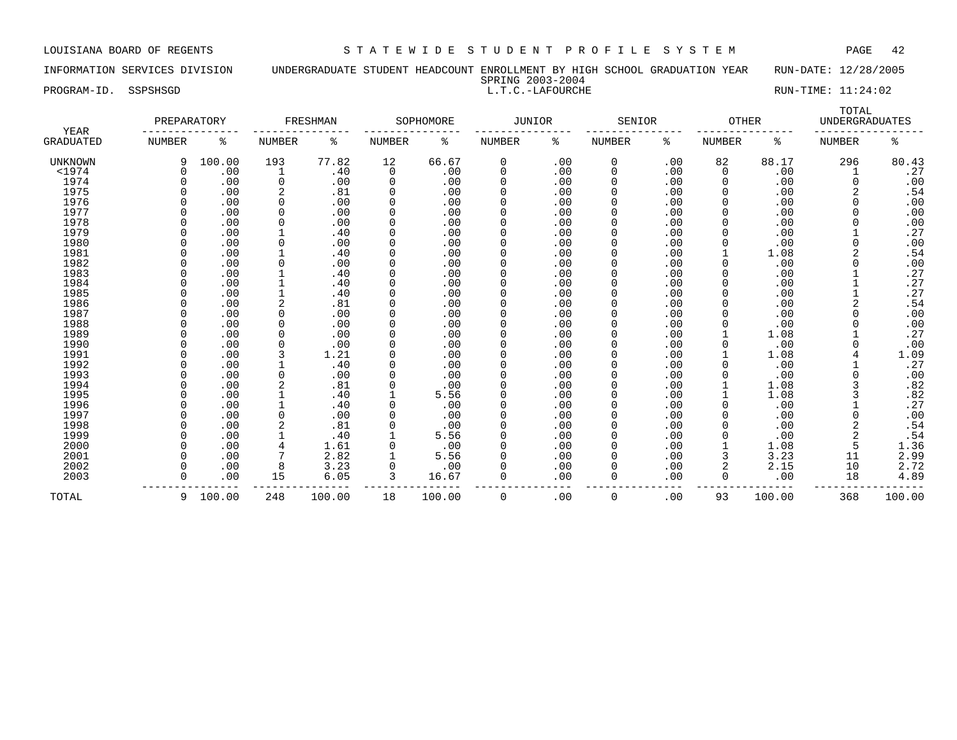INFORMATION SERVICES DIVISION UNDERGRADUATE STUDENT HEADCOUNT ENROLLMENT BY HIGH SCHOOL GRADUATION YEAR RUN-DATE: 12/28/2005 SPRING 2003-2004

PROGRAM-ID. SSPSHSGD SALLAROURCHE L.T.C.-LAFOURCHE L.T.C.-LAFOURCHE RUN-TIME: 11:24:02

| YEAR           | PREPARATORY |        |                | FRESHMAN |               | SOPHOMORE | <b>JUNIOR</b> |     | SENIOR        |     | <b>OTHER</b>  |        | TOTAL<br><b>UNDERGRADUATES</b> |        |
|----------------|-------------|--------|----------------|----------|---------------|-----------|---------------|-----|---------------|-----|---------------|--------|--------------------------------|--------|
| GRADUATED      | NUMBER      | ႜ      | <b>NUMBER</b>  | နွ       | <b>NUMBER</b> | ႜ         | NUMBER        | နွ  | <b>NUMBER</b> | ៖   | <b>NUMBER</b> | ႜ      | <b>NUMBER</b>                  | ႜ      |
| <b>UNKNOWN</b> | 9           | 100.00 | 193            | 77.82    | 12            | 66.67     | 0             | .00 | 0             | .00 | 82            | 88.17  | 296                            | 80.43  |
| $<$ 1974       | $\Omega$    | .00    |                | .40      | 0             | .00       | 0             | .00 | 0             | .00 | 0             | .00    |                                | .27    |
| 1974           |             | .00    | 0              | .00      | 0             | .00       | 0             | .00 | 0             | .00 | $\Omega$      | .00    | 0                              | .00    |
| 1975           |             | .00    | 2              | .81      | $\Omega$      | .00       | 0             | .00 | 0             | .00 | 0             | .00    |                                | .54    |
| 1976           |             | .00    | $\Omega$       | .00      | 0             | .00       | 0             | .00 | <sup>0</sup>  | .00 |               | .00    | O                              | .00    |
| 1977           |             | .00    | $\Omega$       | .00      | $\Omega$      | .00       |               | .00 | ი             | .00 |               | .00    |                                | .00    |
| 1978           |             | .00    | $\Omega$       | .00      | 0             | .00       |               | .00 |               | .00 |               | .00    |                                | .00    |
| 1979           |             | .00    |                | .40      | $\Omega$      | .00       | 0             | .00 |               | .00 |               | .00    |                                | .27    |
| 1980           |             | .00    | $\mathbf 0$    | .00      |               | .00       | 0             | .00 | ი             | .00 |               | .00    | $\Omega$                       | .00    |
| 1981           |             | .00    |                | .40      |               | .00       | U             | .00 | ი             | .00 |               | 1.08   | 2                              | .54    |
| 1982           |             | .00    | 0              | .00      |               | .00       | 0             | .00 | O             | .00 | O             | .00    | O                              | .00    |
| 1983           |             | .00    |                | .40      |               | .00       | 0             | .00 | O             | .00 |               | .00    |                                | .27    |
| 1984           |             | .00    |                | .40      |               | .00       | 0             | .00 |               | .00 |               | .00    |                                | .27    |
| 1985           |             | .00    |                | .40      |               | .00       | 0             | .00 |               | .00 |               | .00    |                                | .27    |
| 1986           |             | .00    |                | .81      |               | .00       | 0             | .00 | 0             | .00 |               | .00    |                                | .54    |
| 1987           |             | .00    | $\Omega$       | .00      |               | .00       | 0             | .00 | 0             | .00 |               | .00    |                                | .00    |
| 1988           |             | .00    | $\Omega$       | .00      |               | .00       | O             | .00 | 0             | .00 |               | .00    |                                | .00    |
| 1989           |             | .00    | $\Omega$       | .00      |               | .00       |               | .00 | ი             | .00 |               | 1.08   |                                | .27    |
| 1990           |             | .00    |                | .00      |               | .00       |               | .00 |               | .00 |               | .00    |                                | .00    |
| 1991           |             | .00    |                | 1.21     |               | .00       | 0             | .00 | O             | .00 |               | 1.08   |                                | 1.09   |
| 1992           |             | .00    |                | .40      |               | .00       | 0             | .00 | ი             | .00 |               | .00    |                                | .27    |
| 1993           |             | .00    | $\Omega$       | .00      |               | .00       | 0             | .00 | <sup>0</sup>  | .00 |               | .00    | U                              | .00    |
| 1994           |             | .00    | 2              | .81      |               | .00       | 0             | .00 | <sup>0</sup>  | .00 |               | 1.08   |                                | .82    |
| 1995           |             | .00    |                | .40      |               | 5.56      | 0             | .00 | 0             | .00 |               | 1.08   | 3                              | .82    |
| 1996           |             | .00    |                | .40      | $\Omega$      | .00       | 0             | .00 | 0             | .00 |               | .00    |                                | .27    |
| 1997           |             | .00    | 0              | .00      |               | .00       | 0             | .00 |               | .00 |               | .00    | 0                              | .00    |
| 1998           |             | .00    | $\overline{2}$ | .81      | 0             | .00       | 0             | .00 | 0             | .00 |               | .00    |                                | .54    |
| 1999           |             | .00    |                | .40      |               | 5.56      | 0             | .00 | 0             | .00 |               | .00    | 2                              | .54    |
| 2000           |             | .00    |                | 1.61     | $\Omega$      | .00       | 0             | .00 | 0             | .00 |               | 1.08   | 5                              | 1.36   |
| 2001           |             | .00    |                | 2.82     |               | 5.56      |               | .00 | 0             | .00 |               | 3.23   | 11                             | 2.99   |
| 2002           |             | .00    | 8              | 3.23     | 0             | .00       |               | .00 | 0             | .00 | 2             | 2.15   | 10                             | 2.72   |
| 2003           |             | .00    | 15             | 6.05     | 3             | 16.67     | 0             | .00 | 0             | .00 | 0             | .00    | 18                             | 4.89   |
| TOTAL          | 9           | 100.00 | 248            | 100.00   | 18            | 100.00    | 0             | .00 | $\Omega$      | .00 | 93            | 100.00 | 368                            | 100.00 |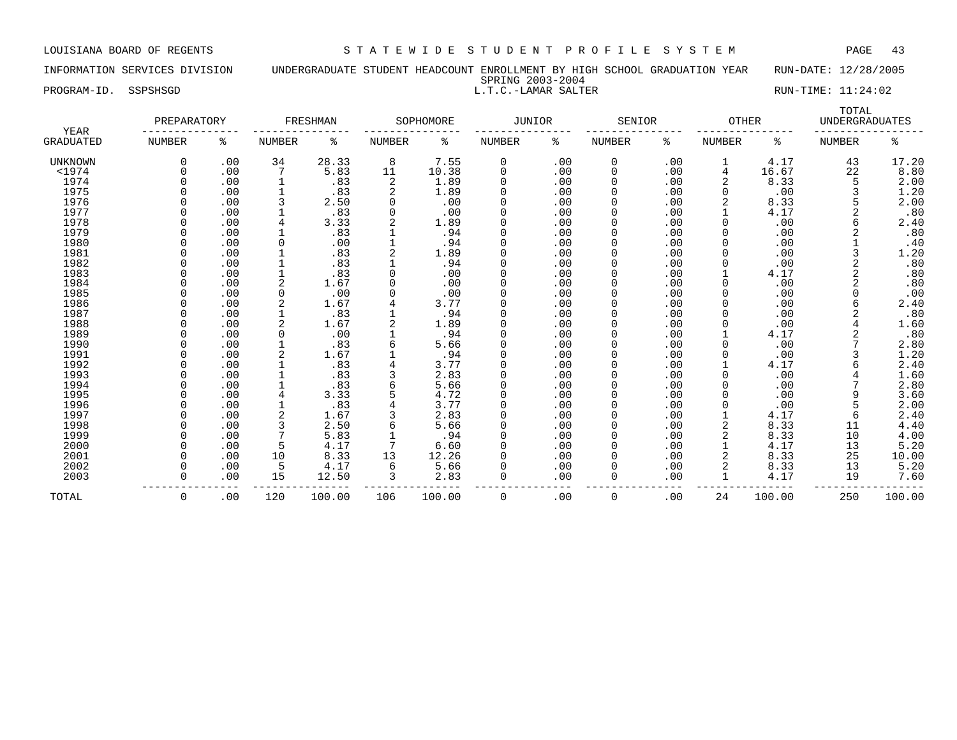# INFORMATION SERVICES DIVISION UNDERGRADUATE STUDENT HEADCOUNT ENROLLMENT BY HIGH SCHOOL GRADUATION YEAR RUN-DATE: 12/28/2005 SPRING 2003-2004 PROGRAM-ID. SSPSHSGD L.T.C.-LAMAR SALTER RUN-TIME: 11:24:02

|  | PLATHA SANS PLITT  |
|--|--------------------|
|  | I.T.C.-LAMAR SALTE |

|                          | PREPARATORY   |     |               | FRESHMAN |               | SOPHOMORE | <b>JUNIOR</b> |     | SENIOR        |     | <b>OTHER</b>   |        | TOTAL<br><b>UNDERGRADUATES</b> |        |
|--------------------------|---------------|-----|---------------|----------|---------------|-----------|---------------|-----|---------------|-----|----------------|--------|--------------------------------|--------|
| YEAR<br><b>GRADUATED</b> | <b>NUMBER</b> | ႜ   | <b>NUMBER</b> | နွ       | <b>NUMBER</b> | ႜ         | NUMBER        | ႜ   | <b>NUMBER</b> | ి   | <b>NUMBER</b>  | နွ     | <b>NUMBER</b>                  | ႜ      |
| <b>UNKNOWN</b>           | 0             | .00 | 34            | 28.33    | 8             | 7.55      | 0             | .00 | 0             | .00 |                | 4.17   | 43                             | 17.20  |
| $<$ 1974                 | 0             | .00 |               | 5.83     | 11            | 10.38     | 0             | .00 | 0             | .00 | 4              | 16.67  | 22                             | 8.80   |
| 1974                     |               | .00 | $\mathbf 1$   | .83      | 2             | 1.89      | $\Omega$      | .00 | 0             | .00 | 2              | 8.33   | 5                              | 2.00   |
| 1975                     |               | .00 | 1             | .83      | 2             | 1.89      | 0             | .00 | 0             | .00 | 0              | .00    |                                | 1.20   |
| 1976                     |               | .00 |               | 2.50     | 0             | .00       |               | .00 | 0             | .00 |                | 8.33   |                                | 2.00   |
| 1977                     |               | .00 |               | .83      | 0             | .00       |               | .00 | 0             | .00 |                | 4.17   |                                | .80    |
| 1978                     |               | .00 |               | 3.33     |               | 1.89      | $\cap$        | .00 | 0             | .00 | 0              | .00    |                                | 2.40   |
| 1979                     |               | .00 |               | .83      |               | .94       | $\Omega$      | .00 | $\Omega$      | .00 | 0              | .00    |                                | .80    |
| 1980                     | U             | .00 | O             | .00      |               | .94       | $\Omega$      | .00 | 0             | .00 | 0              | .00    |                                | .40    |
| 1981                     |               | .00 |               | .83      |               | 1.89      | $\Omega$      | .00 | 0             | .00 | 0              | .00    |                                | 1.20   |
| 1982                     | 0             | .00 |               | .83      |               | .94       | 0             | .00 | 0             | .00 | 0              | .00    |                                | .80    |
| 1983                     |               | .00 |               | .83      |               | .00       | 0             | .00 | 0             | .00 |                | 4.17   |                                | .80    |
| 1984                     |               | .00 |               | 1.67     |               | .00       | 0             | .00 | 0             | .00 | 0              | .00    |                                | .80    |
| 1985                     |               | .00 | 0             | .00      |               | .00       | $\Omega$      | .00 | 0             | .00 | 0              | .00    |                                | .00    |
| 1986                     |               | .00 |               | 1.67     |               | 3.77      |               | .00 | 0             | .00 |                | .00    |                                | 2.40   |
| 1987                     |               | .00 |               | .83      |               | .94       |               | .00 | 0             | .00 |                | .00    |                                | .80    |
| 1988                     |               | .00 |               | 1.67     |               | 1.89      | $\cap$        | .00 | 0             | .00 |                | .00    |                                | 1.60   |
| 1989                     |               | .00 |               | .00      |               | .94       | $\cap$        | .00 | 0             | .00 |                | 4.17   |                                | .80    |
| 1990                     |               | .00 |               | .83      |               | 5.66      | $\Omega$      | .00 | 0             | .00 | O              | .00    |                                | 2.80   |
| 1991                     |               | .00 |               | 1.67     |               | .94       | $\Omega$      | .00 | 0             | .00 | 0              | .00    | 3                              | 1.20   |
| 1992                     |               | .00 |               | .83      |               | 3.77      | 0             | .00 | 0             | .00 |                | 4.17   | 6                              | 2.40   |
| 1993                     |               | .00 |               | .83      |               | 2.83      | 0             | .00 | 0             | .00 | 0              | .00    |                                | 1.60   |
| 1994                     |               | .00 |               | .83      |               | 5.66      | 0             | .00 | 0             | .00 | 0              | .00    |                                | 2.80   |
| 1995                     |               | .00 | 4             | 3.33     | 5             | 4.72      | $\Omega$      | .00 | 0             | .00 | 0              | .00    | 9                              | 3.60   |
| 1996                     |               | .00 |               | .83      |               | 3.77      |               | .00 | 0             | .00 | O              | .00    |                                | 2.00   |
| 1997                     |               | .00 |               | 1.67     |               | 2.83      |               | .00 | 0             | .00 |                | 4.17   | 6                              | 2.40   |
| 1998                     |               | .00 |               | 2.50     |               | 5.66      | $\Omega$      | .00 | 0             | .00 | 2              | 8.33   | 11                             | 4.40   |
| 1999                     |               | .00 |               | 5.83     |               | .94       | $\Omega$      | .00 | 0             | .00 | $\overline{2}$ | 8.33   | 10                             | 4.00   |
| 2000                     | <sup>0</sup>  | .00 | 5             | 4.17     |               | 6.60      | $\Omega$      | .00 | 0             | .00 |                | 4.17   | 13                             | 5.20   |
| 2001                     | O             | .00 | 10            | 8.33     | 13            | 12.26     | $\Omega$      | .00 | $\Omega$      | .00 | 2              | 8.33   | 25                             | 10.00  |
| 2002                     | 0             | .00 | 5             | 4.17     | 6             | 5.66      |               | .00 | $\Omega$      | .00 | 2              | 8.33   | 13                             | 5.20   |
| 2003                     | <sup>0</sup>  | .00 | 15            | 12.50    |               | 2.83      | $\Omega$      | .00 | 0             | .00 |                | 4.17   | 19                             | 7.60   |
| TOTAL                    | 0             | .00 | 120           | 100.00   | 106           | 100.00    | 0             | .00 | 0             | .00 | 24             | 100.00 | 250                            | 100.00 |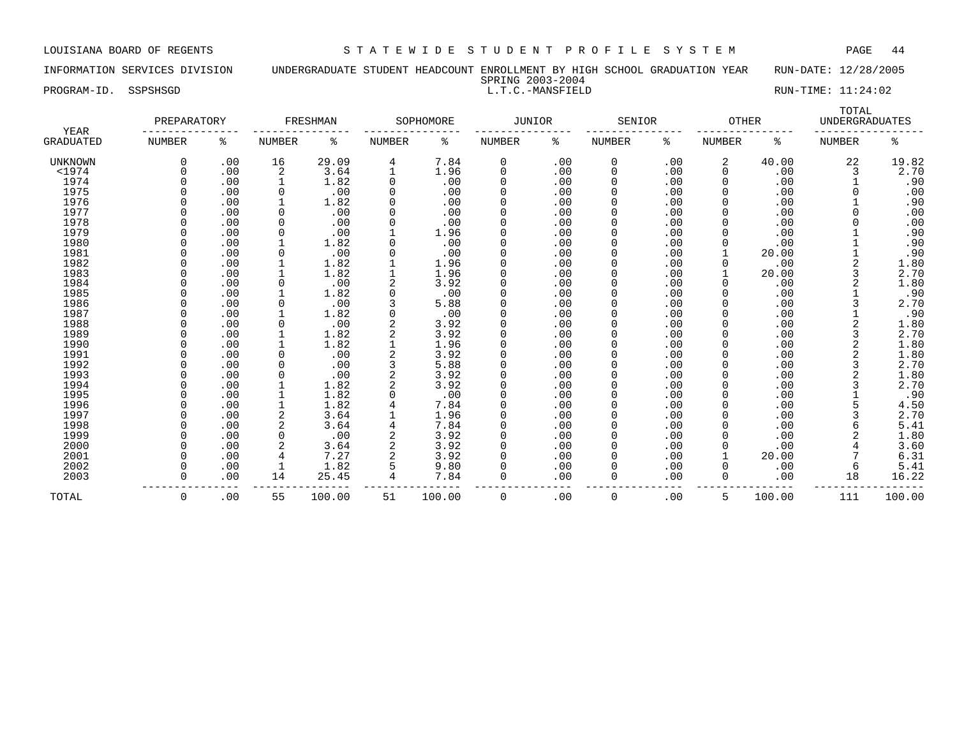INFORMATION SERVICES DIVISION UNDERGRADUATE STUDENT HEADCOUNT ENROLLMENT BY HIGH SCHOOL GRADUATION YEAR RUN-DATE: 12/28/2005 SPRING 2003-2004

PROGRAM-ID. SSPSHSGD L.T.C.-MANSFIELD RUN-TIME: 11:24:02

|                                 | PREPARATORY   |     |               | FRESHMAN |               | SOPHOMORE | <b>JUNIOR</b> |     | SENIOR        |     | <b>OTHER</b>  |        | TOTAL<br><b>UNDERGRADUATES</b> |        |
|---------------------------------|---------------|-----|---------------|----------|---------------|-----------|---------------|-----|---------------|-----|---------------|--------|--------------------------------|--------|
| <b>YEAR</b><br><b>GRADUATED</b> | <b>NUMBER</b> | ႜ   | <b>NUMBER</b> | ႜ        | <b>NUMBER</b> | ႜ         | <b>NUMBER</b> | ႜ   | <b>NUMBER</b> | ႜ   | <b>NUMBER</b> | ႜ      | <b>NUMBER</b>                  | ႜ      |
| UNKNOWN                         | 0             | .00 | 16            | 29.09    | 4             | 7.84      | 0             | .00 | 0             | .00 | 2             | 40.00  | 22                             | 19.82  |
| $<$ 1974                        |               | .00 | 2             | 3.64     |               | 1.96      | 0             | .00 | 0             | .00 |               | .00    | 3                              | 2.70   |
| 1974                            |               | .00 |               | 1.82     | $\Omega$      | .00       | 0             | .00 | 0             | .00 |               | .00    |                                | .90    |
| 1975                            |               | .00 | 0             | .00      | $\Omega$      | .00       | 0             | .00 | 0             | .00 |               | .00    |                                | .00    |
| 1976                            |               | .00 |               | 1.82     |               | .00       | 0             | .00 | 0             | .00 |               | .00    |                                | .90    |
| 1977                            |               | .00 | 0             | .00      |               | .00       | 0             | .00 | 0             | .00 |               | .00    |                                | .00    |
| 1978                            |               | .00 | 0             | .00      |               | .00       | <sup>0</sup>  | .00 | O             | .00 |               | .00    |                                | .00    |
| 1979                            |               | .00 | $\mathbf 0$   | .00      |               | 1.96      | <sup>0</sup>  | .00 | <sup>0</sup>  | .00 |               | .00    |                                | .90    |
| 1980                            |               | .00 | 1             | 1.82     |               | .00       | <sup>0</sup>  | .00 | <sup>0</sup>  | .00 |               | .00    |                                | .90    |
| 1981                            |               | .00 | 0             | .00      |               | .00       | 0             | .00 | 0             | .00 |               | 20.00  |                                | .90    |
| 1982                            |               | .00 |               | 1.82     |               | 1.96      | 0             | .00 | 0             | .00 |               | .00    | 2                              | 1.80   |
| 1983                            |               | .00 |               | 1.82     |               | 1.96      | 0             | .00 | 0             | .00 |               | 20.00  | 3                              | 2.70   |
| 1984                            |               | .00 | 0             | .00      |               | 3.92      | 0             | .00 | 0             | .00 |               | .00    | 2                              | 1.80   |
| 1985                            |               | .00 | 1             | 1.82     |               | .00       | <sup>0</sup>  | .00 | <sup>0</sup>  | .00 |               | .00    |                                | .90    |
| 1986                            |               | .00 | 0             | .00      |               | 5.88      | 0             | .00 | 0             | .00 |               | .00    | 3                              | 2.70   |
| 1987                            |               | .00 |               | 1.82     |               | .00       | 0             | .00 |               | .00 |               | .00    |                                | .90    |
| 1988                            |               | .00 | $\Omega$      | .00      |               | 3.92      | 0             | .00 | 0             | .00 |               | .00    |                                | 1.80   |
| 1989                            |               | .00 |               | 1.82     |               | 3.92      | 0             | .00 | 0             | .00 |               | .00    | 3                              | 2.70   |
| 1990                            |               | .00 | 1             | 1.82     |               | 1.96      | <sup>0</sup>  | .00 | 0             | .00 |               | .00    | 2                              | 1.80   |
| 1991                            |               | .00 | $\mathbf 0$   | .00      |               | 3.92      | 0             | .00 | 0             | .00 |               | .00    | 2                              | 1.80   |
| 1992                            |               | .00 | $\Omega$      | .00      | 3             | 5.88      | 0             | .00 | 0             | .00 |               | .00    | 3                              | 2.70   |
| 1993                            |               | .00 | 0             | .00      |               | 3.92      | 0             | .00 | 0             | .00 |               | .00    | 2                              | 1.80   |
| 1994                            |               | .00 |               | 1.82     |               | 3.92      | 0             | .00 | 0             | .00 |               | .00    | 3                              | 2.70   |
| 1995                            |               | .00 |               | 1.82     |               | .00       | <sup>0</sup>  | .00 | <sup>0</sup>  | .00 |               | .00    |                                | .90    |
| 1996                            |               | .00 |               | 1.82     |               | 7.84      | O             | .00 | O             | .00 |               | .00    |                                | 4.50   |
| 1997                            |               | .00 | 2             | 3.64     |               | 1.96      | <sup>0</sup>  | .00 |               | .00 |               | .00    |                                | 2.70   |
| 1998                            |               | .00 | 2             | 3.64     |               | 7.84      | $\Omega$      | .00 | <sup>0</sup>  | .00 |               | .00    |                                | 5.41   |
| 1999                            |               | .00 | $\Omega$      | .00      |               | 3.92      | $\Omega$      | .00 | <sup>0</sup>  | .00 |               | .00    |                                | 1.80   |
| 2000                            |               | .00 |               | 3.64     |               | 3.92      | <sup>0</sup>  | .00 | <sup>0</sup>  | .00 |               | .00    |                                | 3.60   |
| 2001                            |               | .00 | 4             | 7.27     |               | 3.92      | 0             | .00 | 0             | .00 |               | 20.00  |                                | 6.31   |
| 2002                            |               | .00 |               | 1.82     |               | 9.80      | 0             | .00 | 0             | .00 |               | .00    | 6                              | 5.41   |
| 2003                            |               | .00 | 14            | 25.45    |               | 7.84      | $\Omega$      | .00 | 0             | .00 | $\Omega$      | .00    | 18                             | 16.22  |
| TOTAL                           | $\Omega$      | .00 | 55            | 100.00   | 51            | 100.00    | 0             | .00 | $\mathbf 0$   | .00 | 5.            | 100.00 | 111                            | 100.00 |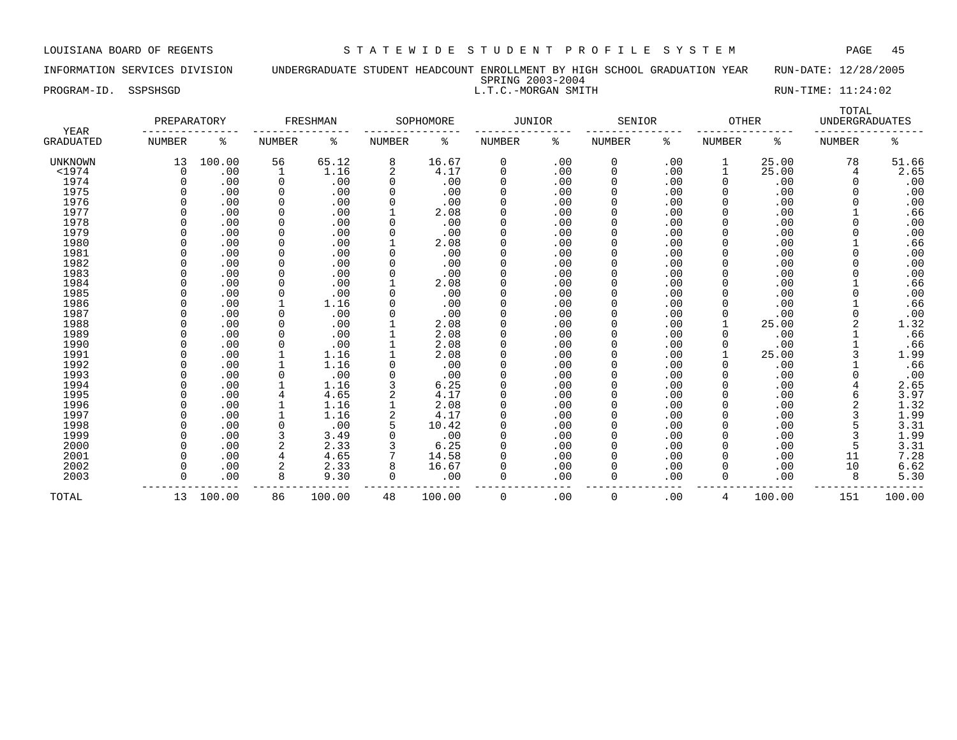## INFORMATION SERVICES DIVISION UNDERGRADUATE STUDENT HEADCOUNT ENROLLMENT BY HIGH SCHOOL GRADUATION YEAR RUN-DATE: 12/28/2005 SPRING 2003-2004<br>L.T.C.-MORGAN SMITH PROGRAM-ID. SSPSHSGD L.T.C.-MORGAN SMITH RUN-TIME: 11:24:02

| YEAR             | PREPARATORY   |        |               | FRESHMAN |               | SOPHOMORE | <b>JUNIOR</b> |     | SENIOR        |     | <b>OTHER</b>  |        | TOTAL<br><b>UNDERGRADUATES</b> |        |
|------------------|---------------|--------|---------------|----------|---------------|-----------|---------------|-----|---------------|-----|---------------|--------|--------------------------------|--------|
| <b>GRADUATED</b> | <b>NUMBER</b> | ႜ      | <b>NUMBER</b> | နွ       | <b>NUMBER</b> | နွ        | NUMBER        | ႜ   | <b>NUMBER</b> | ి   | <b>NUMBER</b> | ႜ      | <b>NUMBER</b>                  | ႜ      |
| UNKNOWN          | 13            | 100.00 | 56            | 65.12    | 8             | 16.67     | 0             | .00 | 0             | .00 |               | 25.00  | 78                             | 51.66  |
| $<$ 1974         | $\Omega$      | .00    | 1             | 1.16     | 2             | 4.17      | 0             | .00 | $\Omega$      | .00 |               | 25.00  | 4                              | 2.65   |
| 1974             | $\mathbf 0$   | .00    | $\mathbf 0$   | .00      | 0             | .00       | 0             | .00 | $\Omega$      | .00 | $\mathbf 0$   | .00    | $\Omega$                       | .00    |
| 1975             |               | .00    | 0             | .00      | 0             | .00       | $\Omega$      | .00 | $\Omega$      | .00 |               | .00    |                                | .00    |
| 1976             |               | .00    | $\Omega$      | .00      |               | .00       | $\Omega$      | .00 | 0             | .00 |               | .00    |                                | .00    |
| 1977             |               | .00    | $\Omega$      | .00      |               | 2.08      | $\Omega$      | .00 |               | .00 |               | .00    |                                | .66    |
| 1978             |               | .00    | $\Omega$      | .00      |               | .00       | $\Omega$      | .00 |               | .00 |               | .00    |                                | .00    |
| 1979             |               | .00    | $\Omega$      | .00      |               | .00       | $\Omega$      | .00 | $\Omega$      | .00 |               | .00    |                                | .00    |
| 1980             |               | .00    | $\Omega$      | .00      |               | 2.08      | $\Omega$      | .00 | $\Omega$      | .00 |               | .00    |                                | .66    |
| 1981             | U             | .00    | $\mathbf 0$   | .00      |               | .00       | $\Omega$      | .00 | $\Omega$      | .00 |               | .00    |                                | .00    |
| 1982             |               | .00    | $\Omega$      | .00      |               | .00       | $\Omega$      | .00 | $\Omega$      | .00 |               | .00    |                                | .00    |
| 1983             |               | .00    | $\Omega$      | .00      |               | .00       | $\Omega$      | .00 |               | .00 |               | .00    |                                | .00    |
| 1984             |               | .00    | $\mathbf 0$   | .00      |               | 2.08      | 0             | .00 |               | .00 |               | .00    |                                | .66    |
| 1985             |               | .00    | $\mathbf 0$   | .00      |               | .00       | 0             | .00 |               | .00 |               | .00    |                                | .00    |
| 1986             |               | .00    |               | 1.16     |               | .00       | $\Omega$      | .00 | $\Omega$      | .00 |               | .00    |                                | .66    |
| 1987             |               | .00    | $\Omega$      | .00      |               | .00       | $\Omega$      | .00 | $\Omega$      | .00 |               | .00    |                                | .00    |
| 1988             |               | .00    |               | .00      |               | 2.08      | $\Omega$      | .00 |               | .00 |               | 25.00  |                                | 1.32   |
| 1989             |               | .00    |               | .00      |               | 2.08      |               | .00 |               | .00 |               | .00    |                                | .66    |
| 1990             |               | .00    | $\Omega$      | .00      |               | 2.08      | $\Omega$      | .00 |               | .00 |               | .00    |                                | .66    |
| 1991             |               | .00    |               | 1.16     |               | 2.08      | $\Omega$      | .00 |               | .00 |               | 25.00  |                                | 1.99   |
| 1992             |               | .00    |               | 1.16     | 0             | .00       | $\Omega$      | .00 | $\Omega$      | .00 |               | .00    |                                | .66    |
| 1993             |               | .00    | $\Omega$      | .00      |               | .00       | $\Omega$      | .00 | $\Omega$      | .00 |               | .00    |                                | .00    |
| 1994             |               | .00    |               | 1.16     |               | 6.25      | $\Omega$      | .00 | 0             | .00 |               | .00    |                                | 2.65   |
| 1995             |               | .00    | 4             | 4.65     | 2             | 4.17      | $\Omega$      | .00 |               | .00 |               | .00    |                                | 3.97   |
| 1996             |               | .00    |               | 1.16     |               | 2.08      | 0             | .00 |               | .00 |               | .00    |                                | 1.32   |
| 1997             | $\Omega$      | .00    |               | 1.16     | 2             | 4.17      | 0             | .00 | $\Omega$      | .00 |               | .00    |                                | 1.99   |
| 1998             |               | .00    | $\Omega$      | .00      | 5             | 10.42     | $\Omega$      | .00 | $\Omega$      | .00 |               | .00    |                                | 3.31   |
| 1999             |               | .00    |               | 3.49     |               | .00       | $\Omega$      | .00 | $\Omega$      | .00 |               | .00    |                                | 1.99   |
| 2000             |               | .00    |               | 2.33     |               | 6.25      | $\Omega$      | .00 | $\Omega$      | .00 |               | .00    |                                | 3.31   |
| 2001             |               | .00    |               | 4.65     |               | 14.58     |               | .00 |               | .00 |               | .00    | 11                             | 7.28   |
| 2002             |               | .00    | 2             | 2.33     | 8             | 16.67     |               | .00 | $\Omega$      | .00 |               | .00    | 10                             | 6.62   |
| 2003             | U             | .00    | 8             | 9.30     | 0             | .00       | $\Omega$      | .00 | 0             | .00 | O             | .00    | 8                              | 5.30   |
| TOTAL            | 13            | 100.00 | 86            | 100.00   | 48            | 100.00    | $\mathbf 0$   | .00 | 0             | .00 | 4             | 100.00 | 151                            | 100.00 |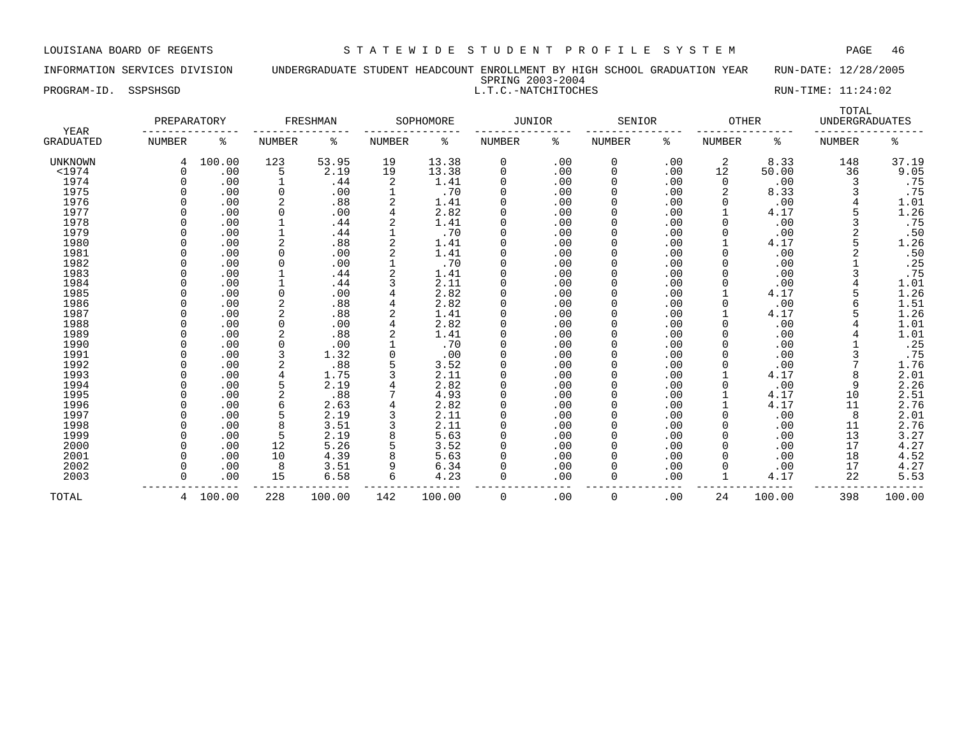INFORMATION SERVICES DIVISION UNDERGRADUATE STUDENT HEADCOUNT ENROLLMENT BY HIGH SCHOOL GRADUATION YEAR RUN-DATE: 12/28/2005 SPRING 2003-2004

PROGRAM-ID. SSPSHSGD SALL RUN-TIME: 11:24:02

|                   | PREPARATORY     |        |        | FRESHMAN |               | SOPHOMORE | <b>JUNIOR</b> |     | SENIOR   |     | <b>OTHER</b>  |        | TOTAL<br><b>UNDERGRADUATES</b> |        |
|-------------------|-----------------|--------|--------|----------|---------------|-----------|---------------|-----|----------|-----|---------------|--------|--------------------------------|--------|
| YEAR<br>GRADUATED | NUMBER          | ႜ      | NUMBER | နွ       | <b>NUMBER</b> | ႜ         | NUMBER        | ႜ   | NUMBER   | ႜ   | <b>NUMBER</b> | ႜ      | <b>NUMBER</b>                  | နွ     |
| <b>UNKNOWN</b>    | 4               | 100.00 | 123    | 53.95    | 19            | 13.38     | 0             | .00 | 0        | .00 | 2             | 8.33   | 148                            | 37.19  |
| $<$ 1974          | $\Omega$        | .00    | 5      | 2.19     | 19            | 13.38     | $\Omega$      | .00 | 0        | .00 | 12            | 50.00  | 36                             | 9.05   |
| 1974              |                 | .00    |        | .44      | 2             | 1.41      |               | .00 | 0        | .00 | 0             | .00    |                                | .75    |
| 1975              |                 | .00    | 0      | .00      |               | .70       |               | .00 | $\Omega$ | .00 | 2             | 8.33   |                                | .75    |
| 1976              |                 | .00    | 2      | .88      |               | 1.41      |               | .00 | 0        | .00 |               | .00    |                                | 1.01   |
| 1977              |                 | .00    | 0      | .00      | 4             | 2.82      |               | .00 | $\Omega$ | .00 |               | 4.17   |                                | 1.26   |
| 1978              |                 | .00    |        | .44      |               | 1.41      |               | .00 | $\Omega$ | .00 |               | .00    |                                | .75    |
| 1979              |                 | .00    |        | .44      |               | .70       |               | .00 |          | .00 |               | .00    |                                | .50    |
| 1980              |                 | .00    | 2      | .88      |               | 1.41      |               | .00 | $\Omega$ | .00 |               | 4.17   |                                | 1.26   |
| 1981              |                 | .00    | 0      | .00      |               | 1.41      |               | .00 | $\Omega$ | .00 |               | .00    |                                | .50    |
| 1982              |                 | .00    | 0      | .00      |               | .70       |               | .00 | $\Omega$ | .00 |               | .00    |                                | .25    |
| 1983              |                 | .00    |        | .44      |               | 1.41      |               | .00 | 0        | .00 |               | .00    |                                | .75    |
| 1984              |                 | .00    |        | .44      |               | 2.11      |               | .00 | 0        | .00 |               | .00    |                                | 1.01   |
| 1985              |                 | .00    | 0      | .00      |               | 2.82      |               | .00 |          | .00 |               | 4.17   |                                | 1.26   |
| 1986              |                 | .00    | 2      | .88      |               | 2.82      |               | .00 | $\Omega$ | .00 |               | .00    |                                | 1.51   |
| 1987              |                 | .00    | 2      | .88      |               | 1.41      | $\Omega$      | .00 | $\Omega$ | .00 |               | 4.17   |                                | 1.26   |
| 1988              |                 | .00    | 0      | .00      |               | 2.82      |               | .00 | O        | .00 |               | .00    |                                | 1.01   |
| 1989              |                 | .00    |        | .88      |               | 1.41      |               | .00 | $\Omega$ | .00 |               | .00    |                                | 1.01   |
| 1990              |                 | .00    | 0      | .00      |               | .70       |               | .00 | 0        | .00 |               | .00    |                                | .25    |
| 1991              |                 | .00    |        | 1.32     | 0             | .00       |               | .00 |          | .00 |               | .00    |                                | .75    |
| 1992              |                 | .00    | 2      | .88      |               | 3.52      |               | .00 |          | .00 |               | .00    |                                | 1.76   |
| 1993              |                 | .00    | 4      | 1.75     |               | 2.11      | $\Omega$      | .00 | $\Omega$ | .00 |               | 4.17   |                                | 2.01   |
| 1994              |                 | .00    | 5      | 2.19     |               | 2.82      |               | .00 | 0        | .00 |               | .00    | 9                              | 2.26   |
| 1995              |                 | .00    | 2      | .88      |               | 4.93      |               | .00 | 0        | .00 |               | 4.17   | 10                             | 2.51   |
| 1996              |                 | .00    | 6      | 2.63     |               | 2.82      |               | .00 |          | .00 |               | 4.17   | 11                             | 2.76   |
| 1997              |                 | .00    | 5      | 2.19     |               | 2.11      |               | .00 | $\Omega$ | .00 |               | .00    | 8                              | 2.01   |
| 1998              |                 | .00    | 8      | 3.51     |               | 2.11      | $\Omega$      | .00 | $\Omega$ | .00 |               | .00    | 11                             | 2.76   |
| 1999              |                 | .00    | 5      | 2.19     |               | 5.63      |               | .00 | $\Omega$ | .00 |               | .00    | 13                             | 3.27   |
| 2000              |                 | .00    | 12     | 5.26     | 5             | 3.52      |               | .00 | $\Omega$ | .00 |               | .00    | 17                             | 4.27   |
| 2001              |                 | .00    | 10     | 4.39     |               | 5.63      |               | .00 | $\Omega$ | .00 |               | .00    | 18                             | 4.52   |
| 2002              |                 | .00    | 8      | 3.51     | 9             | 6.34      |               | .00 | 0        | .00 |               | .00    | 17                             | 4.27   |
| 2003              |                 | .00    | 15     | 6.58     | 6             | 4.23      |               | .00 | 0        | .00 |               | 4.17   | 22                             | 5.53   |
| TOTAL             | $4\overline{ }$ | 100.00 | 228    | 100.00   | 142           | 100.00    | 0             | .00 | 0        | .00 | 24            | 100.00 | 398                            | 100.00 |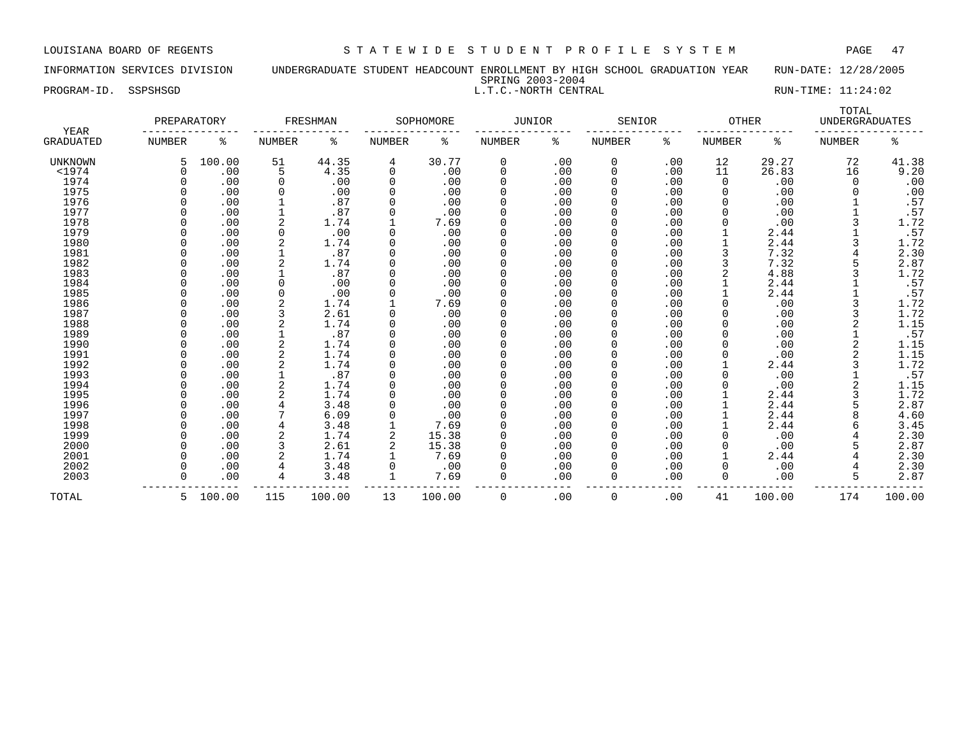INFORMATION SERVICES DIVISION UNDERGRADUATE STUDENT HEADCOUNT ENROLLMENT BY HIGH SCHOOL GRADUATION YEAR RUN-DATE: 12/28/2005 SPRING 2003-2004 PROGRAM-ID. SSPSHSGD L.T.C.-NORTH CENTRAL RUN-TIME: 11:24:02

|                   | PREPARATORY   |        |               | FRESHMAN |             | SOPHOMORE | <b>JUNIOR</b> |     | SENIOR        |     | <b>OTHER</b>  |       | TOTAL<br><b>UNDERGRADUATES</b> |       |
|-------------------|---------------|--------|---------------|----------|-------------|-----------|---------------|-----|---------------|-----|---------------|-------|--------------------------------|-------|
| YEAR<br>GRADUATED | <b>NUMBER</b> | ి      | <b>NUMBER</b> | ႜ        | NUMBER      | ႜ         | <b>NUMBER</b> | နွ  | <b>NUMBER</b> | ి   | <b>NUMBER</b> | ి     | <b>NUMBER</b>                  | ి     |
| <b>UNKNOWN</b>    | 5             | 100.00 | 51            | 44.35    | 4           | 30.77     | 0             | .00 | 0             | .00 | 12            | 29.27 | 72                             | 41.38 |
| $<$ 1974          | $\Omega$      | .00    | 5             | 4.35     | $\mathbf 0$ | .00       | 0             | .00 | $\mathbf 0$   | .00 | 11            | 26.83 | 16                             | 9.20  |
| 1974              |               | .00    | $\Omega$      | .00      |             | .00       | $\Omega$      | .00 | $\mathbf 0$   | .00 | $\Omega$      | .00   | n                              | .00   |
| 1975              |               | .00    | <sup>0</sup>  | .00      |             | .00       | 0             | .00 | 0             | .00 | $\Omega$      | .00   |                                | .00   |
| 1976              |               | .00    |               | .87      |             | .00       | 0             | .00 | $\Omega$      | .00 | $\Omega$      | .00   |                                | .57   |
| 1977              |               | .00    |               | .87      |             | .00       | 0             | .00 | $\Omega$      | .00 |               | .00   |                                | .57   |
| 1978              |               | .00    | 2             | 1.74     |             | 7.69      | $\Omega$      | .00 | $\mathbf 0$   | .00 | <sup>n</sup>  | .00   |                                | 1.72  |
| 1979              |               | .00    | $\Omega$      | .00      |             | .00       | $\Omega$      | .00 | $\Omega$      | .00 |               | 2.44  |                                | .57   |
| 1980              |               | .00    | 2             | 1.74     |             | .00       | $\Omega$      | .00 | $\Omega$      | .00 |               | 2.44  |                                | 1.72  |
| 1981              |               | .00    |               | .87      |             | .00       | $\Omega$      | .00 | $\Omega$      | .00 |               | 7.32  |                                | 2.30  |
| 1982              |               | .00    | 2             | 1.74     |             | .00       | $\Omega$      | .00 | $\Omega$      | .00 |               | 7.32  |                                | 2.87  |
| 1983              |               | .00    |               | .87      |             | .00       | $\Omega$      | .00 | $\mathbf 0$   | .00 |               | 4.88  |                                | 1.72  |
| 1984              |               | .00    |               | .00      |             | .00       |               | .00 | $\Omega$      | .00 |               | 2.44  |                                | .57   |
| 1985              |               | .00    |               | .00      |             | .00       |               | .00 | $\Omega$      | .00 |               | 2.44  |                                | .57   |
| 1986              |               | .00    |               | 1.74     |             | 7.69      | $\Omega$      | .00 | $\Omega$      | .00 | $\Omega$      | .00   |                                | 1.72  |
| 1987              |               | .00    | 3             | 2.61     |             | .00       |               | .00 | $\Omega$      | .00 | $\Omega$      | .00   |                                | 1.72  |
| 1988              |               | .00    |               | 1.74     |             | .00       |               | .00 | $\Omega$      | .00 | $\Omega$      | .00   |                                | 1.15  |
| 1989              |               | .00    |               | .87      |             | .00       | $\Omega$      | .00 | 0             | .00 |               | .00   |                                | .57   |
| 1990              |               | .00    |               | 1.74     |             | .00       | $\Omega$      | .00 | $\Omega$      | .00 |               | .00   |                                | 1.15  |
| 1991              |               | .00    | 2             | 1.74     |             | .00       | $\Omega$      | .00 | $\Omega$      | .00 | $\Omega$      | .00   |                                | 1.15  |
| 1992              | $\Omega$      | .00    |               | 1.74     | $\Omega$    | .00       | 0             | .00 | 0             | .00 |               | 2.44  |                                | 1.72  |
| 1993              | $\Omega$      | .00    |               | .87      |             | .00       | 0             | .00 | 0             | .00 | $\Omega$      | .00   |                                | .57   |
| 1994              |               | .00    | 2             | 1.74     |             | .00       | 0             | .00 | $\mathbf 0$   | .00 |               | .00   |                                | 1.15  |
| 1995              |               | .00    | 2             | 1.74     |             | .00       | 0             | .00 | $\mathbf 0$   | .00 |               | 2.44  |                                | 1.72  |
| 1996              |               | .00    |               | 3.48     |             | .00       | $\Omega$      | .00 | $\mathbf 0$   | .00 |               | 2.44  |                                | 2.87  |
| 1997              |               | .00    |               | 6.09     |             | .00       |               | .00 | $\mathbf 0$   | .00 |               | 2.44  |                                | 4.60  |
| 1998              |               | .00    |               | 3.48     |             | 7.69      |               | .00 | 0             | .00 |               | 2.44  |                                | 3.45  |
| 1999              |               | .00    | 2             | 1.74     | 2           | 15.38     |               | .00 | $\Omega$      | .00 |               | .00   |                                | 2.30  |
| 2000              |               | .00    | 3             | 2.61     | 2           | 15.38     |               | .00 | $\Omega$      | .00 |               | .00   |                                | 2.87  |
| 2001              |               | .00    |               | 1.74     |             | 7.69      |               | .00 |               | .00 |               | 2.44  |                                | 2.30  |
| 2002              | $\cap$        | .00    |               | 3.48     |             | .00       |               | .00 | $\Omega$      | .00 | U             | .00   |                                | 2.30  |

2003 0 .00 4 3.48 1 7.69 0 .00 0 .00 0 .00 5 2.87

TOTAL 5 100.00 115 100.00 13 100.00 0 .00 0 .00 41 100.00 174 100.00

--------------- --------------- --------------- --------------- --------------- --------------- -----------------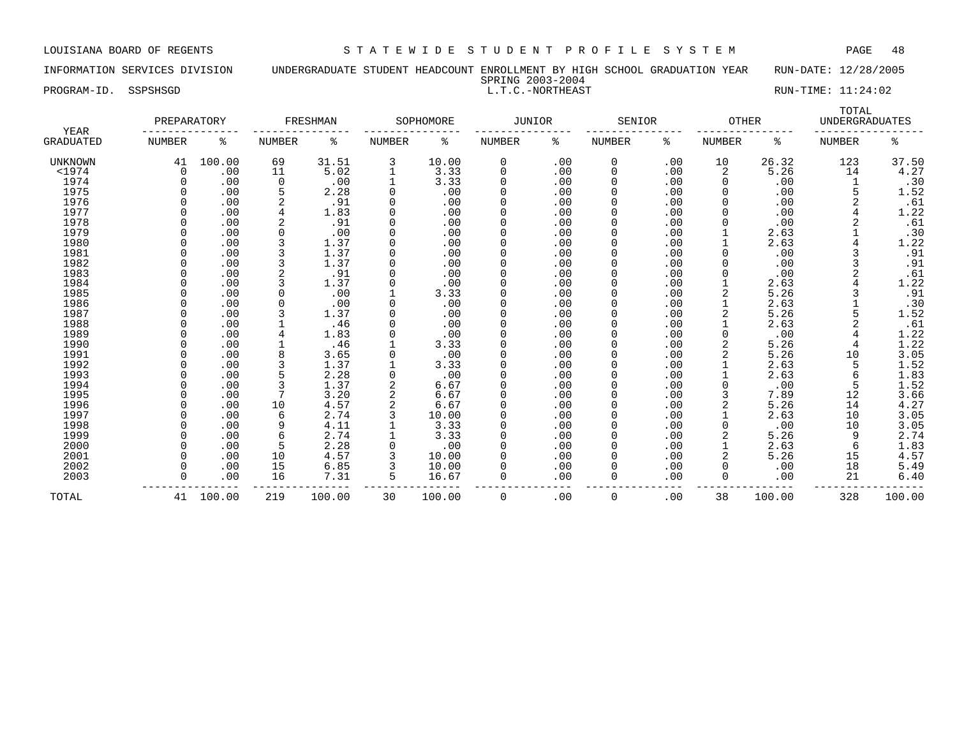INFORMATION SERVICES DIVISION UNDERGRADUATE STUDENT HEADCOUNT ENROLLMENT BY HIGH SCHOOL GRADUATION YEAR RUN-DATE: 12/28/2005

| SPRING 2003-2004 |
|------------------|
| L.T.C.-NORTHEAST |

PROGRAM-ID. SSPSHSGD L.T.C.-NORTHEAST RUN-TIME: 11:24:02

| YEAR             | PREPARATORY |        |               | FRESHMAN |               | SOPHOMORE | <b>JUNIOR</b> |     | SENIOR        |     | <b>OTHER</b>  |        | TOTAL<br><b>UNDERGRADUATES</b> |                  |
|------------------|-------------|--------|---------------|----------|---------------|-----------|---------------|-----|---------------|-----|---------------|--------|--------------------------------|------------------|
| <b>GRADUATED</b> | NUMBER      | ి      | <b>NUMBER</b> | ిక       | <b>NUMBER</b> | နွ        | NUMBER        | နွ  | <b>NUMBER</b> | ႜ   | <b>NUMBER</b> | နွ     | <b>NUMBER</b>                  | ႜ                |
| <b>UNKNOWN</b>   | 41          | 100.00 | 69            | 31.51    | 3             | 10.00     | 0             | .00 | 0             | .00 | 10            | 26.32  | 123                            | 37.50            |
| $<$ 1974         | 0           | .00    | 11            | 5.02     | $\mathbf{1}$  | 3.33      | $\mathbf 0$   | .00 | 0             | .00 | 2             | 5.26   | 14                             | 4.27             |
| 1974             | O           | .00    | 0             | .00      | 1             | 3.33      | $\Omega$      | .00 | 0             | .00 | 0             | .00    | 1                              | .30              |
| 1975             |             | .00    | 5             | 2.28     | $\Omega$      | .00       | $\Omega$      | .00 | 0             | .00 | 0             | .00    |                                | 1.52             |
| 1976             |             | .00    |               | .91      |               | .00       |               | .00 | 0             | .00 |               | .00    |                                | .61              |
| 1977             |             | .00    |               | 1.83     |               | .00       | $\Omega$      | .00 | 0             | .00 | O             | .00    |                                | 1.22             |
| 1978             |             | .00    |               | .91      | $\Omega$      | .00       | $\Omega$      | .00 | <sup>0</sup>  | .00 | U             | .00    |                                | .61              |
| 1979             |             | .00    | <sup>n</sup>  | .00      | $\Omega$      | .00       | $\Omega$      | .00 | <sup>0</sup>  | .00 |               | 2.63   |                                | .30              |
| 1980             |             | .00    |               | 1.37     | $\Omega$      | .00       | $\Omega$      | .00 | 0             | .00 |               | 2.63   |                                | 1.22             |
| 1981             |             | .00    |               | 1.37     |               | .00       | $\Omega$      | .00 | 0             | .00 | 0             | .00    |                                | .91              |
| 1982             |             | .00    |               | 1.37     |               | .00       | $\Omega$      | .00 | 0             | .00 |               | .00    |                                | .91              |
| 1983             |             | .00    |               | .91      |               | .00       | $\Omega$      | .00 | 0             | .00 |               | .00    |                                | .61              |
| 1984             |             | .00    |               | 1.37     |               | .00       | $\Omega$      | .00 | 0             | .00 |               | 2.63   |                                | 1.22             |
| 1985             |             | .00    |               | .00      |               | 3.33      |               | .00 | 0             | .00 |               | 5.26   |                                | .91              |
| 1986             |             | .00    |               | .00      |               | .00       |               | .00 | 0             | .00 |               | 2.63   |                                | .30              |
| 1987             |             | .00    |               | 1.37     |               | .00       | $\Omega$      | .00 | 0             | .00 |               | 5.26   |                                | 1.52             |
| 1988             |             | .00    |               | .46      |               | .00       | $\Omega$      | .00 | <sup>0</sup>  | .00 |               | 2.63   |                                | .61              |
| 1989             |             | .00    |               | 1.83     |               | .00       | $\Omega$      | .00 | <sup>0</sup>  | .00 | <sup>0</sup>  | .00    |                                |                  |
| 1990             |             | .00    |               | .46      |               | 3.33      | $\Omega$      | .00 | 0             | .00 |               | 5.26   | 4                              | $\frac{1}{1}.22$ |
| 1991             |             | .00    |               | 3.65     |               | .00       | $\Omega$      | .00 | 0             | .00 | 2             | 5.26   | 10                             | 3.05             |
| 1992             |             | .00    |               | 1.37     |               | 3.33      | $\Omega$      | .00 | 0             | .00 |               | 2.63   | 5                              | 1.52             |
| 1993             |             | .00    |               | 2.28     |               | .00       | $\Omega$      | .00 | 0             | .00 |               | 2.63   | 6                              | 1.83             |
| 1994             |             | .00    |               | 1.37     |               | 6.67      | $\Omega$      | .00 | 0             | .00 | 0             | .00    | 5                              | 1.52             |
| 1995             |             | .00    |               | 3.20     |               | 6.67      |               | .00 | 0             | .00 | 3             | 7.89   | 12                             | 3.66             |
| 1996             |             | .00    | 10            | 4.57     |               | 6.67      |               | .00 | 0             | .00 |               | 5.26   | 14                             | 4.27             |
| 1997             |             | .00    | 6             | 2.74     |               | 10.00     |               | .00 | 0             | .00 |               | 2.63   | 10                             | 3.05             |
| 1998             |             | .00    |               | 4.11     |               | 3.33      | $\Omega$      | .00 | 0             | .00 | <sup>0</sup>  | .00    | 10                             | 3.05             |
| 1999             |             | .00    | 6             | 2.74     |               | 3.33      | $\Omega$      | .00 | 0             | .00 | 2             | 5.26   | 9                              | 2.74             |
| 2000             |             | .00    | 5             | 2.28     |               | .00       | $\Omega$      | .00 | 0             | .00 |               | 2.63   | 6                              | 1.83             |
| 2001             |             | .00    | 10            | 4.57     |               | 10.00     | $\Omega$      | .00 | 0             | .00 | 2             | 5.26   | 15                             | 4.57             |
| 2002             |             | .00    | 15            | 6.85     |               | 10.00     | $\Omega$      | .00 | 0             | .00 | 0             | .00    | 18                             | 5.49             |
| 2003             | U           | .00    | 16            | 7.31     | 5             | 16.67     | $\Omega$      | .00 | 0             | .00 | 0             | .00    | 21                             | 6.40             |
| TOTAL            | 41          | 100.00 | 219           | 100.00   | 30            | 100.00    | $\Omega$      | .00 | 0             | .00 | 38            | 100.00 | 328                            | 100.00           |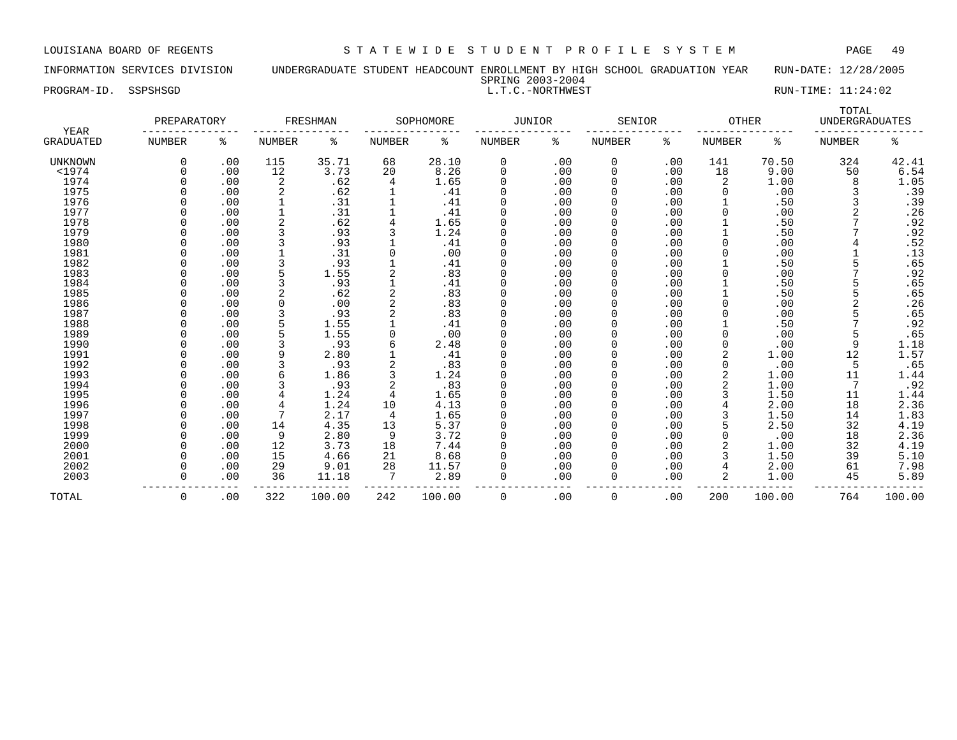INFORMATION SERVICES DIVISION UNDERGRADUATE STUDENT HEADCOUNT ENROLLMENT BY HIGH SCHOOL GRADUATION YEAR RUN-DATE: 12/28/2005 SPRING 2003-2004

PROGRAM-ID. SSPSHSGD L.T.C.-NORTHWEST RUN-TIME: 11:24:02

|                   | PREPARATORY   |     |        | FRESHMAN |               | SOPHOMORE | JUNIOR |     | SENIOR        |     | <b>OTHER</b>  |        | TOTAL<br><b>UNDERGRADUATES</b> |                  |
|-------------------|---------------|-----|--------|----------|---------------|-----------|--------|-----|---------------|-----|---------------|--------|--------------------------------|------------------|
| YEAR<br>GRADUATED | <b>NUMBER</b> | ႜ   | NUMBER | ႜ        | <b>NUMBER</b> | ႜ         | NUMBER | ႜ   | <b>NUMBER</b> | ႜ   | <b>NUMBER</b> | ႜ      | <b>NUMBER</b>                  | ႜ                |
| UNKNOWN           | 0             | .00 | 115    | 35.71    | 68            | 28.10     | 0      | .00 | 0             | .00 | 141           | 70.50  | 324                            | 42.41            |
| $<$ 1974          |               | .00 | 12     | 3.73     | 20            | 8.26      | 0      | .00 | 0             | .00 | 18            | 9.00   | 50                             | 6.54             |
| 1974              |               | .00 | 2      | .62      | 4             | 1.65      | 0      | .00 | 0             | .00 | 2             | 1.00   | 8                              | 1.05             |
| 1975              |               | .00 | 2      | .62      |               | .41       |        | .00 |               | .00 | 0             | .00    |                                | .39              |
| 1976              |               | .00 |        | .31      |               | .41       | 0      | .00 | 0             | .00 |               | .50    |                                | .39              |
| 1977              |               | .00 |        | .31      |               | .41       | 0      | .00 | 0             | .00 |               | .00    |                                | .26              |
| 1978              |               | .00 |        | .62      | 4             | 1.65      | O      | .00 | 0             | .00 |               | .50    |                                | .92              |
| 1979              |               | .00 |        | .93      |               | 1.24      |        | .00 |               | .00 |               | .50    |                                | .92              |
| 1980              |               | .00 |        | .93      |               | .41       | 0      | .00 |               | .00 |               | .00    |                                | .52              |
| 1981              |               | .00 |        | .31      |               | .00       | O      | .00 |               | .00 |               | .00    |                                | .13              |
| 1982              |               | .00 |        | .93      |               | .41       | U      | .00 |               | .00 |               | .50    |                                | .65              |
| 1983              |               | .00 |        | 1.55     |               | .83       | U      | .00 | <sup>0</sup>  | .00 | <sup>0</sup>  | .00    |                                | .92              |
| 1984              |               | .00 |        | .93      |               | .41       | O      | .00 | 0             | .00 |               | .50    |                                | .65              |
| 1985              |               | .00 | 2      | .62      |               | .83       | O      | .00 | 0             | .00 |               | .50    |                                | .65              |
| 1986              |               | .00 |        | .00      |               | .83       |        | .00 | 0             | .00 |               | .00    |                                | .26              |
| 1987              |               | .00 |        | .93      |               | .83       | 0      | .00 |               | .00 |               | .00    |                                | .65              |
| 1988              |               | .00 |        | 1.55     |               | .41       | 0      | .00 | 0             | .00 |               | .50    |                                | .92              |
| 1989              |               | .00 |        | 1.55     | 0             | .00       | 0      | .00 | U             | .00 |               | .00    |                                | .65              |
| 1990              |               | .00 |        | .93      |               | 2.48      |        | .00 |               | .00 |               | .00    | 9                              | 1.18             |
| 1991              |               | .00 |        | 2.80     |               | .41       | 0      | .00 |               | .00 |               | 1.00   | 12                             | 1.57             |
| 1992              |               | .00 |        | .93      |               | .83       | 0      | .00 |               | .00 |               | .00    | 5                              | .65              |
| 1993              |               | .00 |        | 1.86     |               | 1.24      | O      | .00 |               | .00 |               | 1.00   | 11                             | 1.44             |
| 1994              |               | .00 |        | .93      |               | .83       | U      | .00 | <sup>0</sup>  | .00 |               | 1.00   | 7                              | .92              |
| 1995              |               | .00 |        | 1.24     | 4             | 1.65      | O      | .00 | <sup>0</sup>  | .00 |               | 1.50   | 11                             | 1.44             |
| 1996              |               | .00 |        | 1.24     | 10            | 4.13      | 0      | .00 | 0             | .00 |               | 2.00   | 18                             | 2.36             |
| 1997              |               | .00 |        | 2.17     | 4             | 1.65      | 0      | .00 | 0             | .00 |               | 1.50   | 14                             |                  |
| 1998              |               | .00 | 14     | 4.35     | 13            | 5.37      | 0      | .00 | <sup>0</sup>  | .00 |               | 2.50   | 32                             | $1.83$<br>$4.19$ |
| 1999              |               | .00 | 9      | 2.80     | 9             | 3.72      | 0      | .00 |               | .00 |               | .00    | 18                             | 2.36             |
| 2000              |               | .00 | 12     | 3.73     | 18            | 7.44      | O      | .00 | 0             | .00 |               | 1.00   | 32                             | 4.19             |
| 2001              |               | .00 | 15     | 4.66     | 21            | 8.68      |        | .00 | 0             | .00 |               | 1.50   | 39                             | 5.10             |
| 2002              |               | .00 | 29     | 9.01     | 28            | 11.57     |        | .00 | 0             | .00 |               | 2.00   | 61                             | 7.98             |
| 2003              |               | .00 | 36     | 11.18    | 7             | 2.89      | 0      | .00 | 0             | .00 | 2             | 1.00   | 45                             | 5.89             |
|                   |               |     |        |          |               |           |        |     |               |     |               |        |                                |                  |
| TOTAL             | $\Omega$      | .00 | 322    | 100.00   | 242           | 100.00    | 0      | .00 | $\Omega$      | .00 | 200           | 100.00 | 764                            | 100.00           |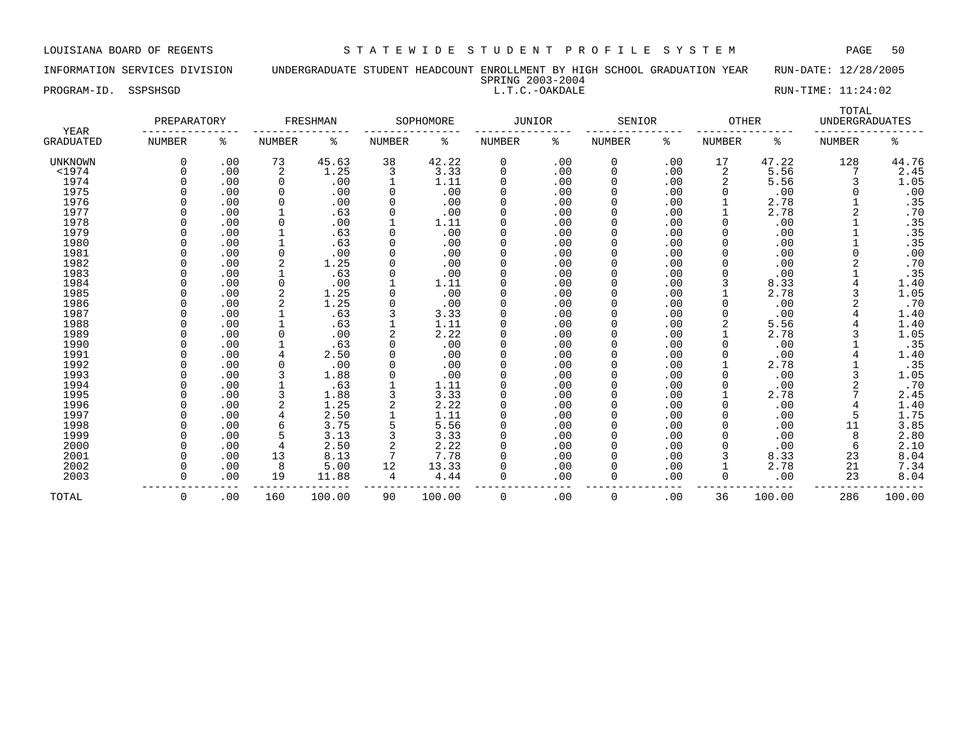INFORMATION SERVICES DIVISION UNDERGRADUATE STUDENT HEADCOUNT ENROLLMENT BY HIGH SCHOOL GRADUATION YEAR RUN-DATE: 12/28/2005

SPRING 2003-2004

PROGRAM-ID. SSPSHSGD SALLT.C.-OAKDALE EXAMPLE RUN-TIME: 11:24:02

|                   | PREPARATORY   |     |          | FRESHMAN |               | SOPHOMORE | JUNIOR |     | SENIOR        |     | <b>OTHER</b>  |        | TOTAL<br><b>UNDERGRADUATES</b> |        |
|-------------------|---------------|-----|----------|----------|---------------|-----------|--------|-----|---------------|-----|---------------|--------|--------------------------------|--------|
| YEAR<br>GRADUATED | <b>NUMBER</b> | ႜ   | NUMBER   | ႜ        | <b>NUMBER</b> | ႜ         | NUMBER | ႜ   | <b>NUMBER</b> | ႜ   | <b>NUMBER</b> | ႜ      | <b>NUMBER</b>                  | ႜ      |
| <b>UNKNOWN</b>    | $\Omega$      | .00 | 73       | 45.63    | 38            | 42.22     | 0      | .00 | 0             | .00 | 17            | 47.22  | 128                            | 44.76  |
| $1974$            |               | .00 | 2        | 1.25     | 3             | 3.33      | 0      | .00 | 0             | .00 | 2             | 5.56   |                                | 2.45   |
| 1974              |               | .00 | $\Omega$ | .00      |               | 1.11      | 0      | .00 | 0             | .00 | 2             | 5.56   | 3                              | 1.05   |
| 1975              |               | .00 | 0        | .00      | 0             | .00       | 0      | .00 |               | .00 |               | .00    | 0                              | .00    |
| 1976              |               | .00 | 0        | .00      | $\Omega$      | .00       | 0      | .00 | 0             | .00 |               | 2.78   |                                | .35    |
| 1977              |               | .00 |          | .63      | 0             | .00       | 0      | .00 | 0             | .00 |               | 2.78   |                                | .70    |
| 1978              |               | .00 | $\Omega$ | .00      |               | 1.11      | O      | .00 | O             | .00 | $\Omega$      | .00    |                                | .35    |
| 1979              |               | .00 |          | .63      | 0             | .00       |        | .00 |               | .00 |               | .00    |                                | .35    |
| 1980              |               | .00 |          | .63      | $\Omega$      | .00       |        | .00 |               | .00 |               | .00    |                                | .35    |
| 1981              |               | .00 | $\Omega$ | .00      |               | .00       | 0      | .00 | Ω             | .00 |               | .00    |                                | .00    |
| 1982              |               | .00 | 2        | 1.25     |               | .00       | U      | .00 | ი             | .00 |               | .00    |                                | .70    |
| 1983              |               | .00 |          | .63      | $\Omega$      | .00       | U      | .00 | <sup>0</sup>  | .00 |               | .00    |                                | .35    |
| 1984              |               | .00 | $\Omega$ | .00      |               | 1.11      | 0      | .00 | O             | .00 |               | 8.33   |                                | 1.40   |
| 1985              |               | .00 | 2        | 1.25     | 0             | .00       | 0      | .00 |               | .00 |               | 2.78   |                                | 1.05   |
| 1986              |               | .00 | 2        | 1.25     | 0             | .00       | 0      | .00 |               | .00 |               | .00    |                                | .70    |
| 1987              |               | .00 |          | .63      |               | 3.33      | 0      | .00 | 0             | .00 |               | .00    |                                | 1.40   |
| 1988              |               | .00 |          | .63      |               | 1.11      | 0      | .00 | 0             | .00 |               | 5.56   |                                | 1.40   |
| 1989              |               | .00 |          | .00      |               | 2.22      | 0      | .00 | <sup>0</sup>  | .00 |               | 2.78   |                                | 1.05   |
| 1990              |               | .00 |          | .63      |               | .00       |        | .00 |               | .00 |               | .00    |                                | .35    |
| 1991              |               | .00 |          | 2.50     |               | .00       | 0      | .00 |               | .00 |               | .00    |                                | 1.40   |
| 1992              |               | .00 | $\Omega$ | .00      |               | .00       | 0      | .00 |               | .00 |               | 2.78   |                                | .35    |
| 1993              |               | .00 | 3        | 1.88     |               | .00       | 0      | .00 | <sup>0</sup>  | .00 |               | .00    |                                | 1.05   |
| 1994              |               | .00 |          | .63      |               | 1.11      | U      | .00 | U             | .00 |               | .00    |                                | .70    |
| 1995              |               | .00 | 3        | 1.88     |               | 3.33      | 0      | .00 | <sup>0</sup>  | .00 |               | 2.78   |                                | 2.45   |
| 1996              |               | .00 | 2        | 1.25     | 2             | 2.22      | 0      | .00 | 0             | .00 |               | .00    | 4                              | 1.40   |
| 1997              |               | .00 |          | 2.50     |               | 1.11      | 0      | .00 |               | .00 |               | .00    | 5                              | 1.75   |
| 1998              |               | .00 |          | 3.75     |               | 5.56      | 0      | .00 | O             | .00 |               | .00    | 11                             | 3.85   |
| 1999              |               | .00 |          | 3.13     |               | 3.33      | 0      | .00 | 0             | .00 |               | .00    | 8                              | 2.80   |
| 2000              |               | .00 | 4        | 2.50     |               | 2.22      | 0      | .00 | 0             | .00 |               | .00    | 6                              | 2.10   |
| 2001              |               | .00 | 13       | 8.13     | 7             | 7.78      |        | .00 | 0             | .00 |               | 8.33   | 23                             | 8.04   |
| 2002              |               | .00 | 8        | 5.00     | 12            | 13.33     |        | .00 | 0             | .00 |               | 2.78   | 21                             | 7.34   |
| 2003              |               | .00 | 19       | 11.88    | 4             | 4.44      | 0      | .00 | 0             | .00 | 0             | .00    | 23                             | 8.04   |
|                   |               |     |          |          |               |           |        |     |               |     |               |        |                                |        |
| TOTAL             | 0             | .00 | 160      | 100.00   | 90            | 100.00    | 0      | .00 | $\Omega$      | .00 | 36            | 100.00 | 286                            | 100.00 |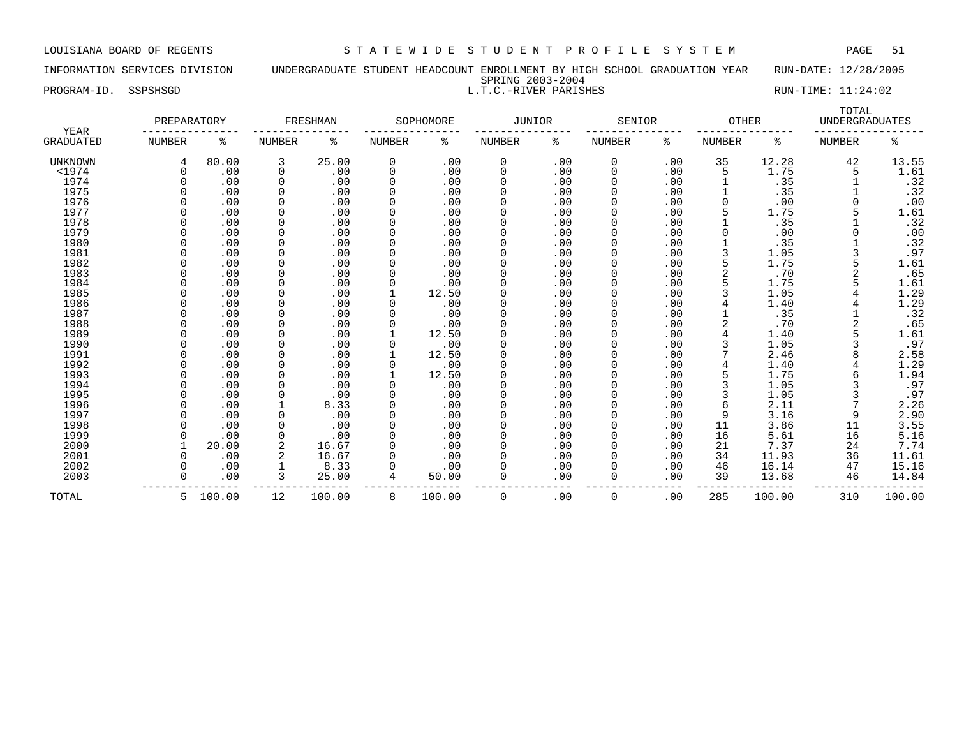INFORMATION SERVICES DIVISION UNDERGRADUATE STUDENT HEADCOUNT ENROLLMENT BY HIGH SCHOOL GRADUATION YEAR RUN-DATE: 12/28/2005 SPRING 2003-2004 PROGRAM-ID. SSPSHSGD SALLT.C.-RIVER PARISHES RUN-TIME: 11:24:02

| YEAR             | PREPARATORY |          |             | FRESHMAN |                | SOPHOMORE | <b>JUNIOR</b> |     | SENIOR      |     | <b>OTHER</b> |        | TOTAL<br><b>UNDERGRADUATES</b> |        |
|------------------|-------------|----------|-------------|----------|----------------|-----------|---------------|-----|-------------|-----|--------------|--------|--------------------------------|--------|
| <b>GRADUATED</b> | NUMBER      | နွ       | NUMBER      | ႜ        | NUMBER         | ႜ         | NUMBER        | ႜ   | NUMBER      | နွ  | NUMBER       | ႜ      | NUMBER                         | ႜ      |
| <b>UNKNOWN</b>   | 4           | 80.00    | 3           | 25.00    | $\mathbf 0$    | .00       | 0             | .00 | 0           | .00 | 35           | 12.28  | 42                             | 13.55  |
| $<$ 1974         | $\Omega$    | .00      | $\mathbf 0$ | .00      | $\mathbf 0$    | .00       | 0             | .00 | 0           | .00 | 5            | 1.75   | 5                              | 1.61   |
| 1974             | $\Omega$    | .00      | $\mathbf 0$ | .00      | $\Omega$       | .00       | 0             | .00 | 0           | .00 |              | .35    |                                | .32    |
| 1975             |             | .00      | $\Omega$    | .00      |                | .00       | 0             | .00 | 0           | .00 |              | .35    |                                | .32    |
| 1976             |             | .00      | $\Omega$    | .00      |                | .00       | 0             | .00 | $\mathbf 0$ | .00 | $\Omega$     | .00    |                                | .00    |
| 1977             |             | .00      | $\mathbf 0$ | .00      |                | .00       | 0             | .00 |             | .00 |              | 1.75   |                                | 1.61   |
| 1978             |             | .00      | $\Omega$    | .00      |                | .00       | 0             | .00 |             | .00 |              | .35    |                                | .32    |
| 1979             |             | .00      | $\mathbf 0$ | .00      |                | .00       | 0             | .00 |             | .00 |              | .00    |                                | .00    |
| 1980             | U           | .00      | 0           | .00      |                | .00       | U             | .00 | O           | .00 |              | .35    |                                | .32    |
| 1981             |             | .00      | $\mathbf 0$ | .00      |                | .00       | 0             | .00 |             | .00 |              | 1.05   |                                | .97    |
| 1982             |             | .00      | 0           | .00      |                | .00       | 0             | .00 |             | .00 |              | 1.75   |                                | 1.61   |
| 1983             |             | .00      | 0           | .00      |                | .00       | 0             | .00 |             | .00 |              | .70    |                                | .65    |
| 1984             |             | .00      | $\mathbf 0$ | .00      |                | .00       | 0             | .00 | $\Omega$    | .00 |              | 1.75   |                                | 1.61   |
| 1985             |             | .00      | $\mathbf 0$ | .00      |                | 12.50     | 0             | .00 | $\Omega$    | .00 |              | 1.05   |                                | 1.29   |
| 1986             |             | .00      | $\Omega$    | .00      |                | .00       | 0             | .00 | O           | .00 |              | 1.40   |                                | 1.29   |
| 1987             |             | .00      | $\Omega$    | .00      |                | .00       |               | .00 |             | .00 |              | .35    |                                | .32    |
| 1988             |             | .00      | $\Omega$    | .00      |                | .00       | 0             | .00 |             | .00 |              | .70    |                                | .65    |
| 1989             |             | .00      | $\Omega$    | .00      |                | 12.50     | 0             | .00 |             | .00 |              | 1.40   |                                | 1.61   |
| 1990             |             | .00      | $\Omega$    | .00      |                | .00       | 0             | .00 |             | .00 |              | 1.05   |                                | .97    |
| 1991             |             | .00      | $\Omega$    | .00      |                | 12.50     | 0             | .00 | $\Omega$    | .00 |              | 2.46   |                                | 2.58   |
| 1992             |             | .00      | $\mathbf 0$ | .00      |                | .00       | 0             | .00 |             | .00 |              | 1.40   |                                | 1.29   |
| 1993             |             | .00      | $\mathbf 0$ | .00      |                | 12.50     | 0             | .00 |             | .00 |              | 1.75   |                                | 1.94   |
| 1994             |             | .00      | $\Omega$    | .00      |                | .00       | 0             | .00 |             | .00 |              | 1.05   |                                | .97    |
| 1995             |             | .00      | 0           | .00      |                | .00       | 0             | .00 | $\Omega$    | .00 |              | 1.05   |                                | .97    |
| 1996             |             | .00      |             | 8.33     |                | .00       | 0             | .00 | $\Omega$    | .00 |              | 2.11   |                                | 2.26   |
| 1997             |             | .00      | 0           | .00      |                | .00       | 0             | .00 | 0           | .00 | 9            | 3.16   | 9                              | 2.90   |
| 1998             |             | .00      | $\Omega$    | .00      |                | .00       | 0             | .00 | $\Omega$    | .00 | 11           | 3.86   | 11                             | 3.55   |
| 1999             |             | .00      | 0           | .00      |                | .00       | 0             | .00 |             | .00 | 16           | 5.61   | 16                             | 5.16   |
| 2000             |             | 20.00    | 2           | 16.67    |                | .00       | 0             | .00 | 0           | .00 | 21           | 7.37   | 24                             | 7.74   |
| 2001             | U           | .00      | 2           | 16.67    |                | .00       | U             | .00 | 0           | .00 | 34           | 11.93  | 36                             | 11.61  |
| 2002             | U           | .00      |             | 8.33     |                | .00       | 0             | .00 | $\Omega$    | .00 | 46           | 16.14  | 47                             | 15.16  |
| 2003             | $\Omega$    | .00      | 3           | 25.00    | $\overline{4}$ | 50.00     | 0             | .00 | 0           | .00 | 39           | 13.68  | 46                             | 14.84  |
| TOTAL            |             | 5 100.00 | 12          | 100.00   | 8              | 100.00    | 0             | .00 | 0           | .00 | 285          | 100.00 | 310                            | 100.00 |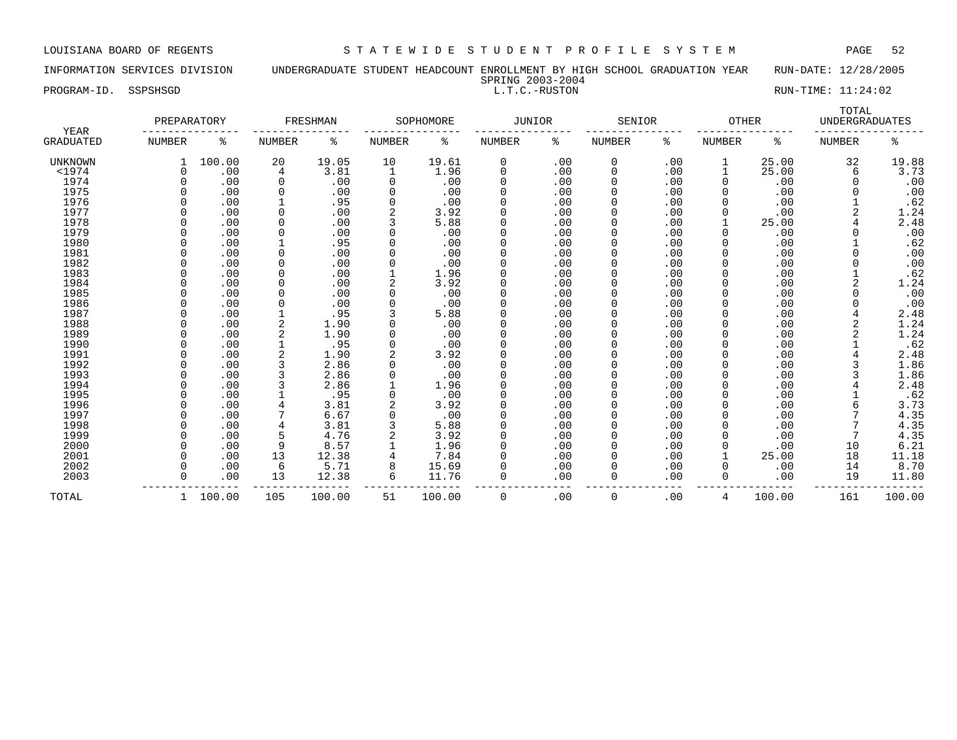INFORMATION SERVICES DIVISION UNDERGRADUATE STUDENT HEADCOUNT ENROLLMENT BY HIGH SCHOOL GRADUATION YEAR RUN-DATE: 12/28/2005 SPRING 2003-2004

PROGRAM-ID. SSPSHSGD L.T.C.-RUSTON RUN-TIME: 11:24:02

| YEAR           | PREPARATORY  |        |               | FRESHMAN |               | SOPHOMORE | <b>JUNIOR</b> |     | SENIOR        |     | <b>OTHER</b>  |        | TOTAL<br><b>UNDERGRADUATES</b> |        |
|----------------|--------------|--------|---------------|----------|---------------|-----------|---------------|-----|---------------|-----|---------------|--------|--------------------------------|--------|
| GRADUATED      | NUMBER       | ႜ      | <b>NUMBER</b> | နွ       | <b>NUMBER</b> | ႜ         | NUMBER        | ႜ   | <b>NUMBER</b> | ႜ   | <b>NUMBER</b> | ႜ      | <b>NUMBER</b>                  | နွ     |
| <b>UNKNOWN</b> |              | 100.00 | 20            | 19.05    | 10            | 19.61     | $\Omega$      | .00 | 0             | .00 |               | 25.00  | 32                             | 19.88  |
| $<$ 1974       | $\cap$       | .00    | 4             | 3.81     | 1             | 1.96      | $\Omega$      | .00 | 0             | .00 |               | 25.00  | 6                              | 3.73   |
| 1974           |              | .00    | $\Omega$      | .00      | $\Omega$      | .00       | $\Omega$      | .00 | $\Omega$      | .00 |               | .00    |                                | .00    |
| 1975           |              | .00    | 0             | .00      | 0             | .00       |               | .00 | $\Omega$      | .00 |               | .00    |                                | .00    |
| 1976           |              | .00    |               | .95      | 0             | .00       |               | .00 |               | .00 |               | .00    |                                | .62    |
| 1977           |              | .00    | 0             | .00      | 2             | 3.92      |               | .00 |               | .00 |               | .00    | 2                              | 1.24   |
| 1978           |              | .00    | 0             | .00      | 3             | 5.88      |               | .00 |               | .00 |               | 25.00  |                                | 2.48   |
| 1979           |              | .00    | 0             | .00      | 0             | .00       | $\Omega$      | .00 | $\Omega$      | .00 |               | .00    |                                | .00    |
| 1980           |              | .00    |               | .95      | 0             | .00       |               | .00 | $\Omega$      | .00 |               | .00    |                                | .62    |
| 1981           |              | .00    | 0             | .00      |               | .00       |               | .00 |               | .00 |               | .00    |                                | .00    |
| 1982           |              | .00    | 0             | .00      |               | .00       |               | .00 |               | .00 |               | .00    |                                | .00    |
| 1983           |              | .00    | <sup>0</sup>  | .00      |               | 1.96      |               | .00 |               | .00 |               | .00    |                                | .62    |
| 1984           |              | .00    | 0             | .00      |               | 3.92      |               | .00 |               | .00 |               | .00    |                                | 1.24   |
| 1985           |              | .00    | <sup>0</sup>  | .00      | 0             | .00       |               | .00 |               | .00 |               | .00    |                                | .00    |
| 1986           |              | .00    | <sup>0</sup>  | .00      | 0             | .00       |               | .00 | $\Omega$      | .00 |               | .00    |                                | .00    |
| 1987           |              | .00    |               | .95      |               | 5.88      |               | .00 | O             | .00 |               | .00    |                                | 2.48   |
| 1988           |              | .00    | 2             | 1.90     | 0             | .00       |               | .00 |               | .00 |               | .00    | 2                              | 1.24   |
| 1989           |              | .00    | 2             | 1.90     | 0             | .00       |               | .00 |               | .00 |               | .00    |                                | 1.24   |
| 1990           |              | .00    |               | .95      | 0             | .00       |               | .00 |               | .00 |               | .00    |                                | .62    |
| 1991           |              | .00    | 2             | 1.90     | 2             | 3.92      | $\Omega$      | .00 | $\Omega$      | .00 |               | .00    |                                | 2.48   |
| 1992           |              | .00    |               | 2.86     | 0             | .00       |               | .00 | $\Omega$      | .00 |               | .00    |                                | 1.86   |
| 1993           |              | .00    | 3             | 2.86     | 0             | .00       |               | .00 | 0             | .00 |               | .00    |                                | 1.86   |
| 1994           |              | .00    |               | 2.86     |               | 1.96      |               | .00 |               | .00 |               | .00    |                                | 2.48   |
| 1995           |              | .00    |               | .95      | 0             | .00       |               | .00 |               | .00 |               | .00    |                                | .62    |
| 1996           |              | .00    |               | 3.81     |               | 3.92      |               | .00 |               | .00 |               | .00    |                                | 3.73   |
| 1997           |              | .00    |               | 6.67     | 0             | .00       |               | .00 |               | .00 |               | .00    |                                | 4.35   |
| 1998           |              | .00    |               | 3.81     |               | 5.88      |               | .00 | $\Omega$      | .00 |               | .00    |                                | 4.35   |
| 1999           |              | .00    | 5             | 4.76     |               | 3.92      |               | .00 | O             | .00 |               | .00    |                                | 4.35   |
| 2000           |              | .00    | 9             | 8.57     |               | 1.96      |               | .00 |               | .00 |               | .00    | 10                             | 6.21   |
| 2001           |              | .00    | 13            | 12.38    |               | 7.84      |               | .00 |               | .00 |               | 25.00  | 18                             | 11.18  |
| 2002           |              | .00    | 6             | 5.71     | 8             | 15.69     |               | .00 |               | .00 | $\Omega$      | .00    | 14                             | 8.70   |
| 2003           | $\Omega$     | .00    | 13            | 12.38    | 6             | 11.76     | $\Omega$      | .00 | 0             | .00 | 0             | .00    | 19                             | 11.80  |
| TOTAL          | $\mathbf{1}$ | 100.00 | 105           | 100.00   | 51            | 100.00    | $\Omega$      | .00 | 0             | .00 | 4             | 100.00 | 161                            | 100.00 |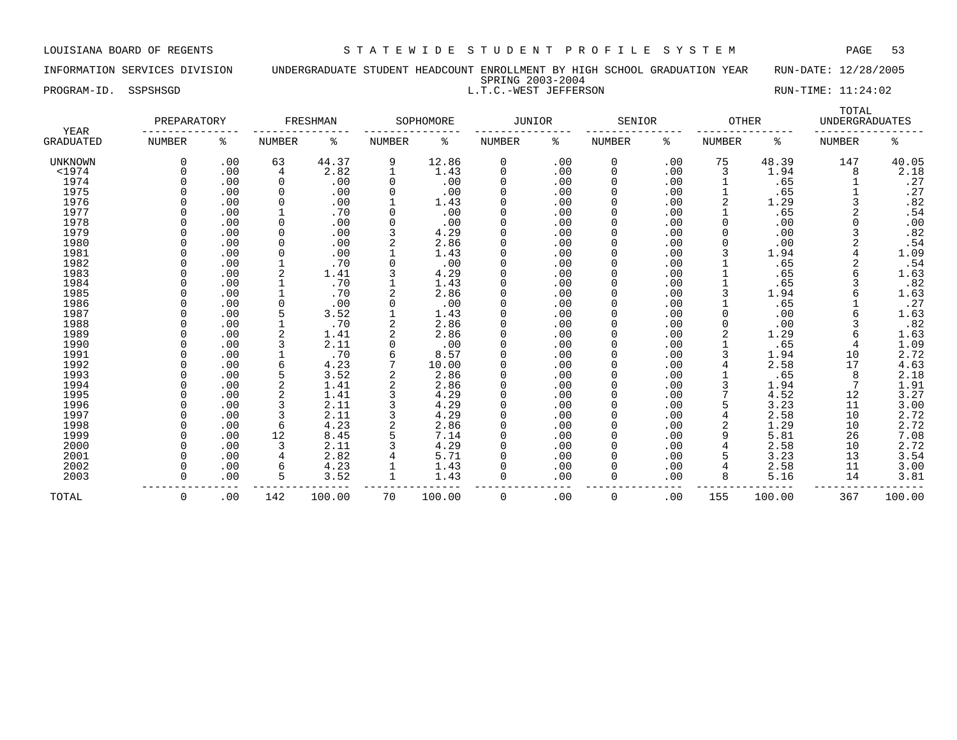INFORMATION SERVICES DIVISION UNDERGRADUATE STUDENT HEADCOUNT ENROLLMENT BY HIGH SCHOOL GRADUATION YEAR RUN-DATE: 12/28/2005 SPRING 2003-2004 PROGRAM-ID. SSPSHSGD L.T.C.-WEST JEFFERSON RUN-TIME: 11:24:02

| YEAR<br><b>GRADUATED</b> | PREPARATORY |     |             | FRESHMAN |                | SOPHOMORE | JUNIOR   |     | SENIOR      |     | <b>OTHER</b>  |       | TOTAL<br><b>UNDERGRADUATES</b> |       |
|--------------------------|-------------|-----|-------------|----------|----------------|-----------|----------|-----|-------------|-----|---------------|-------|--------------------------------|-------|
|                          | NUMBER      | ႜ   | NUMBER      | ႜ        | NUMBER         | ႜ         | NUMBER   | ႜ   | NUMBER      | ႜ   | <b>NUMBER</b> | ႜ     | NUMBER                         | ిన    |
| <b>UNKNOWN</b>           |             | .00 | 63          | 44.37    | 9              | 12.86     | 0        | .00 | 0           | .00 | 75            | 48.39 | 147                            | 40.05 |
| $<$ 1974                 |             | .00 | 4           | 2.82     |                | 1.43      | 0        | .00 | 0           | .00 | 3             | 1.94  | 8                              | 2.18  |
| 1974                     |             | .00 | $\mathbf 0$ | .00      | $\mathbf 0$    | .00       |          | .00 | 0           | .00 |               | .65   |                                | .27   |
| 1975                     |             | .00 | 0           | .00      | $\mathbf 0$    | .00       |          | .00 | 0           | .00 |               | .65   |                                | .27   |
| 1976                     |             | .00 | 0           | .00      |                | 1.43      | $\Omega$ | .00 | 0           | .00 | 2             | 1.29  |                                | .82   |
| 1977                     |             | .00 |             | .70      | $\Omega$       | .00       |          | .00 | $\mathbf 0$ | .00 |               | .65   | 2                              | .54   |
| 1978                     |             | .00 | $\Omega$    | .00      | $\Omega$       | .00       | $\Omega$ | .00 | 0           | .00 |               | .00   | U                              | .00   |
| 1979                     |             | .00 |             | .00      |                | 4.29      |          | .00 | $\mathbf 0$ | .00 |               | .00   |                                | .82   |
| 1980                     |             | .00 |             | .00      |                | 2.86      |          | .00 | $\mathbf 0$ | .00 |               | .00   |                                | .54   |
| 1981                     |             | .00 |             | .00      |                | 1.43      |          | .00 | 0           | .00 |               | 1.94  |                                | 1.09  |
| 1982                     |             | .00 |             | .70      | $\Omega$       | .00       |          | .00 | 0           | .00 |               | .65   |                                | .54   |
| 1983                     |             | .00 |             | 1.41     |                | 4.29      |          | .00 | 0           | .00 |               | .65   | 6                              | 1.63  |
| 1984                     |             | .00 |             | .70      |                | 1.43      | $\Omega$ | .00 | 0           | .00 |               | .65   |                                | .82   |
| 1985                     |             | .00 |             | .70      |                | 2.86      | $\Omega$ | .00 | $\mathbf 0$ | .00 |               | 1.94  |                                | 1.63  |
| 1986                     |             | .00 |             | .00      |                | .00       | $\Omega$ | .00 | 0           | .00 |               | .65   |                                | .27   |
| 1987                     |             | .00 |             | 3.52     |                | 1.43      |          | .00 | 0           | .00 |               | .00   |                                | 1.63  |
| 1988                     |             | .00 |             | .70      |                | 2.86      |          | .00 | $\mathbf 0$ | .00 |               | .00   |                                | .82   |
| 1989                     |             | .00 |             | 1.41     |                | 2.86      |          | .00 | 0           | .00 |               | 1.29  | 6                              | 1.63  |
| 1990                     |             | .00 |             | 2.11     | $\mathbf 0$    | .00       |          | .00 | 0           | .00 |               | .65   |                                | 1.09  |
| 1991                     |             | .00 |             | .70      | 6              | 8.57      |          | .00 | 0           | .00 |               | 1.94  | 10                             | 2.72  |
| 1992                     |             | .00 | 6           | 4.23     | 7              | 10.00     |          | .00 | 0           | .00 |               | 2.58  | 17                             | 4.63  |
| 1993                     |             | .00 | 5           | 3.52     | $\overline{2}$ | 2.86      | $\Omega$ | .00 | $\mathbf 0$ | .00 |               | .65   | 8                              | 2.18  |
| 1994                     |             | .00 |             | 1.41     |                | 2.86      | $\Omega$ | .00 | 0           | .00 |               | 1.94  |                                | 1.91  |
| 1995                     |             | .00 |             | 1.41     |                | 4.29      |          | .00 | $\mathbf 0$ | .00 |               | 4.52  | 12                             | 3.27  |
| 1996                     |             | .00 |             | 2.11     |                | 4.29      |          | .00 | 0           | .00 |               | 3.23  | 11                             | 3.00  |
| 1997                     |             | .00 |             | 2.11     |                | 4.29      |          | .00 | 0           | .00 |               | 2.58  | 10                             | 2.72  |
| 1998                     |             | .00 | 6           | 4.23     | $\overline{2}$ | 2.86      |          | .00 | 0           | .00 |               | 1.29  | 10                             | 2.72  |
| 1999                     |             | .00 | 12          | 8.45     |                | 7.14      |          | .00 | 0           | .00 | 9             | 5.81  | 26                             | 7.08  |
| 2000                     |             | .00 | 3           | 2.11     |                | 4.29      |          | .00 |             | .00 |               | 2.58  | 10                             | 2.72  |
| 2001                     |             | .00 |             | 2.82     |                | 5.71      |          | .00 | $\Omega$    | .00 |               | 3.23  | 13                             | 3.54  |

 2001 0 .00 4 2.82 4 5.71 0 .00 0 .00 5 3.23 13 3.54 2002 0 .00 6 4.23 1 1.43 0 .00 0 .00 4 2.58 11 3.00 2003 0 .00 5 3.52 1 1.43 0 .00 0 .00 8 5.16 14 3.81

TOTAL 0 .00 142 100.00 70 100.00 0 .00 0 .00 155 100.00 367 100.00

--------------- --------------- --------------- --------------- --------------- --------------- -----------------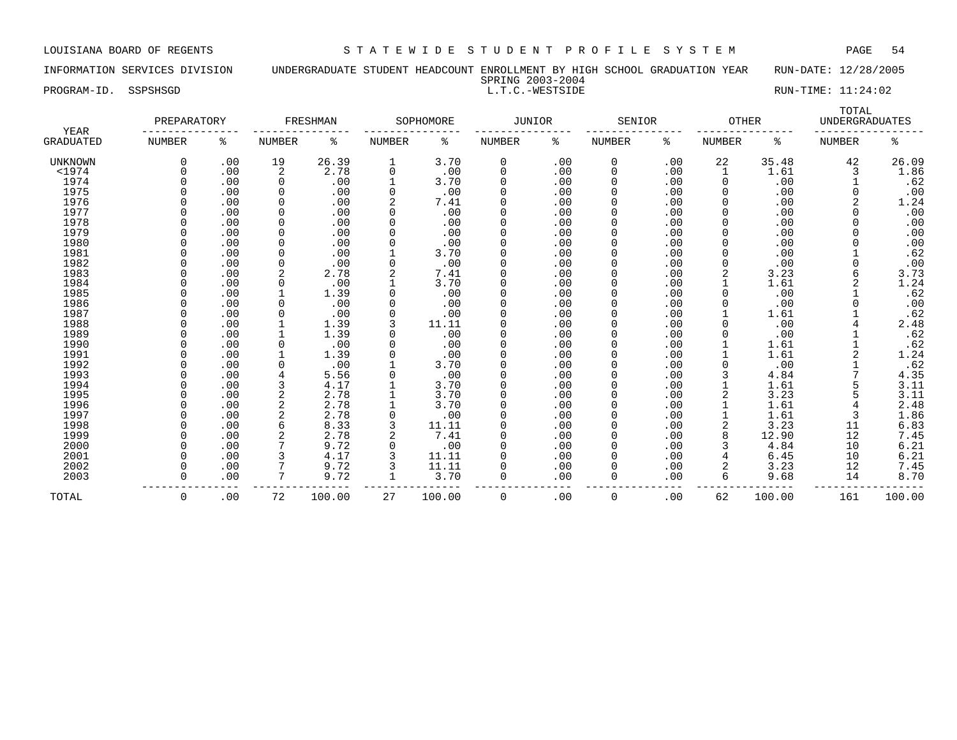INFORMATION SERVICES DIVISION UNDERGRADUATE STUDENT HEADCOUNT ENROLLMENT BY HIGH SCHOOL GRADUATION YEAR RUN-DATE: 12/28/2005 SPRING 2003-2004

PROGRAM-ID. SSPSHSGD L.T.C.-WESTSIDE RUN-TIME: 11:24:02

|                   | PREPARATORY   |     |          | FRESHMAN |               | SOPHOMORE | <b>JUNIOR</b> |     | SENIOR        |     | <b>OTHER</b>  |        | TOTAL<br><b>UNDERGRADUATES</b> |        |
|-------------------|---------------|-----|----------|----------|---------------|-----------|---------------|-----|---------------|-----|---------------|--------|--------------------------------|--------|
| YEAR<br>GRADUATED | <b>NUMBER</b> | ႜ   | NUMBER   | ႜ        | <b>NUMBER</b> | နွ        | <b>NUMBER</b> | နွ  | <b>NUMBER</b> | ႜ   | <b>NUMBER</b> | ႜ      | <b>NUMBER</b>                  | ە<br>ج |
| <b>UNKNOWN</b>    | $\Omega$      | .00 | 19       | 26.39    | 1             | 3.70      | 0             | .00 | 0             | .00 | 22            | 35.48  | 42                             | 26.09  |
| $1974$            |               | .00 | 2        | 2.78     | 0             | .00       | 0             | .00 | 0             | .00 |               | 1.61   | 3                              | 1.86   |
| 1974              |               | .00 | 0        | .00      |               | 3.70      | 0             | .00 | $\mathbf 0$   | .00 | $\Omega$      | .00    |                                | .62    |
| 1975              |               | .00 | 0        | .00      |               | .00       | 0             | .00 | 0             | .00 |               | .00    | 0                              | .00    |
| 1976              |               | .00 | 0        | .00      |               | 7.41      | 0             | .00 | 0             | .00 |               | .00    | 2                              | 1.24   |
| 1977              |               | .00 | $\Omega$ | .00      |               | .00       | 0             | .00 | 0             | .00 |               | .00    |                                | .00    |
| 1978              |               | .00 | $\Omega$ | .00      |               | .00       |               | .00 |               | .00 |               | .00    |                                | .00    |
| 1979              |               | .00 | $\Omega$ | .00      |               | .00       | U             | .00 |               | .00 |               | .00    |                                | .00    |
| 1980              |               | .00 | $\Omega$ | .00      |               | .00       | 0             | .00 |               | .00 |               | .00    |                                | .00    |
| 1981              |               | .00 | $\Omega$ | .00      |               | 3.70      | 0             | .00 |               | .00 |               | .00    |                                | .62    |
| 1982              |               | .00 | $\Omega$ | .00      | O             | .00       | O             | .00 |               | .00 |               | .00    | U                              | .00    |
| 1983              |               | .00 | 2        | 2.78     |               | 7.41      | 0             | .00 | 0             | .00 |               | 3.23   | 6                              | 3.73   |
| 1984              |               | .00 | $\Omega$ | .00      |               | 3.70      | 0             | .00 | 0             | .00 |               | 1.61   | 2                              | 1.24   |
| 1985              |               | .00 |          | 1.39     |               | .00       | 0             | .00 |               | .00 |               | .00    |                                | .62    |
| 1986              |               | .00 | $\Omega$ | .00      | 0             | .00       | $\Omega$      | .00 | 0             | .00 |               | .00    |                                | .00    |
| 1987              |               | .00 | $\Omega$ | .00      | 0             | .00       | 0             | .00 | 0             | .00 |               | 1.61   |                                | .62    |
| 1988              |               | .00 |          | 1.39     |               | 11.11     | 0             | .00 | 0             | .00 |               | .00    |                                | 2.48   |
| 1989              |               | .00 |          | 1.39     |               | .00       | 0             | .00 |               | .00 |               | .00    |                                | .62    |
| 1990              |               | .00 | $\Omega$ | .00      |               | .00       | 0             | .00 |               | .00 |               | 1.61   |                                | .62    |
| 1991              |               | .00 |          | 1.39     |               | .00       | O             | .00 |               | .00 |               | 1.61   | 2                              | 1.24   |
| 1992              |               | .00 | $\Omega$ | .00      |               | 3.70      | O             | .00 |               | .00 |               | .00    |                                | .62    |
| 1993              |               | .00 | 4        | 5.56     | 0             | .00       | $\Omega$      | .00 | $\Omega$      | .00 |               | 4.84   |                                | 4.35   |
| 1994              |               | .00 | 3        | 4.17     |               | 3.70      | O             | .00 | 0             | .00 |               | 1.61   |                                | 3.11   |
| 1995              |               | .00 | 2        | 2.78     |               | 3.70      | 0             | .00 | 0             | .00 |               | 3.23   | 5                              | 3.11   |
| 1996              |               | .00 | 2        | 2.78     |               | 3.70      | 0             | .00 | 0             | .00 |               | 1.61   | 4                              | 2.48   |
| 1997              |               | .00 | 2        | 2.78     | 0             | .00       | 0             | .00 | 0             | .00 |               | 1.61   | 3                              | 1.86   |
| 1998              |               | .00 |          | 8.33     | 3             | 11.11     | $\Omega$      | .00 | 0             | .00 |               | 3.23   | 11                             | 6.83   |
| 1999              |               | .00 |          | 2.78     | 2             | 7.41      | O             | .00 | 0             | .00 |               | 12.90  | 12                             | 7.45   |
| 2000              |               | .00 |          | 9.72     | 0             | .00       | O             | .00 | 0             | .00 |               | 4.84   | 10                             | 6.21   |
| 2001              |               | .00 |          | 4.17     |               | 11.11     | 0             | .00 |               | .00 |               | 6.45   | 10                             | 6.21   |
| 2002              |               | .00 |          | 9.72     |               | 11.11     | 0             | .00 |               | .00 |               | 3.23   | 12                             | 7.45   |
| 2003              |               | .00 | 7        | 9.72     | 1             | 3.70      | $\Omega$      | .00 | 0             | .00 | 6             | 9.68   | 14                             | 8.70   |
| TOTAL             | $\Omega$      | .00 | 72       | 100.00   | 27            | 100.00    | 0             | .00 | 0             | .00 | 62            | 100.00 | 161                            | 100.00 |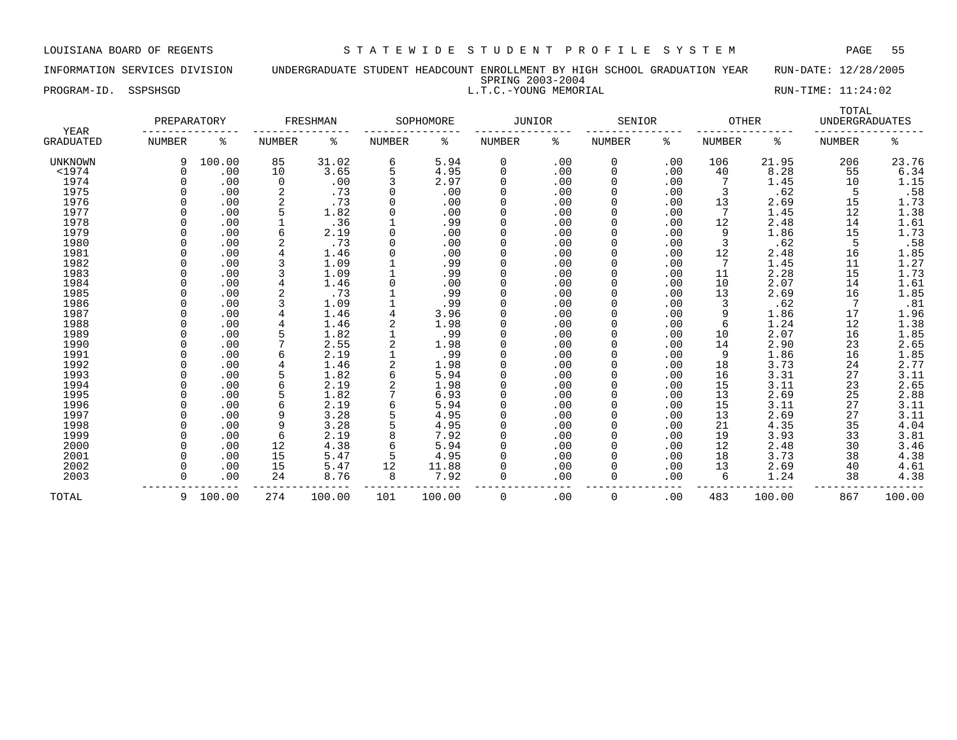## INFORMATION SERVICES DIVISION UNDERGRADUATE STUDENT HEADCOUNT ENROLLMENT BY HIGH SCHOOL GRADUATION YEAR RUN-DATE: 12/28/2005 SPRING 2003-2004 PROGRAM-ID. SSPSHSGD **RUN-TIME:** 11:24:02

|                          | PREPARATORY   |          |        | FRESHMAN |               | SOPHOMORE | JUNIOR      |     | SENIOR        |     | <b>OTHER</b>  |        | TOTAL<br><b>UNDERGRADUATES</b> |                     |
|--------------------------|---------------|----------|--------|----------|---------------|-----------|-------------|-----|---------------|-----|---------------|--------|--------------------------------|---------------------|
| YEAR<br><b>GRADUATED</b> | <b>NUMBER</b> | ి        | NUMBER | နွ       | <b>NUMBER</b> | ႜ         | NUMBER      | နွ  | <b>NUMBER</b> | နွ  | <b>NUMBER</b> | နွ     | <b>NUMBER</b>                  | ႜ                   |
| <b>UNKNOWN</b>           |               | 100.00   | 85     | 31.02    | 6             | 5.94      | 0           | .00 | 0             | .00 | 106           | 21.95  | 206                            | 23.76               |
| $<$ 1974                 | 0             | .00      | 10     | 3.65     | 5             | 4.95      | $\mathbf 0$ | .00 | 0             | .00 | 40            | 8.28   | 55                             | 6.34                |
| 1974                     |               | .00      | 0      | .00      | 3             | 2.97      | $\Omega$    | .00 | $\mathbf 0$   | .00 |               | 1.45   | 10                             | 1.15                |
| 1975                     |               | .00      |        | .73      | 0             | .00       | $\Omega$    | .00 | 0             | .00 | 3             | .62    | 5                              | .58                 |
| 1976                     |               | .00      |        | .73      | $\Omega$      | .00       | $\Omega$    | .00 | 0             | .00 | 13            | 2.69   | 15                             | 1.73                |
| 1977                     |               | .00      |        | 1.82     | $\Omega$      | .00       | $\Omega$    | .00 | 0             | .00 |               | 1.45   | 12                             | 1.38                |
| 1978                     |               | .00      |        | .36      |               | .99       |             | .00 | 0             | .00 | 12            | 2.48   | 14                             | 1.61                |
| 1979                     |               | .00      | 6      | 2.19     |               | .00       |             | .00 | 0             | .00 | 9             | 1.86   | 15                             | 1.73                |
| 1980                     |               | .00      |        | .73      | $\Omega$      | .00       | $\Omega$    | .00 | 0             | .00 |               | .62    | 5                              | .58                 |
| 1981                     | U             | .00      |        | 1.46     |               | .00       | $\Omega$    | .00 | <sup>0</sup>  | .00 | 12            | 2.48   | 16                             | 1.85                |
| 1982                     | U             | .00      |        | 1.09     |               | .99       | $\Omega$    | .00 | 0             | .00 | 7             | 1.45   | 11                             | 1.27                |
| 1983                     | <sup>0</sup>  | .00      |        | 1.09     |               | .99       | $\Omega$    | .00 | 0             | .00 | 11            | 2.28   | 15                             | 1.73                |
| 1984                     |               | .00      |        | 1.46     |               | .00       | $\Omega$    | .00 | 0             | .00 | 10            | 2.07   | 14                             | 1.61                |
| 1985                     |               | .00      |        | .73      |               | .99       | $\Omega$    | .00 | 0             | .00 | 13            | 2.69   | 16                             | 1.85                |
| 1986                     |               | .00      |        | 1.09     |               | .99       | $\Omega$    | .00 | 0             | .00 | 3             | .62    | 7                              | .81                 |
| 1987                     |               | .00      |        | 1.46     |               | 3.96      | $\Omega$    | .00 | 0             | .00 | 9             | 1.86   | 17                             | 1.96                |
| 1988                     |               | .00      |        | 1.46     |               | 1.98      | $\Omega$    | .00 | 0             | .00 | 6             | 1.24   | 12                             | 1.38                |
| 1989                     |               | .00      |        | 1.82     |               | .99       |             | .00 | 0             | .00 | 10            | 2.07   | 16                             | 1.85                |
| 1990                     |               | .00      |        | 2.55     |               | 1.98      |             | .00 | 0             | .00 | 14            | 2.90   | 23                             | 2.65                |
| 1991                     |               | .00      |        | 2.19     |               | .99       | $\Omega$    | .00 | 0             | .00 | 9             | 1.86   | 16                             | 1.85                |
| 1992                     |               | .00      |        | 1.46     |               | 1.98      | $\Omega$    | .00 | 0             | .00 | 18            | 3.73   | 24                             | 2.77                |
| 1993                     | U             | .00      |        | 1.82     | 6             | 5.94      | $\Omega$    | .00 | <sup>0</sup>  | .00 | 16            | 3.31   | 27                             | 3.11                |
| 1994                     |               | .00      |        | 2.19     |               | 1.98      | $\Omega$    | .00 | 0             | .00 | 15            | 3.11   | 23                             |                     |
| 1995                     |               | .00      |        | 1.82     |               | 6.93      | $\Omega$    | .00 | 0             | .00 | 13            | 2.69   | 25                             | $\frac{2.65}{2.88}$ |
| 1996                     |               | .00      |        | 2.19     | 6             | 5.94      | 0           | .00 | 0             | .00 | 15            | 3.11   | 27                             | 3.11                |
| 1997                     |               | .00      | 9      | 3.28     |               | 4.95      | $\Omega$    | .00 | 0             | .00 | 13            | 2.69   | 27                             | 3.11                |
| 1998                     | n             | .00      | 9      | 3.28     |               | 4.95      | $\Omega$    | .00 | 0             | .00 | 21            | 4.35   | 35                             | 4.04                |
| 1999                     |               | .00      | 6      | 2.19     |               | 7.92      | $\Omega$    | .00 | 0             | .00 | 19            | 3.93   | 33                             | 3.81                |
| 2000                     |               | .00      | 12     | 4.38     | 6             | 5.94      |             | .00 | 0             | .00 | 12            | 2.48   | 30                             | 3.46                |
| 2001                     |               | .00      | 15     | 5.47     |               | 4.95      |             | .00 | 0             | .00 | 18            | 3.73   | 38                             | 4.38                |
| 2002                     |               | .00      | 15     | 5.47     | 12            | 11.88     |             | .00 | 0             | .00 | 13            | 2.69   | 40                             | 4.61                |
| 2003                     | U             | .00      | 24     | 8.76     | 8             | 7.92      | $\Omega$    | .00 | 0             | .00 | 6             | 1.24   | 38                             | 4.38                |
| TOTAL                    |               | 9 100.00 | 274    | 100.00   | 101           | 100.00    | 0           | .00 | 0             | .00 | 483           | 100.00 | 867                            | 100.00              |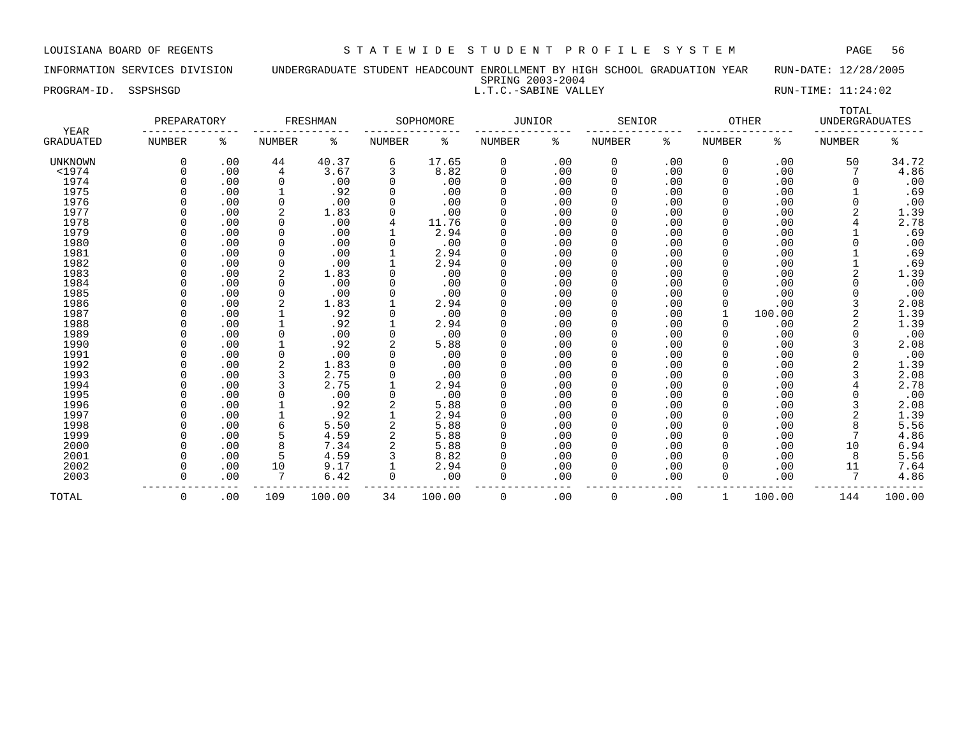INFORMATION SERVICES DIVISION UNDERGRADUATE STUDENT HEADCOUNT ENROLLMENT BY HIGH SCHOOL GRADUATION YEAR RUN-DATE: 12/28/2005 SPRING 2003-2004 PROGRAM-ID. SSPSHSGD L.T.C.-SABINE VALLEY RUN-TIME: 11:24:02

| YEAR<br>GRADUATED | PREPARATORY   |     |                | FRESHMAN |               | SOPHOMORE | JUNIOR |     | SENIOR        |     | <b>OTHER</b>  |        | TOTAL<br><b>UNDERGRADUATES</b> |        |
|-------------------|---------------|-----|----------------|----------|---------------|-----------|--------|-----|---------------|-----|---------------|--------|--------------------------------|--------|
|                   | <b>NUMBER</b> | ႜ   | NUMBER         | ႜ        | <b>NUMBER</b> | ႜ         | NUMBER | နွ  | <b>NUMBER</b> | ႜ   | <b>NUMBER</b> | ႜ      | <b>NUMBER</b>                  | ႜ      |
| <b>UNKNOWN</b>    | $\Omega$      | .00 | 44             | 40.37    | 6             | 17.65     | 0      | .00 | 0             | .00 | 0             | .00    | 50                             | 34.72  |
| $<$ 1974          |               | .00 | 4              | 3.67     | 3             | 8.82      | 0      | .00 | 0             | .00 | 0             | .00    |                                | 4.86   |
| 1974              |               | .00 | $\Omega$       | .00      | 0             | .00       | 0      | .00 | 0             | .00 | $\Omega$      | .00    | O                              | .00    |
| 1975              |               | .00 |                | .92      | $\Omega$      | .00       | 0      | .00 | 0             | .00 |               | .00    |                                | .69    |
| 1976              |               | .00 | $\Omega$       | .00      | $\Omega$      | .00       | 0      | .00 | 0             | .00 |               | .00    | O                              | .00    |
| 1977              |               | .00 | $\overline{2}$ | 1.83     | $\Omega$      | .00       | 0      | .00 | 0             | .00 | 0             | .00    |                                | 1.39   |
| 1978              |               | .00 | $\Omega$       | .00      | 4             | 11.76     | 0      | .00 | 0             | .00 | $\Omega$      | .00    |                                | 2.78   |
| 1979              |               | .00 | $\Omega$       | .00      |               | 2.94      |        | .00 |               | .00 |               | .00    |                                | .69    |
| 1980              |               | .00 | $\Omega$       | .00      |               | .00       | 0      | .00 |               | .00 |               | .00    |                                | .00    |
| 1981              |               | .00 | $\Omega$       | .00      |               | 2.94      | 0      | .00 | ი             | .00 |               | .00    |                                | .69    |
| 1982              |               | .00 | 0              | .00      |               | 2.94      | 0      | .00 | O             | .00 |               | .00    |                                | .69    |
| 1983              |               | .00 | 2              | 1.83     |               | .00       | 0      | .00 | <sup>0</sup>  | .00 | O             | .00    |                                | 1.39   |
| 1984              |               | .00 | $\Omega$       | .00      |               | .00       | 0      | .00 | O             | .00 |               | .00    |                                | .00    |
| 1985              |               | .00 | $\Omega$       | .00      |               | .00       | 0      | .00 | 0             | .00 | 0             | .00    |                                | .00    |
| 1986              |               | .00 | $\overline{2}$ | 1.83     |               | 2.94      | 0      | .00 | 0             | .00 |               | .00    |                                | 2.08   |
| 1987              |               | .00 |                | .92      | 0             | .00       | 0      | .00 | 0             | .00 |               | 100.00 |                                | 1.39   |
| 1988              |               | .00 |                | .92      |               | 2.94      | 0      | .00 | 0             | .00 | 0             | .00    |                                | 1.39   |
| 1989              |               | .00 | $\Omega$       | .00      | $\Omega$      | .00       | 0      | .00 | <sup>0</sup>  | .00 | $\Omega$      | .00    |                                | .00    |
| 1990              |               | .00 |                | .92      |               | 5.88      |        | .00 |               | .00 |               | .00    |                                | 2.08   |
| 1991              |               | .00 | <sup>0</sup>   | .00      | $\Omega$      | .00       | O      | .00 |               | .00 |               | .00    | O                              | .00    |
| 1992              |               | .00 |                | 1.83     |               | .00       | 0      | .00 |               | .00 |               | .00    |                                | 1.39   |
| 1993              |               | .00 | 3              | 2.75     | 0             | .00       | 0      | .00 | <sup>0</sup>  | .00 |               | .00    |                                | 2.08   |
| 1994              |               | .00 | 3              | 2.75     |               | 2.94      | U      | .00 | <sup>0</sup>  | .00 |               | .00    |                                | 2.78   |
| 1995              |               | .00 | $\Omega$       | .00      | 0             | .00       | 0      | .00 | <sup>0</sup>  | .00 |               | .00    |                                | .00    |
| 1996              |               | .00 |                | .92      |               | 5.88      | 0      | .00 | 0             | .00 |               | .00    | 3                              | 2.08   |
| 1997              |               | .00 |                | .92      |               | 2.94      | 0      | .00 |               | .00 |               | .00    | 2                              | 1.39   |
| 1998              |               | .00 | 6              | 5.50     |               | 5.88      | 0      | .00 | O             | .00 |               | .00    | 8                              | 5.56   |
| 1999              |               | .00 |                | 4.59     |               | 5.88      | 0      | .00 | 0             | .00 |               | .00    | 7                              | 4.86   |
| 2000              |               | .00 | 8              | 7.34     |               | 5.88      | 0      | .00 | 0             | .00 | 0             | .00    | 10                             | 6.94   |
| 2001              |               | .00 | 5              | 4.59     |               | 8.82      | O      | .00 | 0             | .00 | 0             | .00    | 8                              | 5.56   |
|                   |               |     |                |          |               |           |        |     |               |     |               |        |                                | 7.64   |
| 2002              |               | .00 | 10<br>7        | 9.17     |               | 2.94      |        | .00 | 0<br>0        | .00 | 0             | .00    | 11<br>7                        |        |
| 2003              |               | .00 |                | 6.42     | 0             | .00       | 0      | .00 |               | .00 | 0             | .00    |                                | 4.86   |
| TOTAL             | 0             | .00 | 109            | 100.00   | 34            | 100.00    | 0      | .00 | $\Omega$      | .00 |               | 100.00 | 144                            | 100.00 |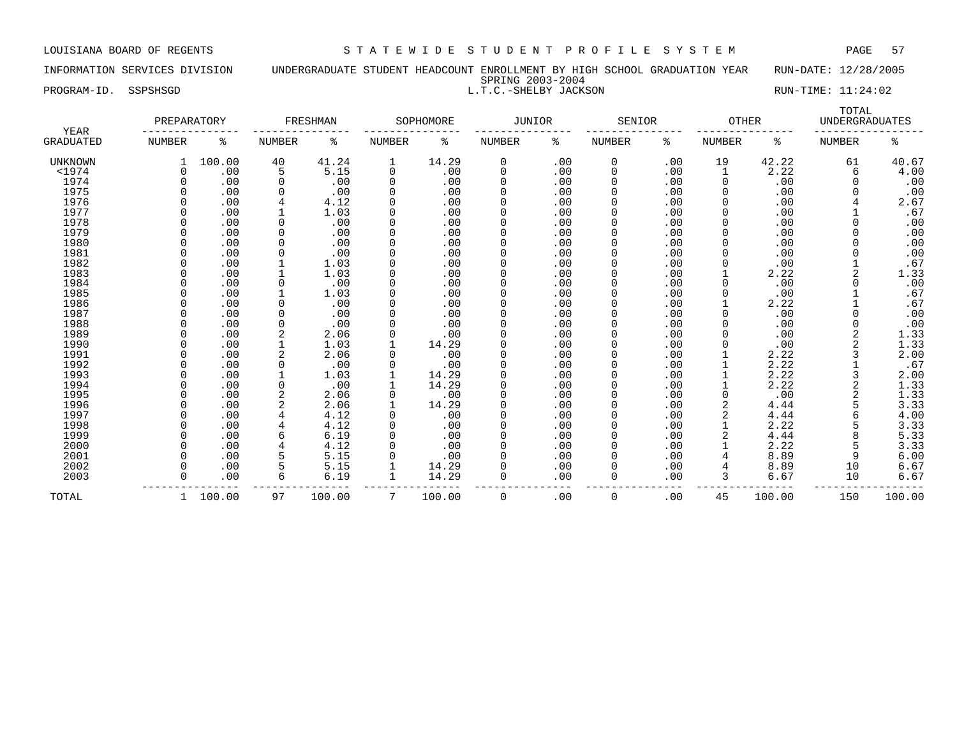INFORMATION SERVICES DIVISION UNDERGRADUATE STUDENT HEADCOUNT ENROLLMENT BY HIGH SCHOOL GRADUATION YEAR RUN-DATE: 12/28/2005 SPRING 2003-2004 PROGRAM-ID. SSPSHSGD SALLT.C.-SHELBY JACKSON RUN-TIME: 11:24:02

|                   | PREPARATORY   |        |          | FRESHMAN |               | SOPHOMORE | JUNIOR |     | SENIOR        |     | <b>OTHER</b>  |        | TOTAL<br><b>UNDERGRADUATES</b> |                             |
|-------------------|---------------|--------|----------|----------|---------------|-----------|--------|-----|---------------|-----|---------------|--------|--------------------------------|-----------------------------|
| YEAR<br>GRADUATED | <b>NUMBER</b> | ႜ      | NUMBER   | ႜ        | <b>NUMBER</b> | ႜ         | NUMBER | ႜ   | <b>NUMBER</b> | ႜ   | <b>NUMBER</b> | ႜ      | <b>NUMBER</b>                  | ႜ                           |
| <b>UNKNOWN</b>    |               | 100.00 | 40       | 41.24    | 1             | 14.29     | 0      | .00 | 0             | .00 | 19            | 42.22  | 61                             | 40.67                       |
| $1974$            |               | .00    | 5        | 5.15     | 0             | .00       | 0      | .00 | 0             | .00 |               | 2.22   | 6                              | 4.00                        |
| 1974              |               | .00    | $\Omega$ | .00      | 0             | .00       | 0      | .00 | 0             | .00 | $\Omega$      | .00    | $\Omega$                       | .00                         |
| 1975              |               | .00    | $\Omega$ | .00      | 0             | .00       | 0      | .00 | 0             | .00 |               | .00    | 0                              | .00                         |
| 1976              |               | .00    |          | 4.12     | $\Omega$      | .00       | 0      | .00 | 0             | .00 |               | .00    |                                | 2.67                        |
| 1977              |               | .00    |          | 1.03     | $\Omega$      | .00       | 0      | .00 | 0             | .00 |               | .00    |                                | .67                         |
| 1978              |               | .00    | $\Omega$ | .00      | 0             | .00       | 0      | .00 | 0             | .00 |               | .00    | O                              | .00                         |
| 1979              |               | .00    | $\Omega$ | .00      | $\Omega$      | .00       |        | .00 |               | .00 |               | .00    |                                | .00                         |
| 1980              |               | .00    | $\Omega$ | .00      | $\Omega$      | .00       |        | .00 |               | .00 |               | .00    |                                | .00                         |
| 1981              |               | .00    | $\Omega$ | .00      |               | .00       | 0      | .00 |               | .00 |               | .00    |                                | .00                         |
| 1982              |               | .00    |          | 1.03     |               | .00       | 0      | .00 | O             | .00 |               | .00    |                                | .67                         |
| 1983              |               | .00    |          | 1.03     | $\Omega$      | .00       | U      | .00 | O             | .00 |               | 2.22   |                                | 1.33                        |
| 1984              |               | .00    | $\Omega$ | .00      |               | .00       | 0      | .00 | O             | .00 |               | .00    | O                              | .00                         |
| 1985              |               | .00    |          | 1.03     |               | .00       | 0      | .00 |               | .00 |               | .00    |                                | .67                         |
| 1986              |               | .00    | 0        | .00      | 0             | .00       | 0      | .00 |               | .00 |               | 2.22   |                                | .67                         |
| 1987              |               | .00    | $\Omega$ | .00      |               | .00       | 0      | .00 | 0             | .00 |               | .00    | 0                              | .00                         |
| 1988              |               | .00    | $\Omega$ | .00      |               | .00       | 0      | .00 | 0             | .00 |               | .00    |                                | .00                         |
| 1989              |               | .00    |          | 2.06     | $\Omega$      | .00       | 0      | .00 | <sup>0</sup>  | .00 |               | .00    |                                | 1.33                        |
| 1990              |               | .00    |          | 1.03     |               | 14.29     |        | .00 |               | .00 |               | .00    |                                | 1.33                        |
| 1991              |               | .00    |          | 2.06     |               | .00       | 0      | .00 |               | .00 |               | 2.22   |                                | 2.00                        |
| 1992              |               | .00    | $\Omega$ | .00      |               | .00       | 0      | .00 |               | .00 |               | 2.22   |                                | .67                         |
| 1993              |               | .00    |          | 1.03     |               | 14.29     | 0      | .00 | <sup>0</sup>  | .00 |               | 2.22   |                                | 2.00                        |
| 1994              |               | .00    | $\Omega$ | .00      |               | 14.29     | U      | .00 | <sup>0</sup>  | .00 |               | 2.22   |                                | 1.33                        |
| 1995              |               | .00    |          | 2.06     | 0             | .00       | 0      | .00 | <sup>0</sup>  | .00 |               | .00    |                                | 1.33                        |
| 1996              |               | .00    | 2        | 2.06     |               | 14.29     | 0      | .00 | 0             | .00 | 2             | 4.44   |                                | 3.33                        |
| 1997              |               | .00    |          | 4.12     | 0             | .00       | 0      | .00 |               | .00 | 2             | 4.44   |                                |                             |
| 1998              |               | .00    |          | 4.12     | 0             | .00       | 0      | .00 | 0             | .00 |               | 2.22   |                                | $\frac{4.00}{3.33}$         |
| 1999              |               | .00    | 6        | 6.19     | 0             | .00       | 0      | .00 | 0             | .00 |               | 4.44   |                                |                             |
| 2000              |               | .00    |          | 4.12     | $\Omega$      | .00       | 0      | .00 | 0             | .00 |               | 2.22   |                                | $\frac{5}{3}$ . 33<br>3. 33 |
|                   |               |        |          |          |               |           |        |     |               |     |               |        | 9                              |                             |
| 2001              |               | .00    |          | 5.15     | 0             | .00       |        | .00 | 0             | .00 |               | 8.89   |                                | 6.00                        |
| 2002              |               | .00    | 5        | 5.15     |               | 14.29     |        | .00 | 0             | .00 |               | 8.89   | 10                             | 6.67                        |
| 2003              |               | .00    | 6        | 6.19     | 1             | 14.29     | 0      | .00 | 0             | .00 | 3             | 6.67   | 10                             | 6.67                        |
| TOTAL             |               | 100.00 | 97       | 100.00   |               | 100.00    | 0      | .00 | $\Omega$      | .00 | 45            | 100.00 | 150                            | 100.00                      |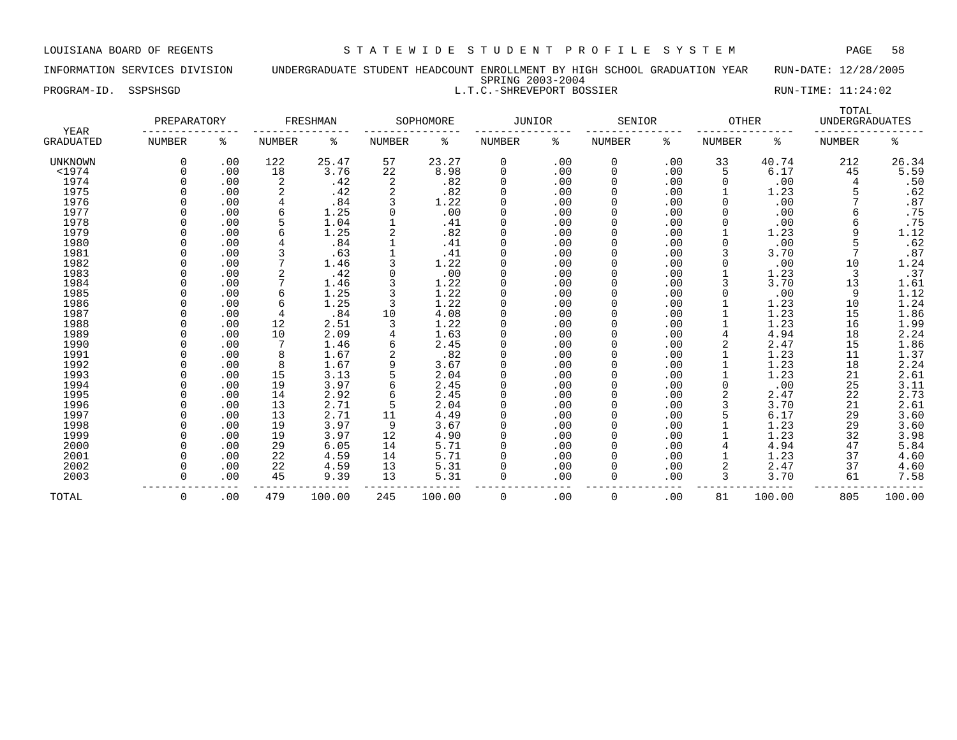INFORMATION SERVICES DIVISION UNDERGRADUATE STUDENT HEADCOUNT ENROLLMENT BY HIGH SCHOOL GRADUATION YEAR RUN-DATE: 12/28/2005 SPRING 2003-2004 PROGRAM-ID. SSPSHSGD SALLT.C.-SHREVEPORT BOSSIER RUN-TIME: 11:24:02

| YEAR             | PREPARATORY   |     |                | FRESHMAN |                | SOPHOMORE | <b>JUNIOR</b> |     | SENIOR        |     | <b>OTHER</b>  |        | TOTAL<br><b>UNDERGRADUATES</b> |                  |
|------------------|---------------|-----|----------------|----------|----------------|-----------|---------------|-----|---------------|-----|---------------|--------|--------------------------------|------------------|
| <b>GRADUATED</b> | <b>NUMBER</b> | ႜ   | <b>NUMBER</b>  | ႜ        | NUMBER         | ್ಠಿ       | NUMBER        | ႜ   | <b>NUMBER</b> | နွ  | <b>NUMBER</b> | နွ     | <b>NUMBER</b>                  | နွ               |
| UNKNOWN          |               | .00 | 122            | 25.47    | 57             | 23.27     | 0             | .00 | 0             | .00 | 33            | 40.74  | 212                            | 26.34            |
| $<$ 1974         |               | .00 | 18             | 3.76     | 22             | 8.98      | 0             | .00 | 0             | .00 | 5             | 6.17   | 45                             | 5.59             |
| 1974             |               | .00 | $\overline{2}$ | .42      | $\overline{2}$ | .82       | $\Omega$      | .00 | O             | .00 | O             | .00    | 4                              | .50              |
| 1975             |               | .00 |                | .42      |                | .82       | $\Omega$      | .00 |               | .00 |               | 1.23   |                                | .62              |
| 1976             |               | .00 |                | .84      |                | 1.22      | $\Omega$      | .00 |               | .00 | 0             | .00    |                                | .87              |
| 1977             |               | .00 | 6              | 1.25     |                | .00       | $\Omega$      | .00 | 0             | .00 |               | .00    |                                | .75              |
| 1978             |               | .00 |                | 1.04     |                | .41       | $\Omega$      | .00 | 0             | .00 |               | .00    |                                | .75              |
| 1979             |               | .00 |                | 1.25     |                | .82       | $\Omega$      | .00 | 0             | .00 |               | 1.23   | 9                              | 1.12             |
| 1980             |               | .00 |                | .84      |                | .41       | $\Omega$      | .00 | 0             | .00 | O             | .00    |                                | .62              |
| 1981             |               | .00 |                | .63      |                | .41       | $\Omega$      | .00 |               | .00 |               | 3.70   |                                | .87              |
| 1982             |               | .00 |                | 1.46     |                | 1.22      | $\Omega$      | .00 |               | .00 |               | .00    | 10                             | 1.24             |
| 1983             |               | .00 |                | .42      |                | .00       | $\Omega$      | .00 |               | .00 |               | 1.23   | 3                              | .37              |
| 1984             |               | .00 |                | 1.46     |                | 1.22      | $\Omega$      | .00 |               | .00 |               | 3.70   | 13                             | 1.61             |
| 1985             |               | .00 | 6              | 1.25     |                | 1.22      | $\Omega$      | .00 |               | .00 |               | .00    | 9                              | 1.12             |
| 1986             |               | .00 | 6              | 1.25     |                | 1.22      | $\Omega$      | .00 |               | .00 |               | 1.23   | 10                             | 1.24             |
| 1987             |               | .00 | $\overline{4}$ | .84      | 10             | 4.08      | $\Omega$      | .00 |               | .00 |               | 1.23   | 15                             | 1.86             |
| 1988             |               | .00 | 12             | 2.51     |                | 1.22      | $\Omega$      | .00 |               | .00 |               | 1.23   | 16                             | 1.99             |
| 1989             |               | .00 | 10             | 2.09     |                | 1.63      | $\Omega$      | .00 |               | .00 |               | 4.94   | 18                             | 2.24             |
| 1990             |               | .00 | 7              | 1.46     |                | 2.45      | $\Omega$      | .00 |               | .00 |               | 2.47   | 15                             |                  |
| 1991             |               | .00 | 8              | 1.67     | $\overline{c}$ | .82       | $\Omega$      | .00 | 0             | .00 |               | 1.23   | 11                             | $1.86$<br>$1.37$ |
| 1992             |               | .00 | 8              | 1.67     |                | 3.67      | $\Omega$      | .00 |               | .00 |               | 1.23   | 18                             | 2.24             |
| 1993             |               | .00 | 15             | 3.13     |                | 2.04      | $\Omega$      | .00 | 0             | .00 |               | 1.23   | 21                             | 2.61             |
| 1994             |               | .00 | 19             | 3.97     |                | 2.45      | $\Omega$      | .00 |               | .00 | 0             | .00    | 25                             | 3.11             |
| 1995             |               | .00 | 14             | 2.92     |                | 2.45      | $\Omega$      | .00 |               | .00 | 2             | 2.47   | 22                             | 2.73             |
| 1996             |               | .00 | 13             | 2.71     | 5              | 2.04      | $\Omega$      | .00 |               | .00 |               | 3.70   | 21                             | 2.61             |
| 1997             |               | .00 | 13             | 2.71     | 11             | 4.49      | $\Omega$      | .00 |               | .00 |               | 6.17   | 29                             | 3.60             |
| 1998             |               | .00 | 19             | 3.97     | 9              | 3.67      | $\Omega$      | .00 |               | .00 |               | 1.23   | 29                             | 3.60             |
| 1999             |               | .00 | 19             | 3.97     | 12             | 4.90      | $\Omega$      | .00 |               | .00 |               | 1.23   | 32                             | 3.98             |
| 2000             |               | .00 | 29             | 6.05     | 14             | 5.71      | $\Omega$      | .00 |               | .00 |               | 4.94   | 47                             | 5.84             |
| 2001             |               | .00 | 22             | 4.59     | 14             | 5.71      | $\Omega$      | .00 |               | .00 |               | 1.23   | 37                             | 4.60             |
| 2002             |               | .00 | 22             | 4.59     | 13             | 5.31      | $\Omega$      | .00 |               | .00 |               | 2.47   | 37                             | 4.60             |
| 2003             |               | .00 | 45             | 9.39     | 13             | 5.31      | $\Omega$      | .00 | $\Omega$      | .00 | 3             | 3.70   | 61                             | 7.58             |
| TOTAL            | 0             | .00 | 479            | 100.00   | 245            | 100.00    | 0             | .00 | 0             | .00 | 81            | 100.00 | 805                            | 100.00           |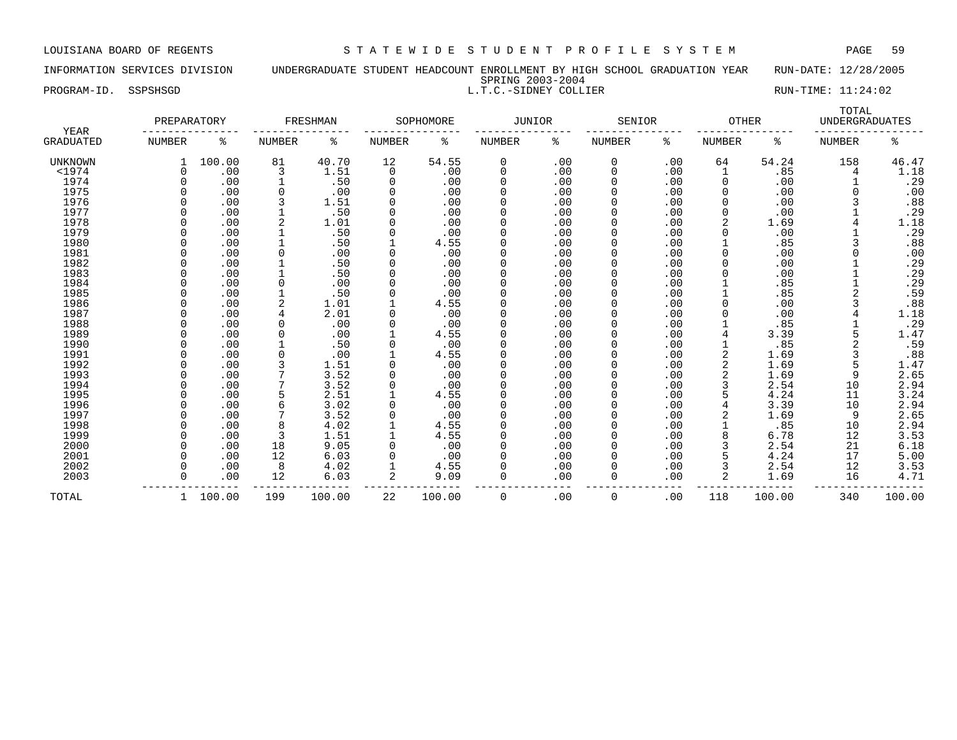# INFORMATION SERVICES DIVISION UNDERGRADUATE STUDENT HEADCOUNT ENROLLMENT BY HIGH SCHOOL GRADUATION YEAR RUN-DATE: 12/28/2005 SPRING 2003-2004 PROGRAM-ID. SSPSHSGD **RUN-TIME:** 11:24:02

| YEAR             | PREPARATORY   |          |        | FRESHMAN |               | SOPHOMORE | <b>JUNIOR</b> |     | SENIOR        |     | <b>OTHER</b>  |        | TOTAL<br><b>UNDERGRADUATES</b> |        |
|------------------|---------------|----------|--------|----------|---------------|-----------|---------------|-----|---------------|-----|---------------|--------|--------------------------------|--------|
| <b>GRADUATED</b> | <b>NUMBER</b> | ిక       | NUMBER | ႜ        | <b>NUMBER</b> | နွ        | <b>NUMBER</b> | နွ  | <b>NUMBER</b> | နွ  | <b>NUMBER</b> | နွ     | NUMBER                         | ႜ      |
| <b>UNKNOWN</b>   |               | 100.00   | 81     | 40.70    | 12            | 54.55     | 0             | .00 | 0             | .00 | 64            | 54.24  | 158                            | 46.47  |
| $<$ 1974         |               | .00      |        | 1.51     | 0             | .00       | 0             | .00 | 0             | .00 |               | .85    | 4                              | 1.18   |
| 1974             |               | .00      |        | .50      | $\Omega$      | .00       | $\Omega$      | .00 | 0             | .00 | 0             | .00    |                                | .29    |
| 1975             |               | .00      |        | .00      |               | .00       | $\Omega$      | .00 | 0             | .00 | $\Omega$      | .00    |                                | .00    |
| 1976             |               | .00      |        | 1.51     |               | .00       | $\Omega$      | .00 | 0             | .00 |               | .00    |                                | .88    |
| 1977             |               | .00      |        | .50      |               | .00       | $\Omega$      | .00 | 0             | .00 | $\Omega$      | .00    |                                | .29    |
| 1978             |               | .00      |        | 1.01     |               | .00       | U             | .00 | <sup>0</sup>  | .00 |               | 1.69   |                                | 1.18   |
| 1979             |               | .00      |        | .50      |               | .00       | <sup>0</sup>  | .00 |               | .00 |               | .00    |                                | .29    |
| 1980             |               | .00      |        | .50      |               | 4.55      | 0             | .00 |               | .00 |               | .85    |                                | .88    |
| 1981             |               | .00      |        | .00      |               | .00       | 0             | .00 |               | .00 |               | .00    |                                | .00    |
| 1982             |               | .00      |        | .50      |               | .00       | 0             | .00 | 0             | .00 |               | .00    |                                | .29    |
| 1983             |               | .00      |        | .50      |               | .00       | $\Omega$      | .00 | 0             | .00 |               | .00    |                                | .29    |
| 1984             |               | .00      |        | .00      |               | .00       | <sup>0</sup>  | .00 | 0             | .00 |               | .85    |                                | .29    |
| 1985             |               | .00      |        | .50      |               | .00       | $\Omega$      | .00 | 0             | .00 |               | .85    |                                | .59    |
| 1986             |               | .00      |        | 1.01     |               | 4.55      | <sup>0</sup>  | .00 | 0             | .00 |               | .00    |                                | .88    |
| 1987             |               | .00      | 4      | 2.01     |               | .00       | <sup>0</sup>  | .00 |               | .00 |               | .00    |                                | 1.18   |
| 1988             |               | .00      |        | .00      |               | .00       | <sup>0</sup>  | .00 | 0             | .00 |               | .85    |                                | .29    |
| 1989             |               | .00      |        | .00      |               | 4.55      | <sup>0</sup>  | .00 | <sup>0</sup>  | .00 |               | 3.39   |                                | 1.47   |
| 1990             |               | .00      |        | .50      |               | .00       | <sup>0</sup>  | .00 |               | .00 |               | .85    |                                | .59    |
| 1991             |               | .00      |        | .00      |               | 4.55      | 0             | .00 |               | .00 |               | 1.69   | 3                              | .88    |
| 1992             |               | .00      |        | 1.51     |               | .00       | 0             | .00 |               | .00 |               | 1.69   |                                | 1.47   |
| 1993             |               | .00      |        | 3.52     |               | .00       | 0             | .00 | 0             | .00 |               | 1.69   |                                | 2.65   |
| 1994             |               | .00      |        | 3.52     |               | .00       | 0             | .00 | 0             | .00 |               | 2.54   | 10                             | 2.94   |
| 1995             |               | .00      |        | 2.51     |               | 4.55      | 0             | .00 | 0             | .00 |               | 4.24   | 11                             | 3.24   |
| 1996             |               | .00      |        | 3.02     |               | .00       | 0             | .00 | 0             | .00 |               | 3.39   | 10                             | 2.94   |
| 1997             |               | .00      |        | 3.52     |               | .00       |               | .00 |               | .00 |               | 1.69   | 9                              | 2.65   |
| 1998             |               | .00      |        | 4.02     |               | 4.55      | <sup>0</sup>  | .00 | 0             | .00 |               | .85    | 10                             | 2.94   |
| 1999             |               | .00      |        | 1.51     |               | 4.55      | <sup>0</sup>  | .00 | 0             | .00 |               | 6.78   | 12                             | 3.53   |
| 2000             |               | .00      | 18     | 9.05     |               | .00       | <sup>0</sup>  | .00 | 0             | .00 |               | 2.54   | 21                             | 6.18   |
| 2001             |               | .00      | 12     | 6.03     |               | .00       | <sup>0</sup>  | .00 | 0             | .00 |               | 4.24   | 17                             | 5.00   |
| 2002             |               | .00      | 8      | 4.02     |               | 4.55      | <sup>0</sup>  | .00 |               | .00 |               | 2.54   | 12                             | 3.53   |
| 2003             |               | .00      | 12     | 6.03     | 2             | 9.09      | $\Omega$      | .00 | 0             | .00 |               | 1.69   | 16                             | 4.71   |
| TOTAL            |               | 1 100.00 | 199    | 100.00   | 22            | 100.00    | 0             | .00 | $\mathbf 0$   | .00 | 118           | 100.00 | 340                            | 100.00 |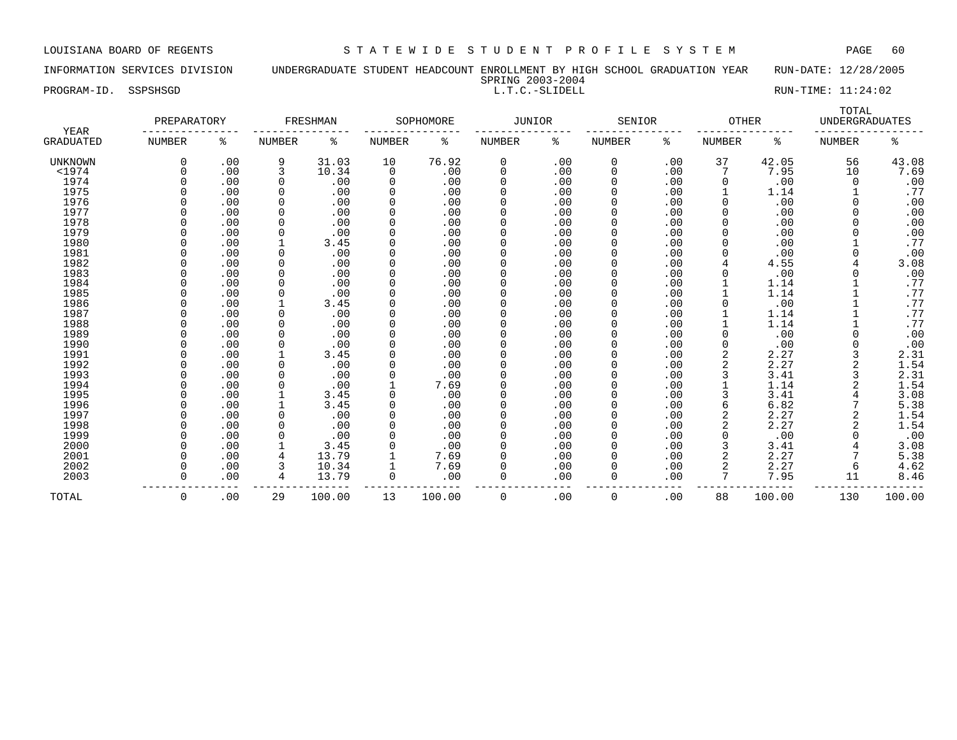PROGRAM-ID. SSPSHSGD **EXECUTE:** 11:24:02 L.T.C.-SLIDELL **EXECUTE:** 21:24:02

### INFORMATION SERVICES DIVISION UNDERGRADUATE STUDENT HEADCOUNT ENROLLMENT BY HIGH SCHOOL GRADUATION YEAR RUN-DATE: 12/28/2005 SPRING 2003-2004

| <b>YEAR</b>      | PREPARATORY |     |               | FRESHMAN |               | SOPHOMORE | <b>JUNIOR</b> |     | SENIOR       |     | <b>OTHER</b>   |        | TOTAL<br><b>UNDERGRADUATES</b> |        |
|------------------|-------------|-----|---------------|----------|---------------|-----------|---------------|-----|--------------|-----|----------------|--------|--------------------------------|--------|
| <b>GRADUATED</b> | NUMBER      | ႜ   | <b>NUMBER</b> | ٥g       | <b>NUMBER</b> | ႜ         | NUMBER        | ႜ   | NUMBER       | ి   | <b>NUMBER</b>  | ႜ      | <b>NUMBER</b>                  | ిక     |
| UNKNOWN          |             | .00 | 9             | 31.03    | 10            | 76.92     | 0             | .00 | $\mathbf 0$  | .00 | 37             | 42.05  | 56                             | 43.08  |
| $<$ 1974         |             | .00 | 3             | 10.34    | $\mathbf 0$   | .00       | $\Omega$      | .00 | $\mathbf 0$  | .00 |                | 7.95   | 10                             | 7.69   |
| 1974             |             | .00 | 0             | .00      | 0             | .00       | $\Omega$      | .00 | 0            | .00 | 0              | .00    |                                | .00    |
| 1975             |             | .00 | $\Omega$      | .00      | 0             | .00       |               | .00 | 0            | .00 |                | 1.14   |                                | .77    |
| 1976             |             | .00 | $\Omega$      | .00      | 0             | .00       |               | .00 | 0            | .00 |                | .00    |                                | .00    |
| 1977             |             | .00 | $\Omega$      | .00      |               | .00       |               | .00 | 0            | .00 |                | .00    |                                | .00    |
| 1978             |             | .00 | $\Omega$      | .00      | 0             | .00       |               | .00 | 0            | .00 |                | .00    |                                | .00    |
| 1979             |             | .00 | $\Omega$      | .00      |               | .00       |               | .00 | 0            | .00 |                | .00    |                                | .00    |
| 1980             |             | .00 |               | 3.45     | 0             | .00       |               | .00 | 0            | .00 |                | .00    |                                | .77    |
| 1981             |             | .00 | $\Omega$      | .00      | O             | .00       |               | .00 | 0            | .00 |                | .00    |                                | .00    |
| 1982             |             | .00 | $\Omega$      | .00      | 0             | .00       |               | .00 | <sup>0</sup> | .00 |                | 4.55   |                                | 3.08   |
| 1983             |             | .00 | $\Omega$      | .00      | 0             | .00       |               | .00 | 0            | .00 |                | .00    |                                | .00    |
| 1984             |             | .00 | $\Omega$      | .00      | 0             | .00       |               | .00 | 0            | .00 |                | 1.14   |                                | .77    |
| 1985             |             | .00 | 0             | .00      |               | .00       |               | .00 |              | .00 |                | 1.14   |                                | .77    |
| 1986             |             | .00 | 1             | 3.45     | 0             | .00       |               | .00 | 0            | .00 |                | .00    |                                | .77    |
| 1987             |             | .00 | 0             | .00      | 0             | .00       |               | .00 | 0            | .00 |                | 1.14   |                                | .77    |
| 1988             |             | .00 | $\Omega$      | .00      | 0             | .00       |               | .00 | 0            | .00 |                | 1.14   |                                | .77    |
| 1989             |             | .00 | $\Omega$      | .00      | 0             | .00       |               | .00 | 0            | .00 |                | .00    |                                | .00    |
| 1990             |             | .00 | $\Omega$      | .00      |               | .00       |               | .00 |              | .00 |                | .00    |                                | .00    |
| 1991             |             | .00 |               | 3.45     |               | .00       |               | .00 | 0            | .00 |                | 2.27   |                                | 2.31   |
| 1992             |             | .00 | $\Omega$      | .00      |               | .00       |               | .00 | 0            | .00 |                | 2.27   |                                | 1.54   |
| 1993             |             | .00 | <sup>n</sup>  | .00      |               | .00       |               | .00 | <sup>0</sup> | .00 |                | 3.41   |                                | 2.31   |
| 1994             |             | .00 | $\Omega$      | .00      |               | 7.69      |               | .00 | 0            | .00 |                | 1.14   |                                | 1.54   |
| 1995             |             | .00 |               | 3.45     | 0             | .00       |               | .00 | 0            | .00 |                | 3.41   |                                | 3.08   |
| 1996             |             | .00 |               | 3.45     | 0             | .00       |               | .00 | 0            | .00 |                | 6.82   |                                | 5.38   |
| 1997             |             | .00 | 0             | .00      | 0             | .00       |               | .00 | 0            | .00 | $\overline{2}$ | 2.27   |                                | 1.54   |
| 1998             |             | .00 | 0             | .00      | 0             | .00       |               | .00 | 0            | .00 |                | 2.27   |                                | 1.54   |
| 1999             |             | .00 | $\Omega$      | .00      |               | .00       |               | .00 | 0            | .00 |                | .00    |                                | .00    |
| 2000             |             | .00 |               | 3.45     |               | .00       |               | .00 | $\mathbf 0$  | .00 |                | 3.41   |                                | 3.08   |
| 2001             |             | .00 | 4             | 13.79    |               | 7.69      |               | .00 | 0            | .00 |                | 2.27   |                                | 5.38   |
| 2002             |             | .00 | 3             | 10.34    |               | 7.69      |               | .00 | 0            | .00 |                | 2.27   | 6                              | 4.62   |
| 2003             |             | .00 | 4             | 13.79    | 0             | .00       |               | .00 | 0            | .00 | 7              | 7.95   | 11                             | 8.46   |
| TOTAL            | $\Omega$    | .00 | 29            | 100.00   | 13            | 100.00    | $\Omega$      | .00 | $\Omega$     | .00 | 88             | 100.00 | 130                            | 100.00 |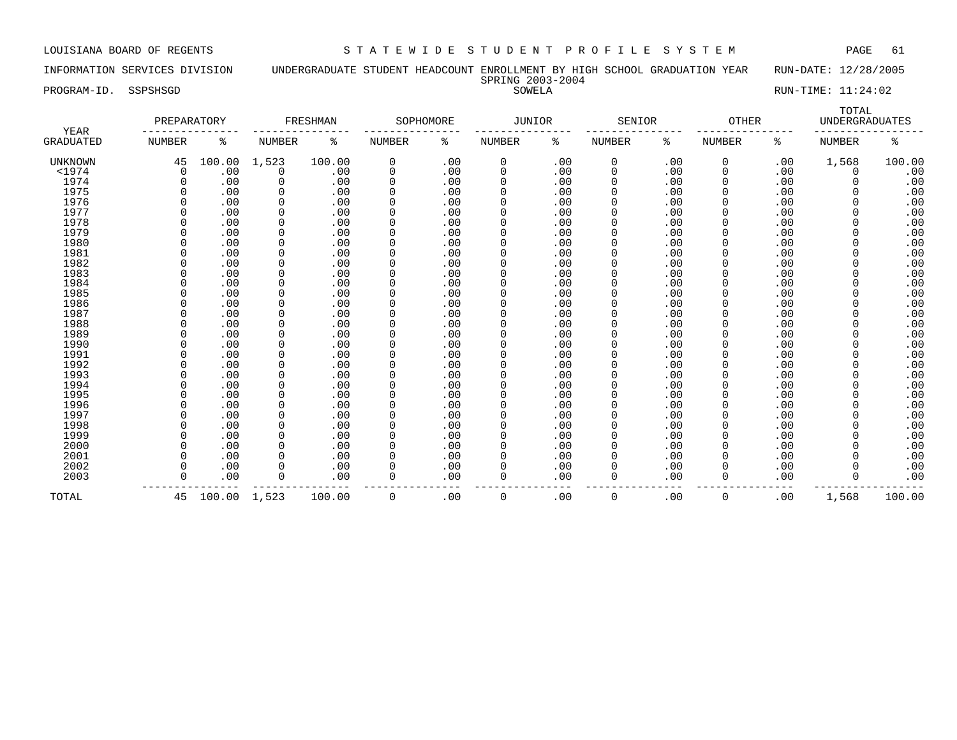INFORMATION SERVICES DIVISION UNDERGRADUATE STUDENT HEADCOUNT ENROLLMENT BY HIGH SCHOOL GRADUATION YEAR RUN-DATE: 12/28/2005 SPRING 2003-2004

PROGRAM-ID. SSPSHSGD SOWELA RUN-TIME: 11:24:02

|                          | PREPARATORY   |              |               | FRESHMAN |               | SOPHOMORE | <b>JUNIOR</b> |     | SENIOR        |     | <b>OTHER</b>  |     | TOTAL<br><b>UNDERGRADUATES</b> |        |
|--------------------------|---------------|--------------|---------------|----------|---------------|-----------|---------------|-----|---------------|-----|---------------|-----|--------------------------------|--------|
| YEAR<br><b>GRADUATED</b> | <b>NUMBER</b> | ႜ            | <b>NUMBER</b> | နွ       | <b>NUMBER</b> | ి         | NUMBER        | နွ  | <b>NUMBER</b> | ႜ   | <b>NUMBER</b> | ႜ   | <b>NUMBER</b>                  | ە<br>ج |
| UNKNOWN                  | 45            | 100.00       | 1,523         | 100.00   | $\mathbf 0$   | .00       | 0             | .00 | 0             | .00 | 0             | .00 | 1,568                          | 100.00 |
| $<$ 1974                 | $\Omega$      | .00          | 0             | .00      | 0             | .00       | 0             | .00 | 0             | .00 | $\Omega$      | .00 | 0                              | .00    |
| 1974                     |               | .00          | $\Omega$      | .00      | 0             | .00       | 0             | .00 | 0             | .00 |               | .00 | 0                              | .00    |
| 1975                     | $\Omega$      | .00          | $\Omega$      | .00      | 0             | .00       | 0             | .00 | 0             | .00 |               | .00 | 0                              | .00    |
| 1976                     |               | .00          | $\Omega$      | .00      | 0             | .00       | 0             | .00 | 0             | .00 |               | .00 | 0                              | .00    |
| 1977                     |               | .00          | $\Omega$      | .00      | 0             | .00       | 0             | .00 | 0             | .00 |               | .00 | O                              | .00    |
| 1978                     |               | .00          | $\Omega$      | .00      | $\Omega$      | .00       | 0             | .00 | 0             | .00 |               | .00 |                                | .00    |
| 1979                     |               | .00          | $\Omega$      | .00      | 0             | .00       | 0             | .00 | 0             | .00 |               | .00 |                                | .00    |
| 1980                     |               | .00          | $\Omega$      | .00      | $\Omega$      | .00       | 0             | .00 | 0             | .00 |               | .00 | O                              | .00    |
| 1981                     | O             | .00          | $\Omega$      | .00      | $\Omega$      | .00       | 0             | .00 | 0             | .00 |               | .00 | 0                              | .00    |
| 1982                     | O             | .00          | $\Omega$      | .00      | $\Omega$      | .00       | 0             | .00 | 0             | .00 |               | .00 | 0                              | .00    |
| 1983                     |               | .00          | $\Omega$      | .00      | $\Omega$      | .00       | 0             | .00 |               | .00 |               | .00 | 0                              | .00    |
| 1984                     |               | .00          | $\Omega$      | .00      | $\Omega$      | .00       | 0             | .00 | 0             | .00 |               | .00 | 0                              | .00    |
| 1985                     | 0             | .00          | $\Omega$      | .00      | 0             | .00       | 0             | .00 | 0             | .00 |               | .00 | 0                              | .00    |
| 1986                     |               | .00          | $\Omega$      | .00      | 0             | .00       | 0             | .00 | 0             | .00 |               | .00 | 0                              | .00    |
| 1987                     |               | .00          | $\Omega$      | .00      | $\Omega$      | .00       | 0             | .00 | 0             | .00 |               | .00 | 0                              | .00    |
| 1988                     |               | .00          |               | .00      | $\Omega$      | .00       | 0             | .00 | 0             | .00 |               | .00 |                                | .00    |
| 1989                     |               | .00          |               | .00      | $\Omega$      | .00       | 0             | .00 | 0             | .00 |               | .00 |                                | .00    |
| 1990                     |               | .00          | $\Omega$      | .00      | $\Omega$      | .00       | $\Omega$      | .00 | 0             | .00 |               | .00 | O                              | .00    |
| 1991                     |               | .00          | $\Omega$      | .00      | $\Omega$      | .00       | 0             | .00 | 0             | .00 |               | .00 | 0                              | .00    |
| 1992                     |               | .00          | $\Omega$      | .00      | $\Omega$      | .00       | 0             | .00 | 0             | .00 |               | .00 | 0                              | .00    |
| 1993                     |               | .00          | $\Omega$      | .00      | $\Omega$      | .00       | 0             | .00 | 0             | .00 |               | .00 | 0                              | .00    |
| 1994                     |               | .00          | $\Omega$      | .00      | 0             | .00       | 0             | .00 | 0             | .00 |               | .00 | 0                              | .00    |
| 1995                     |               | .00          | 0             | .00      | 0             | .00       | 0             | .00 | 0             | .00 |               | .00 | 0                              | .00    |
| 1996                     | O             | .00          | 0             | .00      | 0             | .00       | 0             | .00 | 0             | .00 |               | .00 | 0                              | .00    |
| 1997                     |               | .00          | $\Omega$      | .00      | $\Omega$      | .00       | 0             | .00 | 0             | .00 |               | .00 | 0                              | .00    |
| 1998                     |               | .00          | $\Omega$      | .00      | 0             | .00       | 0             | .00 | 0             | .00 |               | .00 |                                | .00    |
| 1999                     |               | .00          | $\Omega$      | .00      | $\Omega$      | .00       |               | .00 | 0             | .00 |               | .00 |                                | .00    |
| 2000                     |               | .00          | $\Omega$      | .00      | $\Omega$      | .00       | 0             | .00 | 0             | .00 |               | .00 |                                | .00    |
| 2001                     | U             | .00          | $\Omega$      | .00      | $\Omega$      | .00       | 0             | .00 | 0             | .00 |               | .00 | O                              | .00    |
| 2002                     | O             | .00          | $\Omega$      | .00      | $\Omega$      | .00       | 0             | .00 | 0             | .00 | $\Omega$      | .00 | O                              | .00    |
| 2003                     | $\Omega$      | .00          | $\Omega$      | .00      | $\Omega$      | .00       | 0             | .00 | 0             | .00 | $\Omega$      | .00 | 0                              | .00    |
| TOTAL                    | 45            | 100.00 1,523 |               | 100.00   | $\mathbf 0$   | .00       | 0             | .00 | 0             | .00 | $\Omega$      | .00 | 1,568                          | 100.00 |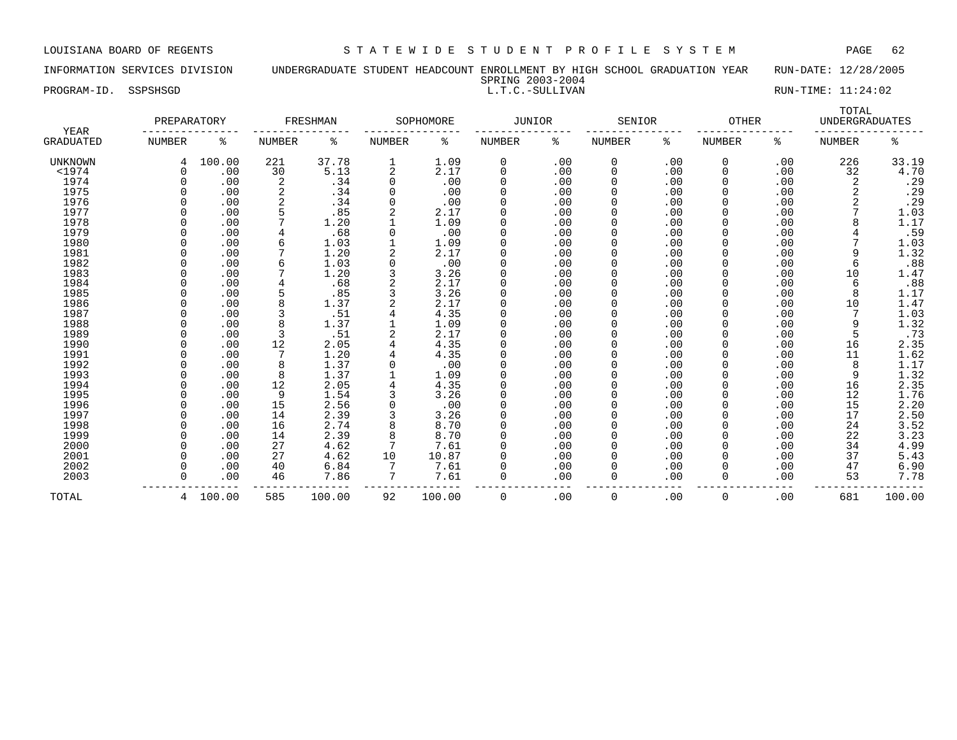TOTAL

INFORMATION SERVICES DIVISION UNDERGRADUATE STUDENT HEADCOUNT ENROLLMENT BY HIGH SCHOOL GRADUATION YEAR RUN-DATE: 12/28/2005 SPRING 2003-2004

PROGRAM-ID. SSPSHSGD L.T.C.-SULLIVAN RUN-TIME: 11:24:02

| YEAR             | PREPARATORY   |        |                | FRESHMAN |               | SOPHOMORE | JUNIOR      |     | SENIOR        |     | <b>OTHER</b>  |     | <b>UNDERGRADUATES</b> |        |
|------------------|---------------|--------|----------------|----------|---------------|-----------|-------------|-----|---------------|-----|---------------|-----|-----------------------|--------|
| <b>GRADUATED</b> | <b>NUMBER</b> | ႜ      | NUMBER         | နွ       | <b>NUMBER</b> | ి         | NUMBER      | ႜ   | <b>NUMBER</b> | နွ  | <b>NUMBER</b> | နွ  | <b>NUMBER</b>         | ి      |
| UNKNOWN          | 4             | 100.00 | 221            | 37.78    | 1             | 1.09      | 0           | .00 | 0             | .00 | $\mathbf 0$   | .00 | 226                   | 33.19  |
| $<$ 1974         |               | .00    | 30             | 5.13     | 2             | 2.17      | 0           | .00 | $\Omega$      | .00 | $\mathbf 0$   | .00 | 32                    | 4.70   |
| 1974             |               | .00    | $\overline{2}$ | .34      | 0             | .00       | 0           | .00 | $\Omega$      | .00 | 0             | .00 |                       | .29    |
| 1975             |               | .00    | 2              | .34      |               | .00       | $\Omega$    | .00 | $\Omega$      | .00 |               | .00 |                       | .29    |
| 1976             |               | .00    |                | .34      | 0             | .00       | $\Omega$    | .00 | $\Omega$      | .00 | $\Omega$      | .00 |                       | .29    |
| 1977             |               | .00    |                | .85      |               | 2.17      |             | .00 | $\Omega$      | .00 |               | .00 |                       | 1.03   |
| 1978             |               | .00    |                | 1.20     |               | 1.09      |             | .00 | $\Omega$      | .00 |               | .00 |                       | 1.17   |
| 1979             |               | .00    |                | .68      |               | .00       |             | .00 | $\Omega$      | .00 |               | .00 |                       | .59    |
| 1980             |               | .00    |                | 1.03     |               | 1.09      |             | .00 | O             | .00 |               | .00 |                       | 1.03   |
| 1981             |               | .00    |                | 1.20     |               | 2.17      |             | .00 |               | .00 |               | .00 | 9                     | 1.32   |
| 1982             |               | .00    |                | 1.03     |               | .00       |             | .00 |               | .00 |               | .00 |                       | .88    |
| 1983             |               | .00    |                | 1.20     |               | 3.26      |             | .00 |               | .00 |               | .00 | 10                    | 1.47   |
| 1984             |               | .00    |                | .68      |               | 2.17      |             | .00 |               | .00 |               | .00 | 6                     | .88    |
| 1985             |               | .00    |                | .85      |               | 3.26      |             | .00 |               | .00 |               | .00 |                       | 1.17   |
| 1986             |               | .00    |                | 1.37     |               | 2.17      |             | .00 |               | .00 |               | .00 | 10                    | 1.47   |
| 1987             |               | .00    |                | .51      |               | 4.35      | $\Omega$    | .00 |               | .00 |               | .00 |                       | 1.03   |
| 1988             |               | .00    |                | 1.37     |               | 1.09      | $\Omega$    | .00 |               | .00 |               | .00 |                       | 1.32   |
| 1989             |               | .00    | 3              | .51      |               | 2.17      | $\Omega$    | .00 |               | .00 |               | .00 |                       | .73    |
| 1990             |               | .00    | 12             | 2.05     |               | 4.35      | $\Omega$    | .00 |               | .00 |               | .00 | 16                    | 2.35   |
| 1991             |               | .00    |                | 1.20     |               | 4.35      | $\Omega$    | .00 | $\Omega$      | .00 |               | .00 | 11                    | 1.62   |
| 1992             |               | .00    | 8              | 1.37     |               | .00       | $\Omega$    | .00 | $\Omega$      | .00 | $\Omega$      | .00 |                       | 1.17   |
| 1993             |               | .00    | 8              | 1.37     |               | 1.09      | $\Omega$    | .00 | O             | .00 | $\Omega$      | .00 | 9                     | 1.32   |
| 1994             |               | .00    | 12             | 2.05     |               | 4.35      | $\Omega$    | .00 | $\Omega$      | .00 |               | .00 | 16                    | 2.35   |
| 1995             |               | .00    | 9              | 1.54     |               | 3.26      | $\Omega$    | .00 |               | .00 | $\cap$        | .00 | 12                    | 1.76   |
| 1996             |               | .00    | 15             | 2.56     |               | .00       | $\Omega$    | .00 |               | .00 | $\cap$        | .00 | 15                    | 2.20   |
| 1997             |               | .00    | 14             | 2.39     |               | 3.26      | $\Omega$    | .00 |               | .00 |               | .00 | 17                    | 2.50   |
| 1998             |               | .00    | 16             | 2.74     |               | 8.70      | $\Omega$    | .00 |               | .00 | $\Omega$      | .00 | 24                    | 3.52   |
| 1999             |               | .00    | 14             | 2.39     |               | 8.70      | $\Omega$    | .00 |               | .00 |               | .00 | 22                    | 3.23   |
| 2000             |               | .00    | 27             | 4.62     |               | 7.61      |             | .00 |               | .00 |               | .00 | 34                    | 4.99   |
| 2001             |               | .00    | 27             | 4.62     | 10            | 10.87     |             | .00 |               | .00 |               | .00 | 37                    | 5.43   |
| 2002             |               | .00    | 40             | 6.84     |               | 7.61      |             | .00 |               | .00 |               | .00 | 47                    | 6.90   |
| 2003             |               | .00    | 46             | 7.86     | 7             | 7.61      |             | .00 | 0             | .00 | $\Omega$      | .00 | 53                    | 7.78   |
| TOTAL            | 4             | 100.00 | 585            | 100.00   | 92            | 100.00    | $\mathbf 0$ | .00 | 0             | .00 | $\Omega$      | .00 | 681                   | 100.00 |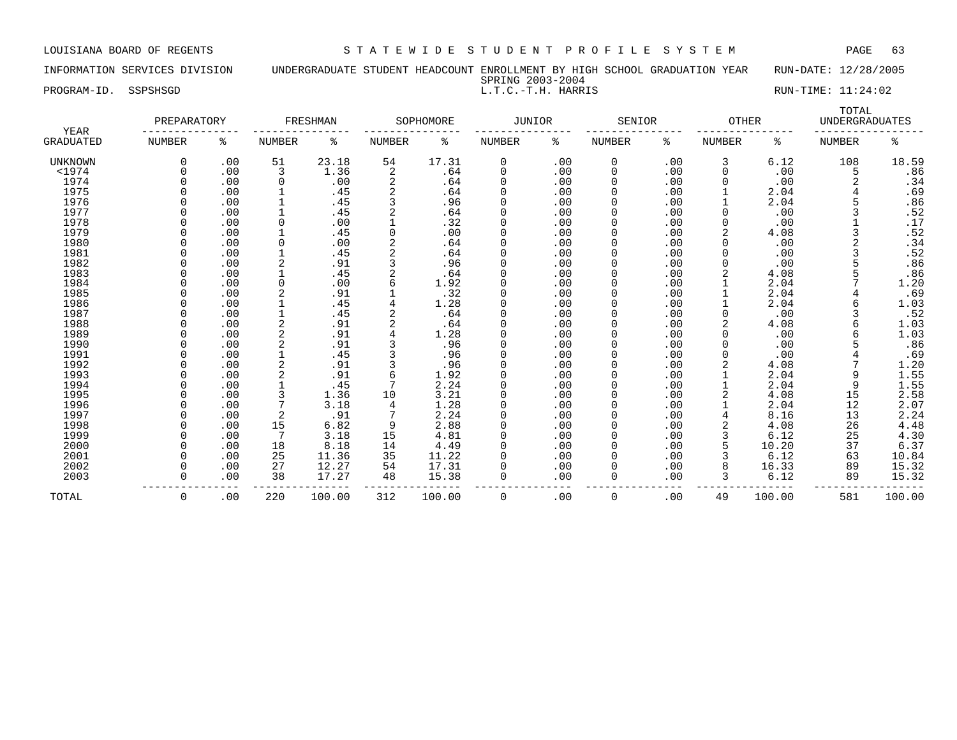INFORMATION SERVICES DIVISION UNDERGRADUATE STUDENT HEADCOUNT ENROLLMENT BY HIGH SCHOOL GRADUATION YEAR RUN-DATE: 12/28/2005 SPRING 2003-2004

PROGRAM-ID. SSPSHSGD **EXECUTE:** 11:24:02

|                                 | PREPARATORY   |     |               | FRESHMAN |                | SOPHOMORE | JUNIOR        |     | SENIOR        |     | <b>OTHER</b>  |        | TOTAL<br><b>UNDERGRADUATES</b> |                |
|---------------------------------|---------------|-----|---------------|----------|----------------|-----------|---------------|-----|---------------|-----|---------------|--------|--------------------------------|----------------|
| <b>YEAR</b><br><b>GRADUATED</b> | <b>NUMBER</b> | ႜ   | <b>NUMBER</b> | ႜ        | <b>NUMBER</b>  | ႜ         | <b>NUMBER</b> | ႜ   | <b>NUMBER</b> | ႜ   | <b>NUMBER</b> | ႜ      | <b>NUMBER</b>                  | နွ             |
| UNKNOWN                         | 0             | .00 | 51            | 23.18    | 54             | 17.31     | 0             | .00 | 0             | .00 | 3             | 6.12   | 108                            | 18.59          |
| $1974$                          |               | .00 | 3             | 1.36     | $\overline{c}$ | .64       | $\mathbf 0$   | .00 | 0             | .00 | $\Omega$      | .00    | 5                              | .86            |
| 1974                            |               | .00 | 0             | .00      | $\overline{2}$ | .64       | $\mathbf 0$   | .00 | 0             | .00 |               | .00    |                                | .34            |
| 1975                            |               | .00 | 1             | .45      | 2              | .64       | $\Omega$      | .00 | 0             | .00 |               | 2.04   |                                | .69            |
| 1976                            |               | .00 |               | .45      | 3              | .96       | $\mathbf 0$   | .00 | 0             | .00 |               | 2.04   |                                | .86            |
| 1977                            |               | .00 |               | .45      |                | .64       | 0             | .00 | 0             | .00 | <sup>0</sup>  | .00    |                                | .52            |
| 1978                            |               | .00 | $\mathbf 0$   | .00      |                | .32       | $\mathbf 0$   | .00 | 0             | .00 |               | .00    |                                | .17            |
| 1979                            |               | .00 | $\mathbf{1}$  | .45      | $\Omega$       | .00       | $\mathbf 0$   | .00 | $\Omega$      | .00 |               | 4.08   |                                | .52            |
| 1980                            |               | .00 | 0             | .00      | 2              | .64       | $\Omega$      | .00 | 0             | .00 | <sup>0</sup>  | .00    |                                |                |
| 1981                            |               | .00 |               | .45      |                | .64       | $\mathbf 0$   | .00 | 0             | .00 |               | .00    |                                | $.34$<br>$.52$ |
| 1982                            |               | .00 | 2             | .91      |                | .96       | $\mathbf 0$   | .00 |               | .00 |               | .00    |                                | .86            |
| 1983                            |               | .00 |               | .45      |                | . 64      | $\mathbf 0$   | .00 | 0             | .00 |               | 4.08   |                                | .86            |
| 1984                            |               | .00 | 0             | .00      | 6              | 1.92      | 0             | .00 | 0             | .00 |               | 2.04   |                                | 1.20           |
| 1985                            |               | .00 | 2             | .91      |                | .32       | $\Omega$      | .00 | 0             | .00 |               | 2.04   |                                | .69            |
| 1986                            |               | .00 |               | .45      |                | 1.28      | $\Omega$      | .00 | 0             | .00 |               | 2.04   |                                | 1.03           |
| 1987                            |               | .00 |               | .45      |                | .64       | 0             | .00 | 0             | .00 |               | .00    |                                | .52            |
| 1988                            |               | .00 | 2             | .91      |                | .64       | $\Omega$      | .00 | 0             | .00 |               | 4.08   |                                | 1.03           |
| 1989                            |               | .00 | 2             | .91      |                | 1.28      | <sup>0</sup>  | .00 | 0             | .00 |               | .00    |                                | 1.03           |
| 1990                            |               | .00 | 2             | .91      |                | .96       | $\Omega$      | .00 | 0             | .00 | $\Omega$      | .00    |                                | .86            |
| 1991                            |               | .00 |               | .45      |                | .96       | $\mathbf 0$   | .00 | 0             | .00 |               | .00    |                                | .69            |
| 1992                            |               | .00 |               | .91      |                | .96       | $\mathbf 0$   | .00 | 0             | .00 |               | 4.08   |                                | 1.20           |
| 1993                            |               | .00 |               | .91      | 6              | 1.92      | $\mathbf 0$   | .00 | 0             | .00 |               | 2.04   |                                | 1.55           |
| 1994                            |               | .00 | $\mathbf{1}$  | .45      | 7              | 2.24      | $\mathbf 0$   | .00 | 0             | .00 |               | 2.04   | 9                              | 1.55           |
| 1995                            |               | .00 |               | 1.36     | 10             | 3.21      | 0             | .00 | 0             | .00 |               | 4.08   | 15                             | 2.58           |
| 1996                            |               | .00 |               | 3.18     | 4              | 1.28      | $\mathbf 0$   | .00 | 0             | .00 |               | 2.04   | 12                             | 2.07           |
| 1997                            |               | .00 | 2             | .91      |                | 2.24      | 0             | .00 | 0             | .00 |               | 8.16   | 13                             | 2.24           |
| 1998                            |               | .00 | 15            | 6.82     | 9              | 2.88      | $\Omega$      | .00 | 0             | .00 |               | 4.08   | 26                             | 4.48           |
| 1999                            |               | .00 | 7             | 3.18     | 15             | 4.81      | $\Omega$      | .00 | $\Omega$      | .00 |               | 6.12   | 25                             | 4.30           |
| 2000                            |               | .00 | 18            | 8.18     | 14             | 4.49      | $\Omega$      | .00 | 0             | .00 |               | 10.20  | 37                             | 6.37           |
| 2001                            |               | .00 | 25            | 11.36    | 35             | 11.22     | 0             | .00 | 0             | .00 |               | 6.12   | 63                             | 10.84          |
| 2002                            |               | .00 | 27            | 12.27    | 54             | 17.31     | 0             | .00 | 0             | .00 |               | 16.33  | 89                             | 15.32          |
| 2003                            | U             | .00 | 38            | 17.27    | 48             | 15.38     | 0             | .00 | 0             | .00 |               | 6.12   | 89                             | 15.32          |
|                                 |               |     |               |          |                |           |               |     |               |     |               |        |                                |                |
| TOTAL                           | 0             | .00 | 220           | 100.00   | 312            | 100.00    | 0             | .00 | 0             | .00 | 49            | 100.00 | 581                            | 100.00         |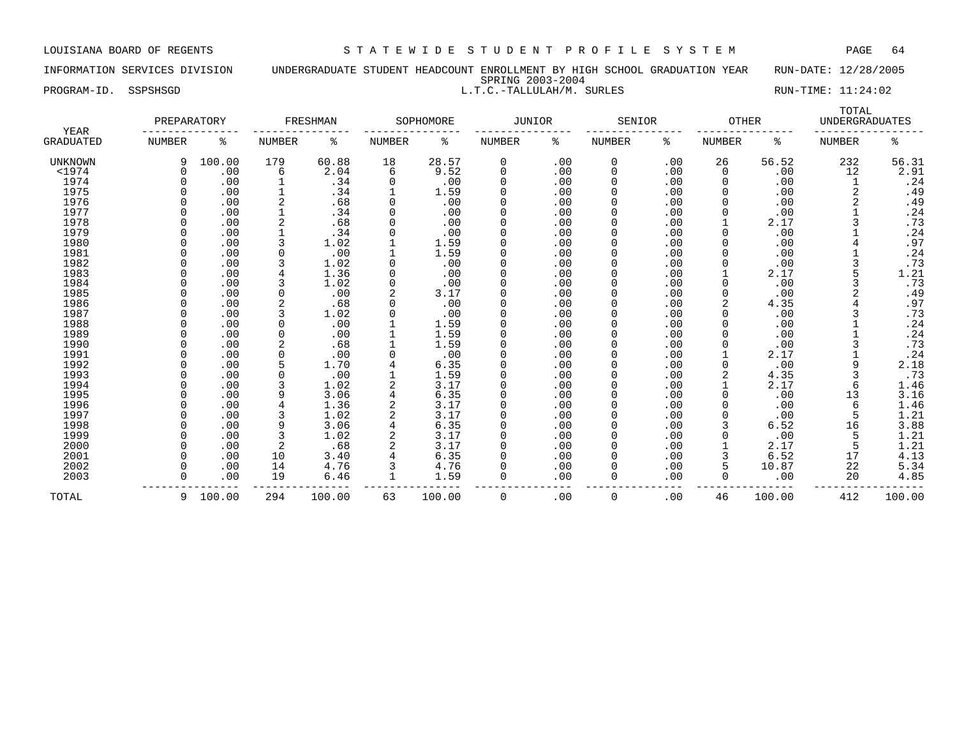INFORMATION SERVICES DIVISION UNDERGRADUATE STUDENT HEADCOUNT ENROLLMENT BY HIGH SCHOOL GRADUATION YEAR RUN-DATE: 12/28/2005 SPRING 2003-2004 PROGRAM-ID. SSPSHSGD L.T.C.-TALLULAH/M. SURLES RUN-TIME: 11:24:02

| YEAR      | PREPARATORY |        |          | FRESHMAN |        | SOPHOMORE | <b>JUNIOR</b> |     | SENIOR        |     | <b>OTHER</b>  |        | TOTAL<br><b>UNDERGRADUATES</b> |        |
|-----------|-------------|--------|----------|----------|--------|-----------|---------------|-----|---------------|-----|---------------|--------|--------------------------------|--------|
| GRADUATED | NUMBER      | ႜ      | NUMBER   | နွ       | NUMBER | ႜ         | NUMBER        | နွ  | <b>NUMBER</b> | ႜ   | <b>NUMBER</b> | ႜ      | <b>NUMBER</b>                  | ႜ      |
| UNKNOWN   | 9           | 100.00 | 179      | 60.88    | 18     | 28.57     | 0             | .00 | 0             | .00 | 26            | 56.52  | 232                            | 56.31  |
| $1974$    |             | .00    | 6        | 2.04     | 6      | 9.52      | $\Omega$      | .00 | 0             | .00 | $\Omega$      | .00    | 12                             | 2.91   |
| 1974      |             | .00    |          | .34      |        | .00       | 0             | .00 | O             | .00 |               | .00    |                                | .24    |
| 1975      |             | .00    |          | .34      |        | 1.59      |               | .00 | N             | .00 |               | .00    |                                | .49    |
| 1976      |             | .00    |          | .68      |        | .00       |               | .00 |               | .00 | O             | .00    |                                | .49    |
| 1977      |             | .00    |          | .34      |        | .00       |               | .00 |               | .00 |               | .00    |                                | .24    |
| 1978      |             | .00    | 2        | .68      |        | .00       | 0             | .00 |               | .00 |               | 2.17   |                                | .73    |
| 1979      |             | .00    |          | .34      |        | .00       |               | .00 |               | .00 |               | .00    |                                | .24    |
| 1980      |             | .00    |          | 1.02     |        | 1.59      | 0             | .00 |               | .00 |               | .00    |                                | .97    |
| 1981      |             | .00    |          | .00      |        | 1.59      | 0             | .00 |               | .00 |               | .00    |                                | .24    |
| 1982      |             | .00    |          | 1.02     |        | .00       | 0             | .00 |               | .00 |               | .00    |                                | .73    |
| 1983      |             | .00    |          | 1.36     |        | .00       | O             | .00 |               | .00 |               | 2.17   |                                | 1.21   |
| 1984      |             | .00    |          | 1.02     |        | .00       | O             | .00 |               | .00 |               | .00    |                                | .73    |
| 1985      |             | .00    |          | .00      |        | 3.17      |               | .00 |               | .00 |               | .00    |                                | .49    |
| 1986      |             | .00    |          | .68      |        | .00       |               | .00 |               | .00 |               | 4.35   |                                | .97    |
| 1987      |             | .00    |          | 1.02     |        | .00       |               | .00 |               | .00 |               | .00    |                                | .73    |
| 1988      |             | .00    | $\Omega$ | .00      |        | 1.59      | U             | .00 |               | .00 |               | .00    |                                | .24    |
| 1989      |             | .00    | $\Omega$ | .00      |        | 1.59      | 0             | .00 |               | .00 |               | .00    |                                | .24    |
| 1990      |             | .00    |          | .68      |        | 1.59      |               | .00 |               | .00 |               | .00    |                                | .73    |
| 1991      |             | .00    | $\Omega$ | .00      |        | .00       | U             | .00 | <sup>0</sup>  | .00 |               | 2.17   |                                | .24    |
| 1992      |             | .00    |          | 1.70     |        | 6.35      |               | .00 | ი             | .00 | O             | .00    | 9                              | 2.18   |
| 1993      |             | .00    | $\Omega$ | .00      |        | 1.59      | 0             | .00 |               | .00 | 2             | 4.35   | 3                              | .73    |
| 1994      |             | .00    |          | 1.02     |        | 3.17      | 0             | .00 |               | .00 |               | 2.17   | 6                              | 1.46   |
| 1995      |             | .00    | 9        | 3.06     |        | 6.35      |               | .00 |               | .00 |               | .00    | 13                             | 3.16   |
| 1996      |             | .00    |          | 1.36     |        | 3.17      | 0             | .00 |               | .00 |               | .00    | 6                              | 1.46   |
| 1997      |             | .00    |          | 1.02     |        | 3.17      | 0             | .00 |               | .00 |               | .00    |                                | 1.21   |
| 1998      |             | .00    | 9        | 3.06     |        | 6.35      | O             | .00 | <sup>0</sup>  | .00 |               | 6.52   | 16                             | 3.88   |
| 1999      |             | .00    |          | 1.02     |        | 3.17      | O             | .00 |               | .00 |               | .00    |                                | 1.21   |
| 2000      |             | .00    |          | .68      |        | 3.17      |               | .00 | <sup>0</sup>  | .00 |               | 2.17   |                                | 1.21   |
| 2001      |             | .00    | 10       | 3.40     |        | 6.35      |               | .00 |               | .00 |               | 6.52   | 17                             | 4.13   |
| 2002      |             | .00    | 14       | 4.76     |        | 4.76      |               | .00 |               | .00 |               | 10.87  | 22                             | 5.34   |
| 2003      |             | .00    | 19       | 6.46     | 1      | 1.59      | 0             | .00 | 0             | .00 | 0             | .00    | 20                             | 4.85   |
| TOTAL     | 9           | 100.00 | 294      | 100.00   | 63     | 100.00    | $\Omega$      | .00 | $\Omega$      | .00 | 46            | 100.00 | 412                            | 100.00 |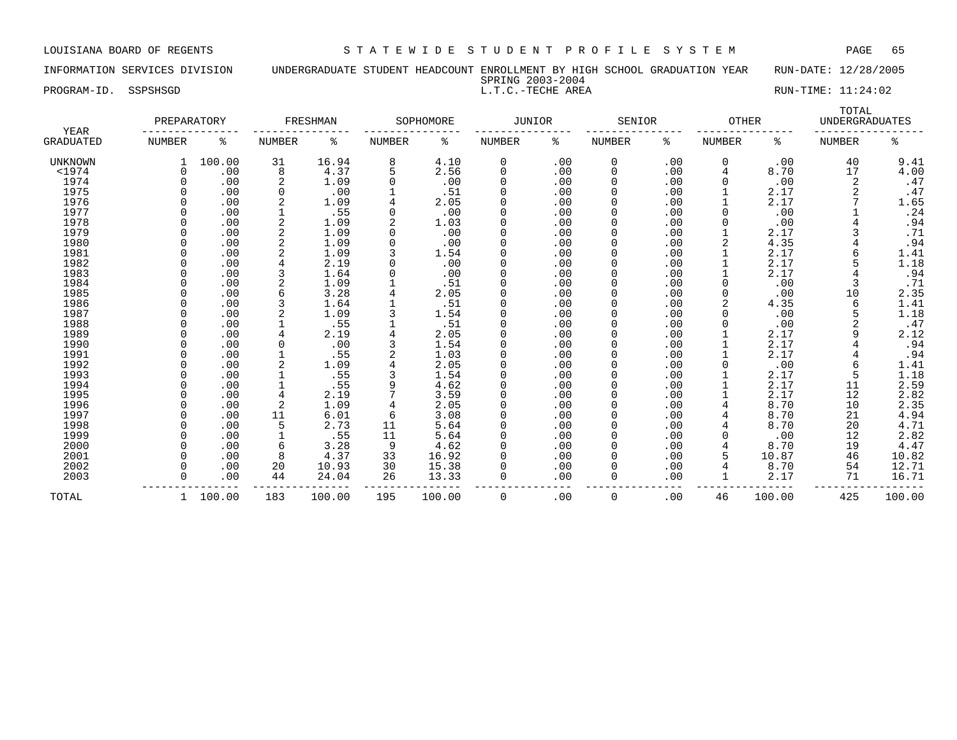PROGRAM-ID. SSPSHSGD SALLT.C.-TECHE AREA RUN-TIME: 11:24:02

# INFORMATION SERVICES DIVISION UNDERGRADUATE STUDENT HEADCOUNT ENROLLMENT BY HIGH SCHOOL GRADUATION YEAR RUN-DATE: 12/28/2005 SPRING 2003-2004<br>L.T.C.-TECHE AREA

| <b>YEAR</b>      | PREPARATORY |        |          | FRESHMAN |        | SOPHOMORE | <b>JUNIOR</b> |     | SENIOR        |     | <b>OTHER</b> |        | TOTAL<br><b>UNDERGRADUATES</b> |        |
|------------------|-------------|--------|----------|----------|--------|-----------|---------------|-----|---------------|-----|--------------|--------|--------------------------------|--------|
| <b>GRADUATED</b> | NUMBER      | ႜ      | NUMBER   | ႜ        | NUMBER | ႜ         | NUMBER        | ႜ   | <b>NUMBER</b> | ႜ   | NUMBER       | ႜ      | NUMBER                         | ႜ      |
| <b>UNKNOWN</b>   |             | 100.00 | 31       | 16.94    | 8      | 4.10      | 0             | .00 | 0             | .00 | 0            | .00    | 40                             | 9.41   |
| $<$ 1974         |             | .00    | 8        | 4.37     | 5      | 2.56      | 0             | .00 | 0             | .00 | 4            | 8.70   | 17                             | 4.00   |
| 1974             |             | .00    | 2        | 1.09     |        | .00       | 0             | .00 | 0             | .00 |              | .00    | 2                              | .47    |
| 1975             |             | .00    | $\Omega$ | .00      |        | .51       | 0             | .00 | 0             | .00 |              | 2.17   |                                | .47    |
| 1976             |             | .00    |          | 1.09     |        | 2.05      | 0             | .00 | 0             | .00 |              | 2.17   |                                | 1.65   |
| 1977             |             | .00    |          | .55      |        | .00       | $\Omega$      | .00 |               | .00 |              | .00    |                                | .24    |
| 1978             |             | .00    |          | 1.09     |        | 1.03      | <sup>0</sup>  | .00 | O             | .00 |              | .00    |                                | .94    |
| 1979             |             | .00    | 2        | 1.09     |        | .00       | <sup>0</sup>  | .00 | U             | .00 |              | 2.17   |                                | .71    |
| 1980             |             | .00    |          | 1.09     |        | .00       | <sup>0</sup>  | .00 | O             | .00 |              | 4.35   |                                | .94    |
| 1981             |             | .00    |          | 1.09     |        | 1.54      | <sup>0</sup>  | .00 | 0             | .00 |              | 2.17   | 6                              | 1.41   |
| 1982             |             | .00    |          | 2.19     |        | .00       | 0             | .00 | 0             | .00 |              | 2.17   |                                | 1.18   |
| 1983             |             | .00    |          | 1.64     |        | .00       | 0             | .00 | 0             | .00 |              | 2.17   |                                | .94    |
| 1984             |             | .00    |          | 1.09     |        | .51       | 0             | .00 | 0             | .00 |              | .00    | 3                              | .71    |
| 1985             |             | .00    |          | 3.28     |        | 2.05      | $\Omega$      | .00 | 0             | .00 |              | .00    | 10                             | 2.35   |
| 1986             |             | .00    |          | 1.64     |        | .51       | <sup>0</sup>  | .00 | <sup>0</sup>  | .00 |              | 4.35   | 6                              | 1.41   |
| 1987             |             | .00    |          | 1.09     |        | 1.54      | O             | .00 |               | .00 |              | .00    |                                | 1.18   |
| 1988             |             | .00    |          | .55      |        | .51       | <sup>0</sup>  | .00 |               | .00 |              | .00    |                                | .47    |
| 1989             |             | .00    |          | 2.19     |        | 2.05      | <sup>0</sup>  | .00 |               | .00 |              | 2.17   | 9                              | 2.12   |
| 1990             |             | .00    | $\Omega$ | .00      |        | 1.54      | 0             | .00 | <sup>0</sup>  | .00 |              | 2.17   |                                | .94    |
| 1991             |             | .00    |          | .55      |        | 1.03      | <sup>0</sup>  | .00 | <sup>0</sup>  | .00 |              | 2.17   |                                | .94    |
| 1992             |             | .00    |          | 1.09     |        | 2.05      | <sup>0</sup>  | .00 | <sup>0</sup>  | .00 |              | .00    | 6                              | 1.41   |
| 1993             |             | .00    |          | .55      |        | 1.54      | 0             | .00 | 0             | .00 |              | 2.17   | 5                              | 1.18   |
| 1994             |             | .00    |          | .55      |        | 4.62      | 0             | .00 | 0             | .00 |              | 2.17   | 11                             | 2.59   |
| 1995             |             | .00    | 4        | 2.19     |        | 3.59      | 0             | .00 | 0             | .00 |              | 2.17   | 12                             | 2.82   |
| 1996             |             | .00    | 2        | 1.09     |        | 2.05      | 0             | .00 | 0             | .00 |              | 8.70   | 10                             | 2.35   |
| 1997             |             | .00    | 11       | 6.01     | 6      | 3.08      | <sup>0</sup>  | .00 | <sup>0</sup>  | .00 |              | 8.70   | 21                             | 4.94   |
| 1998             |             | .00    | 5        | 2.73     | 11     | 5.64      | <sup>0</sup>  | .00 | O             | .00 |              | 8.70   | 20                             | 4.71   |
| 1999             |             | .00    |          | .55      | 11     | 5.64      | O             | .00 |               | .00 |              | .00    | 12                             | 2.82   |
| 2000             |             | .00    | 6        | 3.28     | 9      | 4.62      | <sup>0</sup>  | .00 | O             | .00 |              | 8.70   | 19                             | 4.47   |
| 2001             |             | .00    | 8        | 4.37     | 33     | 16.92     | U             | .00 | <sup>0</sup>  | .00 |              | 10.87  | 46                             | 10.82  |
| 2002             |             | .00    | 20       | 10.93    | 30     | 15.38     | <sup>0</sup>  | .00 | 0             | .00 |              | 8.70   | 54                             | 12.71  |
| 2003             |             | .00    | 44       | 24.04    | 26     | 13.33     | 0             | .00 | $\Omega$      | .00 |              | 2.17   | 71                             | 16.71  |
| TOTAL            |             | 100.00 | 183      | 100.00   | 195    | 100.00    | 0             | .00 | $\mathbf 0$   | .00 | 46           | 100.00 | 425                            | 100.00 |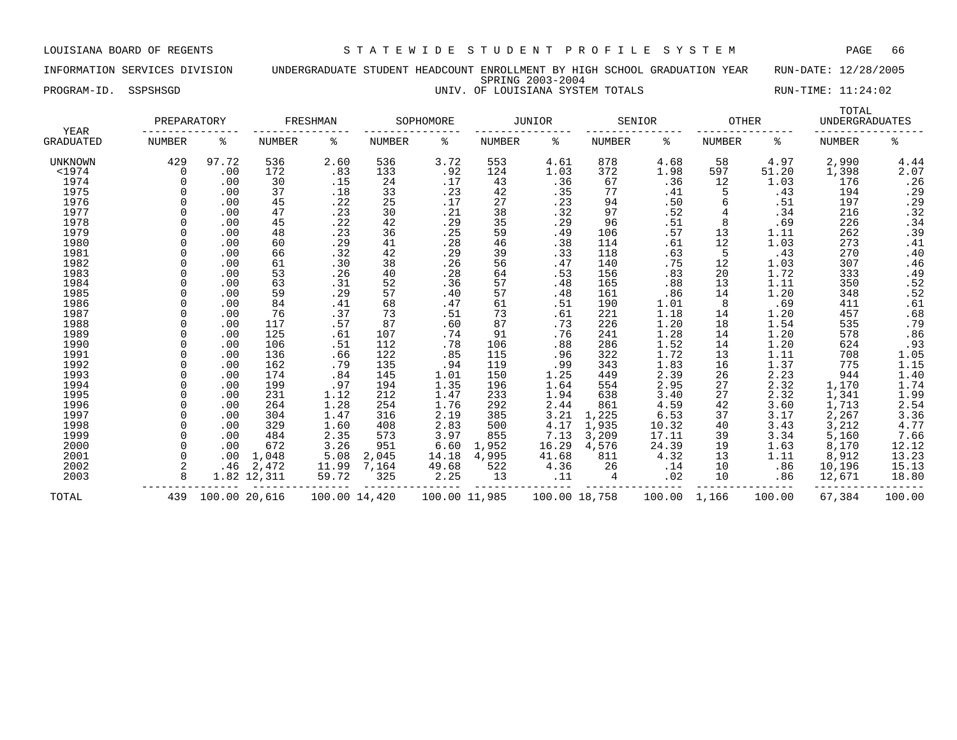INFORMATION SERVICES DIVISION UNDERGRADUATE STUDENT HEADCOUNT ENROLLMENT BY HIGH SCHOOL GRADUATION YEAR RUN-DATE: 12/28/2005 SPRING 2003-2004 PROGRAM-ID. SSPSHSGD **EXECUTE:** 11:24:02

| YEAR      | PREPARATORY   |               |             | FRESHMAN      |               | SOPHOMORE     |               | JUNIOR        |        | SENIOR | OTHER         |        | TOTAL<br><b>UNDERGRADUATES</b> |                               |
|-----------|---------------|---------------|-------------|---------------|---------------|---------------|---------------|---------------|--------|--------|---------------|--------|--------------------------------|-------------------------------|
| GRADUATED | <b>NUMBER</b> | ిక            | NUMBER      | နွ            | <b>NUMBER</b> | ి             | <b>NUMBER</b> | နွ            | NUMBER | နွ     | <b>NUMBER</b> | ႜ      | <b>NUMBER</b>                  | နွ                            |
| UNKNOWN   | 429           | 97.72         | 536         | 2.60          | 536           | 3.72          | 553           | 4.61          | 878    | 4.68   | 58            | 4.97   | 2,990                          | 4.44                          |
| $<$ 1974  | 0             | .00           | 172         | .83           | 133           | .92           | 124           | 1.03          | 372    | 1.98   | 597           | 51.20  | 1,398                          | 2.07                          |
| 1974      |               | .00           | 30          | .15           | 24            | .17           | 43            | .36           | 67     | .36    | 12            | 1.03   | 176                            | .26                           |
| 1975      |               | .00           | 37          | .18           | 33            | .23           | 42            | .35           | 77     | .41    |               | .43    | 194                            | .29                           |
| 1976      |               | .00           | 45          | .22           | 25            | .17           | 27            | .23           | 94     | .50    | 6             | .51    | 197                            | .29                           |
| 1977      |               | .00           | 47          | .23           | 30            | .21           | 38            | .32           | 97     | .52    | 4             | .34    | 216                            | .32                           |
| 1978      |               | .00           | 45          | .22           | 42            | .29           | 35            | .29           | 96     | .51    | 8             | .69    | 226                            | .34                           |
| 1979      |               | .00           | 48          | .23           | 36            | .25           | 59            | .49           | 106    | .57    | 13            | 1.11   | 262                            | .39                           |
| 1980      |               | .00           | 60          | .29           | 41            | .28           | 46            | .38           | 114    | .61    | 12            | 1.03   | 273                            | $: 41$<br>$.40$               |
| 1981      |               | .00           | 66          | .32           | 42            | .29           | 39            | .33           | 118    | .63    | 5             | .43    | 270                            |                               |
| 1982      |               | .00           | 61          | .30           | 38            | .26           | 56            | .47           | 140    | .75    | 12            | 1.03   | 307                            | .46                           |
| 1983      |               | .00           | 53          | .26           | 40            | .28           | 64            | .53           | 156    | .83    | 20            | 1.72   | 333                            | .49                           |
| 1984      |               | .00           | 63          | .31           | 52            | .36           | 57            | .48           | 165    | .88    | 13            | 1.11   | 350                            | $.52$<br>$.52$                |
| 1985      |               | .00           | 59          | .29           | 57            | .40           | 57            | .48           | 161    | .86    | 14            | 1.20   | 348                            |                               |
| 1986      |               | .00           | 84          | .41           | 68            | .47           | 61            | .51           | 190    | 1.01   | 8             | .69    | 411                            | .61                           |
| 1987      |               | .00           | 76          | .37           | 73            | .51           | 73            | .61           | 221    | 1.18   | 14            | 1.20   | 457                            | .68                           |
| 1988      |               | .00           | 117         | .57           | 87            | .60           | 87            | .73           | 226    | 1.20   | 18            | 1.54   | 535                            | .79                           |
| 1989      |               | .00           | 125         | .61           | 107           | .74           | 91            | .76           | 241    | 1.28   | 14            | 1.20   | 578                            | .86                           |
| 1990      |               | .00           | 106         | .51           | 112           | .78           | 106           | .88           | 286    | 1.52   | 14            | 1.20   | 624                            |                               |
| 1991      |               | .00           | 136         | .66           | 122           | .85           | 115           | .96           | 322    | 1.72   | 13            | 1.11   | 708                            | $.93$<br>1.05<br>1.15<br>1.40 |
| 1992      |               | .00           | 162         | .79           | 135           | .94           | 119           | .99           | 343    | 1.83   | 16            | 1.37   | 775                            |                               |
| 1993      |               | .00           | 174         | .84           | 145           | 1.01          | 150           | 1.25          | 449    | 2.39   | 26            | 2.23   | 944                            |                               |
| 1994      |               | .00           | 199         | .97           | 194           | 1.35          | 196           | 1.64          | 554    | 2.95   | 27            | 2.32   | 1,170                          |                               |
| 1995      |               | .00           | 231         | 1.12          | 212           | 1.47          | 233           | 1.94          | 638    | 3.40   | 27            | 2.32   | 1,341                          | $1.74$<br>$1.99$              |
| 1996      |               | .00           | 264         | 1.28          | 254           | 1.76          | 292           | 2.44          | 861    | 4.59   | 42            | 3.60   | 1,713                          | 2.54                          |
| 1997      |               | .00           | 304         | 1.47          | 316           | 2.19          | 385           | 3.21          | 1,225  | 6.53   | 37            | 3.17   | 2,267                          | 3.36                          |
| 1998      |               | .00           | 329         | 1.60          | 408           | 2.83          | 500           | 4.17          | 1,935  | 10.32  | 40            | 3.43   | 3,212                          | 4.77                          |
| 1999      |               | .00           | 484         | 2.35          | 573           | 3.97          | 855           | 7.13          | 3,209  | 17.11  | 39            | 3.34   | 5,160                          | 7.66                          |
| 2000      |               | .00           | 672         | 3.26          | 951           | 6.60          | 1,952         | 16.29         | 4,576  | 24.39  | 19            | 1.63   | 8,170                          | 12.12                         |
| 2001      | $\Omega$      | .00           | 1,048       | 5.08          | 2,045         | 14.18         | 4,995         | 41.68         | 811    | 4.32   | 13            | 1.11   | 8,912                          | 13.23                         |
| 2002      |               | .46           | 2,472       | 11.99         | 7,164         | 49.68         | 522           | 4.36          | 26     | .14    | 10            | .86    | 10,196                         | 15.13                         |
| 2003      | 8             |               | 1.82 12,311 | 59.72         | 325           | 2.25          | 13            | .11           | 4      | .02    | 10            | .86    | 12,671                         | 18.80                         |
| TOTAL     | 439           | 100.00 20,616 |             | 100.00 14,420 |               | 100.00 11,985 |               | 100.00 18,758 |        | 100.00 | 1,166         | 100.00 | 67,384                         | 100.00                        |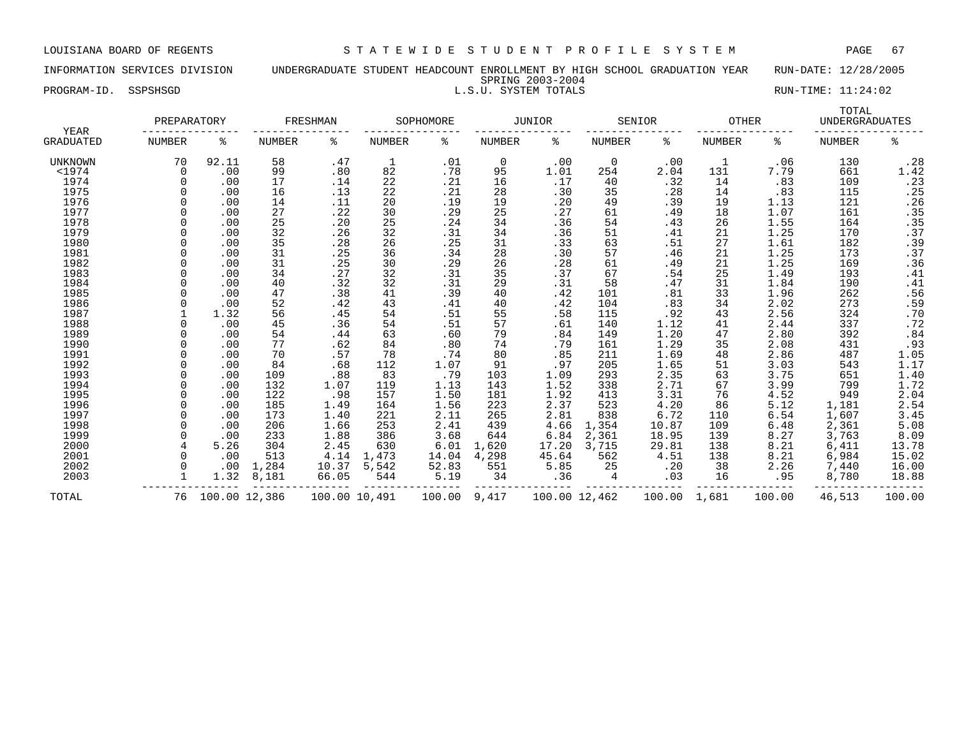|                      | INFORMATION SERVICES DIVISION | UNDERGRADUATE STUDENT HEADCOUNT ENROLLMENT BY HIGH SCHOOL GRADUATION YEAR | RUN-DATE: 12/28/2005 |
|----------------------|-------------------------------|---------------------------------------------------------------------------|----------------------|
|                      |                               | SPRING 2003-2004                                                          |                      |
| PROGRAM-ID. SSPSHSGD |                               | L.S.U. SYSTEM TOTALS                                                      | $RUN-TIME: 11:24:02$ |

| YEAR      | PREPARATORY   |               |               | FRESHMAN      |               | SOPHOMORE |               | <b>JUNIOR</b> |               | SENIOR | <b>OTHER</b>  |        | TOTAL<br><b>UNDERGRADUATES</b> |                         |
|-----------|---------------|---------------|---------------|---------------|---------------|-----------|---------------|---------------|---------------|--------|---------------|--------|--------------------------------|-------------------------|
| GRADUATED | <b>NUMBER</b> | နွ            | <b>NUMBER</b> | နွ            | <b>NUMBER</b> | ి         | <b>NUMBER</b> | နွ            | <b>NUMBER</b> | နွ     | <b>NUMBER</b> | ႜ      | <b>NUMBER</b>                  | နွ                      |
| UNKNOWN   | 70            | 92.11         | 58            | .47           | 1             | .01       | 0             | .00           | $\mathbf 0$   | .00    | 1             | .06    | 130                            | .28                     |
| $<$ 1974  | $\Omega$      | .00           | 99            | .80           | 82            | .78       | 95            | 1.01          | 254           | 2.04   | 131           | 7.79   | 661                            | 1.42                    |
| 1974      | $\Omega$      | .00           | 17            | .14           | 22            | .21       | 16            | .17           | 40            | .32    | 14            | .83    | 109                            | .23                     |
| 1975      |               | .00           | 16            | .13           | 22            | .21       | 28            | .30           | 35            | .28    | 14            | .83    | 115                            | .25                     |
| 1976      |               | .00           | 14            | .11           | 20            | .19       | 19            | .20           | 49            | .39    | 19            | 1.13   | 121                            | .26                     |
| 1977      |               | .00           | 27            | .22           | 30            | .29       | 25            | .27           | 61            | .49    | 18            | 1.07   | 161                            |                         |
| 1978      |               | .00           | 25            | .20           | 25            | .24       | 34            | .36           | 54            | .43    | 26            | 1.55   | 164                            |                         |
| 1979      |               | .00           | 32            | .26           | 32            | .31       | 34            | .36           | 51            | .41    | 21            | 1.25   | 170                            | $.35$<br>$.35$<br>$.37$ |
| 1980      |               | .00           | 35            | .28           | 26            | .25       | 31            | .33           | 63            | .51    | 27            | 1.61   | 182                            | $.39$<br>$.37$          |
| 1981      |               | .00           | 31            | .25           | 36            | .34       | 28            | .30           | 57            | .46    | 21            | 1.25   | 173                            |                         |
| 1982      |               | .00           | 31            | .25           | 30            | .29       | 26            | .28           | 61            | .49    | 21            | 1.25   | 169                            | .36                     |
| 1983      |               | .00           | 34            | .27           | 32            | .31       | 35            | .37           | 67            | .54    | 25            | 1.49   | 193                            | .41                     |
| 1984      |               | .00           | 40            | .32           | 32            | .31       | 29            | .31           | 58            | .47    | 31            | 1.84   | 190                            | .41                     |
| 1985      |               | .00           | 47            | .38           | 41            | .39       | 40            | .42           | 101           | .81    | 33            | 1.96   | 262                            | .56                     |
| 1986      |               | .00           | 52            | .42           | 43            | .41       | 40            | .42           | 104           | .83    | 34            | 2.02   | 273                            | .59                     |
| 1987      |               | 1.32          | 56            | .45           | 54            | .51       | 55            | .58           | 115           | .92    | 43            | 2.56   | 324                            |                         |
| 1988      |               | .00           | 45            | .36           | 54            | .51       | 57            | .61           | 140           | 1.12   | 41            | 2.44   | 337                            | $.70$<br>$.72$          |
| 1989      |               | .00           | 54            | .44           | 63            | .60       | 79            | .84           | 149           | 1.20   | 47            | 2.80   | 392                            | .84                     |
| 1990      |               | .00           | 77            | .62           | 84            | .80       | 74            | .79           | 161           | 1.29   | 35            | 2.08   | 431                            |                         |
| 1991      |               | .00           | 70            | .57           | 78            | .74       | 80            | .85           | 211           | 1.69   | 48            | 2.86   | 487                            |                         |
| 1992      |               | .00           | 84            | .68           | 112           | 1.07      | 91            | .97           | 205           | 1.65   | 51            | 3.03   | 543                            | $.93$<br>1.05<br>1.17   |
| 1993      |               | .00           | 109           | .88           | 83            | .79       | 103           | 1.09          | 293           | 2.35   | 63            | 3.75   | 651                            | 1.40                    |
| 1994      |               | .00           | 132           | 1.07          | 119           | 1.13      | 143           | 1.52          | 338           | 2.71   | 67            | 3.99   | 799                            | 1.72                    |
| 1995      |               | .00           | 122           | .98           | 157           | 1.50      | 181           | 1.92          | 413           | 3.31   | 76            | 4.52   | 949                            | 2.04                    |
| 1996      |               | .00           | 185           | 1.49          | 164           | 1.56      | 223           | 2.37          | 523           | 4.20   | 86            | 5.12   | 1,181                          | 2.54                    |
| 1997      |               | .00           | 173           | 1.40          | 221           | 2.11      | 265           | 2.81          | 838           | 6.72   | 110           | 6.54   | 1,607                          | 3.45                    |
| 1998      |               | .00           | 206           | 1.66          | 253           | 2.41      | 439           | 4.66          | 1,354         | 10.87  | 109           | 6.48   | 2,361                          | 5.08                    |
| 1999      |               | .00           | 233           | 1.88          | 386           | 3.68      | 644           | 6.84          | 2,361         | 18.95  | 139           | 8.27   | 3,763                          | 8.09                    |
| 2000      |               | 5.26          | 304           | 2.45          | 630           | 6.01      | 1,620         | 17.20         | 3,715         | 29.81  | 138           | 8.21   | 6,411                          | 13.78                   |
| 2001      |               | .00           | 513           | 4.14          | 1,473         | 14.04     | 4,298         | 45.64         | 562           | 4.51   | 138           | 8.21   | 6,984                          | 15.02                   |
| 2002      |               | .00           | 1,284         | 10.37         | 5,542         | 52.83     | 551           | 5.85          | 25            | .20    | 38            | 2.26   | 7,440                          | 16.00                   |
| 2003      |               | 1.32          | 8,181         | 66.05         | 544           | 5.19      | 34            | .36           | 4             | .03    | 16            | .95    | 8,780                          | 18.88                   |
| TOTAL     | 76            | 100.00 12,386 |               | 100.00 10,491 |               | 100.00    | 9,417         | 100.00 12,462 |               | 100.00 | 1,681         | 100.00 | 46,513                         | 100.00                  |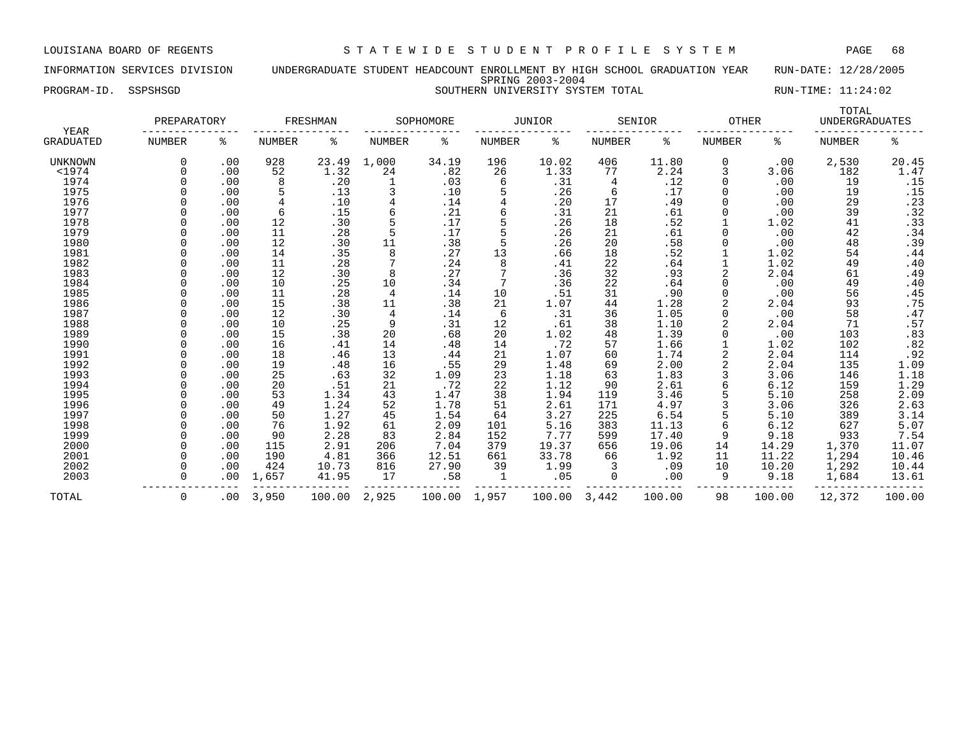INFORMATION SERVICES DIVISION UNDERGRADUATE STUDENT HEADCOUNT ENROLLMENT BY HIGH SCHOOL GRADUATION YEAR RUN-DATE: 12/28/2005 SPRING 2003-2004 PROGRAM-ID. SSPSHSGD SOUTHERN UNIVERSITY SYSTEM TOTAL RUN-TIME: 11:24:02

| <b>YEAR</b>      | PREPARATORY   |          |               | FRESHMAN |               | SOPHOMORE |               | <b>JUNIOR</b> |               | SENIOR | <b>OTHER</b>  |        | TOTAL<br><b>UNDERGRADUATES</b> |                       |
|------------------|---------------|----------|---------------|----------|---------------|-----------|---------------|---------------|---------------|--------|---------------|--------|--------------------------------|-----------------------|
| <b>GRADUATED</b> | <b>NUMBER</b> | ႜ        | <b>NUMBER</b> | နွ       | <b>NUMBER</b> | ႜ         | <b>NUMBER</b> | ႜ             | <b>NUMBER</b> | နွ     | <b>NUMBER</b> | ႜ      | <b>NUMBER</b>                  | ႜ                     |
| UNKNOWN          |               | .00      | 928           | 23.49    | 1,000         | 34.19     | 196           | 10.02         | 406           | 11.80  | 0             | .00    | 2,530                          | 20.45                 |
| $<$ 1974         |               | .00      | 52            | 1.32     | 24            | .82       | 26            | 1.33          | 77            | 2.24   | 3             | 3.06   | 182                            | 1.47                  |
| 1974             |               | .00      | 8             | .20      |               | .03       | 6             | .31           | 4             | .12    | 0             | .00    | 19                             | .15                   |
| 1975             |               | .00      | 5             | .13      |               | .10       |               | .26           | 6             | .17    | O             | .00    | 19                             | .15                   |
| 1976             |               | .00      | 4             | .10      | 4             | .14       |               | .20           | 17            | .49    |               | .00    | 29                             | .23                   |
| 1977             |               | .00      | 6             | .15      |               | .21       |               | .31           | 21            | .61    |               | .00    | 39                             | .32                   |
| 1978             |               | .00      | 12            | .30      |               | .17       |               | .26           | 18            | .52    |               | 1.02   | 41                             | .33                   |
| 1979             |               | .00      | 11            | .28      |               | .17       | 5             | .26           | 21            | .61    | O             | .00    | 42                             | .34                   |
| 1980             |               | .00      | 12            | .30      | 11            | .38       | 5             | .26           | 20            | .58    | ∩             | .00    | 48                             | .39                   |
| 1981             |               | .00      | 14            | .35      | 8             | .27       | 13            | .66           | 18            | .52    |               | 1.02   | 54                             | .44                   |
| 1982             |               | .00      | 11            | .28      |               | .24       | 8             | .41           | 22            | .64    |               | 1.02   | 49                             | .40                   |
| 1983             |               | .00      | 12            | .30      | 8             | .27       | 7             | .36           | 32            | .93    | 2             | 2.04   | 61                             | .49                   |
| 1984             |               | .00      | 10            | .25      | 10            | .34       | 7             | .36           | 22            | .64    |               | .00    | 49                             | .40                   |
| 1985             |               | .00      | 11            | .28      | 4             | .14       | 10            | .51           | 31            | .90    | 0             | .00    | 56                             | .45                   |
| 1986             |               | .00      | 15            | .38      | 11            | .38       | 21            | 1.07          | 44            | 1.28   |               | 2.04   | 93                             | .75                   |
| 1987             |               | .00      | 12            | .30      | 4             | .14       | 6             | .31           | 36            | 1.05   | O             | .00    | 58                             | .47                   |
| 1988             |               | .00      | 10            | .25      | 9             | .31       | 12            | .61           | 38            | 1.10   |               | 2.04   | 71                             | .57                   |
| 1989             |               | .00      | 15            | .38      | 20            | .68       | 20            | 1.02          | 48            | 1.39   |               | .00    | 103                            | .83                   |
| 1990             |               | .00      | 16            | .41      | 14            | .48       | 14            | .72           | 57            | 1.66   |               | 1.02   | 102                            | .82                   |
| 1991             |               | .00      | 18            | .46      | 13            | .44       | 21            | 1.07          | 60            | 1.74   |               | 2.04   | 114                            | $.92$<br>1.09<br>1.18 |
| 1992             |               | .00      | 19            | .48      | 16            | .55       | 29            | 1.48          | 69            | 2.00   |               | 2.04   | 135                            |                       |
| 1993             |               | .00      | 25            | .63      | 32            | 1.09      | 23            | 1.18          | 63            | 1.83   | 3             | 3.06   | 146                            |                       |
| 1994             |               | .00      | 20            | .51      | 21            | .72       | 22            | 1.12          | 90            | 2.61   | 6             | 6.12   | 159                            | 1.29                  |
| 1995             |               | .00      | 53            | 1.34     | 43            | 1.47      | 38            | 1.94          | 119           | 3.46   |               | 5.10   | 258                            | $\frac{2.09}{2.63}$   |
| 1996             |               | .00      | 49            | 1.24     | 52            | 1.78      | 51            | 2.61          | 171           | 4.97   | 3             | 3.06   | 326                            |                       |
| 1997             |               | .00      | 50            | 1.27     | 45            | 1.54      | 64            | 3.27          | 225           | 6.54   |               | 5.10   | 389                            | 3.14                  |
| 1998             |               | .00      | 76            | 1.92     | 61            | 2.09      | 101           | 5.16          | 383           | 11.13  | 6             | 6.12   | 627                            | 5.07                  |
| 1999             |               | .00      | 90            | 2.28     | 83            | 2.84      | 152           | 7.77          | 599           | 17.40  | 9             | 9.18   | 933                            | 7.54                  |
| 2000             |               | .00      | 115           | 2.91     | 206           | 7.04      | 379           | 19.37         | 656           | 19.06  | 14            | 14.29  | 1,370                          | 11.07                 |
| 2001             |               | .00      | 190           | 4.81     | 366           | 12.51     | 661           | 33.78         | 66            | 1.92   | 11            | 11.22  | 1,294                          | 10.46                 |
| 2002             |               | .00      | 424           | 10.73    | 816           | 27.90     | 39            | 1.99          |               | .09    | 10            | 10.20  | 1,292                          | 10.44                 |
| 2003             |               | .00      | 1,657         | 41.95    | 17            | .58       | 1             | .05           | 0             | .00    | 9             | 9.18   | 1,684                          | 13.61                 |
| TOTAL            | 0             | $.00 \,$ | 3,950         | 100.00   | 2,925         | 100.00    | 1,957         | 100.00        | 3,442         | 100.00 | 98            | 100.00 | 12,372                         | 100.00                |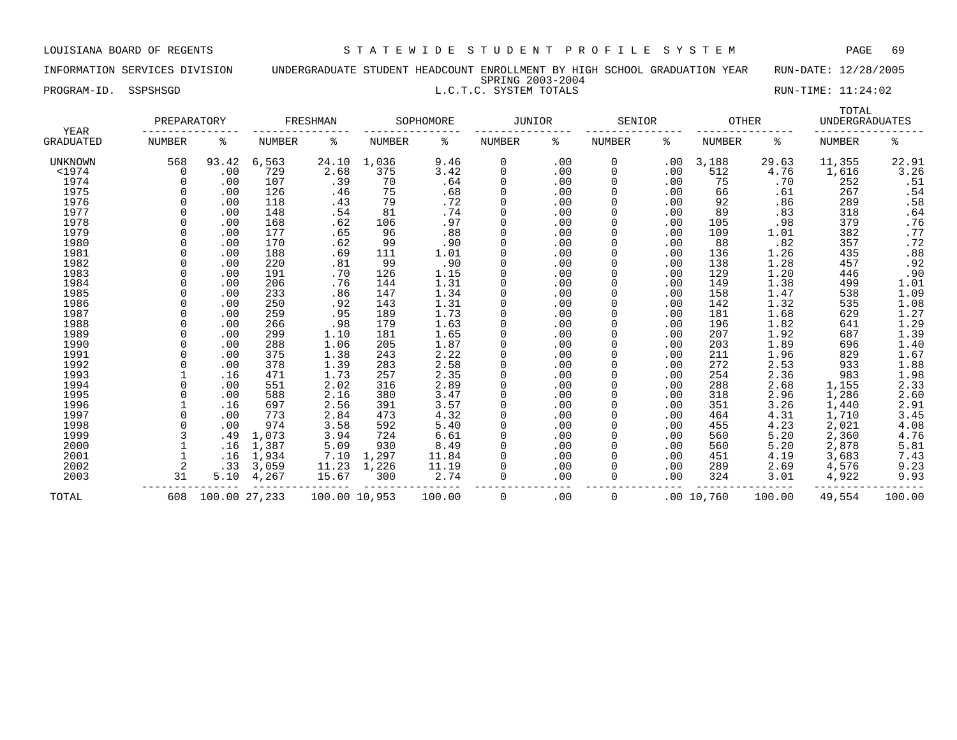## INFORMATION SERVICES DIVISION UNDERGRADUATE STUDENT HEADCOUNT ENROLLMENT BY HIGH SCHOOL GRADUATION YEAR RUN-DATE: 12/28/2005 SPRING 2003-2004 PROGRAM-ID. SSPSHSGD L.C.T.C. SYSTEM TOTALS RUN-TIME: 11:24:02

| YEAR<br>GRADUATED | PREPARATORY |               | FRESHMAN |               | SOPHOMORE |        | <b>JUNIOR</b> |     | SENIOR |     | <b>OTHER</b>  |        | TOTAL<br><b>UNDERGRADUATES</b> |                         |
|-------------------|-------------|---------------|----------|---------------|-----------|--------|---------------|-----|--------|-----|---------------|--------|--------------------------------|-------------------------|
|                   | NUMBER      | ႜ             | NUMBER   | ٥g            | NUMBER    | နွ     | NUMBER        | ႜ   | NUMBER | ి   | <b>NUMBER</b> | ႜ      | <b>NUMBER</b>                  | န္                      |
| UNKNOWN           | 568         | 93.42         | 6,563    | 24.10         | 1,036     | 9.46   | 0             | .00 | 0      | .00 | 3,188         | 29.63  | 11,355                         | 22.91                   |
| $1974$            | $\Omega$    | .00           | 729      | 2.68          | 375       | 3.42   | $\Omega$      | .00 | 0      | .00 | 512           | 4.76   | 1,616                          | 3.26                    |
| 1974              |             | .00           | 107      | .39           | 70        | .64    |               | .00 |        | .00 | 75            | .70    | 252                            |                         |
| 1975              |             | .00           | 126      | .46           | 75        | .68    |               | .00 |        | .00 | 66            | .61    | 267                            | $\frac{.51}{.54}$       |
| 1976              |             | .00           | 118      | .43           | 79        | .72    | $\Omega$      | .00 |        | .00 | 92            | .86    | 289                            | .58                     |
| 1977              |             | .00           | 148      | .54           | 81        | .74    | $\Omega$      | .00 |        | .00 | 89            | .83    | 318                            | $.64$<br>$.76$          |
| 1978              |             | .00           | 168      | .62           | 106       | .97    |               | .00 |        | .00 | 105           | .98    | 379                            |                         |
| 1979              |             | .00           | 177      | .65           | 96        | .88    |               | .00 |        | .00 | 109           | 1.01   | 382                            | $\boldsymbol{\cdot}$ 77 |
| 1980              |             | .00           | 170      | .62           | 99        | .90    |               | .00 |        | .00 | 88            | .82    | 357                            | .72                     |
| 1981              |             | .00           | 188      | .69           | 111       | 1.01   | $\Omega$      | .00 |        | .00 | 136           | 1.26   | 435                            | .88                     |
| 1982              |             | .00           | 220      | .81           | 99        | .90    | $\Omega$      | .00 |        | .00 | 138           | 1.28   | 457                            | .92                     |
| 1983              |             | .00           | 191      | .70           | 126       | 1.15   | $\Omega$      | .00 |        | .00 | 129           | 1.20   | 446                            | .90                     |
| 1984              |             | .00           | 206      | .76           | 144       | 1.31   |               | .00 |        | .00 | 149           | 1.38   | 499                            | 1.01                    |
| 1985              |             | .00           | 233      | .86           | 147       | 1.34   |               | .00 |        | .00 | 158           | 1.47   | 538                            | 1.09                    |
| 1986              |             | .00           | 250      | .92           | 143       | 1.31   |               | .00 |        | .00 | 142           | 1.32   | 535                            | 1.08                    |
| 1987              |             | .00           | 259      | .95           | 189       | 1.73   |               | .00 |        | .00 | 181           | 1.68   | 629                            | 1.27                    |
| 1988              |             | .00           | 266      | .98           | 179       | 1.63   | $\Omega$      | .00 |        | .00 | 196           | 1.82   | 641                            | 1.29                    |
| 1989              |             | .00           | 299      | 1.10          | 181       | 1.65   | $\Omega$      | .00 |        | .00 | 207           | 1.92   | 687                            | 1.39                    |
| 1990              |             | .00           | 288      | 1.06          | 205       | 1.87   | $\Omega$      | .00 |        | .00 | 203           | 1.89   | 696                            | 1.40                    |
| 1991              |             | .00           | 375      | 1.38          | 243       | 2.22   |               | .00 |        | .00 | 211           | 1.96   | 829                            | 1.67                    |
| 1992              |             | .00           | 378      | 1.39          | 283       | 2.58   |               | .00 |        | .00 | 272           | 2.53   | 933                            | 1.88                    |
| 1993              |             | .16           | 471      | 1.73          | 257       | 2.35   |               | .00 |        | .00 | 254           | 2.36   | 983                            | 1.98                    |
| 1994              |             | .00           | 551      | 2.02          | 316       | 2.89   | $\Omega$      | .00 |        | .00 | 288           | 2.68   | 1,155                          | 2.33                    |
| 1995              |             | .00           | 588      | 2.16          | 380       | 3.47   | $\Omega$      | .00 |        | .00 | 318           | 2.96   | 1,286                          | 2.60                    |
| 1996              |             | .16           | 697      | 2.56          | 391       | 3.57   |               | .00 |        | .00 | 351           | 3.26   | 1,440                          | 2.91                    |
| 1997              |             | .00           | 773      | 2.84          | 473       | 4.32   |               | .00 |        | .00 | 464           | 4.31   | 1,710                          | 3.45                    |
| 1998              |             | .00           | 974      | 3.58          | 592       | 5.40   |               | .00 |        | .00 | 455           | 4.23   | 2,021                          | 4.08                    |
| 1999              |             | .49           | 1,073    | 3.94          | 724       | 6.61   |               | .00 |        | .00 | 560           | 5.20   | 2,360                          | 4.76                    |
| 2000              |             | .16           | 1,387    | 5.09          | 930       | 8.49   |               | .00 |        | .00 | 560           | 5.20   | 2,878                          | 5.81                    |
| 2001              |             | .16           | 1,934    | 7.10          | 1,297     | 11.84  | <sup>0</sup>  | .00 |        | .00 | 451           | 4.19   | 3,683                          | 7.43                    |
| 2002              |             | .33           | 3,059    | 11.23         | 1,226     | 11.19  |               | .00 | O      | .00 | 289           | 2.69   | 4,576                          | 9.23                    |
| 2003              | 31          | 5.10          | 4,267    | 15.67         | 300       | 2.74   |               | .00 | 0      | .00 | 324           | 3.01   | 4,922                          | 9.93                    |
| TOTAL             | 608         | 100.00 27,233 |          | 100.00 10,953 |           | 100.00 | $\Omega$      | .00 | 0      |     | .0010,760     | 100.00 | 49,554                         | 100.00                  |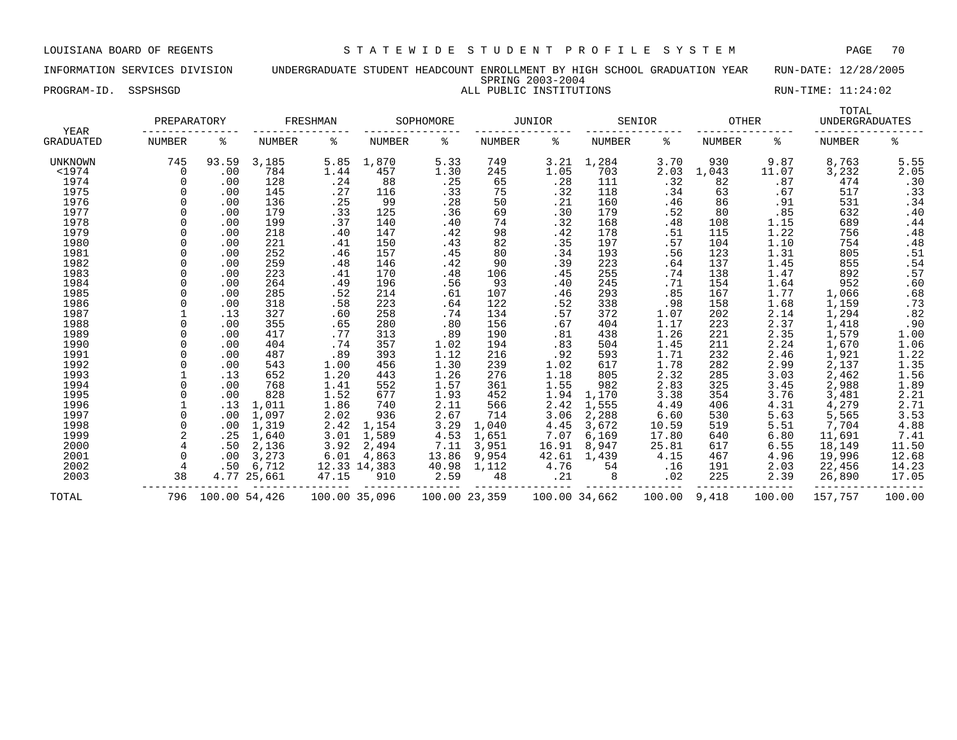INFORMATION SERVICES DIVISION UNDERGRADUATE STUDENT HEADCOUNT ENROLLMENT BY HIGH SCHOOL GRADUATION YEAR RUN-DATE: 12/28/2005 SPRING 2003-2004 PROGRAM-ID. SSPSHSGD ALL PUBLIC INSTITUTIONS RUN-TIME: 11:24:02

| YEAR<br>GRADUATED | PREPARATORY |       | FRESHMAN    |       | SOPHOMORE    |       | <b>JUNIOR</b> |       | SENIOR |       | <b>OTHER</b> |       | TOTAL<br><b>UNDERGRADUATES</b> |                  |
|-------------------|-------------|-------|-------------|-------|--------------|-------|---------------|-------|--------|-------|--------------|-------|--------------------------------|------------------|
|                   | NUMBER      | ႜ     | NUMBER      | ႜ     | NUMBER       | ႜ     | <b>NUMBER</b> | ႜ     | NUMBER | ႜ     | NUMBER       | ႜ     | NUMBER                         | ి                |
| UNKNOWN           | 745         | 93.59 | 3,185       | 5.85  | 1,870        | 5.33  | 749           | 3.21  | 1,284  | 3.70  | 930          | 9.87  | 8,763                          | 5.55             |
| $<$ 1974          | $\Omega$    | .00   | 784         | 1.44  | 457          | 1.30  | 245           | 1.05  | 703    | 2.03  | 1,043        | 11.07 | 3,232                          | 2.05             |
| 1974              | $\Omega$    | .00   | 128         | .24   | 88           | .25   | 65            | .28   | 111    | .32   | 82           | .87   | 474                            | .30              |
| 1975              |             | .00   | 145         | .27   | 116          | .33   | 75            | .32   | 118    | .34   | 63           | .67   | 517                            | .33              |
| 1976              |             | .00   | 136         | .25   | 99           | .28   | 50            | .21   | 160    | .46   | 86           | .91   | 531                            | .34              |
| 1977              |             | .00   | 179         | .33   | 125          | .36   | 69            | .30   | 179    | .52   | 80           | .85   | 632                            | .40              |
| 1978              |             | .00   | 199         | .37   | 140          | .40   | 74            | .32   | 168    | .48   | 108          | 1.15  | 689                            | .44              |
| 1979              |             | .00   | 218         | .40   | 147          | .42   | 98            | .42   | 178    | .51   | 115          | 1.22  | 756                            | .48              |
| 1980              |             | .00   | 221         | .41   | 150          | .43   | 82            | .35   | 197    | .57   | 104          | 1.10  | 754                            | .48              |
| 1981              |             | .00   | 252         | .46   | 157          | .45   | 80            | .34   | 193    | .56   | 123          | 1.31  | 805                            | .51              |
| 1982              |             | .00   | 259         | .48   | 146          | .42   | 90            | .39   | 223    | .64   | 137          | 1.45  | 855                            | .54              |
| 1983              | $\Omega$    | .00   | 223         | .41   | 170          | .48   | 106           | .45   | 255    | .74   | 138          | 1.47  | 892                            | .57              |
| 1984              |             | .00   | 264         | .49   | 196          | .56   | 93            | .40   | 245    | .71   | 154          | 1.64  | 952                            | .60              |
| 1985              |             | .00   | 285         | .52   | 214          | .61   | 107           | .46   | 293    | .85   | 167          | 1.77  | 1,066                          | .68              |
| 1986              |             | .00   | 318         | .58   | 223          | .64   | 122           | .52   | 338    | .98   | 158          | 1.68  | 1,159                          | .73              |
| 1987              |             | .13   | 327         | .60   | 258          | .74   | 134           | .57   | 372    | 1.07  | 202          | 2.14  | 1,294                          | .82              |
| 1988              | $\Omega$    | .00   | 355         | .65   | 280          | .80   | 156           | .67   | 404    | 1.17  | 223          | 2.37  | 1,418                          | .90              |
| 1989              | $\Omega$    | .00   | 417         | .77   | 313          | .89   | 190           | .81   | 438    | 1.26  | 221          | 2.35  | 1,579                          | 1.00             |
| 1990              | $\Omega$    | .00   | 404         | .74   | 357          | 1.02  | 194           | .83   | 504    | 1.45  | 211          | 2.24  | 1,670                          | 1.06             |
| 1991              |             | .00   | 487         | .89   | 393          | 1.12  | 216           | .92   | 593    | 1.71  | 232          | 2.46  | 1,921                          | 1.22             |
| 1992              |             | .00   | 543         | 1.00  | 456          | 1.30  | 239           | 1.02  | 617    | 1.78  | 282          | 2.99  | 2,137                          | 1.35             |
| 1993              |             | .13   | 652         | 1.20  | 443          | 1.26  | 276           | 1.18  | 805    | 2.32  | 285          | 3.03  | 2,462                          | 1.56             |
| 1994              |             | .00   | 768         | 1.41  | 552          | 1.57  | 361           | 1.55  | 982    | 2.83  | 325          | 3.45  | 2,988                          |                  |
| 1995              |             | .00   | 828         | 1.52  | 677          | 1.93  | 452           | 1.94  | 1,170  | 3.38  | 354          | 3.76  | 3,481                          | $1.89$<br>$2.21$ |
| 1996              |             | .13   | 1,011       | 1.86  | 740          | 2.11  | 566           | 2.42  | 1,555  | 4.49  | 406          | 4.31  | 4,279                          | 2.71             |
| 1997              | $\Omega$    | .00   | 1,097       | 2.02  | 936          | 2.67  | 714           | 3.06  | 2,288  | 6.60  | 530          | 5.63  | 5,565                          | 3.53             |
| 1998              | $\Omega$    | .00   | 1,319       | 2.42  | 1,154        | 3.29  | 1,040         | 4.45  | 3,672  | 10.59 | 519          | 5.51  | 7,704                          | 4.88             |
| 1999              |             | .25   | 1,640       | 3.01  | 1,589        | 4.53  | 1,651         | 7.07  | 6,169  | 17.80 | 640          | 6.80  | 11,691                         | 7.41             |
| 2000              |             | .50   | 2,136       | 3.92  | 2,494        | 7.11  | 3,951         | 16.91 | 8,947  | 25.81 | 617          | 6.55  | 18,149                         | 11.50            |
| 2001              |             | .00   | 3,273       | 6.01  | 4,863        | 13.86 | 9,954         | 42.61 | 1,439  | 4.15  | 467          | 4.96  | 19,996                         | 12.68            |
| 2002              |             | .50   | 6,712       |       | 12.33 14,383 | 40.98 | 1,112         | 4.76  | 54     | .16   | 191          | 2.03  | 22,456                         | 14.23            |
| 2003              | 38          |       | 4.77 25,661 | 47.15 | 910          | 2.59  | 48            | .21   | 8      | .02   | 225          | 2.39  | 26,890                         | 17.05            |
|                   |             |       |             |       |              |       |               |       |        |       |              |       |                                |                  |

TOTAL 796 100.00 54,426 100.00 35,096 100.00 23,359 100.00 34,662 100.00 9,418 100.00 157,757 100.00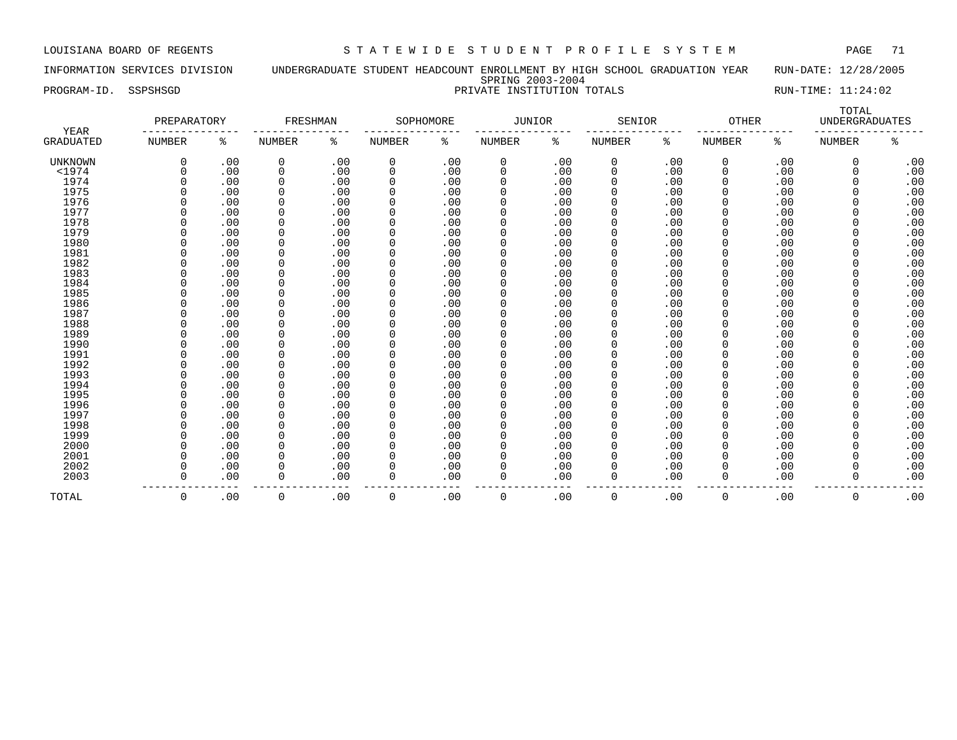INFORMATION SERVICES DIVISION UNDERGRADUATE STUDENT HEADCOUNT ENROLLMENT BY HIGH SCHOOL GRADUATION YEAR RUN-DATE: 12/28/2005 SPRING 2003-2004 PROGRAM-ID. SSPSHSGD PRIVATE INSTITUTION TOTALS RUN-TIME: 11:24:02

| YEAR<br>GRADUATED | PREPARATORY |     | FRESHMAN    |     | SOPHOMORE     |     | JUNIOR   |     | SENIOR        |     | <b>OTHER</b>  |     | TOTAL<br><b>UNDERGRADUATES</b> |     |
|-------------------|-------------|-----|-------------|-----|---------------|-----|----------|-----|---------------|-----|---------------|-----|--------------------------------|-----|
|                   | NUMBER      | ႜ   | NUMBER      | ి   | <b>NUMBER</b> | ႜ   | NUMBER   | နွ  | <b>NUMBER</b> | ႜ   | <b>NUMBER</b> | ႜ   | <b>NUMBER</b>                  | ႜ   |
| <b>UNKNOWN</b>    | $\Omega$    | .00 | 0           | .00 | 0             | .00 | 0        | .00 | 0             | .00 | 0             | .00 | 0                              | .00 |
| $<$ 1974          |             | .00 | 0           | .00 | 0             | .00 | 0        | .00 | 0             | .00 | 0             | .00 | $\Omega$                       | .00 |
| 1974              |             | .00 | $\Omega$    | .00 | $\Omega$      | .00 | 0        | .00 | 0             | .00 | $\Omega$      | .00 | $\Omega$                       | .00 |
| 1975              |             | .00 | 0           | .00 | $\Omega$      | .00 | 0        | .00 | 0             | .00 |               | .00 | O                              | .00 |
| 1976              |             | .00 | 0           | .00 | $\Omega$      | .00 | 0        | .00 | 0             | .00 |               | .00 | 0                              | .00 |
| 1977              |             | .00 | $\mathbf 0$ | .00 | $\Omega$      | .00 | $\Omega$ | .00 | 0             | .00 |               | .00 | 0                              | .00 |
| 1978              |             | .00 | 0           | .00 | $\Omega$      | .00 | 0        | .00 | 0             | .00 |               | .00 | 0                              | .00 |
| 1979              |             | .00 | $\Omega$    | .00 | $\Omega$      | .00 | 0        | .00 | 0             | .00 |               | .00 | 0                              | .00 |
| 1980              |             | .00 | 0           | .00 | 0             | .00 | 0        | .00 | 0             | .00 |               | .00 | 0                              | .00 |
| 1981              |             | .00 | 0           | .00 | 0             | .00 | 0        | .00 | 0             | .00 |               | .00 | 0                              | .00 |
| 1982              |             | .00 | $\Omega$    | .00 | $\Omega$      | .00 | 0        | .00 | 0             | .00 |               | .00 | 0                              | .00 |
| 1983              |             | .00 | 0           | .00 | 0             | .00 | 0        | .00 | 0             | .00 | 0             | .00 | 0                              | .00 |
| 1984              |             | .00 | $\mathbf 0$ | .00 | $\Omega$      | .00 | 0        | .00 | 0             | .00 | 0             | .00 | 0                              | .00 |
| 1985              |             | .00 | 0           | .00 | 0             | .00 | 0        | .00 | 0             | .00 | 0             | .00 | 0                              | .00 |
| 1986              |             | .00 | $\Omega$    | .00 | 0             | .00 | 0        | .00 | 0             | .00 | $\Omega$      | .00 | O                              | .00 |
| 1987              |             | .00 | $\Omega$    | .00 | $\Omega$      | .00 | 0        | .00 | 0             | .00 | 0             | .00 | 0                              | .00 |
| 1988              |             | .00 | $\Omega$    | .00 | 0             | .00 | 0        | .00 | 0             | .00 | <sup>0</sup>  | .00 | O                              | .00 |
| 1989              |             | .00 | $\Omega$    | .00 | $\Omega$      | .00 | 0        | .00 | 0             | .00 |               | .00 |                                | .00 |
| 1990              |             | .00 | $\Omega$    | .00 | 0             | .00 | 0        | .00 | 0             | .00 |               | .00 | 0                              | .00 |
| 1991              |             | .00 | $\Omega$    | .00 | $\Omega$      | .00 | 0        | .00 | 0             | .00 |               | .00 | O                              | .00 |
| 1992              |             | .00 | $\Omega$    | .00 | $\Omega$      | .00 |          | .00 | 0             | .00 |               | .00 | 0                              | .00 |
| 1993              |             | .00 | $\Omega$    | .00 | $\Omega$      | .00 | 0        | .00 | 0             | .00 |               | .00 | O                              | .00 |
| 1994              |             | .00 | $\Omega$    | .00 | $\Omega$      | .00 | 0        | .00 | 0             | .00 |               | .00 | $\Omega$                       | .00 |
| 1995              |             | .00 | $\Omega$    | .00 | $\Omega$      | .00 | 0        | .00 | 0             | .00 |               | .00 | O                              | .00 |
| 1996              |             | .00 | 0           | .00 | $\Omega$      | .00 | 0        | .00 | 0             | .00 |               | .00 | O                              | .00 |
| 1997              |             | .00 | $\mathbf 0$ | .00 | $\Omega$      | .00 | $\Omega$ | .00 | 0             | .00 | $\Omega$      | .00 | O                              | .00 |
| 1998              |             | .00 | 0           | .00 | $\Omega$      | .00 | 0        | .00 | 0             | .00 | 0             | .00 | U                              | .00 |
| 1999              |             | .00 | $\mathbf 0$ | .00 | $\Omega$      | .00 | $\Omega$ | .00 | 0             | .00 | 0             | .00 | U                              | .00 |
| 2000              |             | .00 | $\Omega$    | .00 | $\Omega$      | .00 | 0        | .00 | 0             | .00 | $\Omega$      | .00 | U                              | .00 |
| 2001              |             | .00 | 0           | .00 | $\Omega$      | .00 | 0        | .00 | 0             | .00 | $\Omega$      | .00 | O                              | .00 |
| 2002              |             | .00 | $\Omega$    | .00 | $\Omega$      | .00 | 0        | .00 | 0             | .00 |               | .00 | 0                              | .00 |
| 2003              |             | .00 | 0           | .00 | $\Omega$      | .00 | 0        | .00 | 0             | .00 | 0             | .00 | 0                              | .00 |

00. 0 .00 0 .00 0 .00 0 .00 0 .00 0 .00 0 .00 0 .00 0 .00 .00 .00 .00 .00 .00 .00